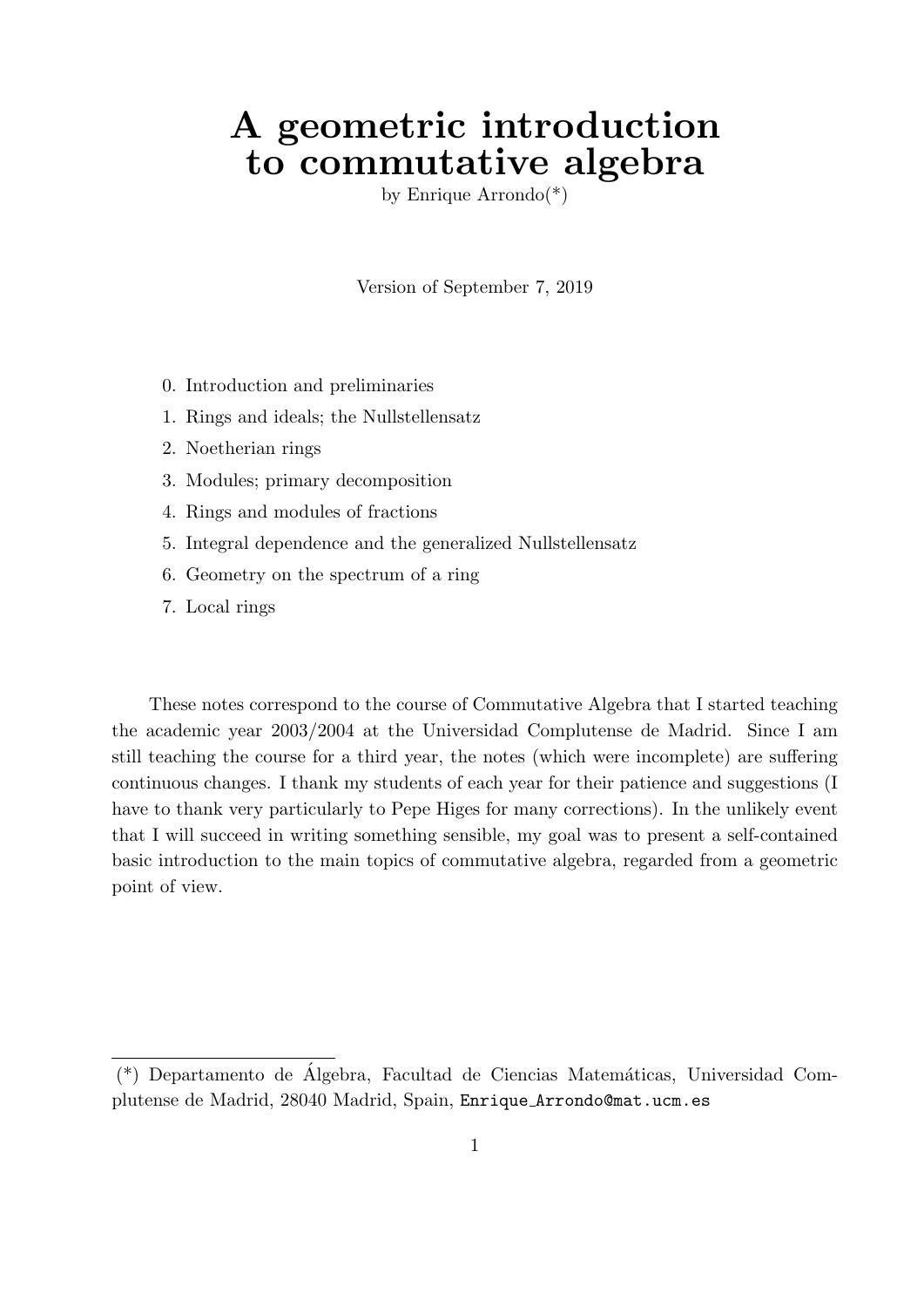# A geometric introduction to commutative algebra

by Enrique Arrondo(\*)

Version of September 7, 2019

- 0. Introduction and preliminaries
- 1. Rings and ideals; the Nullstellensatz
- 2. Noetherian rings
- 3. Modules; primary decomposition
- 4. Rings and modules of fractions
- 5. Integral dependence and the generalized Nullstellensatz
- 6. Geometry on the spectrum of a ring
- 7. Local rings

These notes correspond to the course of Commutative Algebra that I started teaching the academic year 2003/2004 at the Universidad Complutense de Madrid. Since I am still teaching the course for a third year, the notes (which were incomplete) are suffering continuous changes. I thank my students of each year for their patience and suggestions (I have to thank very particularly to Pepe Higes for many corrections). In the unlikely event that I will succeed in writing something sensible, my goal was to present a self-contained basic introduction to the main topics of commutative algebra, regarded from a geometric point of view.

<sup>(\*)</sup> Departamento de Álgebra, Facultad de Ciencias Matemáticas, Universidad Complutense de Madrid, 28040 Madrid, Spain, Enrique Arrondo@mat.ucm.es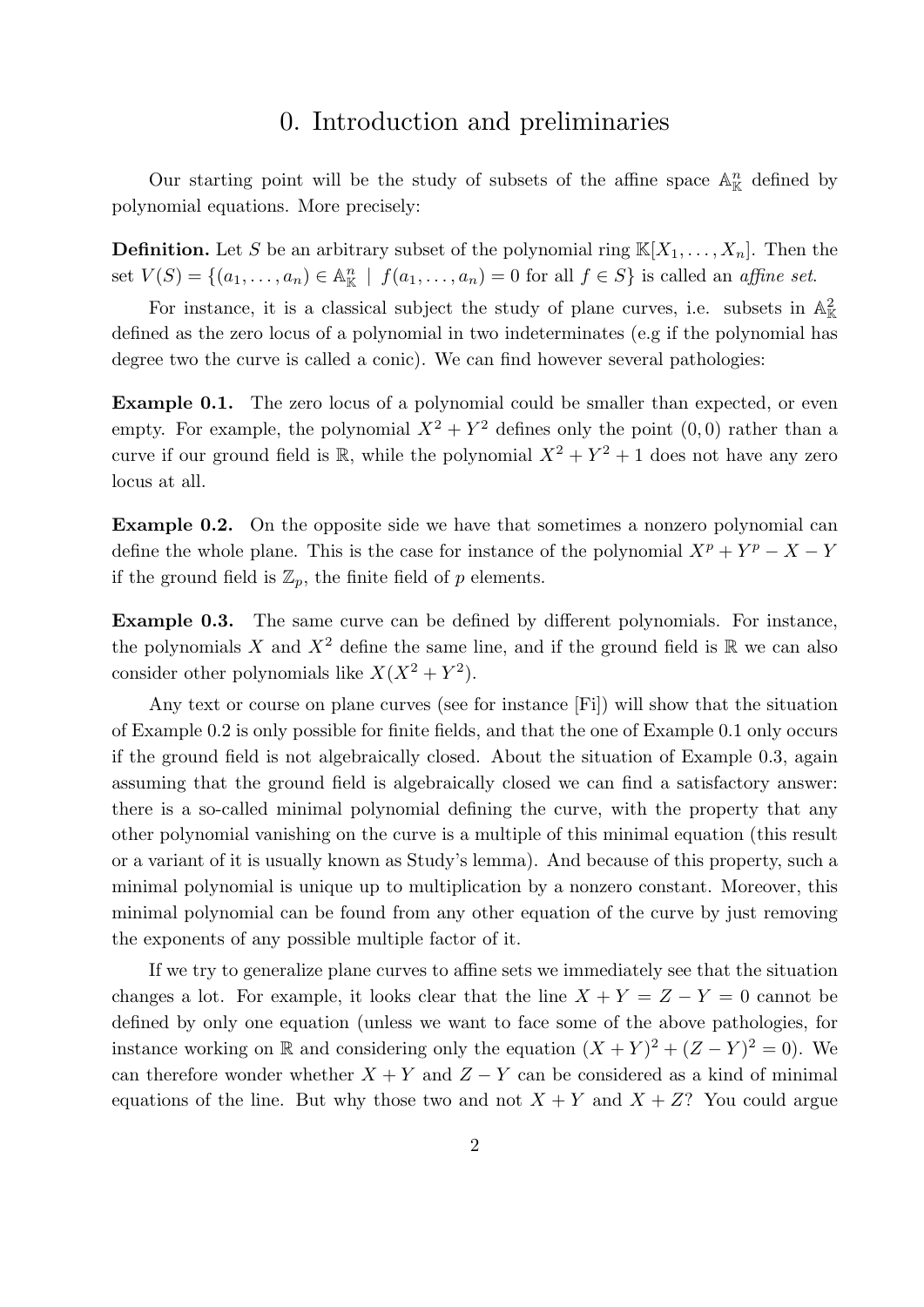## 0. Introduction and preliminaries

Our starting point will be the study of subsets of the affine space  $\mathbb{A}^n_{\mathbb{K}}$  defined by polynomial equations. More precisely:

**Definition.** Let S be an arbitrary subset of the polynomial ring  $\mathbb{K}[X_1, \ldots, X_n]$ . Then the set  $V(S) = \{(a_1, \ldots, a_n) \in \mathbb{A}_{\mathbb{K}}^n \mid f(a_1, \ldots, a_n) = 0 \text{ for all } f \in S\}$  is called an affine set.

For instance, it is a classical subject the study of plane curves, i.e. subsets in  $\mathbb{A}^2_{\mathbb{K}}$ defined as the zero locus of a polynomial in two indeterminates (e.g if the polynomial has degree two the curve is called a conic). We can find however several pathologies:

Example 0.1. The zero locus of a polynomial could be smaller than expected, or even empty. For example, the polynomial  $X^2 + Y^2$  defines only the point  $(0,0)$  rather than a curve if our ground field is  $\mathbb{R}$ , while the polynomial  $X^2 + Y^2 + 1$  does not have any zero locus at all.

Example 0.2. On the opposite side we have that sometimes a nonzero polynomial can define the whole plane. This is the case for instance of the polynomial  $X^p + Y^p - X - Y^p$ if the ground field is  $\mathbb{Z}_p$ , the finite field of p elements.

Example 0.3. The same curve can be defined by different polynomials. For instance, the polynomials X and  $X^2$  define the same line, and if the ground field is R we can also consider other polynomials like  $X(X^2 + Y^2)$ .

Any text or course on plane curves (see for instance [Fi]) will show that the situation of Example 0.2 is only possible for finite fields, and that the one of Example 0.1 only occurs if the ground field is not algebraically closed. About the situation of Example 0.3, again assuming that the ground field is algebraically closed we can find a satisfactory answer: there is a so-called minimal polynomial defining the curve, with the property that any other polynomial vanishing on the curve is a multiple of this minimal equation (this result or a variant of it is usually known as Study's lemma). And because of this property, such a minimal polynomial is unique up to multiplication by a nonzero constant. Moreover, this minimal polynomial can be found from any other equation of the curve by just removing the exponents of any possible multiple factor of it.

If we try to generalize plane curves to affine sets we immediately see that the situation changes a lot. For example, it looks clear that the line  $X + Y = Z - Y = 0$  cannot be defined by only one equation (unless we want to face some of the above pathologies, for instance working on R and considering only the equation  $(X + Y)^2 + (Z - Y)^2 = 0$ . We can therefore wonder whether  $X + Y$  and  $Z - Y$  can be considered as a kind of minimal equations of the line. But why those two and not  $X + Y$  and  $X + Z$ ? You could argue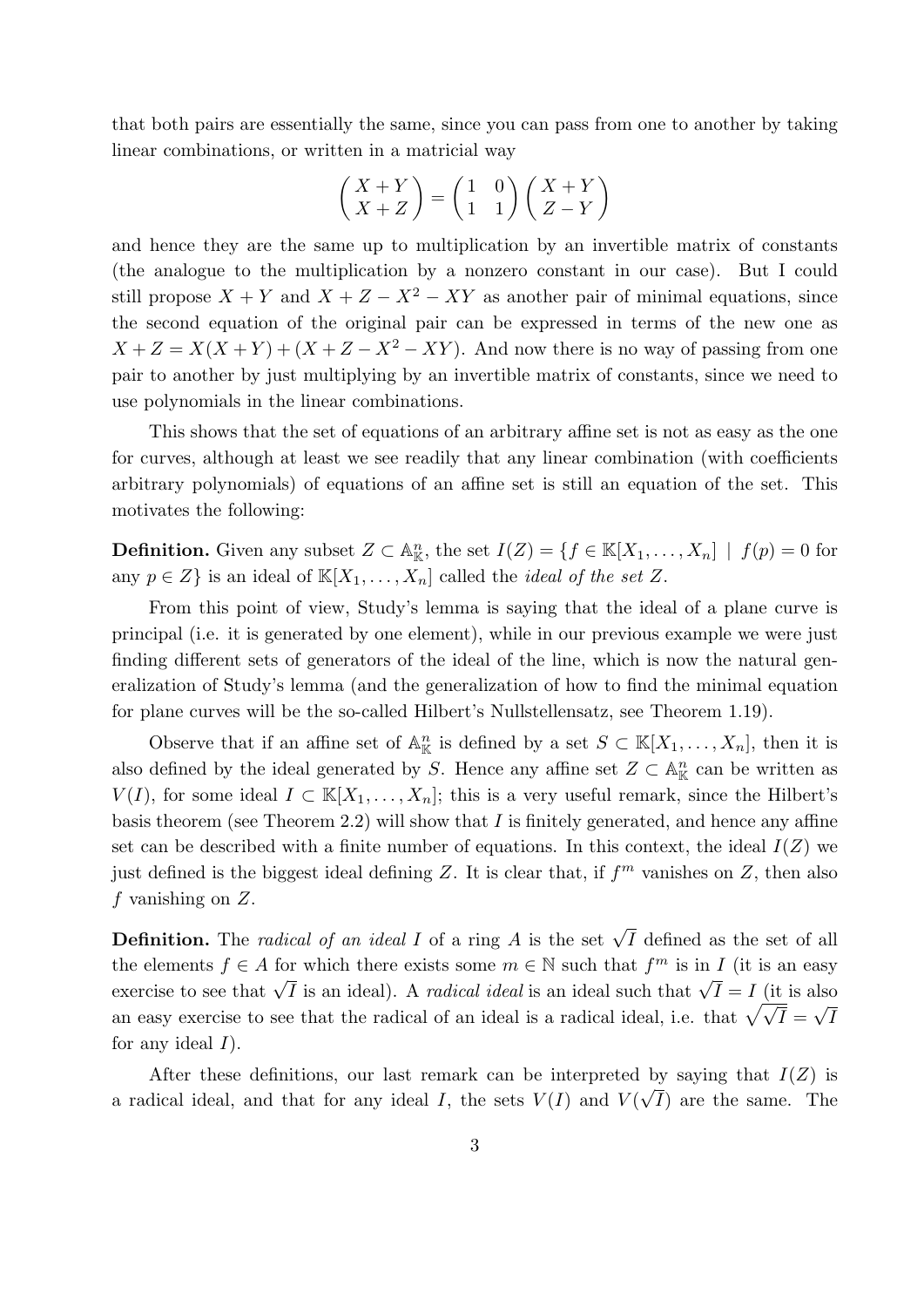that both pairs are essentially the same, since you can pass from one to another by taking linear combinations, or written in a matricial way

$$
\begin{pmatrix} X+Y \ X+Z \end{pmatrix} = \begin{pmatrix} 1 & 0 \\ 1 & 1 \end{pmatrix} \begin{pmatrix} X+Y \\ Z-Y \end{pmatrix}
$$

and hence they are the same up to multiplication by an invertible matrix of constants (the analogue to the multiplication by a nonzero constant in our case). But I could still propose  $X + Y$  and  $X + Z - X^2 - XY$  as another pair of minimal equations, since the second equation of the original pair can be expressed in terms of the new one as  $X + Z = X(X + Y) + (X + Z - X^2 - XY)$ . And now there is no way of passing from one pair to another by just multiplying by an invertible matrix of constants, since we need to use polynomials in the linear combinations.

This shows that the set of equations of an arbitrary affine set is not as easy as the one for curves, although at least we see readily that any linear combination (with coefficients arbitrary polynomials) of equations of an affine set is still an equation of the set. This motivates the following:

**Definition.** Given any subset  $Z \subset \mathbb{A}_{\mathbb{K}}^n$ , the set  $I(Z) = \{f \in \mathbb{K}[X_1,\ldots,X_n] \mid f(p) = 0 \text{ for }$ any  $p \in Z$  is an ideal of  $\mathbb{K}[X_1, \ldots, X_n]$  called the *ideal of the set Z*.

From this point of view, Study's lemma is saying that the ideal of a plane curve is principal (i.e. it is generated by one element), while in our previous example we were just finding different sets of generators of the ideal of the line, which is now the natural generalization of Study's lemma (and the generalization of how to find the minimal equation for plane curves will be the so-called Hilbert's Nullstellensatz, see Theorem 1.19).

Observe that if an affine set of  $\mathbb{A}^n_{\mathbb{K}}$  is defined by a set  $S \subset \mathbb{K}[X_1,\ldots,X_n]$ , then it is also defined by the ideal generated by S. Hence any affine set  $Z \subset \mathbb{A}^n_{\mathbb{K}}$  can be written as  $V(I)$ , for some ideal  $I \subset \mathbb{K}[X_1,\ldots,X_n]$ ; this is a very useful remark, since the Hilbert's basis theorem (see Theorem 2.2) will show that  $I$  is finitely generated, and hence any affine set can be described with a finite number of equations. In this context, the ideal  $I(Z)$  we just defined is the biggest ideal defining Z. It is clear that, if  $f<sup>m</sup>$  vanishes on Z, then also  $f$  vanishing on  $Z$ .

**Definition.** The *radical of an ideal I* of a ring A is the set  $\sqrt{I}$  defined as the set of all the elements  $f \in A$  for which there exists some  $m \in \mathbb{N}$  such that  $f^m$  is in I (it is an easy exercise to see that  $\sqrt{I}$  is an ideal). A *radical ideal* is an ideal such that  $\sqrt{I} = I$  (it is also exercise to see that  $\sqrt{I}$  is an ideal). A *radical ideal* is an ideal such that  $\sqrt{I} = I$  (it is also Exercise to see that  $\sqrt{I}$  is an ideal). A *radical ideal* is an ideal such that  $\sqrt{I} =$ <br>an easy exercise to see that the radical of an ideal is a radical ideal, i.e. that  $\sqrt{\sqrt{I}} =$ u⊔o<br>∖ I for any ideal  $I$ ).

After these definitions, our last remark can be interpreted by saying that  $I(Z)$  is a radical ideal, and that for any ideal I, the sets  $V(I)$  and  $V(\sqrt{I})$  are the same. The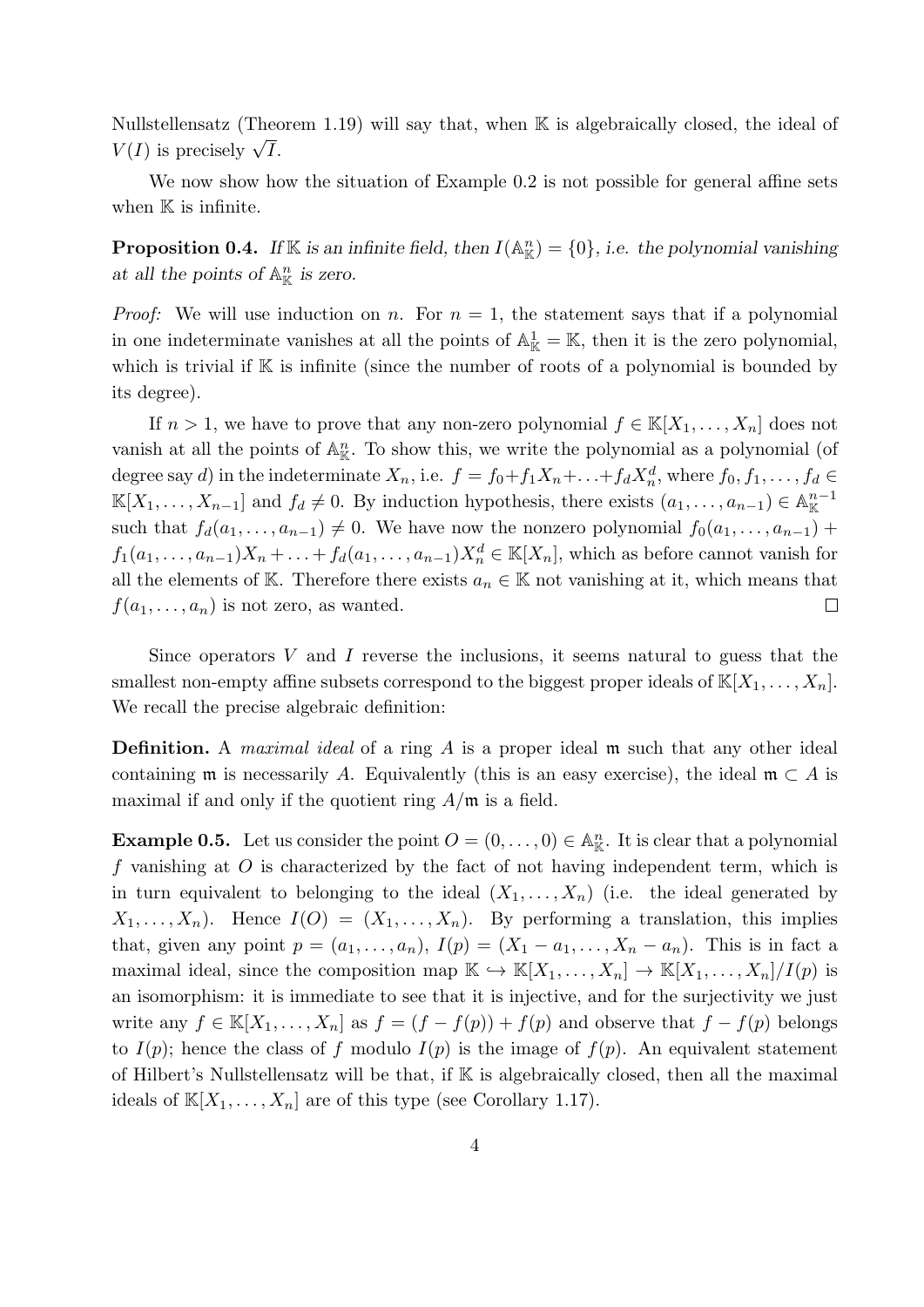Nullstellensatz (Theorem 1.19) will say that, when K is algebraically closed, the ideal of  $V(I)$  is precisely  $\sqrt{I}$ .

We now show how the situation of Example 0.2 is not possible for general affine sets when  $K$  is infinite.

**Proposition 0.4.** If K is an infinite field, then  $I(\mathbb{A}_{\mathbb{K}}^n) = \{0\}$ , i.e. the polynomial vanishing at all the points of  $\mathbb{A}^n_{\mathbb{K}}$  is zero.

*Proof:* We will use induction on n. For  $n = 1$ , the statement says that if a polynomial in one indeterminate vanishes at all the points of  $\mathbb{A}_{\mathbb{K}}^1 = \mathbb{K}$ , then it is the zero polynomial, which is trivial if  $K$  is infinite (since the number of roots of a polynomial is bounded by its degree).

If  $n > 1$ , we have to prove that any non-zero polynomial  $f \in K[X_1, \ldots, X_n]$  does not vanish at all the points of  $\mathbb{A}^n_{\mathbb{K}}$ . To show this, we write the polynomial as a polynomial (of degree say d) in the indeterminate  $X_n$ , i.e.  $f = f_0 + f_1 X_n + \ldots + f_d X_n^d$ , where  $f_0, f_1, \ldots, f_d \in$  $\mathbb{K}[X_1,\ldots,X_{n-1}]$  and  $f_d\neq 0$ . By induction hypothesis, there exists  $(a_1,\ldots,a_{n-1})\in \mathbb{A}_{\mathbb{K}}^{n-1}$ such that  $f_d(a_1, \ldots, a_{n-1}) \neq 0$ . We have now the nonzero polynomial  $f_0(a_1, \ldots, a_{n-1})$  +  $f_1(a_1,\ldots,a_{n-1})X_n+\ldots+f_d(a_1,\ldots,a_{n-1})X_n^d\in\mathbb{K}[X_n]$ , which as before cannot vanish for all the elements of K. Therefore there exists  $a_n \in \mathbb{K}$  not vanishing at it, which means that  $f(a_1, \ldots, a_n)$  is not zero, as wanted.  $\Box$ 

Since operators  $V$  and  $I$  reverse the inclusions, it seems natural to guess that the smallest non-empty affine subsets correspond to the biggest proper ideals of  $\mathbb{K}[X_1, \ldots, X_n]$ . We recall the precise algebraic definition:

**Definition.** A *maximal ideal* of a ring  $A$  is a proper ideal  $\mathfrak m$  such that any other ideal containing m is necessarily A. Equivalently (this is an easy exercise), the ideal  $\mathfrak{m} \subset A$  is maximal if and only if the quotient ring  $A/\mathfrak{m}$  is a field.

**Example 0.5.** Let us consider the point  $O = (0, \ldots, 0) \in \mathbb{A}_{\mathbb{K}}^n$ . It is clear that a polynomial f vanishing at  $O$  is characterized by the fact of not having independent term, which is in turn equivalent to belonging to the ideal  $(X_1, \ldots, X_n)$  (i.e. the ideal generated by  $X_1, \ldots, X_n$ ). Hence  $I(O) = (X_1, \ldots, X_n)$ . By performing a translation, this implies that, given any point  $p = (a_1, \ldots, a_n)$ ,  $I(p) = (X_1 - a_1, \ldots, X_n - a_n)$ . This is in fact a maximal ideal, since the composition map  $\mathbb{K} \hookrightarrow \mathbb{K}[X_1,\ldots,X_n] \to \mathbb{K}[X_1,\ldots,X_n]/I(p)$  is an isomorphism: it is immediate to see that it is injective, and for the surjectivity we just write any  $f \in K[X_1,\ldots,X_n]$  as  $f = (f - f(p)) + f(p)$  and observe that  $f - f(p)$  belongs to  $I(p)$ ; hence the class of f modulo  $I(p)$  is the image of  $f(p)$ . An equivalent statement of Hilbert's Nullstellensatz will be that, if  $K$  is algebraically closed, then all the maximal ideals of  $\mathbb{K}[X_1,\ldots,X_n]$  are of this type (see Corollary 1.17).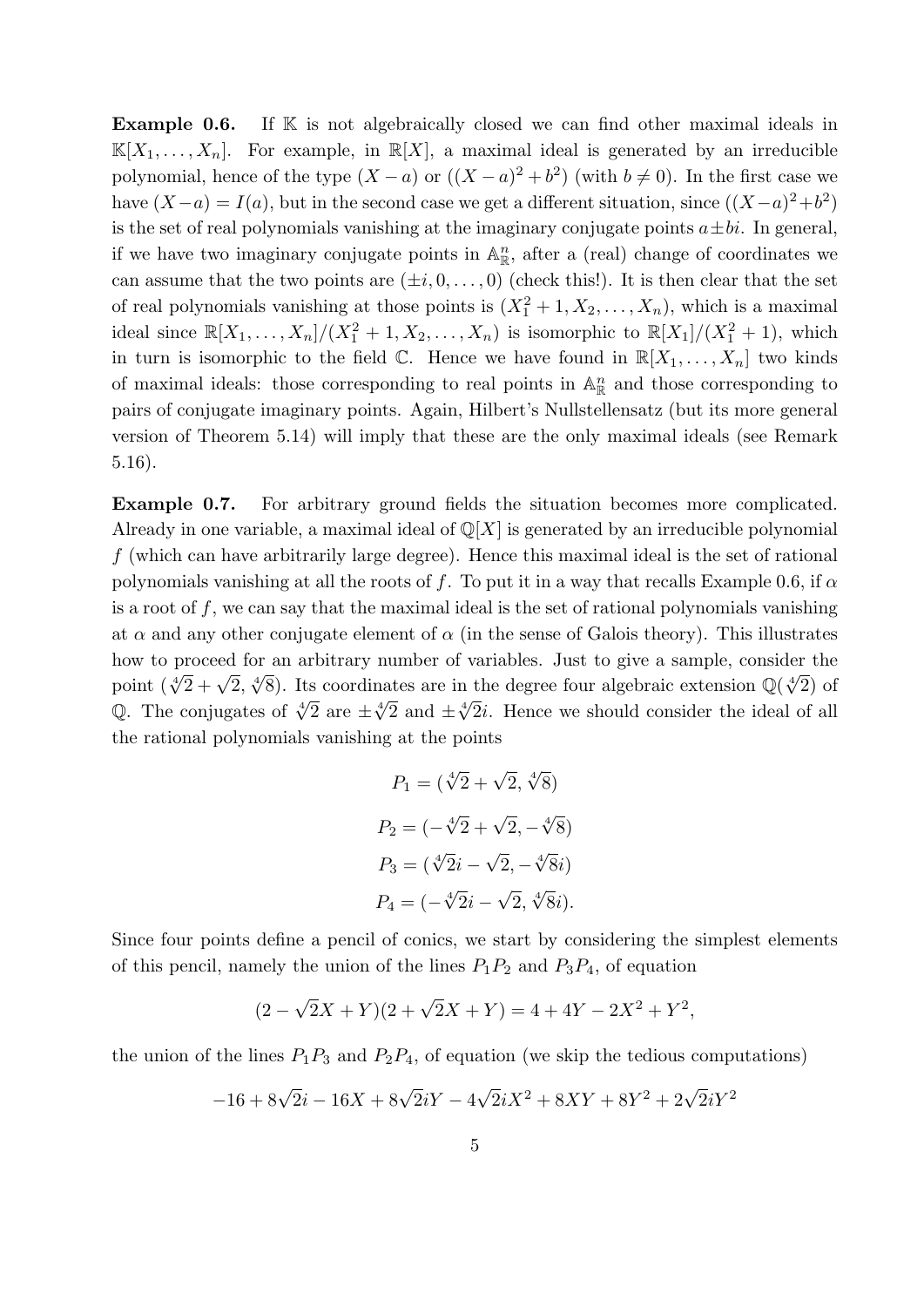**Example 0.6.** If K is not algebraically closed we can find other maximal ideals in  $\mathbb{K}[X_1,\ldots,X_n]$ . For example, in  $\mathbb{R}[X]$ , a maximal ideal is generated by an irreducible polynomial, hence of the type  $(X - a)$  or  $((X - a)^2 + b^2)$  (with  $b \neq 0$ ). In the first case we have  $(X-a) = I(a)$ , but in the second case we get a different situation, since  $((X-a)^2 + b^2)$ is the set of real polynomials vanishing at the imaginary conjugate points  $a \pm bi$ . In general, if we have two imaginary conjugate points in  $\mathbb{A}^n_{\mathbb{R}}$ , after a (real) change of coordinates we can assume that the two points are  $(\pm i, 0, \ldots, 0)$  (check this!). It is then clear that the set of real polynomials vanishing at those points is  $(X_1^2 + 1, X_2, \ldots, X_n)$ , which is a maximal ideal since  $\mathbb{R}[X_1,\ldots,X_n]/(X_1^2+1,X_2,\ldots,X_n)$  is isomorphic to  $\mathbb{R}[X_1]/(X_1^2+1)$ , which in turn is isomorphic to the field  $\mathbb{C}$ . Hence we have found in  $\mathbb{R}[X_1,\ldots,X_n]$  two kinds of maximal ideals: those corresponding to real points in  $\mathbb{A}^n_{\mathbb{R}}$  and those corresponding to pairs of conjugate imaginary points. Again, Hilbert's Nullstellensatz (but its more general version of Theorem 5.14) will imply that these are the only maximal ideals (see Remark 5.16).

Example 0.7. For arbitrary ground fields the situation becomes more complicated. Already in one variable, a maximal ideal of  $\mathbb{Q}[X]$  is generated by an irreducible polynomial f (which can have arbitrarily large degree). Hence this maximal ideal is the set of rational polynomials vanishing at all the roots of f. To put it in a way that recalls Example 0.6, if  $\alpha$ is a root of f, we can say that the maximal ideal is the set of rational polynomials vanishing at  $\alpha$  and any other conjugate element of  $\alpha$  (in the sense of Galois theory). This illustrates how to proceed for an arbitrary number of variables. Just to give a sample, consider the point  $(\sqrt[4]{2} + \sqrt{2}, \sqrt[4]{8})$ . Its coordinates are in the degree four algebraic extension  $\mathbb{Q}(\sqrt[4]{2})$  of  $Q$ . The conjugates of  $\sqrt[4]{2}$  are  $\pm \sqrt[4]{2}$  and  $\pm \sqrt[4]{2}i$ . Hence we should consider the ideal of all the rational polynomials vanishing at the points

$$
P_1 = (\sqrt[4]{2} + \sqrt{2}, \sqrt[4]{8})
$$
  
\n
$$
P_2 = (-\sqrt[4]{2} + \sqrt{2}, -\sqrt[4]{8})
$$
  
\n
$$
P_3 = (\sqrt[4]{2}i - \sqrt{2}, -\sqrt[4]{8}i)
$$
  
\n
$$
P_4 = (-\sqrt[4]{2}i - \sqrt{2}, \sqrt[4]{8}i).
$$

Since four points define a pencil of conics, we start by considering the simplest elements of this pencil, namely the union of the lines  $P_1P_2$  and  $P_3P_4$ , of equation

$$
(2 - \sqrt{2}X + Y)(2 + \sqrt{2}X + Y) = 4 + 4Y - 2X^2 + Y^2,
$$

the union of the lines  $P_1P_3$  and  $P_2P_4$ , of equation (we skip the tedious computations)

$$
-16 + 8\sqrt{2}i - 16X + 8\sqrt{2}iY - 4\sqrt{2}iX^2 + 8XY + 8Y^2 + 2\sqrt{2}iY^2
$$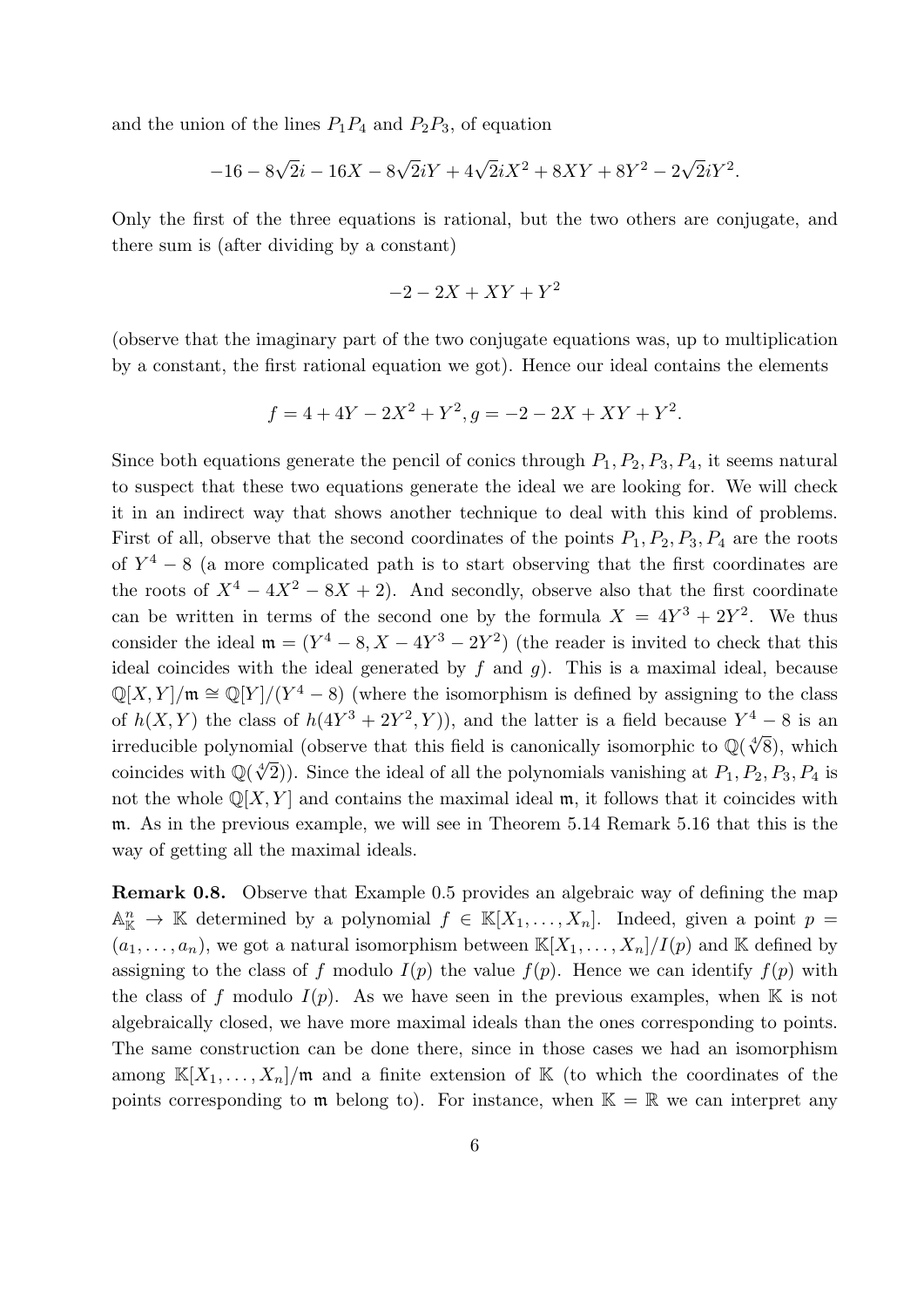and the union of the lines  $P_1P_4$  and  $P_2P_3$ , of equation

$$
-16 - 8\sqrt{2}i - 16X - 8\sqrt{2}iY + 4\sqrt{2}iX^2 + 8XY + 8Y^2 - 2\sqrt{2}iY^2.
$$

Only the first of the three equations is rational, but the two others are conjugate, and there sum is (after dividing by a constant)

$$
-2 - 2X + XY + Y^2
$$

(observe that the imaginary part of the two conjugate equations was, up to multiplication by a constant, the first rational equation we got). Hence our ideal contains the elements

$$
f = 4 + 4Y - 2X^2 + Y^2, g = -2 - 2X + XY + Y^2.
$$

Since both equations generate the pencil of conics through  $P_1, P_2, P_3, P_4$ , it seems natural to suspect that these two equations generate the ideal we are looking for. We will check it in an indirect way that shows another technique to deal with this kind of problems. First of all, observe that the second coordinates of the points  $P_1$ ,  $P_2$ ,  $P_3$ ,  $P_4$  are the roots of  $Y^4 - 8$  (a more complicated path is to start observing that the first coordinates are the roots of  $X^4 - 4X^2 - 8X + 2$ . And secondly, observe also that the first coordinate can be written in terms of the second one by the formula  $X = 4Y^3 + 2Y^2$ . We thus consider the ideal  $\mathfrak{m} = (Y^4 - 8, X - 4Y^3 - 2Y^2)$  (the reader is invited to check that this ideal coincides with the ideal generated by  $f$  and  $g$ ). This is a maximal ideal, because  $\mathbb{Q}[X,Y]/\mathfrak{m} \cong \mathbb{Q}[Y]/(Y^4-8)$  (where the isomorphism is defined by assigning to the class of  $h(X,Y)$  the class of  $h(4Y^3+2Y^2,Y)$ , and the latter is a field because  $Y^4-8$  is an irreducible polynomial (observe that this field is canonically isomorphic to  $\mathbb{Q}(\sqrt[4]{8})$ , which coincides with  $\mathbb{Q}(\sqrt[4]{2})$ . Since the ideal of all the polynomials vanishing at  $P_1, P_2, P_3, P_4$  is not the whole  $\mathbb{Q}[X, Y]$  and contains the maximal ideal m, it follows that it coincides with m. As in the previous example, we will see in Theorem 5.14 Remark 5.16 that this is the way of getting all the maximal ideals.

Remark 0.8. Observe that Example 0.5 provides an algebraic way of defining the map  $\mathbb{A}_{\mathbb{K}}^n \to \mathbb{K}$  determined by a polynomial  $f \in \mathbb{K}[X_1,\ldots,X_n]$ . Indeed, given a point  $p =$  $(a_1, \ldots, a_n)$ , we got a natural isomorphism between  $\mathbb{K}[X_1, \ldots, X_n]/I(p)$  and  $\mathbb{K}$  defined by assigning to the class of f modulo  $I(p)$  the value  $f(p)$ . Hence we can identify  $f(p)$  with the class of f modulo  $I(p)$ . As we have seen in the previous examples, when K is not algebraically closed, we have more maximal ideals than the ones corresponding to points. The same construction can be done there, since in those cases we had an isomorphism among  $\mathbb{K}[X_1,\ldots,X_n]/\mathfrak{m}$  and a finite extension of  $\mathbb{K}$  (to which the coordinates of the points corresponding to  $\mathfrak{m}$  belong to). For instance, when  $\mathbb{K} = \mathbb{R}$  we can interpret any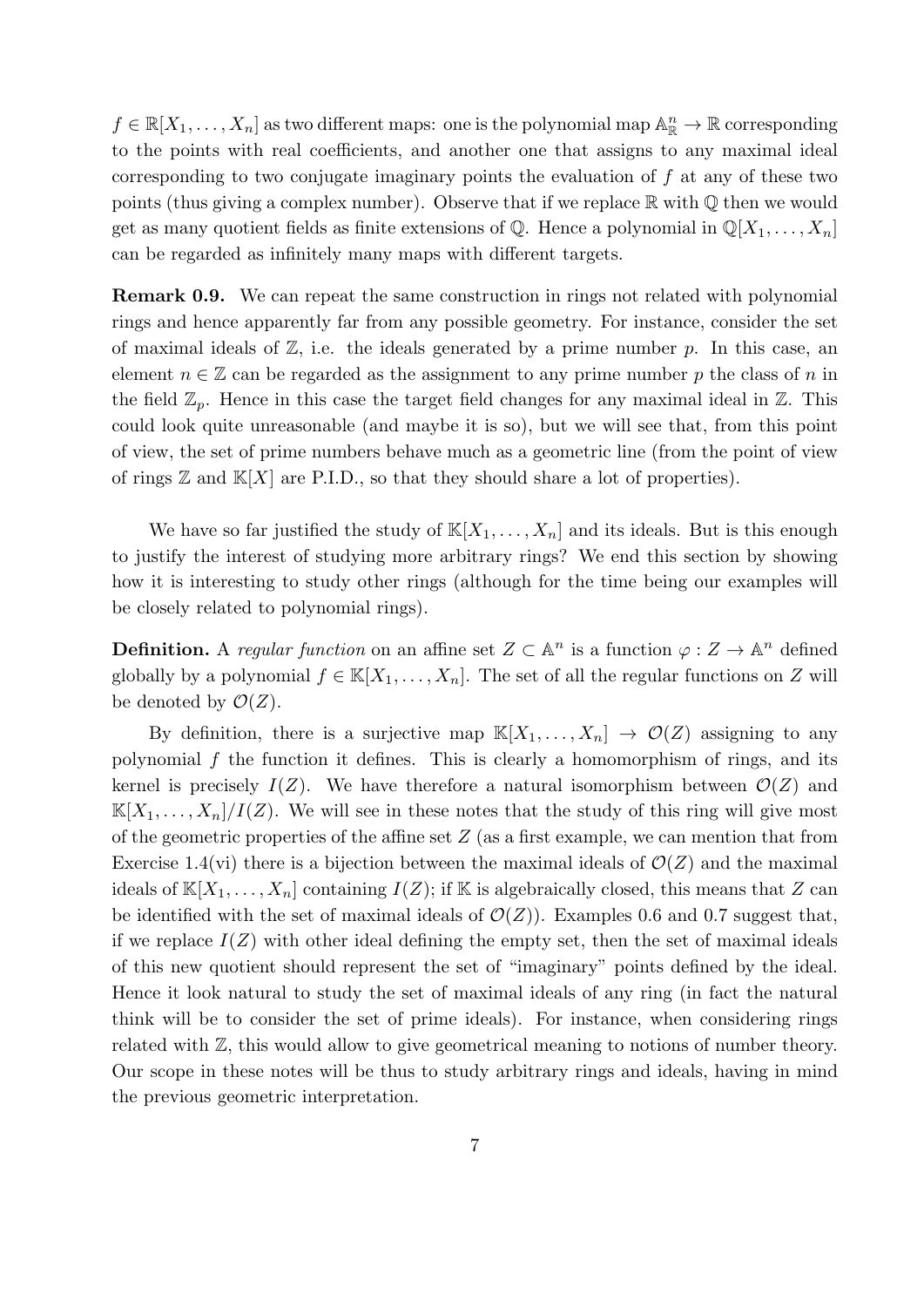$f \in \mathbb{R}[X_1,\ldots,X_n]$  as two different maps: one is the polynomial map  $\mathbb{A}_{\mathbb{R}}^n \to \mathbb{R}$  corresponding to the points with real coefficients, and another one that assigns to any maximal ideal corresponding to two conjugate imaginary points the evaluation of  $f$  at any of these two points (thus giving a complex number). Observe that if we replace  $\mathbb R$  with  $\mathbb Q$  then we would get as many quotient fields as finite extensions of Q. Hence a polynomial in  $\mathbb{Q}[X_1, \ldots, X_n]$ can be regarded as infinitely many maps with different targets.

Remark 0.9. We can repeat the same construction in rings not related with polynomial rings and hence apparently far from any possible geometry. For instance, consider the set of maximal ideals of  $\mathbb{Z}$ , i.e. the ideals generated by a prime number p. In this case, an element  $n \in \mathbb{Z}$  can be regarded as the assignment to any prime number p the class of n in the field  $\mathbb{Z}_p$ . Hence in this case the target field changes for any maximal ideal in  $\mathbb{Z}$ . This could look quite unreasonable (and maybe it is so), but we will see that, from this point of view, the set of prime numbers behave much as a geometric line (from the point of view of rings  $\mathbb{Z}$  and  $\mathbb{K}[X]$  are P.I.D., so that they should share a lot of properties).

We have so far justified the study of  $\mathbb{K}[X_1,\ldots,X_n]$  and its ideals. But is this enough to justify the interest of studying more arbitrary rings? We end this section by showing how it is interesting to study other rings (although for the time being our examples will be closely related to polynomial rings).

**Definition.** A regular function on an affine set  $Z \subset \mathbb{A}^n$  is a function  $\varphi : Z \to \mathbb{A}^n$  defined globally by a polynomial  $f \in K[X_1, \ldots, X_n]$ . The set of all the regular functions on Z will be denoted by  $\mathcal{O}(Z)$ .

By definition, there is a surjective map  $\mathbb{K}[X_1,\ldots,X_n] \to \mathcal{O}(Z)$  assigning to any polynomial f the function it defines. This is clearly a homomorphism of rings, and its kernel is precisely  $I(Z)$ . We have therefore a natural isomorphism between  $\mathcal{O}(Z)$  and  $\mathbb{K}[X_1,\ldots,X_n]/I(Z)$ . We will see in these notes that the study of this ring will give most of the geometric properties of the affine set  $Z$  (as a first example, we can mention that from Exercise 1.4(vi) there is a bijection between the maximal ideals of  $\mathcal{O}(Z)$  and the maximal ideals of  $\mathbb{K}[X_1,\ldots,X_n]$  containing  $I(Z)$ ; if  $\mathbb K$  is algebraically closed, this means that Z can be identified with the set of maximal ideals of  $\mathcal{O}(Z)$ ). Examples 0.6 and 0.7 suggest that, if we replace  $I(Z)$  with other ideal defining the empty set, then the set of maximal ideals of this new quotient should represent the set of "imaginary" points defined by the ideal. Hence it look natural to study the set of maximal ideals of any ring (in fact the natural think will be to consider the set of prime ideals). For instance, when considering rings related with Z, this would allow to give geometrical meaning to notions of number theory. Our scope in these notes will be thus to study arbitrary rings and ideals, having in mind the previous geometric interpretation.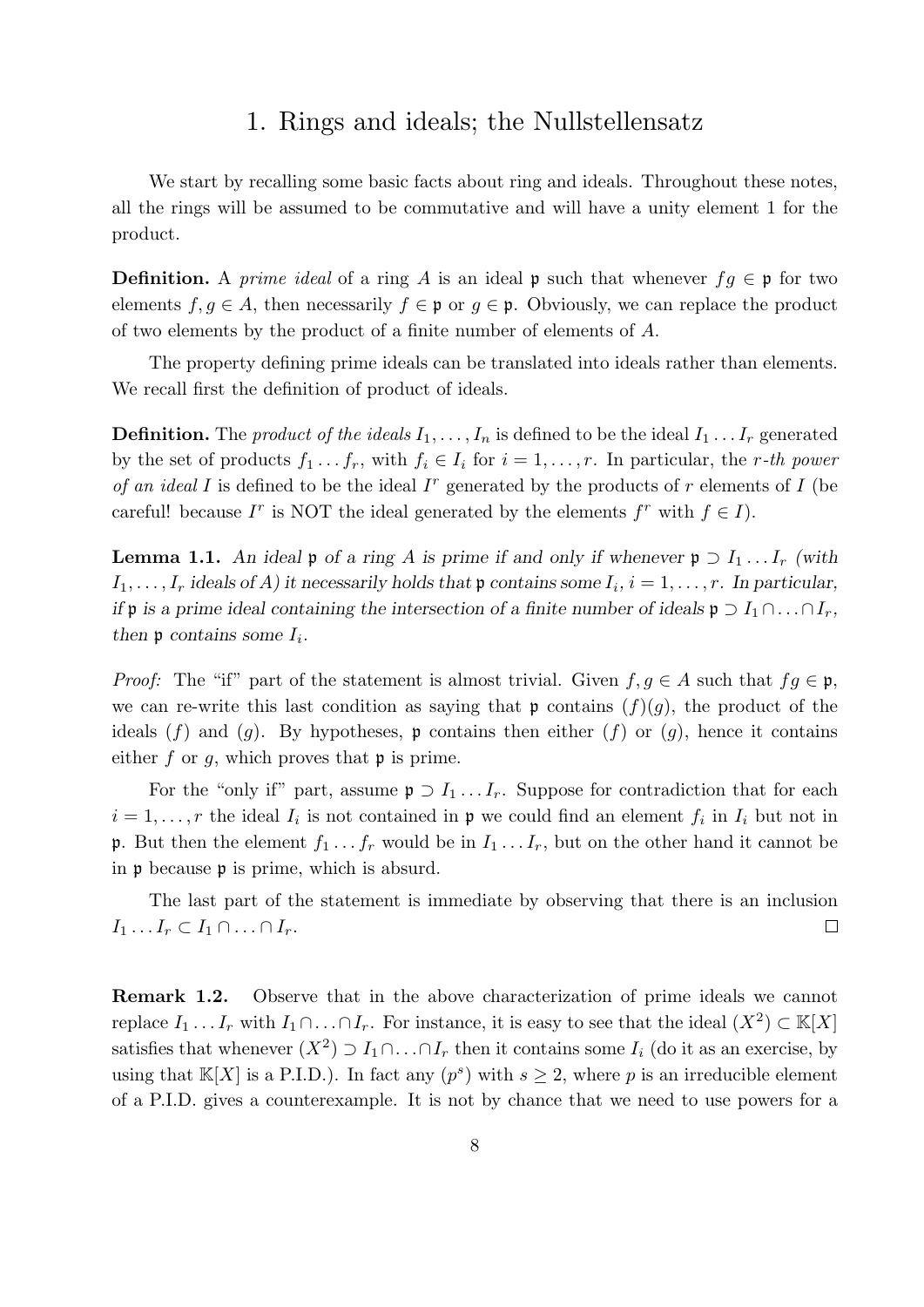### 1. Rings and ideals; the Nullstellensatz

We start by recalling some basic facts about ring and ideals. Throughout these notes, all the rings will be assumed to be commutative and will have a unity element 1 for the product.

**Definition.** A prime ideal of a ring A is an ideal p such that whenever  $fg \in \mathfrak{p}$  for two elements  $f, g \in A$ , then necessarily  $f \in \mathfrak{p}$  or  $g \in \mathfrak{p}$ . Obviously, we can replace the product of two elements by the product of a finite number of elements of A.

The property defining prime ideals can be translated into ideals rather than elements. We recall first the definition of product of ideals.

**Definition.** The *product of the ideals*  $I_1, \ldots, I_n$  is defined to be the ideal  $I_1 \ldots I_r$  generated by the set of products  $f_1 \tcdot \tcdot f_r$ , with  $f_i \tcdot I_i$  for  $i = 1, \ldots, r$ . In particular, the r-th power of an ideal I is defined to be the ideal  $I<sup>r</sup>$  generated by the products of r elements of I (be careful! because  $I^r$  is NOT the ideal generated by the elements  $f^r$  with  $f \in I$ ).

**Lemma 1.1.** An ideal p of a ring A is prime if and only if whenever  $p \supset I_1 \dots I_r$  (with  $I_1, \ldots, I_r$  ideals of A) it necessarily holds that  $\mathfrak p$  contains some  $I_i, i = 1, \ldots, r$ . In particular, if **p** is a prime ideal containing the intersection of a finite number of ideals  $\mathfrak{p} \supset I_1 \cap \ldots \cap I_r$ , then  $\mathfrak p$  contains some  $I_i$ .

*Proof:* The "if" part of the statement is almost trivial. Given  $f, g \in A$  such that  $fg \in \mathfrak{p}$ , we can re-write this last condition as saying that  $\mathfrak{p}$  contains  $(f)(g)$ , the product of the ideals  $(f)$  and  $(g)$ . By hypotheses, p contains then either  $(f)$  or  $(g)$ , hence it contains either  $f$  or  $g$ , which proves that  $\mathfrak p$  is prime.

For the "only if" part, assume  $\mathfrak{p} \supset I_1 \dots I_r$ . Suppose for contradiction that for each  $i = 1, \ldots, r$  the ideal  $I_i$  is not contained in  $\mathfrak p$  we could find an element  $f_i$  in  $I_i$  but not in **p**. But then the element  $f_1 \ldots f_r$  would be in  $I_1 \ldots I_r$ , but on the other hand it cannot be in p because p is prime, which is absurd.

The last part of the statement is immediate by observing that there is an inclusion  $I_1 \ldots I_r \subset I_1 \cap \ldots \cap I_r.$  $\Box$ 

Remark 1.2. Observe that in the above characterization of prime ideals we cannot replace  $I_1 \ldots I_r$  with  $I_1 \cap \ldots \cap I_r$ . For instance, it is easy to see that the ideal  $(X^2) \subset \mathbb{K}[X]$ satisfies that whenever  $(X^2) \supset I_1 \cap \ldots \cap I_r$  then it contains some  $I_i$  (do it as an exercise, by using that  $\mathbb{K}[X]$  is a P.I.D.). In fact any  $(p^s)$  with  $s \geq 2$ , where p is an irreducible element of a P.I.D. gives a counterexample. It is not by chance that we need to use powers for a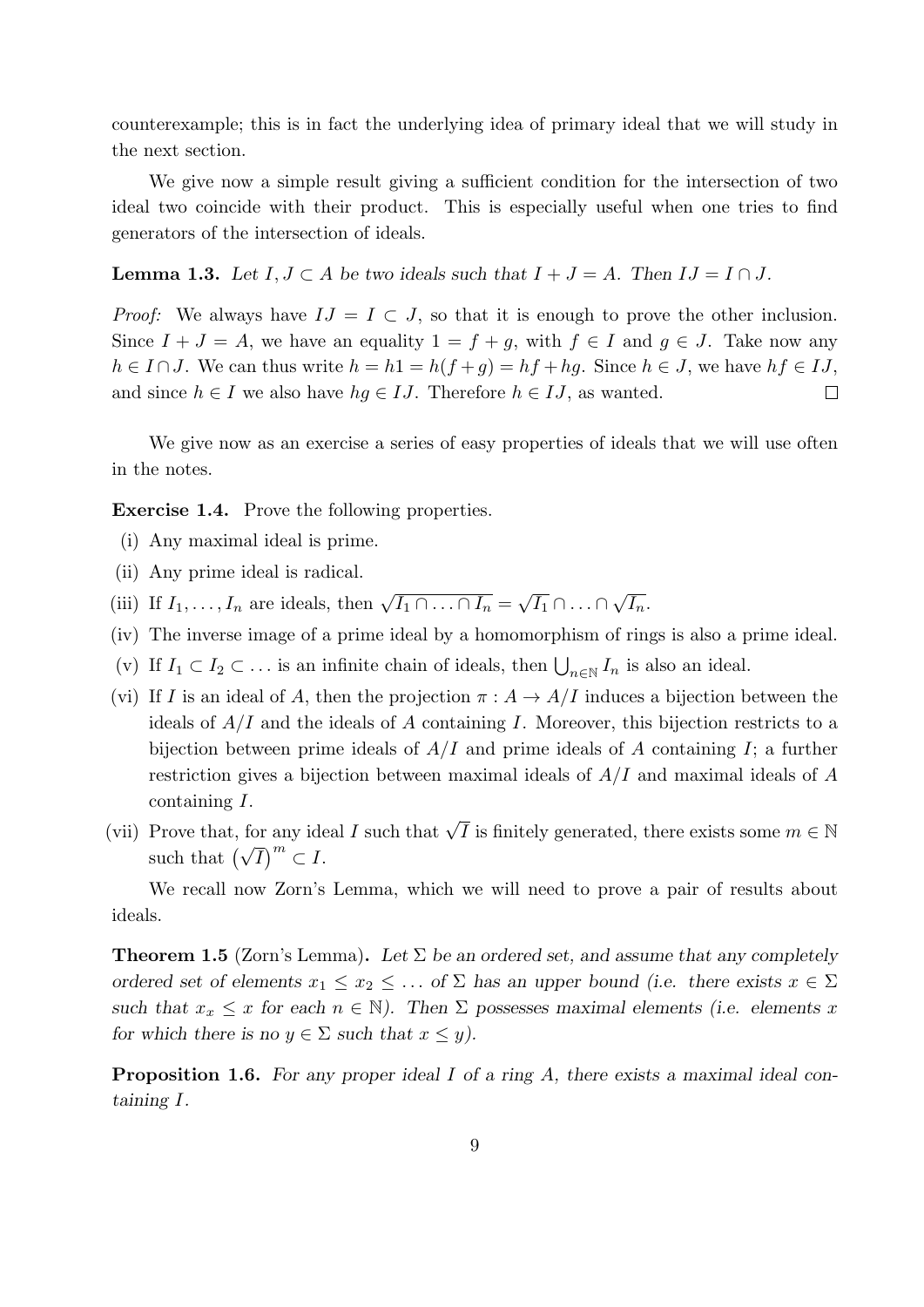counterexample; this is in fact the underlying idea of primary ideal that we will study in the next section.

We give now a simple result giving a sufficient condition for the intersection of two ideal two coincide with their product. This is especially useful when one tries to find generators of the intersection of ideals.

**Lemma 1.3.** Let  $I, J \subset A$  be two ideals such that  $I + J = A$ . Then  $IJ = I \cap J$ .

*Proof:* We always have  $IJ = I \subset J$ , so that it is enough to prove the other inclusion. Since  $I + J = A$ , we have an equality  $1 = f + g$ , with  $f \in I$  and  $g \in J$ . Take now any  $h \in I \cap J$ . We can thus write  $h = h1 = h(f + g) = hf + hg$ . Since  $h \in J$ , we have  $hf \in IJ$ , and since  $h \in I$  we also have  $hg \in IJ$ . Therefore  $h \in IJ$ , as wanted.  $\Box$ 

We give now as an exercise a series of easy properties of ideals that we will use often in the notes.

Exercise 1.4. Prove the following properties.

- (i) Any maximal ideal is prime.
- (ii) Any prime ideal is radical.
- (iii) If  $I_1, \ldots, I_n$  are ideals, then  $\sqrt{I_1 \cap \ldots \cap I_n} =$ √  $\overline{I_1} \cap \ldots \cap$ √  $\overline{I_n}.$
- (iv) The inverse image of a prime ideal by a homomorphism of rings is also a prime ideal.
- (v) If  $I_1 \subset I_2 \subset \ldots$  is an infinite chain of ideals, then  $\bigcup_{n \in \mathbb{N}} I_n$  is also an ideal.
- (vi) If I is an ideal of A, then the projection  $\pi : A \to A/I$  induces a bijection between the ideals of  $A/I$  and the ideals of A containing I. Moreover, this bijection restricts to a bijection between prime ideals of  $A/I$  and prime ideals of A containing I; a further restriction gives a bijection between maximal ideals of  $A/I$  and maximal ideals of A containing I.
- (vii) Prove that, for any ideal I such that  $\sqrt{I}$  is finitely generated, there exists some  $m \in \mathbb{N}$ such that  $(\sqrt{I})^m \subset I$ .

We recall now Zorn's Lemma, which we will need to prove a pair of results about ideals.

**Theorem 1.5** (Zorn's Lemma). Let  $\Sigma$  be an ordered set, and assume that any completely ordered set of elements  $x_1 \le x_2 \le \dots$  of  $\Sigma$  has an upper bound (i.e. there exists  $x \in \Sigma$ such that  $x_x \leq x$  for each  $n \in \mathbb{N}$ ). Then  $\Sigma$  possesses maximal elements (i.e. elements x for which there is no  $y \in \Sigma$  such that  $x \leq y$ ).

Proposition 1.6. For any proper ideal I of a ring A, there exists a maximal ideal containing I.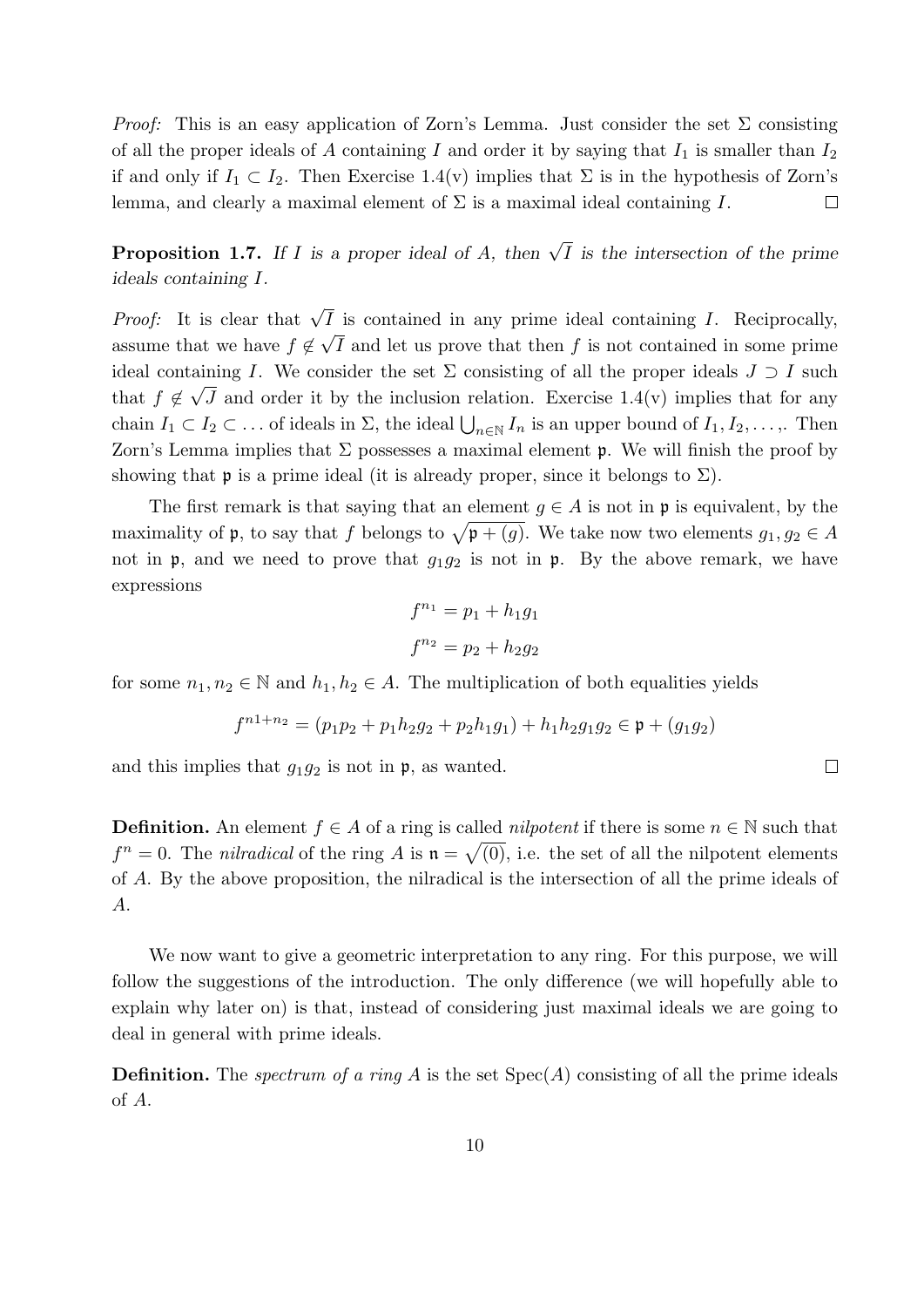*Proof:* This is an easy application of Zorn's Lemma. Just consider the set  $\Sigma$  consisting of all the proper ideals of A containing I and order it by saying that  $I_1$  is smaller than  $I_2$ if and only if  $I_1 \subset I_2$ . Then Exercise 1.4(v) implies that  $\Sigma$  is in the hypothesis of Zorn's lemma, and clearly a maximal element of  $\Sigma$  is a maximal ideal containing I.  $\Box$ 

**Proposition 1.7.** If I is a proper ideal of A, then  $\sqrt{I}$  is the intersection of the prime ideals containing I.

*Proof:* It is clear that  $\sqrt{I}$  is contained in any prime ideal containing *I*. Reciprocally, assume that we have  $f \notin$ √ I and let us prove that then f is not contained in some prime ideal containing I. We consider the set  $\Sigma$  consisting of all the proper ideals  $J \supset I$  such that  $f \notin \sqrt{J}$  and order it by the inclusion relation. Exercise 1.4(v) implies that for any chain  $I_1 \subset I_2 \subset \ldots$  of ideals in  $\Sigma$ , the ideal  $\bigcup_{n\in\mathbb{N}} I_n$  is an upper bound of  $I_1, I_2, \ldots$ ,. Then Zorn's Lemma implies that  $\Sigma$  possesses a maximal element **p**. We will finish the proof by showing that **p** is a prime ideal (it is already proper, since it belongs to  $\Sigma$ ).

The first remark is that saying that an element  $g \in A$  is not in p is equivalent, by the maximality of **p**, to say that f belongs to  $\sqrt{\mathfrak{p} + (g)}$ . We take now two elements  $g_1, g_2 \in A$ not in  $\mathfrak{p}$ , and we need to prove that  $g_1g_2$  is not in  $\mathfrak{p}$ . By the above remark, we have expressions

$$
f^{n_1} = p_1 + h_1 g_1
$$

$$
f^{n_2} = p_2 + h_2 g_2
$$

for some  $n_1, n_2 \in \mathbb{N}$  and  $h_1, h_2 \in A$ . The multiplication of both equalities yields

$$
f^{n1+n_2} = (p_1p_2 + p_1h_2g_2 + p_2h_1g_1) + h_1h_2g_1g_2 \in \mathfrak{p} + (g_1g_2)
$$

 $\Box$ 

and this implies that  $g_1g_2$  is not in  $\mathfrak{p}$ , as wanted.

**Definition.** An element  $f \in A$  of a ring is called *nilpotent* if there is some  $n \in \mathbb{N}$  such that  $f^n = 0$ . The *nilradical* of the ring A is  $\mathfrak{n} = \sqrt{(0)}$ , i.e. the set of all the nilpotent elements of A. By the above proposition, the nilradical is the intersection of all the prime ideals of A.

We now want to give a geometric interpretation to any ring. For this purpose, we will follow the suggestions of the introduction. The only difference (we will hopefully able to explain why later on) is that, instead of considering just maximal ideals we are going to deal in general with prime ideals.

**Definition.** The *spectrum of a ring A* is the set  $Spec(A)$  consisting of all the prime ideals of A.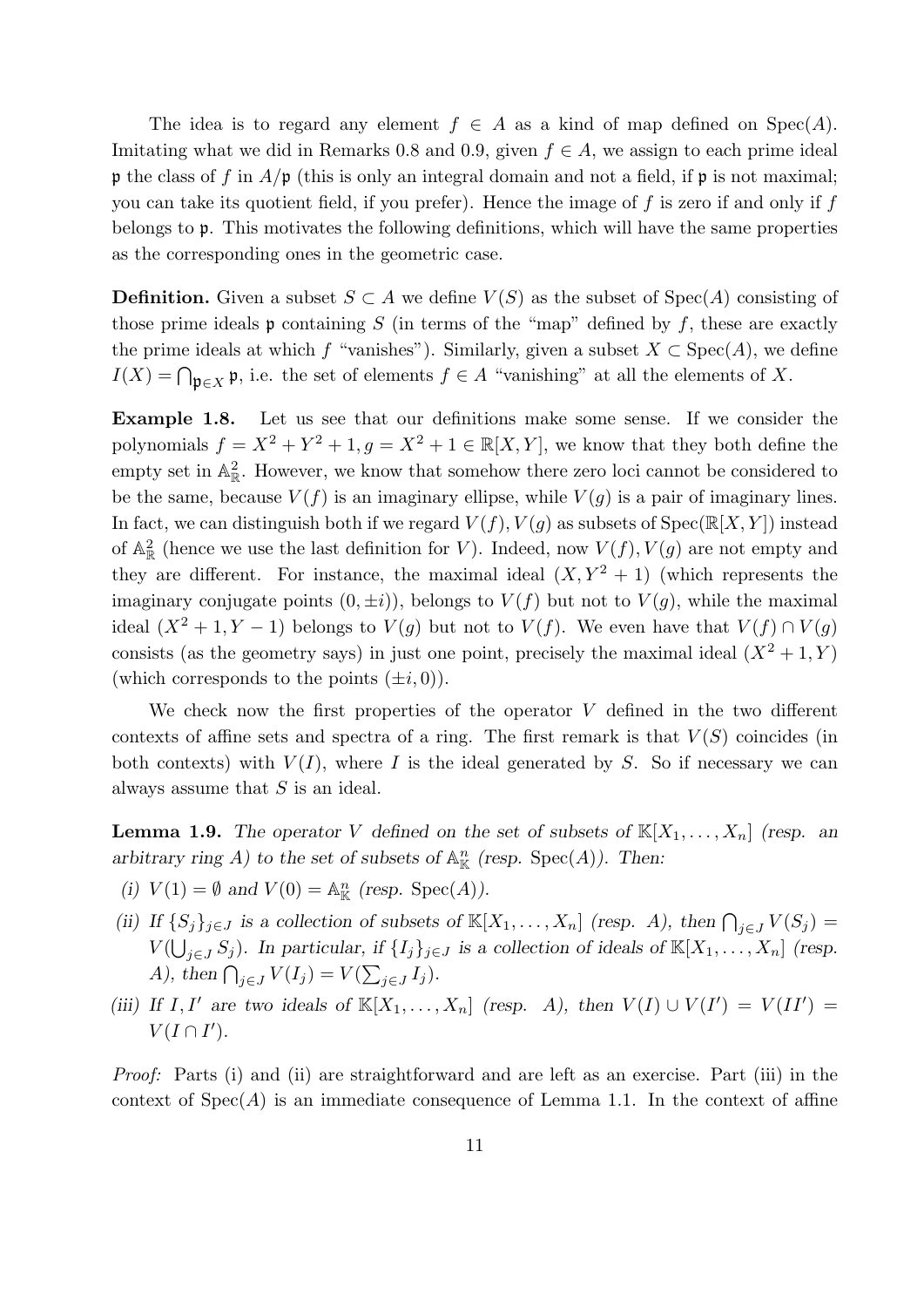The idea is to regard any element  $f \in A$  as a kind of map defined on  $Spec(A)$ . Imitating what we did in Remarks 0.8 and 0.9, given  $f \in A$ , we assign to each prime ideal p the class of f in  $A/\mathfrak{p}$  (this is only an integral domain and not a field, if  $\mathfrak{p}$  is not maximal; you can take its quotient field, if you prefer). Hence the image of  $f$  is zero if and only if  $f$ belongs to p. This motivates the following definitions, which will have the same properties as the corresponding ones in the geometric case.

**Definition.** Given a subset  $S \subset A$  we define  $V(S)$  as the subset of  $Spec(A)$  consisting of those prime ideals  $\mathfrak p$  containing S (in terms of the "map" defined by f, these are exactly the prime ideals at which f "vanishes"). Similarly, given a subset  $X \subset \text{Spec}(A)$ , we define  $I(X) = \bigcap_{\mathfrak{p} \in X} \mathfrak{p}$ , i.e. the set of elements  $f \in A$  "vanishing" at all the elements of X.

Example 1.8. Let us see that our definitions make some sense. If we consider the polynomials  $f = X^2 + Y^2 + 1, g = X^2 + 1 \in \mathbb{R}[X, Y]$ , we know that they both define the empty set in  $\mathbb{A}^2_{\mathbb{R}}$ . However, we know that somehow there zero loci cannot be considered to be the same, because  $V(f)$  is an imaginary ellipse, while  $V(g)$  is a pair of imaginary lines. In fact, we can distinguish both if we regard  $V(f)$ ,  $V(g)$  as subsets of  $Spec(\mathbb{R}[X, Y])$  instead of  $\mathbb{A}^2_{\mathbb{R}}$  (hence we use the last definition for V). Indeed, now  $V(f)$ ,  $V(g)$  are not empty and they are different. For instance, the maximal ideal  $(X, Y^2 + 1)$  (which represents the imaginary conjugate points  $(0, \pm i)$ , belongs to  $V(f)$  but not to  $V(g)$ , while the maximal ideal  $(X^2 + 1, Y - 1)$  belongs to  $V(g)$  but not to  $V(f)$ . We even have that  $V(f) \cap V(g)$ consists (as the geometry says) in just one point, precisely the maximal ideal  $(X^2 + 1, Y)$ (which corresponds to the points  $(\pm i, 0)$ ).

We check now the first properties of the operator  $V$  defined in the two different contexts of affine sets and spectra of a ring. The first remark is that  $V(S)$  coincides (in both contexts) with  $V(I)$ , where I is the ideal generated by S. So if necessary we can always assume that S is an ideal.

**Lemma 1.9.** The operator V defined on the set of subsets of  $\mathbb{K}[X_1, \ldots, X_n]$  (resp. an arbitrary ring A) to the set of subsets of  $\mathbb{A}^n_{\mathbb{K}}$  (resp. Spec(A)). Then:

- (i)  $V(1) = \emptyset$  and  $V(0) = \mathbb{A}_{\mathbb{K}}^n$  (resp. Spec(A)).
- (ii) If  $\{S_j\}_{j\in J}$  is a collection of subsets of  $\mathbb{K}[X_1,\ldots,X_n]$  (resp. A), then  $\bigcap_{j\in J} V(S_j) =$  $V(\bigcup_{j\in J}S_j)$ . In particular, if  $\{I_j\}_{j\in J}$  is a collection of ideals of  $\mathbb{K}[X_1,\ldots,X_n]$  (resp. A), then  $\bigcap_{j\in J} V(I_j) = V(\sum_{j\in J} I_j).$
- (iii) If I, I' are two ideals of  $\mathbb{K}[X_1,\ldots,X_n]$  (resp. A), then  $V(I) \cup V(I') = V(II') =$  $V(I\cap I').$

Proof: Parts (i) and (ii) are straightforward and are left as an exercise. Part (iii) in the context of  $Spec(A)$  is an immediate consequence of Lemma 1.1. In the context of affine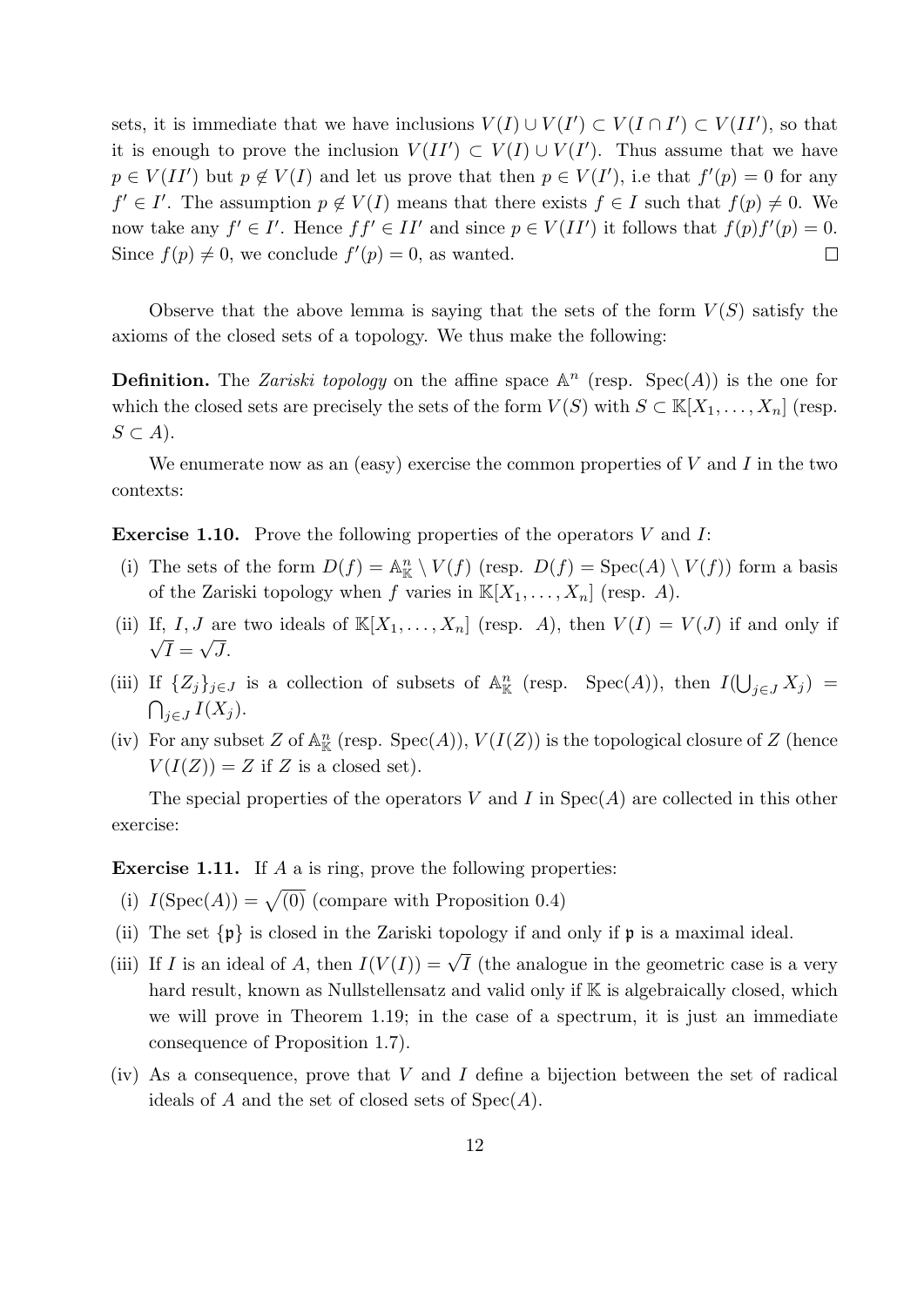sets, it is immediate that we have inclusions  $V(I) \cup V(I') \subset V(I \cap I') \subset V(II')$ , so that it is enough to prove the inclusion  $V(II') \subset V(I) \cup V(I')$ . Thus assume that we have  $p \in V(II')$  but  $p \notin V(I)$  and let us prove that then  $p \in V(I')$ , i.e that  $f'(p) = 0$  for any  $f' \in I'$ . The assumption  $p \notin V(I)$  means that there exists  $f \in I$  such that  $f(p) \neq 0$ . We now take any  $f' \in I'$ . Hence  $ff' \in II'$  and since  $p \in V(II')$  it follows that  $f(p)f'(p) = 0$ . Since  $f(p) \neq 0$ , we conclude  $f'(p) = 0$ , as wanted.  $\Box$ 

Observe that the above lemma is saying that the sets of the form  $V(S)$  satisfy the axioms of the closed sets of a topology. We thus make the following:

**Definition.** The Zariski topology on the affine space  $\mathbb{A}^n$  (resp.  $Spec(A)$ ) is the one for which the closed sets are precisely the sets of the form  $V(S)$  with  $S \subset \mathbb{K}[X_1,\ldots,X_n]$  (resp.  $S \subset A$ ).

We enumerate now as an (easy) exercise the common properties of  $V$  and  $I$  in the two contexts:

**Exercise 1.10.** Prove the following properties of the operators V and I:

- (i) The sets of the form  $D(f) = \mathbb{A}_{\mathbb{K}}^n \setminus V(f)$  (resp.  $D(f) = \text{Spec}(A) \setminus V(f)$ ) form a basis of the Zariski topology when f varies in  $\mathbb{K}[X_1, \ldots, X_n]$  (resp. A).
- (ii) If, I, J are two ideals of  $\mathbb{K}[X_1,\ldots,X_n]$  (resp. A), then  $V(I) = V(J)$  if and only if  $I=\sqrt{J}$ .
- (iii) If  $\{Z_j\}_{j\in J}$  is a collection of subsets of  $\mathbb{A}^n_{\mathbb{K}}$  (resp. Spec(A)), then  $I(\bigcup_{j\in J} X_j)$  =  $\bigcap_{j\in J} I(X_j).$
- (iv) For any subset Z of  $\mathbb{A}^n_{\mathbb{K}}$  (resp. Spec(A)),  $V(I(Z))$  is the topological closure of Z (hence  $V(I(Z)) = Z$  if Z is a closed set).

The special properties of the operators V and I in  $Spec(A)$  are collected in this other exercise:

Exercise 1.11. If A a is ring, prove the following properties:

- (i)  $I(\text{Spec}(A)) = \sqrt{(0)}$  (compare with Proposition 0.4)
- (ii) The set  $\{\mathfrak{p}\}\$ is closed in the Zariski topology if and only if  $\mathfrak{p}$  is a maximal ideal.
- (iii) If I is an ideal of A, then  $I(V(I)) = \sqrt{I}$  (the analogue in the geometric case is a very hard result, known as Nullstellensatz and valid only if K is algebraically closed, which we will prove in Theorem 1.19; in the case of a spectrum, it is just an immediate consequence of Proposition 1.7).
- (iv) As a consequence, prove that  $V$  and  $I$  define a bijection between the set of radical ideals of A and the set of closed sets of  $Spec(A)$ .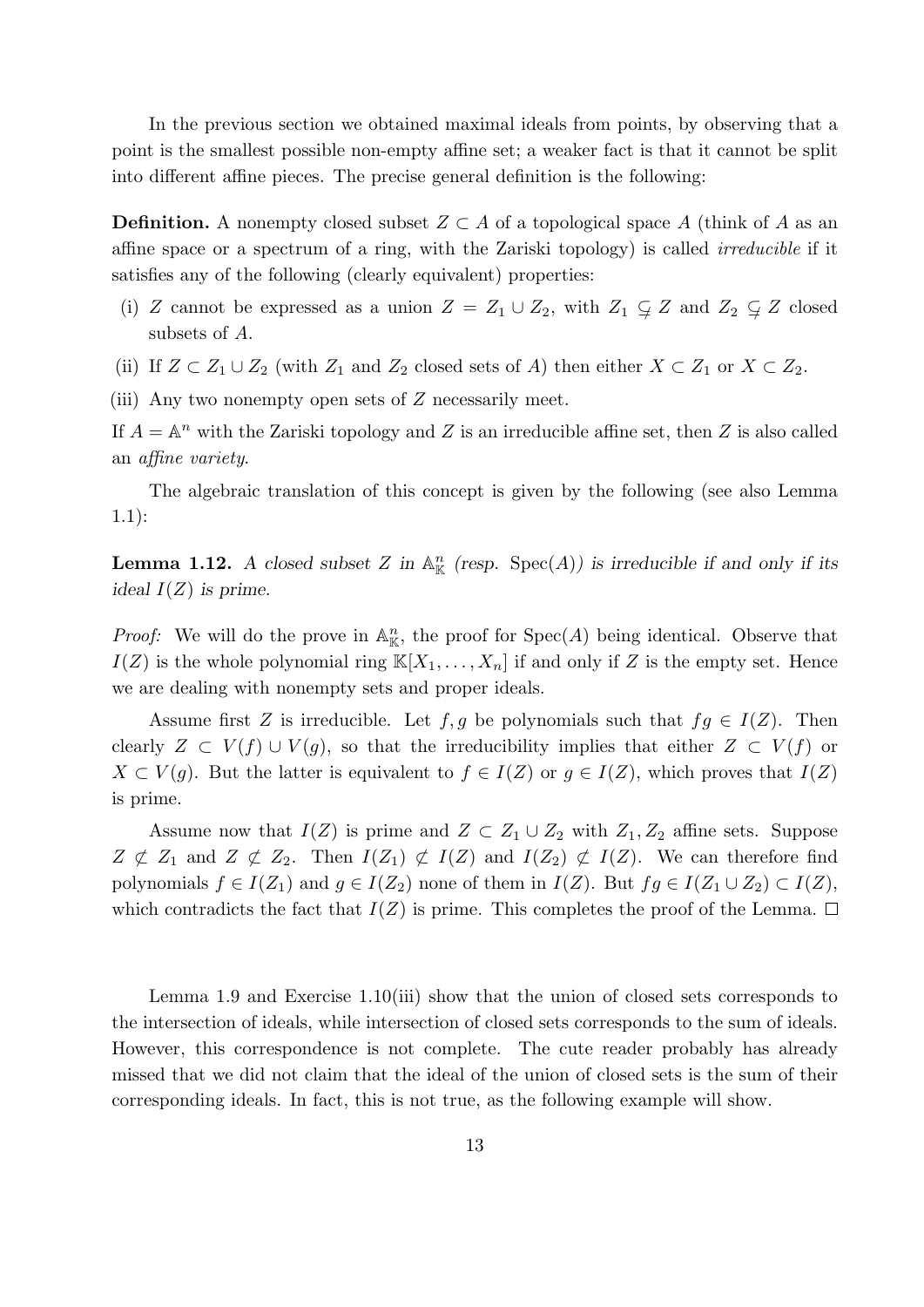In the previous section we obtained maximal ideals from points, by observing that a point is the smallest possible non-empty affine set; a weaker fact is that it cannot be split into different affine pieces. The precise general definition is the following:

**Definition.** A nonempty closed subset  $Z \subset A$  of a topological space A (think of A as an affine space or a spectrum of a ring, with the Zariski topology) is called irreducible if it satisfies any of the following (clearly equivalent) properties:

- (i) Z cannot be expressed as a union  $Z = Z_1 \cup Z_2$ , with  $Z_1 \subsetneq Z$  and  $Z_2 \subsetneq Z$  closed subsets of A.
- (ii) If  $Z \subset Z_1 \cup Z_2$  (with  $Z_1$  and  $Z_2$  closed sets of A) then either  $X \subset Z_1$  or  $X \subset Z_2$ .

(iii) Any two nonempty open sets of Z necessarily meet.

If  $A = \mathbb{A}^n$  with the Zariski topology and Z is an irreducible affine set, then Z is also called an affine variety.

The algebraic translation of this concept is given by the following (see also Lemma 1.1):

**Lemma 1.12.** A closed subset Z in  $\mathbb{A}^n_{\mathbb{K}}$  (resp.  $Spec(A)$ ) is irreducible if and only if its ideal  $I(Z)$  is prime.

*Proof:* We will do the prove in  $\mathbb{A}_{\mathbb{K}}^n$ , the proof for  $Spec(A)$  being identical. Observe that  $I(Z)$  is the whole polynomial ring  $\mathbb{K}[X_1,\ldots,X_n]$  if and only if Z is the empty set. Hence we are dealing with nonempty sets and proper ideals.

Assume first Z is irreducible. Let f, g be polynomials such that  $fg \in I(Z)$ . Then clearly  $Z \subset V(f) \cup V(g)$ , so that the irreducibility implies that either  $Z \subset V(f)$  or  $X \subset V(q)$ . But the latter is equivalent to  $f \in I(Z)$  or  $q \in I(Z)$ , which proves that  $I(Z)$ is prime.

Assume now that  $I(Z)$  is prime and  $Z \subset Z_1 \cup Z_2$  with  $Z_1, Z_2$  affine sets. Suppose  $Z \not\subset Z_1$  and  $Z \not\subset Z_2$ . Then  $I(Z_1) \not\subset I(Z)$  and  $I(Z_2) \not\subset I(Z)$ . We can therefore find polynomials  $f \in I(Z_1)$  and  $g \in I(Z_2)$  none of them in  $I(Z)$ . But  $fg \in I(Z_1 \cup Z_2) \subset I(Z)$ , which contradicts the fact that  $I(Z)$  is prime. This completes the proof of the Lemma.  $\Box$ 

Lemma 1.9 and Exercise 1.10(iii) show that the union of closed sets corresponds to the intersection of ideals, while intersection of closed sets corresponds to the sum of ideals. However, this correspondence is not complete. The cute reader probably has already missed that we did not claim that the ideal of the union of closed sets is the sum of their corresponding ideals. In fact, this is not true, as the following example will show.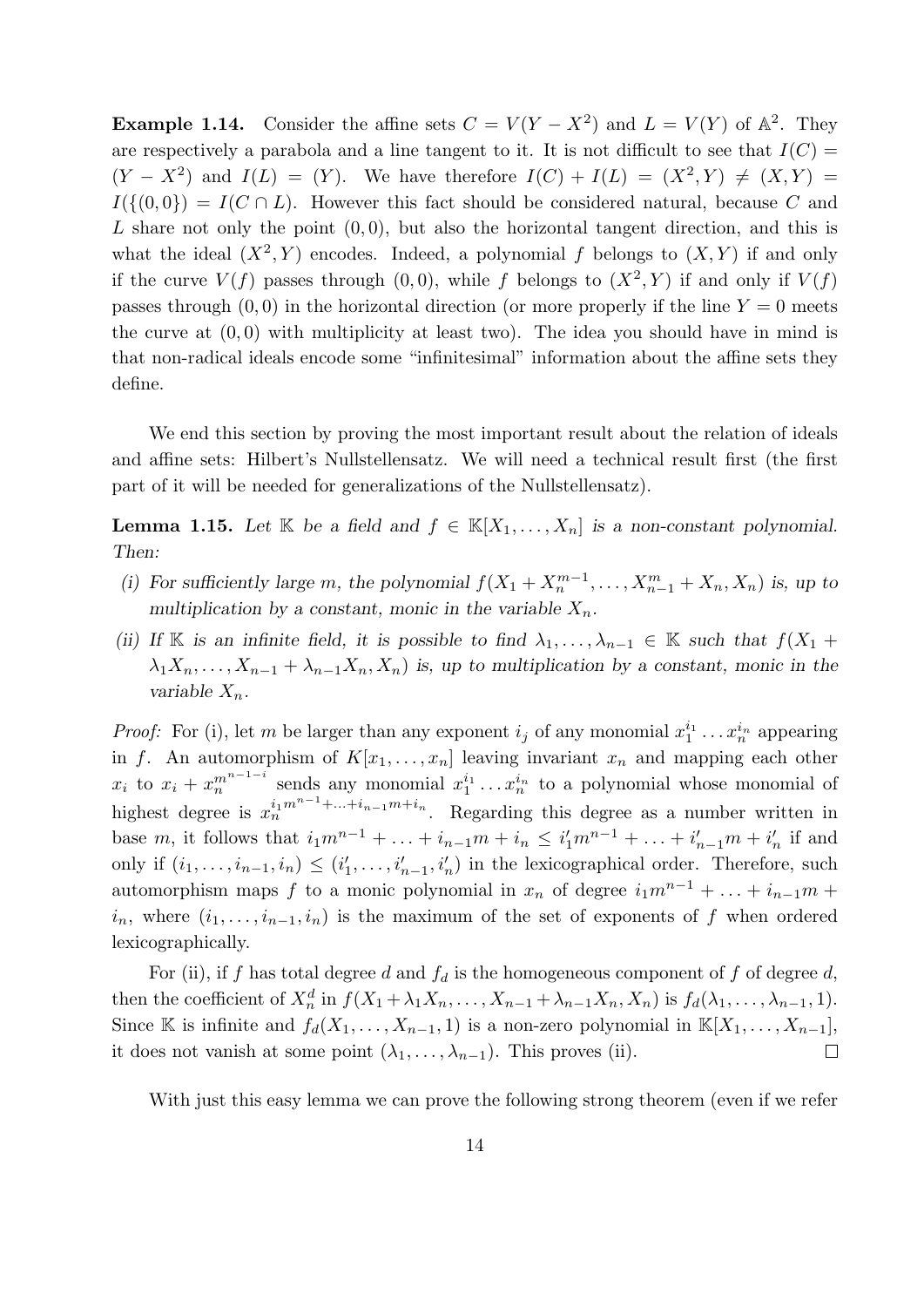**Example 1.14.** Consider the affine sets  $C = V(Y - X^2)$  and  $L = V(Y)$  of  $\mathbb{A}^2$ . They are respectively a parabola and a line tangent to it. It is not difficult to see that  $I(C)$  $(Y - X^2)$  and  $I(L) = (Y)$ . We have therefore  $I(C) + I(L) = (X^2, Y) \neq (X, Y) =$  $I(\{(0,0)\}) = I(C \cap L)$ . However this fact should be considered natural, because C and L share not only the point  $(0, 0)$ , but also the horizontal tangent direction, and this is what the ideal  $(X^2, Y)$  encodes. Indeed, a polynomial f belongs to  $(X, Y)$  if and only if the curve  $V(f)$  passes through  $(0,0)$ , while f belongs to  $(X^2, Y)$  if and only if  $V(f)$ passes through  $(0, 0)$  in the horizontal direction (or more properly if the line  $Y = 0$  meets the curve at  $(0, 0)$  with multiplicity at least two). The idea you should have in mind is that non-radical ideals encode some "infinitesimal" information about the affine sets they define.

We end this section by proving the most important result about the relation of ideals and affine sets: Hilbert's Nullstellensatz. We will need a technical result first (the first part of it will be needed for generalizations of the Nullstellensatz).

**Lemma 1.15.** Let K be a field and  $f \in K[X_1, \ldots, X_n]$  is a non-constant polynomial. Then:

- (i) For sufficiently large m, the polynomial  $f(X_1 + X_n^{m-1}, \ldots, X_{n-1}^m + X_n, X_n)$  is, up to multiplication by a constant, monic in the variable  $X_n$ .
- (ii) If K is an infinite field, it is possible to find  $\lambda_1, \ldots, \lambda_{n-1} \in \mathbb{K}$  such that  $f(X_1 +$  $\lambda_1 X_n, \ldots, X_{n-1} + \lambda_{n-1} X_n, X_n$  is, up to multiplication by a constant, monic in the variable  $X_n$ .

*Proof:* For (i), let m be larger than any exponent  $i_j$  of any monomial  $x_1^{i_1} \ldots x_n^{i_n}$  appearing in f. An automorphism of  $K[x_1, \ldots, x_n]$  leaving invariant  $x_n$  and mapping each other  $x_i$  to  $x_i + x_n^{m^{n-1-i}}$  sends any monomial  $x_1^{i_1} \ldots x_n^{i_n}$  to a polynomial whose monomial of highest degree is  $x_n^{i_1m^{n-1}+\ldots+i_{n-1}m+i_n}$ . Regarding this degree as a number written in base m, it follows that  $i_1m^{n-1} + ... + i_{n-1}m + i_n \leq i'_1m^{n-1} + ... + i'_{n-1}m + i'_n$  if and only if  $(i_1, \ldots, i_{n-1}, i_n) \leq (i'_1, \ldots, i'_{n-1}, i'_n)$  in the lexicographical order. Therefore, such automorphism maps f to a monic polynomial in  $x_n$  of degree  $i_1m^{n-1} + \ldots + i_{n-1}m$  +  $i_n$ , where  $(i_1, \ldots, i_{n-1}, i_n)$  is the maximum of the set of exponents of f when ordered lexicographically.

For (ii), if f has total degree d and  $f_d$  is the homogeneous component of f of degree d, then the coefficient of  $X_n^d$  in  $f(X_1 + \lambda_1 X_n, \ldots, X_{n-1} + \lambda_{n-1} X_n, X_n)$  is  $f_d(\lambda_1, \ldots, \lambda_{n-1}, 1)$ . Since K is infinite and  $f_d(X_1, \ldots, X_{n-1}, 1)$  is a non-zero polynomial in  $\mathbb{K}[X_1, \ldots, X_{n-1}],$ it does not vanish at some point  $(\lambda_1, \ldots, \lambda_{n-1})$ . This proves (ii).  $\Box$ 

With just this easy lemma we can prove the following strong theorem (even if we refer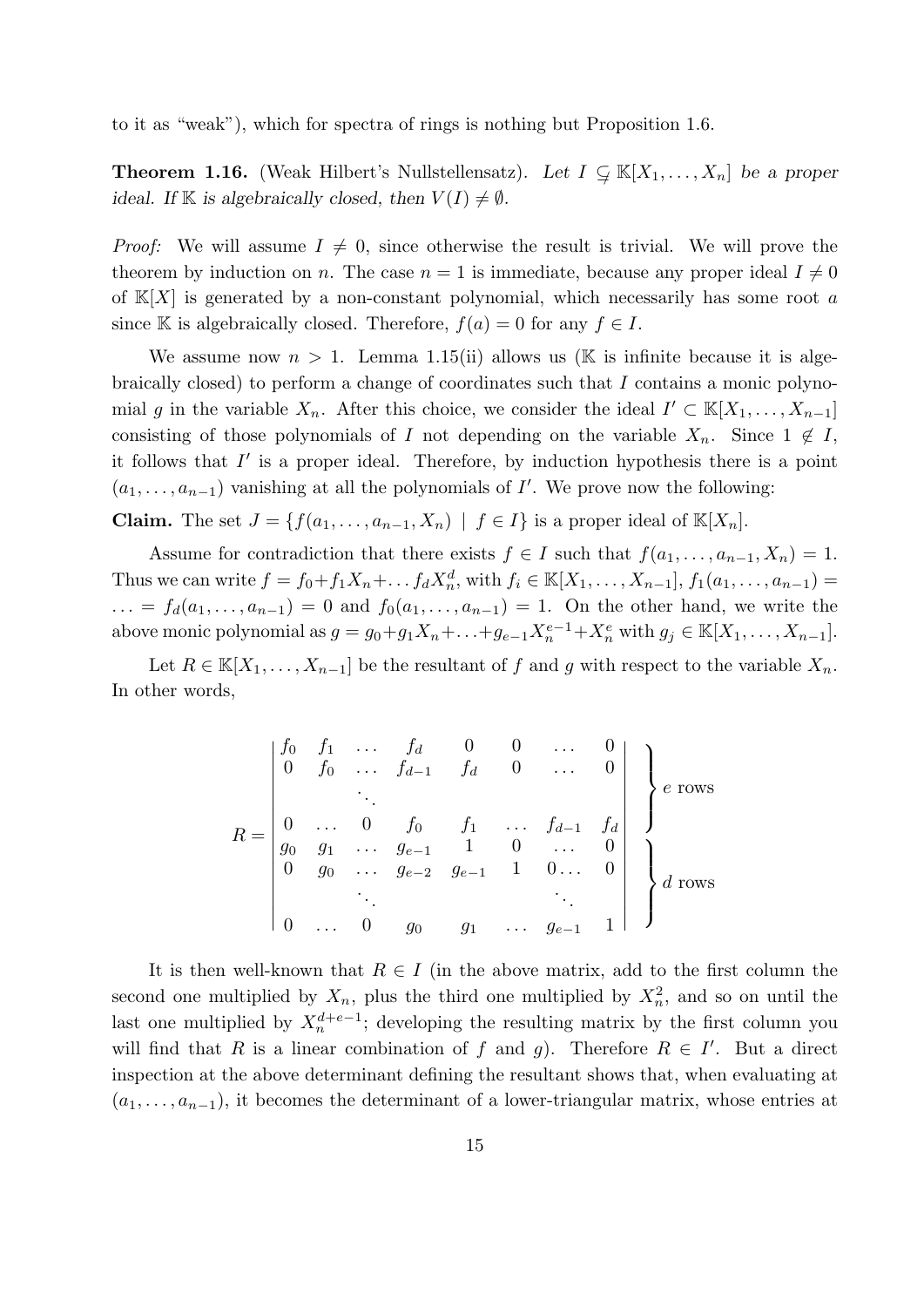to it as "weak"), which for spectra of rings is nothing but Proposition 1.6.

**Theorem 1.16.** (Weak Hilbert's Nullstellensatz). Let  $I \subsetneq \mathbb{K}[X_1, \ldots, X_n]$  be a proper ideal. If K is algebraically closed, then  $V(I) \neq \emptyset$ .

*Proof:* We will assume  $I \neq 0$ , since otherwise the result is trivial. We will prove the theorem by induction on n. The case  $n = 1$  is immediate, because any proper ideal  $I \neq 0$ of  $K[X]$  is generated by a non-constant polynomial, which necessarily has some root a since K is algebraically closed. Therefore,  $f(a) = 0$  for any  $f \in I$ .

We assume now  $n > 1$ . Lemma 1.15(ii) allows us (K is infinite because it is algebraically closed) to perform a change of coordinates such that I contains a monic polynomial g in the variable  $X_n$ . After this choice, we consider the ideal  $I' \subset \mathbb{K}[X_1,\ldots,X_{n-1}]$ consisting of those polynomials of I not depending on the variable  $X_n$ . Since  $1 \notin I$ , it follows that  $I'$  is a proper ideal. Therefore, by induction hypothesis there is a point  $(a_1, \ldots, a_{n-1})$  vanishing at all the polynomials of I'. We prove now the following:

**Claim.** The set  $J = \{f(a_1, \ldots, a_{n-1}, X_n) \mid f \in I\}$  is a proper ideal of  $\mathbb{K}[X_n]$ .

Assume for contradiction that there exists  $f \in I$  such that  $f(a_1, \ldots, a_{n-1}, X_n) = 1$ . Thus we can write  $f = f_0 + f_1 X_n + \dots + f_d X_n^d$ , with  $f_i \in \mathbb{K}[X_1, \dots, X_{n-1}], f_1(a_1, \dots, a_{n-1}) =$  $\dots = f_d(a_1, \dots, a_{n-1}) = 0$  and  $f_0(a_1, \dots, a_{n-1}) = 1$ . On the other hand, we write the above monic polynomial as  $g = g_0+g_1X_n+\ldots+g_{e-1}X_n^{e-1}+X_n^e$  with  $g_j \in \mathbb{K}[X_1,\ldots,X_{n-1}].$ 

Let  $R \in \mathbb{K}[X_1,\ldots,X_{n-1}]$  be the resultant of f and g with respect to the variable  $X_n$ . In other words,

$$
R = \begin{bmatrix} f_0 & f_1 & \dots & f_d & 0 & 0 & \dots & 0 \\ 0 & f_0 & \dots & f_{d-1} & f_d & 0 & \dots & 0 \\ & & \ddots & & & & & \\ 0 & \dots & 0 & f_0 & f_1 & \dots & f_{d-1} & f_d \\ g_0 & g_1 & \dots & g_{e-1} & 1 & 0 & \dots & 0 \\ 0 & g_0 & \dots & g_{e-2} & g_{e-1} & 1 & 0 \dots & 0 \\ & & \ddots & & & & \ddots & \\ 0 & \dots & 0 & g_0 & g_1 & \dots & g_{e-1} & 1 \end{bmatrix} \begin{Bmatrix} \\ \vdots \\ \vdots \\ \vdots \\ \vdots \\ \vdots \\ \vdots \\ \vdots \\ \vdots \end{Bmatrix} \text{rows}
$$

It is then well-known that  $R \in I$  (in the above matrix, add to the first column the second one multiplied by  $X_n$ , plus the third one multiplied by  $X_n^2$ , and so on until the last one multiplied by  $X_n^{d+e-1}$ ; developing the resulting matrix by the first column you will find that R is a linear combination of f and g). Therefore  $R \in I'$ . But a direct inspection at the above determinant defining the resultant shows that, when evaluating at  $(a_1, \ldots, a_{n-1})$ , it becomes the determinant of a lower-triangular matrix, whose entries at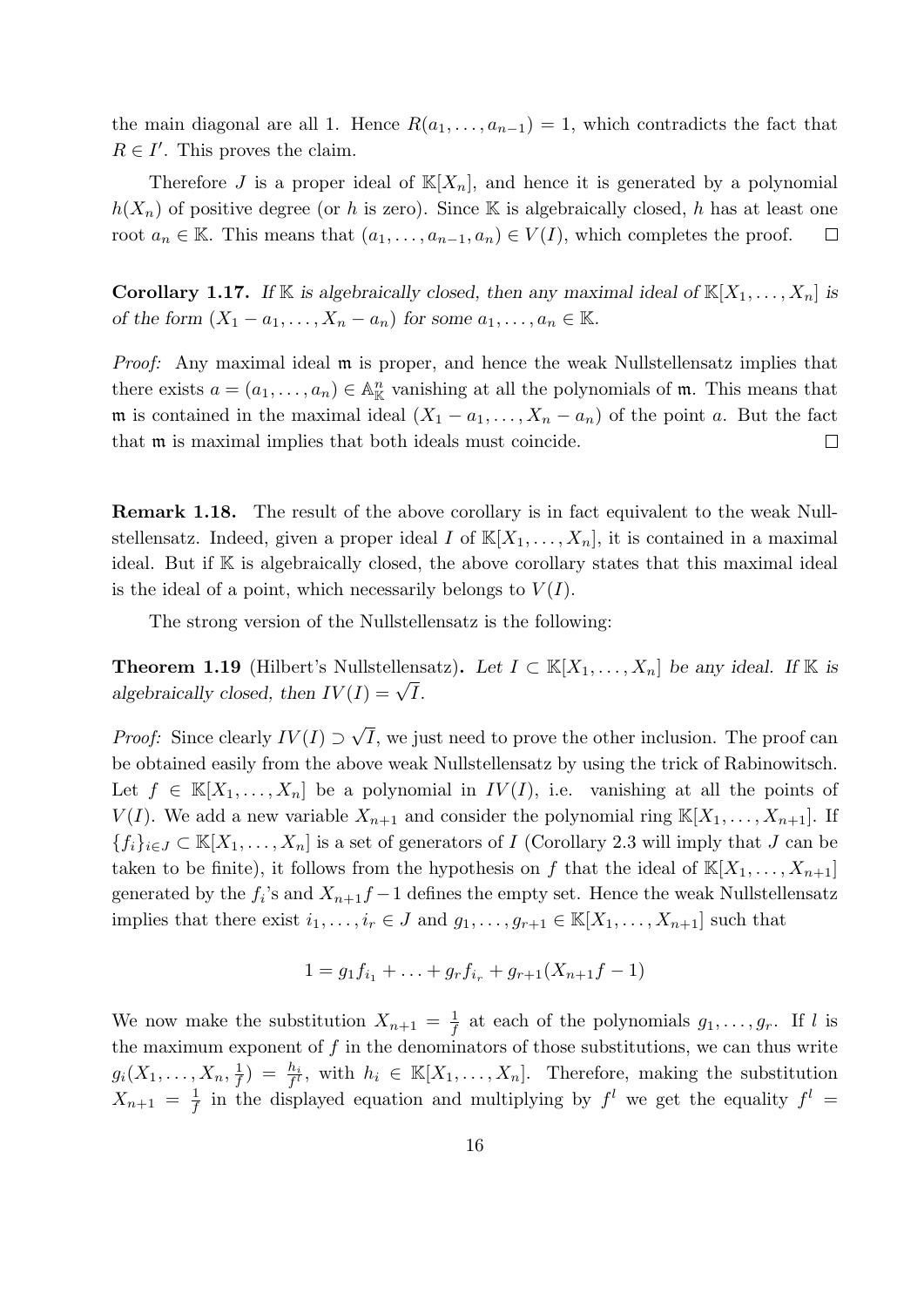the main diagonal are all 1. Hence  $R(a_1, \ldots, a_{n-1}) = 1$ , which contradicts the fact that  $R \in I'$ . This proves the claim.

Therefore J is a proper ideal of  $\mathbb{K}[X_n]$ , and hence it is generated by a polynomial  $h(X_n)$  of positive degree (or h is zero). Since K is algebraically closed, h has at least one root  $a_n \in \mathbb{K}$ . This means that  $(a_1, \ldots, a_{n-1}, a_n) \in V(I)$ , which completes the proof.  $\Box$ 

**Corollary 1.17.** If K is algebraically closed, then any maximal ideal of  $\mathbb{K}[X_1, \ldots, X_n]$  is of the form  $(X_1 - a_1, \ldots, X_n - a_n)$  for some  $a_1, \ldots, a_n \in \mathbb{K}$ .

Proof: Any maximal ideal  $\mathfrak m$  is proper, and hence the weak Nullstellensatz implies that there exists  $a = (a_1, \ldots, a_n) \in \mathbb{A}_{\mathbb{K}}^n$  vanishing at all the polynomials of  $\mathfrak{m}$ . This means that m is contained in the maximal ideal  $(X_1 - a_1, \ldots, X_n - a_n)$  of the point a. But the fact that m is maximal implies that both ideals must coincide.  $\Box$ 

Remark 1.18. The result of the above corollary is in fact equivalent to the weak Nullstellensatz. Indeed, given a proper ideal I of  $\mathbb{K}[X_1, \ldots, X_n]$ , it is contained in a maximal ideal. But if K is algebraically closed, the above corollary states that this maximal ideal is the ideal of a point, which necessarily belongs to  $V(I)$ .

The strong version of the Nullstellensatz is the following:

**Theorem 1.19** (Hilbert's Nullstellensatz). Let  $I \subset \mathbb{K}[X_1,\ldots,X_n]$  be any ideal. If K is **Theorem 1.15** (Hibert S Nunsteriens<br>algebraically closed, then  $IV(I) = \sqrt{I}$ .

*Proof:* Since clearly  $IV(I) \supset$ √ I, we just need to prove the other inclusion. The proof can be obtained easily from the above weak Nullstellensatz by using the trick of Rabinowitsch. Let  $f \in K[X_1, \ldots, X_n]$  be a polynomial in  $IV(I)$ , i.e. vanishing at all the points of  $V(I)$ . We add a new variable  $X_{n+1}$  and consider the polynomial ring  $\mathbb{K}[X_1,\ldots,X_{n+1}]$ . If  ${f_i}_{i\in J}\subset \mathbb{K}[X_1,\ldots,X_n]$  is a set of generators of I (Corollary 2.3 will imply that J can be taken to be finite), it follows from the hypothesis on f that the ideal of  $\mathbb{K}[X_1, \ldots, X_{n+1}]$ generated by the  $f_i$ 's and  $X_{n+1}f-1$  defines the empty set. Hence the weak Nullstellensatz implies that there exist  $i_1, \ldots, i_r \in J$  and  $g_1, \ldots, g_{r+1} \in \mathbb{K}[X_1, \ldots, X_{n+1}]$  such that

$$
1 = g_1 f_{i_1} + \ldots + g_r f_{i_r} + g_{r+1}(X_{n+1}f - 1)
$$

We now make the substitution  $X_{n+1} = \frac{1}{f}$  $\frac{1}{f}$  at each of the polynomials  $g_1, \ldots, g_r$ . If l is the maximum exponent of  $f$  in the denominators of those substitutions, we can thus write  $g_i(X_1,\ldots,X_n,\frac{1}{f})$  $(\frac{1}{f}) = \frac{h_i}{f!}$ , with  $h_i \in \mathbb{K}[X_1,\ldots,X_n]$ . Therefore, making the substitution  $X_{n+1} = \frac{1}{f}$  $\frac{1}{f}$  in the displayed equation and multiplying by  $f^l$  we get the equality  $f^l =$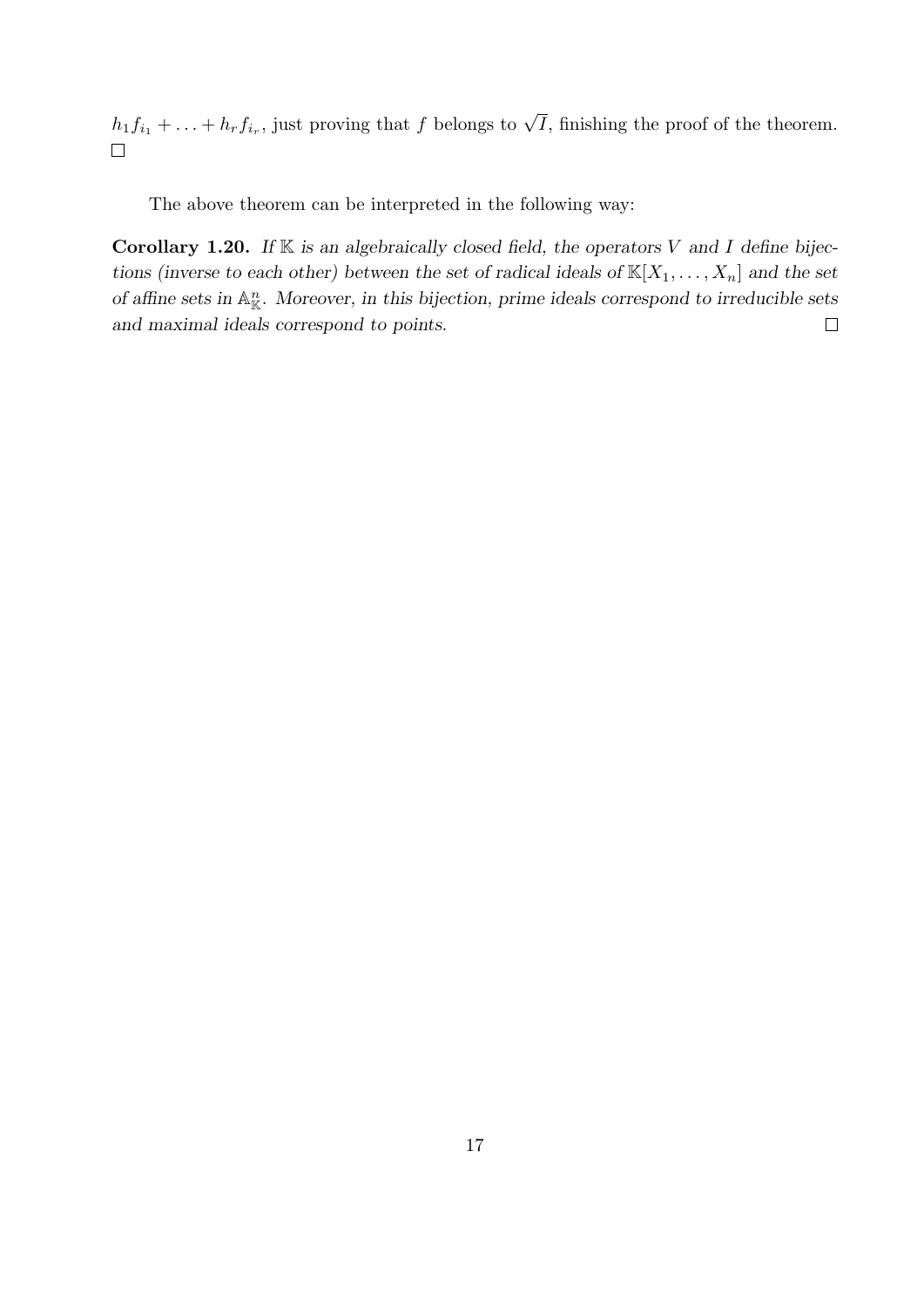$h_1 f_{i_1} + \ldots + h_r f_{i_r}$ , just proving that f belongs to  $\sqrt{I}$ , finishing the proof of the theorem.  $\Box$ 

The above theorem can be interpreted in the following way:

Corollary 1.20. If  $K$  is an algebraically closed field, the operators V and I define bijections (inverse to each other) between the set of radical ideals of  $\mathbb{K}[X_1, \ldots, X_n]$  and the set of affine sets in  $\mathbb{A}^n_{\mathbb{K}}$ . Moreover, in this bijection, prime ideals correspond to irreducible sets and maximal ideals correspond to points.  $\Box$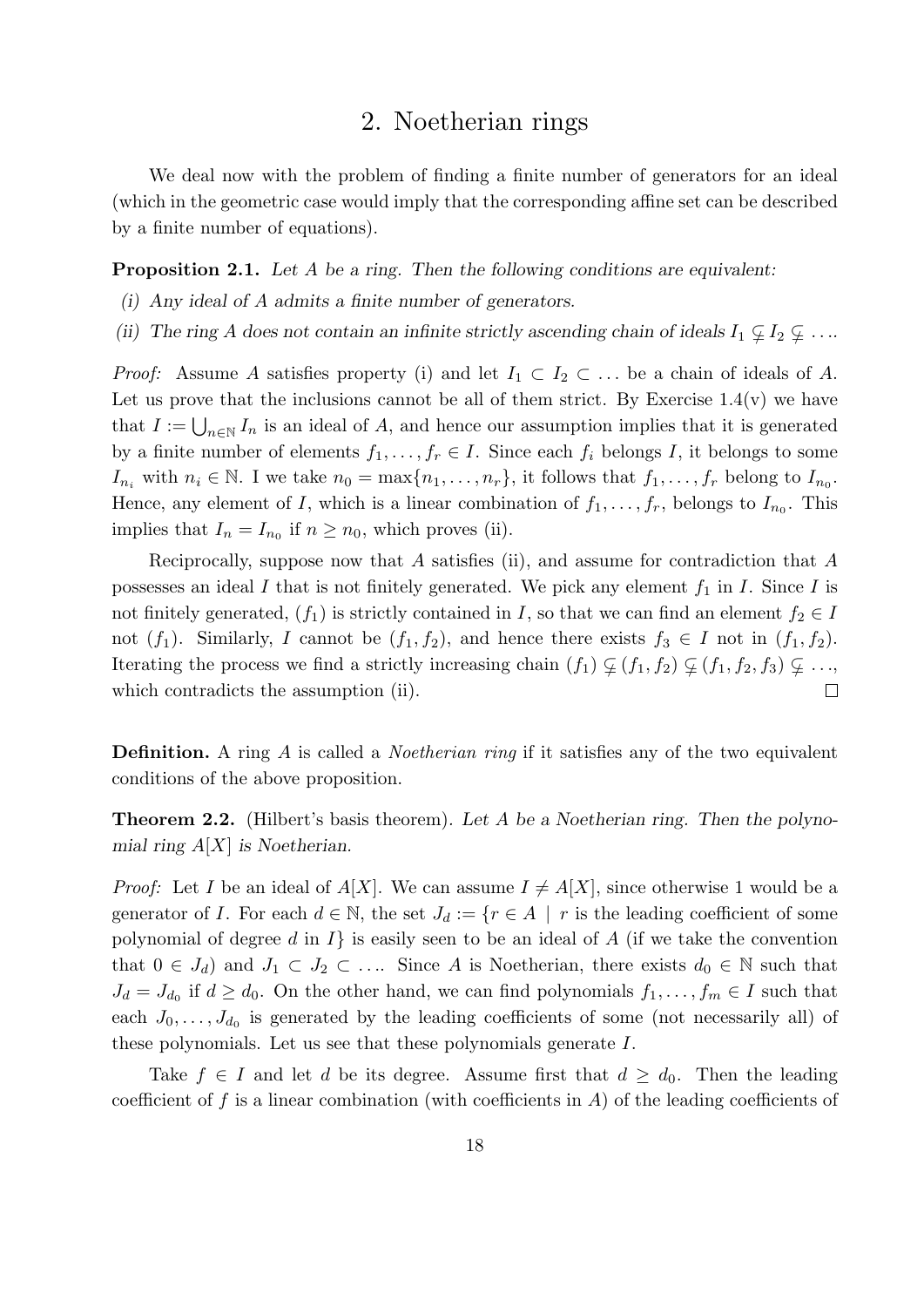### 2. Noetherian rings

We deal now with the problem of finding a finite number of generators for an ideal (which in the geometric case would imply that the corresponding affine set can be described by a finite number of equations).

**Proposition 2.1.** Let A be a ring. Then the following conditions are equivalent:

- (i) Any ideal of A admits a finite number of generators.
- (ii) The ring A does not contain an infinite strictly ascending chain of ideals  $I_1 \nsubseteq I_2 \nsubseteq \ldots$

*Proof:* Assume A satisfies property (i) and let  $I_1 \subset I_2 \subset \ldots$  be a chain of ideals of A. Let us prove that the inclusions cannot be all of them strict. By Exercise  $1.4(v)$  we have that  $I := \bigcup_{n \in \mathbb{N}} I_n$  is an ideal of A, and hence our assumption implies that it is generated by a finite number of elements  $f_1, \ldots, f_r \in I$ . Since each  $f_i$  belongs I, it belongs to some  $I_{n_i}$  with  $n_i \in \mathbb{N}$ . I we take  $n_0 = \max\{n_1, \ldots, n_r\}$ , it follows that  $f_1, \ldots, f_r$  belong to  $I_{n_0}$ . Hence, any element of I, which is a linear combination of  $f_1, \ldots, f_r$ , belongs to  $I_{n_0}$ . This implies that  $I_n = I_{n_0}$  if  $n \geq n_0$ , which proves (ii).

Reciprocally, suppose now that A satisfies (ii), and assume for contradiction that A possesses an ideal I that is not finitely generated. We pick any element  $f_1$  in I. Since I is not finitely generated,  $(f_1)$  is strictly contained in I, so that we can find an element  $f_2 \in I$ not  $(f_1)$ . Similarly, I cannot be  $(f_1, f_2)$ , and hence there exists  $f_3 \in I$  not in  $(f_1, f_2)$ . Iterating the process we find a strictly increasing chain  $(f_1) \varsubsetneq (f_1, f_2) \varsubsetneq (f_1, f_2, f_3) \varsubsetneq \ldots$  $\Box$ which contradicts the assumption (ii).

**Definition.** A ring A is called a *Noetherian ring* if it satisfies any of the two equivalent conditions of the above proposition.

**Theorem 2.2.** (Hilbert's basis theorem). Let A be a Noetherian ring. Then the polynomial ring  $A[X]$  is Noetherian.

*Proof:* Let I be an ideal of  $A[X]$ . We can assume  $I \neq A[X]$ , since otherwise 1 would be a generator of I. For each  $d \in \mathbb{N}$ , the set  $J_d := \{r \in A \mid r \text{ is the leading coefficient of some }$ polynomial of degree d in  $I\}$  is easily seen to be an ideal of A (if we take the convention that  $0 \in J_d$ ) and  $J_1 \subset J_2 \subset \ldots$  Since A is Noetherian, there exists  $d_0 \in \mathbb{N}$  such that  $J_d = J_{d_0}$  if  $d \geq d_0$ . On the other hand, we can find polynomials  $f_1, \ldots, f_m \in I$  such that each  $J_0, \ldots, J_{d_0}$  is generated by the leading coefficients of some (not necessarily all) of these polynomials. Let us see that these polynomials generate I.

Take  $f \in I$  and let d be its degree. Assume first that  $d \geq d_0$ . Then the leading coefficient of f is a linear combination (with coefficients in  $A$ ) of the leading coefficients of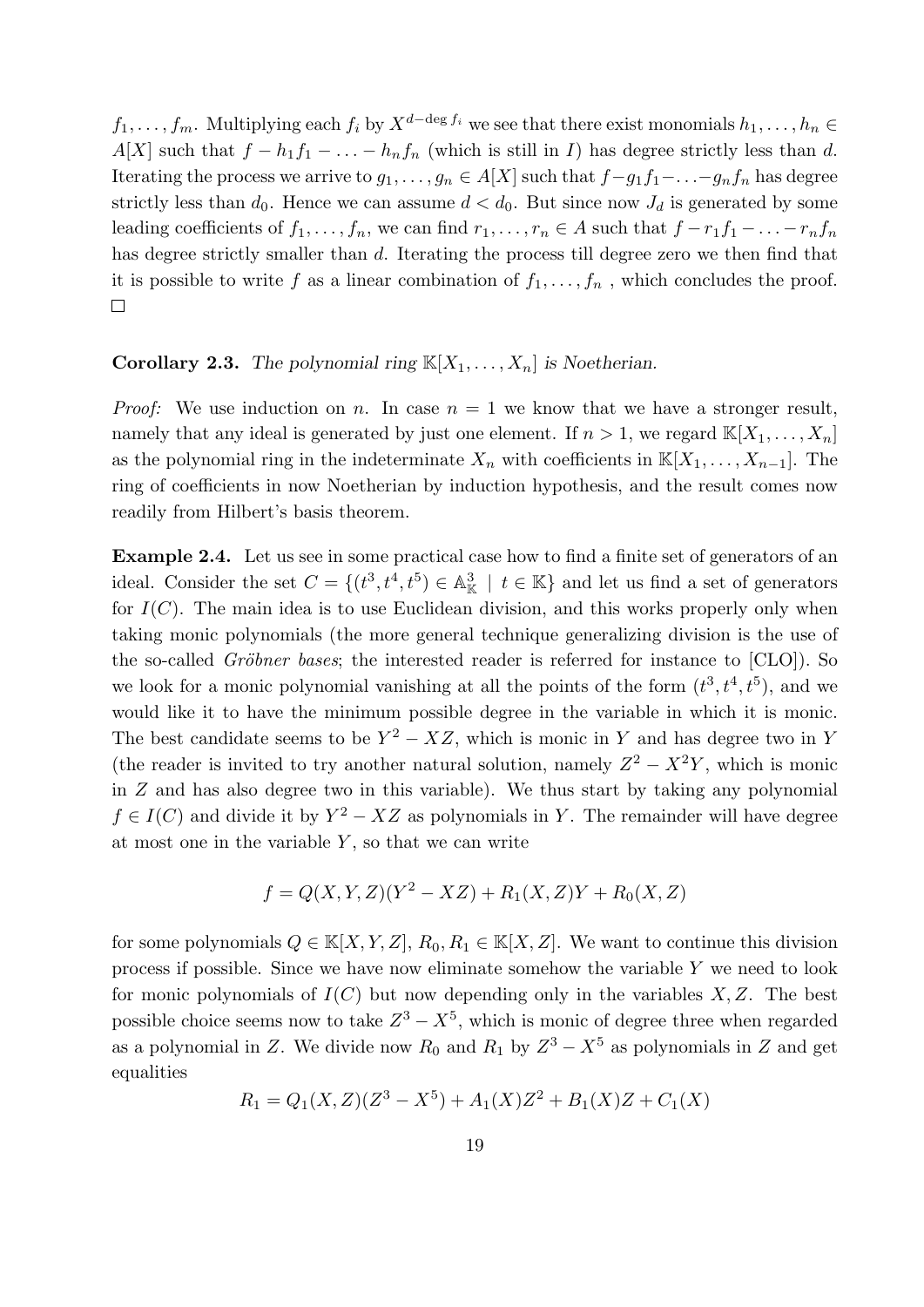$f_1, \ldots, f_m$ . Multiplying each  $f_i$  by  $X^{d-\deg f_i}$  we see that there exist monomials  $h_1, \ldots, h_n \in$ A[X] such that  $f - h_1 f_1 - \ldots - h_n f_n$  (which is still in I) has degree strictly less than d. Iterating the process we arrive to  $g_1, \ldots, g_n \in A[X]$  such that  $f-g_1f_1-\ldots-g_nf_n$  has degree strictly less than  $d_0$ . Hence we can assume  $d < d_0$ . But since now  $J_d$  is generated by some leading coefficients of  $f_1, \ldots, f_n$ , we can find  $r_1, \ldots, r_n \in A$  such that  $f - r_1 f_1 - \ldots - r_n f_n$ has degree strictly smaller than d. Iterating the process till degree zero we then find that it is possible to write f as a linear combination of  $f_1, \ldots, f_n$ , which concludes the proof.  $\Box$ 

#### **Corollary 2.3.** The polynomial ring  $\mathbb{K}[X_1, \ldots, X_n]$  is Noetherian.

*Proof:* We use induction on n. In case  $n = 1$  we know that we have a stronger result, namely that any ideal is generated by just one element. If  $n > 1$ , we regard  $\mathbb{K}[X_1, \ldots, X_n]$ as the polynomial ring in the indeterminate  $X_n$  with coefficients in  $\mathbb{K}[X_1, \ldots, X_{n-1}]$ . The ring of coefficients in now Noetherian by induction hypothesis, and the result comes now readily from Hilbert's basis theorem.

Example 2.4. Let us see in some practical case how to find a finite set of generators of an ideal. Consider the set  $C = \{(t^3, t^4, t^5) \in \mathbb{A}_{\mathbb{K}}^3 \mid t \in \mathbb{K}\}\$  and let us find a set of generators for  $I(C)$ . The main idea is to use Euclidean division, and this works properly only when taking monic polynomials (the more general technique generalizing division is the use of the so-called *Gröbner bases*; the interested reader is referred for instance to  $[CLO]$ . So we look for a monic polynomial vanishing at all the points of the form  $(t^3, t^4, t^5)$ , and we would like it to have the minimum possible degree in the variable in which it is monic. The best candidate seems to be  $Y^2 - XZ$ , which is monic in Y and has degree two in Y (the reader is invited to try another natural solution, namely  $Z^2 - X^2Y$ , which is monic in  $Z$  and has also degree two in this variable). We thus start by taking any polynomial  $f \in I(C)$  and divide it by  $Y^2 - XZ$  as polynomials in Y. The remainder will have degree at most one in the variable  $Y$ , so that we can write

$$
f = Q(X, Y, Z)(Y^2 - XZ) + R_1(X, Z)Y + R_0(X, Z)
$$

for some polynomials  $Q \in K[X, Y, Z], R_0, R_1 \in K[X, Z]$ . We want to continue this division process if possible. Since we have now eliminate somehow the variable Y we need to look for monic polynomials of  $I(C)$  but now depending only in the variables  $X, Z$ . The best possible choice seems now to take  $Z^3 - X^5$ , which is monic of degree three when regarded as a polynomial in Z. We divide now  $R_0$  and  $R_1$  by  $Z^3 - X^5$  as polynomials in Z and get equalities

$$
R_1 = Q_1(X,Z)(Z^3 - X^5) + A_1(X)Z^2 + B_1(X)Z + C_1(X)
$$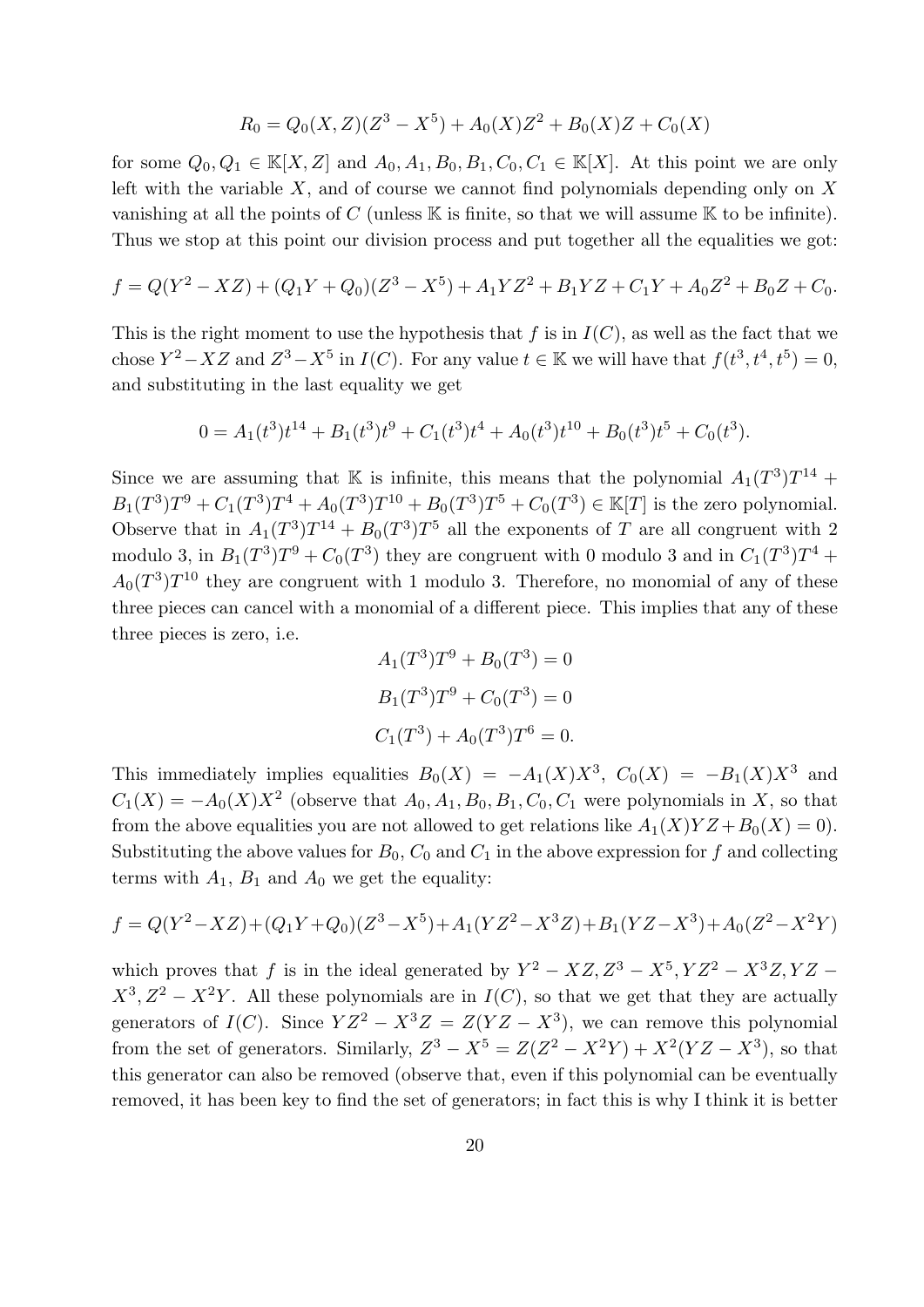$$
R_0 = Q_0(X, Z)(Z^3 - X^5) + A_0(X)Z^2 + B_0(X)Z + C_0(X)
$$

for some  $Q_0, Q_1 \in \mathbb{K}[X, Z]$  and  $A_0, A_1, B_0, B_1, C_0, C_1 \in \mathbb{K}[X]$ . At this point we are only left with the variable  $X$ , and of course we cannot find polynomials depending only on  $X$ vanishing at all the points of C (unless  $\mathbb K$  is finite, so that we will assume  $\mathbb K$  to be infinite). Thus we stop at this point our division process and put together all the equalities we got:

$$
f = Q(Y^2 - XZ) + (Q_1Y + Q_0)(Z^3 - X^5) + A_1YZ^2 + B_1YZ + C_1Y + A_0Z^2 + B_0Z + C_0.
$$

This is the right moment to use the hypothesis that f is in  $I(C)$ , as well as the fact that we chose  $Y^2 - XZ$  and  $Z^3 - X^5$  in  $I(C)$ . For any value  $t \in \mathbb{K}$  we will have that  $f(t^3, t^4, t^5) = 0$ , and substituting in the last equality we get

$$
0 = A_1(t^3)t^{14} + B_1(t^3)t^9 + C_1(t^3)t^4 + A_0(t^3)t^{10} + B_0(t^3)t^5 + C_0(t^3).
$$

Since we are assuming that K is infinite, this means that the polynomial  $A_1(T^3)T^{14}$  +  $B_1(T^3)T^9 + C_1(T^3)T^4 + A_0(T^3)T^{10} + B_0(T^3)T^5 + C_0(T^3) \in \mathbb{K}[T]$  is the zero polynomial. Observe that in  $A_1(T^3)T^{14} + B_0(T^3)T^5$  all the exponents of T are all congruent with 2 modulo 3, in  $B_1(T^3)T^9 + C_0(T^3)$  they are congruent with 0 modulo 3 and in  $C_1(T^3)T^4$  +  $A_0(T^3)T^{10}$  they are congruent with 1 modulo 3. Therefore, no monomial of any of these three pieces can cancel with a monomial of a different piece. This implies that any of these three pieces is zero, i.e.

$$
A_1(T^3)T^9 + B_0(T^3) = 0
$$
  
\n
$$
B_1(T^3)T^9 + C_0(T^3) = 0
$$
  
\n
$$
C_1(T^3) + A_0(T^3)T^6 = 0.
$$

This immediately implies equalities  $B_0(X) = -A_1(X)X^3$ ,  $C_0(X) = -B_1(X)X^3$  and  $C_1(X) = -A_0(X)X^2$  (observe that  $A_0, A_1, B_0, B_1, C_0, C_1$  were polynomials in X, so that from the above equalities you are not allowed to get relations like  $A_1(X)YZ + B_0(X) = 0$ . Substituting the above values for  $B_0$ ,  $C_0$  and  $C_1$  in the above expression for f and collecting terms with  $A_1$ ,  $B_1$  and  $A_0$  we get the equality:

$$
f = Q(Y^2 - XZ) + (Q_1Y + Q_0)(Z^3 - X^5) + A_1(YZ^2 - X^3Z) + B_1(YZ - X^3) + A_0(Z^2 - X^2Y)
$$

which proves that f is in the ideal generated by  $Y^2 - XZ, Z^3 - X^5, YZ^2 - X^3Z, YZ - Z^4Z$  $X^3, Z^2 - X^2Y$ . All these polynomials are in  $I(C)$ , so that we get that they are actually generators of  $I(C)$ . Since  $YZ^2 - X^3Z = Z(YZ - X^3)$ , we can remove this polynomial from the set of generators. Similarly,  $Z^3 - X^5 = Z(Z^2 - X^2Y) + X^2(YZ - X^3)$ , so that this generator can also be removed (observe that, even if this polynomial can be eventually removed, it has been key to find the set of generators; in fact this is why I think it is better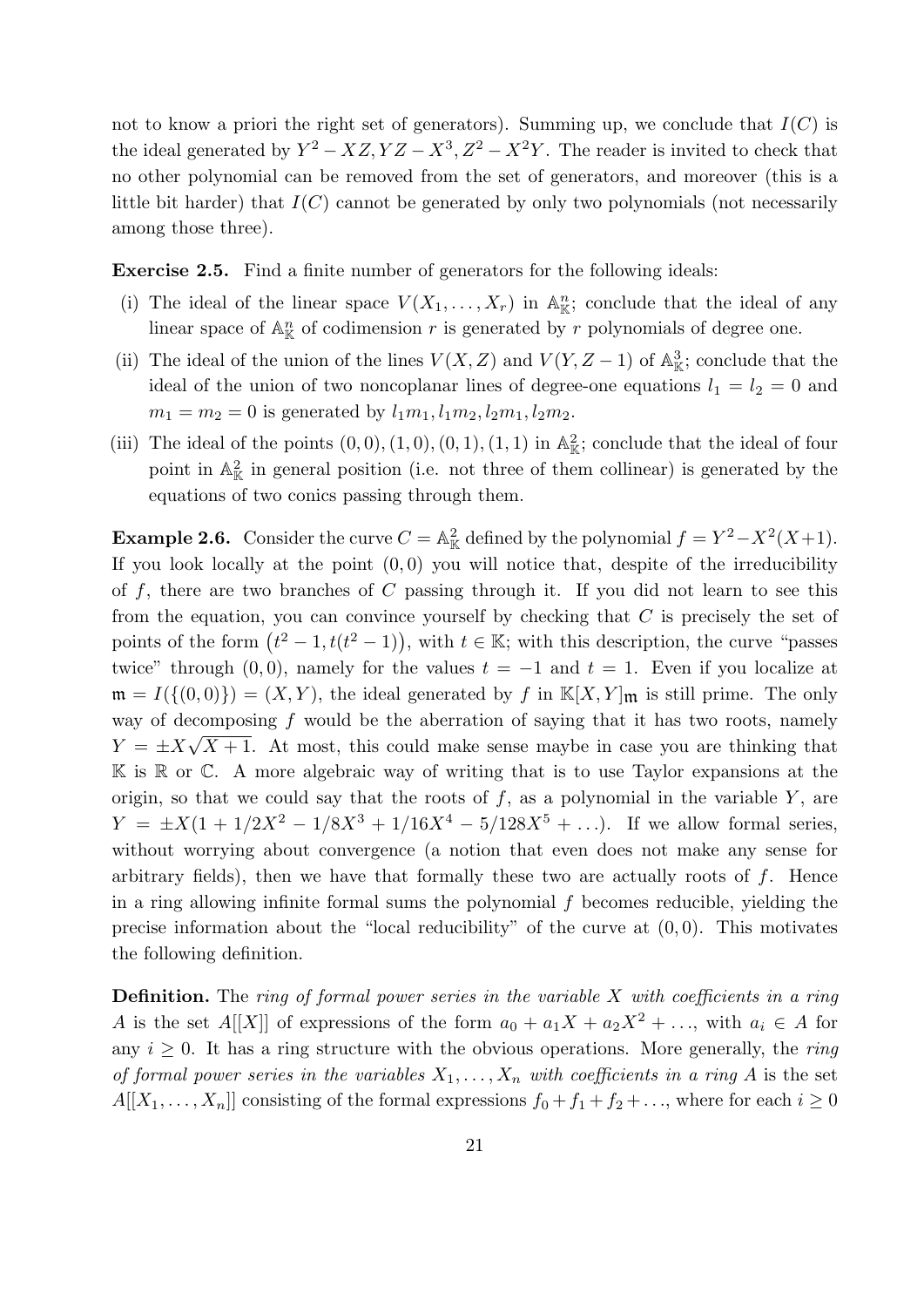not to know a priori the right set of generators). Summing up, we conclude that  $I(C)$  is the ideal generated by  $Y^2 - XZ, YZ - X^3, Z^2 - X^2Y$ . The reader is invited to check that no other polynomial can be removed from the set of generators, and moreover (this is a little bit harder) that  $I(C)$  cannot be generated by only two polynomials (not necessarily among those three).

Exercise 2.5. Find a finite number of generators for the following ideals:

- (i) The ideal of the linear space  $V(X_1,\ldots,X_r)$  in  $\mathbb{A}^n_{\mathbb{K}}$ ; conclude that the ideal of any linear space of  $\mathbb{A}^n_{\mathbb{K}}$  of codimension r is generated by r polynomials of degree one.
- (ii) The ideal of the union of the lines  $V(X, Z)$  and  $V(Y, Z-1)$  of  $\mathbb{A}^3_{\mathbb{K}}$ ; conclude that the ideal of the union of two noncoplanar lines of degree-one equations  $l_1 = l_2 = 0$  and  $m_1 = m_2 = 0$  is generated by  $l_1m_1, l_1m_2, l_2m_1, l_2m_2$ .
- (iii) The ideal of the points  $(0,0), (1,0), (0,1), (1,1)$  in  $\mathbb{A}^2_{\mathbb{K}}$ ; conclude that the ideal of four point in  $\mathbb{A}_{\mathbb{K}}^2$  in general position (i.e. not three of them collinear) is generated by the equations of two conics passing through them.

**Example 2.6.** Consider the curve  $C = \mathbb{A}_{\mathbb{K}}^2$  defined by the polynomial  $f = Y^2 - X^2(X+1)$ . If you look locally at the point  $(0,0)$  you will notice that, despite of the irreducibility of  $f$ , there are two branches of  $C$  passing through it. If you did not learn to see this from the equation, you can convince yourself by checking that  $C$  is precisely the set of points of the form  $(t^2 - 1, t(t^2 - 1))$ , with  $t \in \mathbb{K}$ ; with this description, the curve "passes twice" through (0,0), namely for the values  $t = -1$  and  $t = 1$ . Even if you localize at  $\mathfrak{m} = I(\{(0,0)\}) = (X,Y)$ , the ideal generated by f in  $\mathbb{K}[X,Y]_{\mathfrak{m}}$  is still prime. The only way of decomposing f would be the aberration of saying that it has two roots, namely  $Y = \pm X\sqrt{X+1}$ . At most, this could make sense maybe in case you are thinking that  $\mathbb K$  is  $\mathbb R$  or  $\mathbb C$ . A more algebraic way of writing that is to use Taylor expansions at the origin, so that we could say that the roots of  $f$ , as a polynomial in the variable  $Y$ , are  $Y = \pm X(1 + 1/2X^2 - 1/8X^3 + 1/16X^4 - 5/128X^5 + \ldots)$ . If we allow formal series, without worrying about convergence (a notion that even does not make any sense for arbitrary fields), then we have that formally these two are actually roots of  $f$ . Hence in a ring allowing infinite formal sums the polynomial  $f$  becomes reducible, yielding the precise information about the "local reducibility" of the curve at  $(0, 0)$ . This motivates the following definition.

**Definition.** The ring of formal power series in the variable  $X$  with coefficients in a ring A is the set A[[X]] of expressions of the form  $a_0 + a_1X + a_2X^2 + \ldots$ , with  $a_i \in A$  for any  $i \geq 0$ . It has a ring structure with the obvious operations. More generally, the ring of formal power series in the variables  $X_1, \ldots, X_n$  with coefficients in a ring A is the set  $A[[X_1,\ldots,X_n]]$  consisting of the formal expressions  $f_0 + f_1 + f_2 + \ldots$ , where for each  $i \geq 0$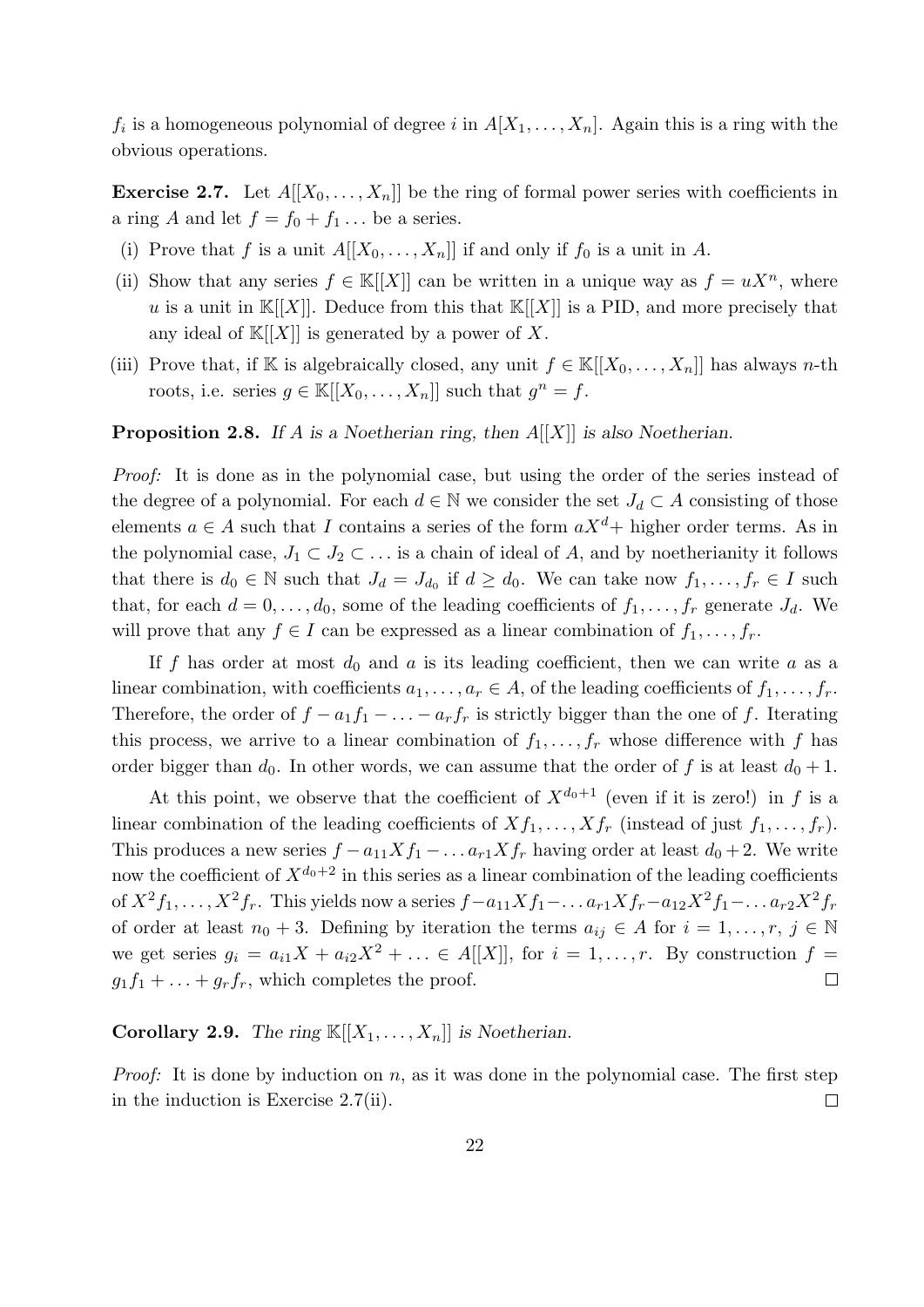$f_i$  is a homogeneous polynomial of degree i in  $A[X_1, \ldots, X_n]$ . Again this is a ring with the obvious operations.

**Exercise 2.7.** Let  $A[[X_0, \ldots, X_n]]$  be the ring of formal power series with coefficients in a ring A and let  $f = f_0 + f_1 \dots$  be a series.

- (i) Prove that f is a unit  $A[[X_0, \ldots, X_n]]$  if and only if  $f_0$  is a unit in A.
- (ii) Show that any series  $f \in K[[X]]$  can be written in a unique way as  $f = uX^n$ , where u is a unit in  $\mathbb{K}[[X]]$ . Deduce from this that  $\mathbb{K}[[X]]$  is a PID, and more precisely that any ideal of  $\mathbb{K}[[X]]$  is generated by a power of X.
- (iii) Prove that, if K is algebraically closed, any unit  $f \in K[[X_0, \ldots, X_n]]$  has always n-th roots, i.e. series  $g \in \mathbb{K}[[X_0, \ldots, X_n]]$  such that  $g^n = f$ .

#### **Proposition 2.8.** If A is a Noetherian ring, then  $A[[X]]$  is also Noetherian.

Proof: It is done as in the polynomial case, but using the order of the series instead of the degree of a polynomial. For each  $d \in \mathbb{N}$  we consider the set  $J_d \subset A$  consisting of those elements  $a \in A$  such that I contains a series of the form  $aX^d$ + higher order terms. As in the polynomial case,  $J_1 \subset J_2 \subset \ldots$  is a chain of ideal of A, and by noetherianity it follows that there is  $d_0 \in \mathbb{N}$  such that  $J_d = J_{d_0}$  if  $d \geq d_0$ . We can take now  $f_1, \ldots, f_r \in I$  such that, for each  $d = 0, \ldots, d_0$ , some of the leading coefficients of  $f_1, \ldots, f_r$  generate  $J_d$ . We will prove that any  $f \in I$  can be expressed as a linear combination of  $f_1, \ldots, f_r$ .

If f has order at most  $d_0$  and a is its leading coefficient, then we can write a as a linear combination, with coefficients  $a_1, \ldots, a_r \in A$ , of the leading coefficients of  $f_1, \ldots, f_r$ . Therefore, the order of  $f - a_1f_1 - \ldots - a_rf_r$  is strictly bigger than the one of f. Iterating this process, we arrive to a linear combination of  $f_1, \ldots, f_r$  whose difference with f has order bigger than  $d_0$ . In other words, we can assume that the order of f is at least  $d_0 + 1$ .

At this point, we observe that the coefficient of  $X^{d_0+1}$  (even if it is zero!) in f is a linear combination of the leading coefficients of  $Xf_1, \ldots, Xf_r$  (instead of just  $f_1, \ldots, f_r$ ). This produces a new series  $f - a_{11} X f_1 - \ldots a_{r1} X f_r$  having order at least  $d_0 + 2$ . We write now the coefficient of  $X^{d_0+2}$  in this series as a linear combination of the leading coefficients of  $X^2 f_1, \ldots, X^2 f_r$ . This yields now a series  $f-a_{11}Xf_1-\ldots a_{r1}Xf_r-a_{12}X^2f_1-\ldots a_{r2}X^2f_r$ of order at least  $n_0 + 3$ . Defining by iteration the terms  $a_{ij} \in A$  for  $i = 1, \ldots, r, j \in \mathbb{N}$ we get series  $g_i = a_{i1}X + a_{i2}X^2 + \ldots \in A[[X]],$  for  $i = 1, \ldots, r$ . By construction  $f =$  $g_1f_1 + \ldots + g_rf_r$ , which completes the proof.  $\Box$ 

**Corollary 2.9.** The ring  $\mathbb{K}[[X_1, \ldots, X_n]]$  is Noetherian.

*Proof:* It is done by induction on  $n$ , as it was done in the polynomial case. The first step in the induction is Exercise 2.7(ii).  $\Box$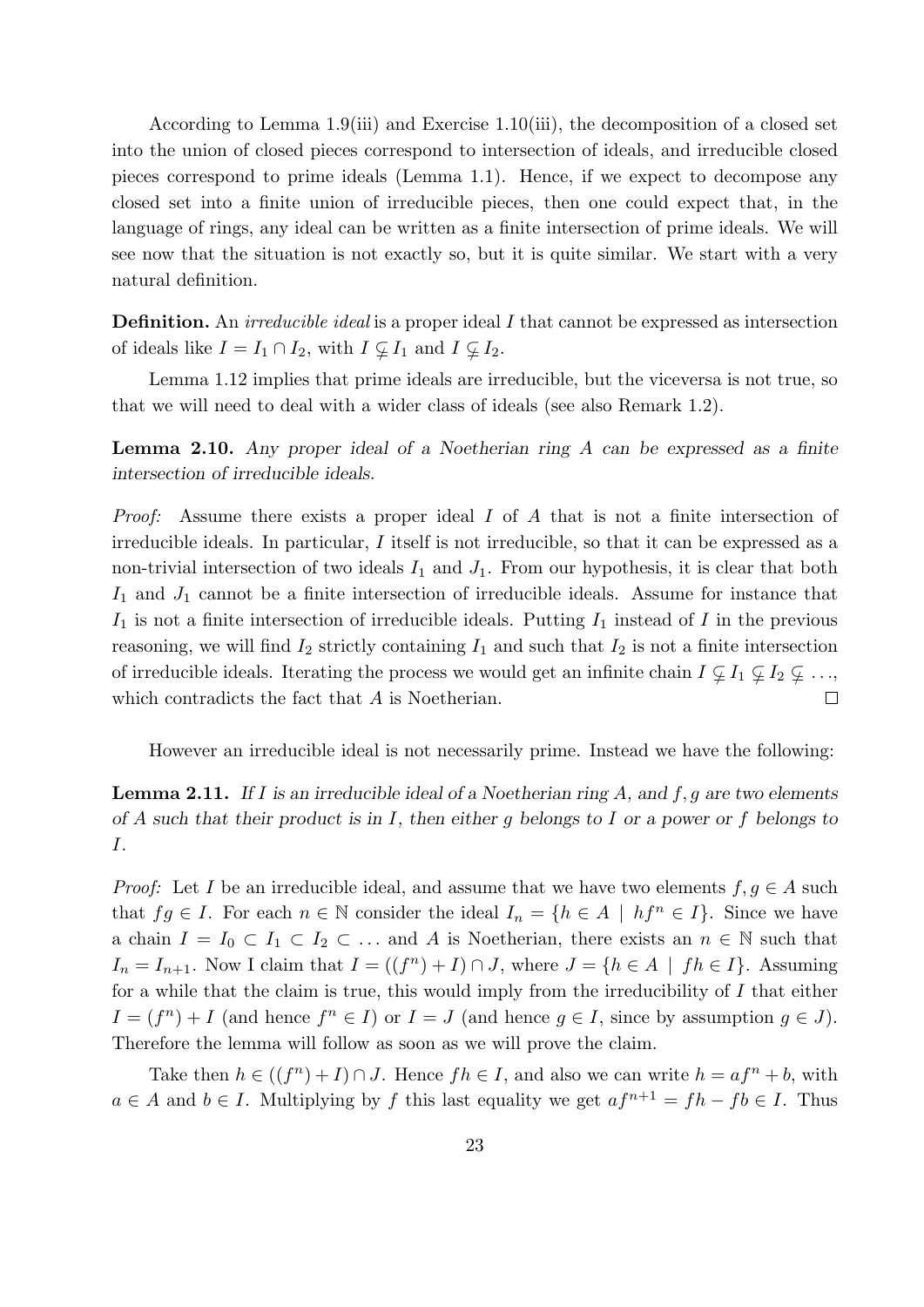According to Lemma 1.9(iii) and Exercise 1.10(iii), the decomposition of a closed set into the union of closed pieces correspond to intersection of ideals, and irreducible closed pieces correspond to prime ideals (Lemma 1.1). Hence, if we expect to decompose any closed set into a finite union of irreducible pieces, then one could expect that, in the language of rings, any ideal can be written as a finite intersection of prime ideals. We will see now that the situation is not exactly so, but it is quite similar. We start with a very natural definition.

Definition. An *irreducible ideal* is a proper ideal I that cannot be expressed as intersection of ideals like  $I = I_1 \cap I_2$ , with  $I \nsubseteq I_1$  and  $I \nsubseteq I_2$ .

Lemma 1.12 implies that prime ideals are irreducible, but the viceversa is not true, so that we will need to deal with a wider class of ideals (see also Remark 1.2).

Lemma 2.10. Any proper ideal of a Noetherian ring A can be expressed as a finite intersection of irreducible ideals.

Proof: Assume there exists a proper ideal I of A that is not a finite intersection of irreducible ideals. In particular, I itself is not irreducible, so that it can be expressed as a non-trivial intersection of two ideals  $I_1$  and  $J_1$ . From our hypothesis, it is clear that both  $I_1$  and  $J_1$  cannot be a finite intersection of irreducible ideals. Assume for instance that  $I_1$  is not a finite intersection of irreducible ideals. Putting  $I_1$  instead of I in the previous reasoning, we will find  $I_2$  strictly containing  $I_1$  and such that  $I_2$  is not a finite intersection of irreducible ideals. Iterating the process we would get an infinite chain  $I \nsubseteq I_1 \nsubseteq I_2 \nsubseteq \ldots$ , which contradicts the fact that A is Noetherian.  $\Box$ 

However an irreducible ideal is not necessarily prime. Instead we have the following:

**Lemma 2.11.** If I is an irreducible ideal of a Noetherian ring A, and  $f, g$  are two elements of A such that their product is in I, then either g belongs to I or a power or f belongs to I.

*Proof:* Let I be an irreducible ideal, and assume that we have two elements  $f, g \in A$  such that  $fg \in I$ . For each  $n \in \mathbb{N}$  consider the ideal  $I_n = \{h \in A \mid hf^n \in I\}$ . Since we have a chain  $I = I_0 \subset I_1 \subset I_2 \subset \ldots$  and A is Noetherian, there exists an  $n \in \mathbb{N}$  such that  $I_n = I_{n+1}$ . Now I claim that  $I = ((f^n) + I) \cap J$ , where  $J = \{h \in A \mid fh \in I\}$ . Assuming for a while that the claim is true, this would imply from the irreducibility of  $I$  that either  $I = (f^n) + I$  (and hence  $f^n \in I$ ) or  $I = J$  (and hence  $g \in I$ , since by assumption  $g \in J$ ). Therefore the lemma will follow as soon as we will prove the claim.

Take then  $h \in ((f^n) + I) \cap J$ . Hence  $fh \in I$ , and also we can write  $h = af^n + b$ , with  $a \in A$  and  $b \in I$ . Multiplying by f this last equality we get  $af^{n+1} = fh - fb \in I$ . Thus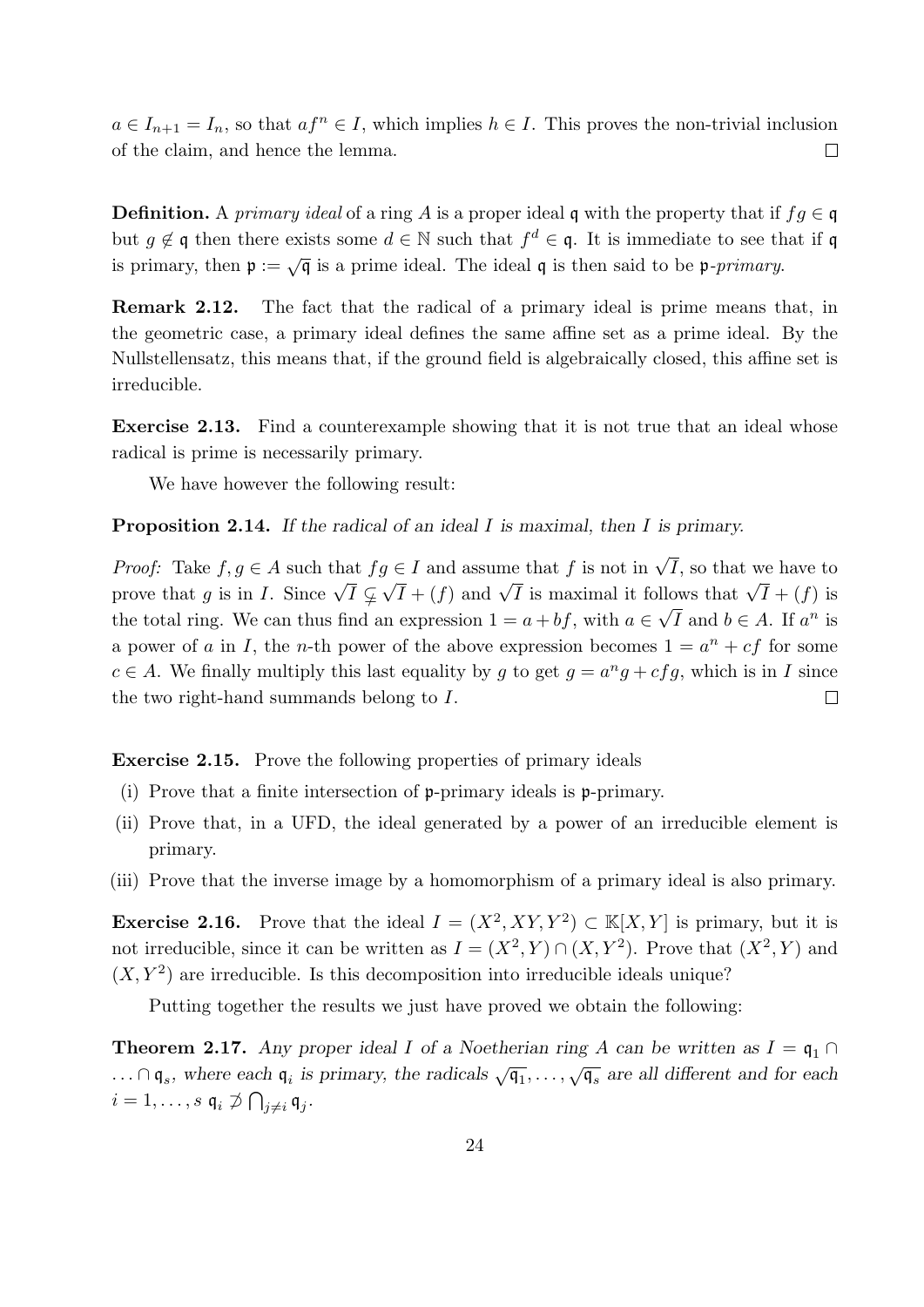$a \in I_{n+1} = I_n$ , so that  $af^n \in I$ , which implies  $h \in I$ . This proves the non-trivial inclusion of the claim, and hence the lemma.  $\Box$ 

**Definition.** A primary ideal of a ring A is a proper ideal q with the property that if  $f \circ q \in q$ but  $g \notin \mathfrak{q}$  then there exists some  $d \in \mathbb{N}$  such that  $f^d \in \mathfrak{q}$ . It is immediate to see that if  $\mathfrak{q}$ is primary, then  $\mathfrak{p} := \sqrt{\mathfrak{q}}$  is a prime ideal. The ideal  $\mathfrak{q}$  is then said to be  $\mathfrak{p}$ -primary.

Remark 2.12. The fact that the radical of a primary ideal is prime means that, in the geometric case, a primary ideal defines the same affine set as a prime ideal. By the Nullstellensatz, this means that, if the ground field is algebraically closed, this affine set is irreducible.

Exercise 2.13. Find a counterexample showing that it is not true that an ideal whose radical is prime is necessarily primary.

We have however the following result:

**Proposition 2.14.** If the radical of an ideal I is maximal, then I is primary.

*Proof:* Take  $f, g \in A$  such that  $fg \in I$  and assume that f is not in  $\sqrt{I}$ , so that we have to prove that g is in I. Since  $\sqrt{I} \subsetneq \sqrt{I} + (f)$  and  $\sqrt{I}$  is maximal it follows that  $\sqrt{I} + (f)$  is the total ring. We can thus find an expression  $1 = a + bf$ , with  $a \in \sqrt{I}$  and  $b \in A$ . If  $a^n$  is a power of a in I, the n-th power of the above expression becomes  $1 = a^n + cf$  for some  $c \in A$ . We finally multiply this last equality by g to get  $g = a^n g + c f g$ , which is in I since the two right-hand summands belong to I.  $\Box$ 

Exercise 2.15. Prove the following properties of primary ideals

- (i) Prove that a finite intersection of p-primary ideals is p-primary.
- (ii) Prove that, in a UFD, the ideal generated by a power of an irreducible element is primary.
- (iii) Prove that the inverse image by a homomorphism of a primary ideal is also primary.

**Exercise 2.16.** Prove that the ideal  $I = (X^2, XY, Y^2) \subset \mathbb{K}[X, Y]$  is primary, but it is not irreducible, since it can be written as  $I = (X^2, Y) \cap (X, Y^2)$ . Prove that  $(X^2, Y)$  and  $(X, Y<sup>2</sup>)$  are irreducible. Is this decomposition into irreducible ideals unique?

Putting together the results we just have proved we obtain the following:

**Theorem 2.17.** Any proper ideal I of a Noetherian ring A can be written as  $I = \mathfrak{q}_1 \cap$  $\ldots \cap \mathfrak{q}_s$ , where each  $\mathfrak{q}_i$  is primary, the radicals  $\sqrt{\mathfrak{q}_1}, \ldots, \sqrt{\mathfrak{q}_s}$  are all different and for each  $i=1,\ldots,s$   $\mathfrak{q}_i \not\supset \bigcap_{j\neq i} \mathfrak{q}_j$ .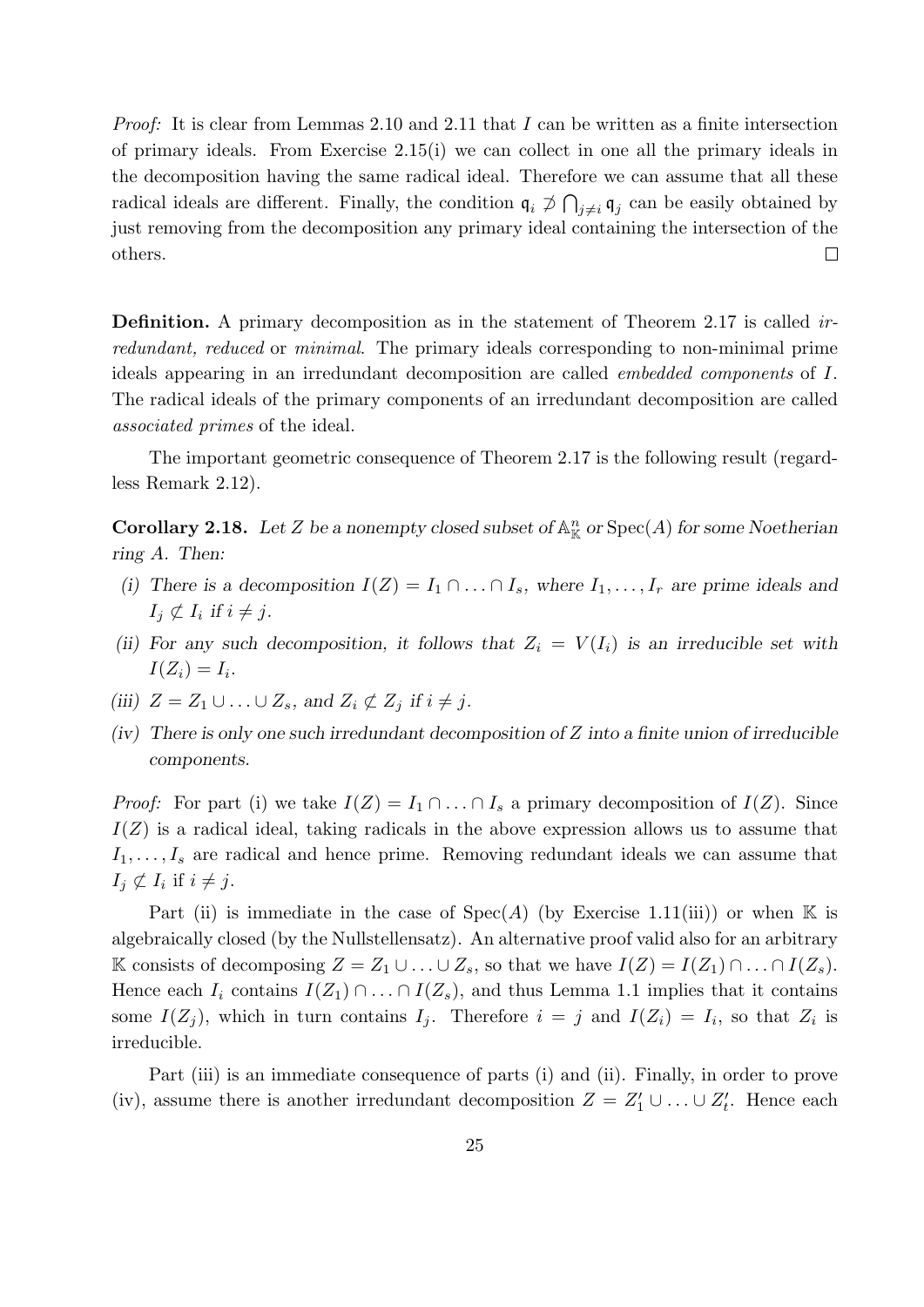*Proof:* It is clear from Lemmas 2.10 and 2.11 that I can be written as a finite intersection of primary ideals. From Exercise 2.15(i) we can collect in one all the primary ideals in the decomposition having the same radical ideal. Therefore we can assume that all these radical ideals are different. Finally, the condition  $\mathfrak{q}_i \not\supset \bigcap_{j\neq i} \mathfrak{q}_j$  can be easily obtained by just removing from the decomposition any primary ideal containing the intersection of the  $\Box$ others.

Definition. A primary decomposition as in the statement of Theorem 2.17 is called *ir*redundant, reduced or minimal. The primary ideals corresponding to non-minimal prime ideals appearing in an irredundant decomposition are called embedded components of I. The radical ideals of the primary components of an irredundant decomposition are called associated primes of the ideal.

The important geometric consequence of Theorem 2.17 is the following result (regardless Remark 2.12).

**Corollary 2.18.** Let Z be a nonempty closed subset of  $\mathbb{A}^n_{\mathbb{K}}$  or  $Spec(A)$  for some Noetherian ring A. Then:

- (i) There is a decomposition  $I(Z) = I_1 \cap \ldots \cap I_s$ , where  $I_1, \ldots, I_r$  are prime ideals and  $I_j \not\subset I_i$  if  $i \neq j$ .
- (ii) For any such decomposition, it follows that  $Z_i = V(I_i)$  is an irreducible set with  $I(Z_i)=I_i.$
- (iii)  $Z = Z_1 \cup \ldots \cup Z_s$ , and  $Z_i \not\subset Z_j$  if  $i \neq j$ .
- $(iv)$  There is only one such irredundant decomposition of Z into a finite union of irreducible components.

*Proof:* For part (i) we take  $I(Z) = I_1 \cap \ldots \cap I_s$  a primary decomposition of  $I(Z)$ . Since  $I(Z)$  is a radical ideal, taking radicals in the above expression allows us to assume that  $I_1, \ldots, I_s$  are radical and hence prime. Removing redundant ideals we can assume that  $I_j \not\subset I_i$  if  $i \neq j$ .

Part (ii) is immediate in the case of  $Spec(A)$  (by Exercise 1.11(iii)) or when K is algebraically closed (by the Nullstellensatz). An alternative proof valid also for an arbitrary K consists of decomposing  $Z = Z_1 \cup \ldots \cup Z_s$ , so that we have  $I(Z) = I(Z_1) \cap \ldots \cap I(Z_s)$ . Hence each  $I_i$  contains  $I(Z_1) \cap \ldots \cap I(Z_s)$ , and thus Lemma 1.1 implies that it contains some  $I(Z_j)$ , which in turn contains  $I_j$ . Therefore  $i = j$  and  $I(Z_i) = I_i$ , so that  $Z_i$  is irreducible.

Part (iii) is an immediate consequence of parts (i) and (ii). Finally, in order to prove (iv), assume there is another irredundant decomposition  $Z = Z'_1 \cup ... \cup Z'_t$ . Hence each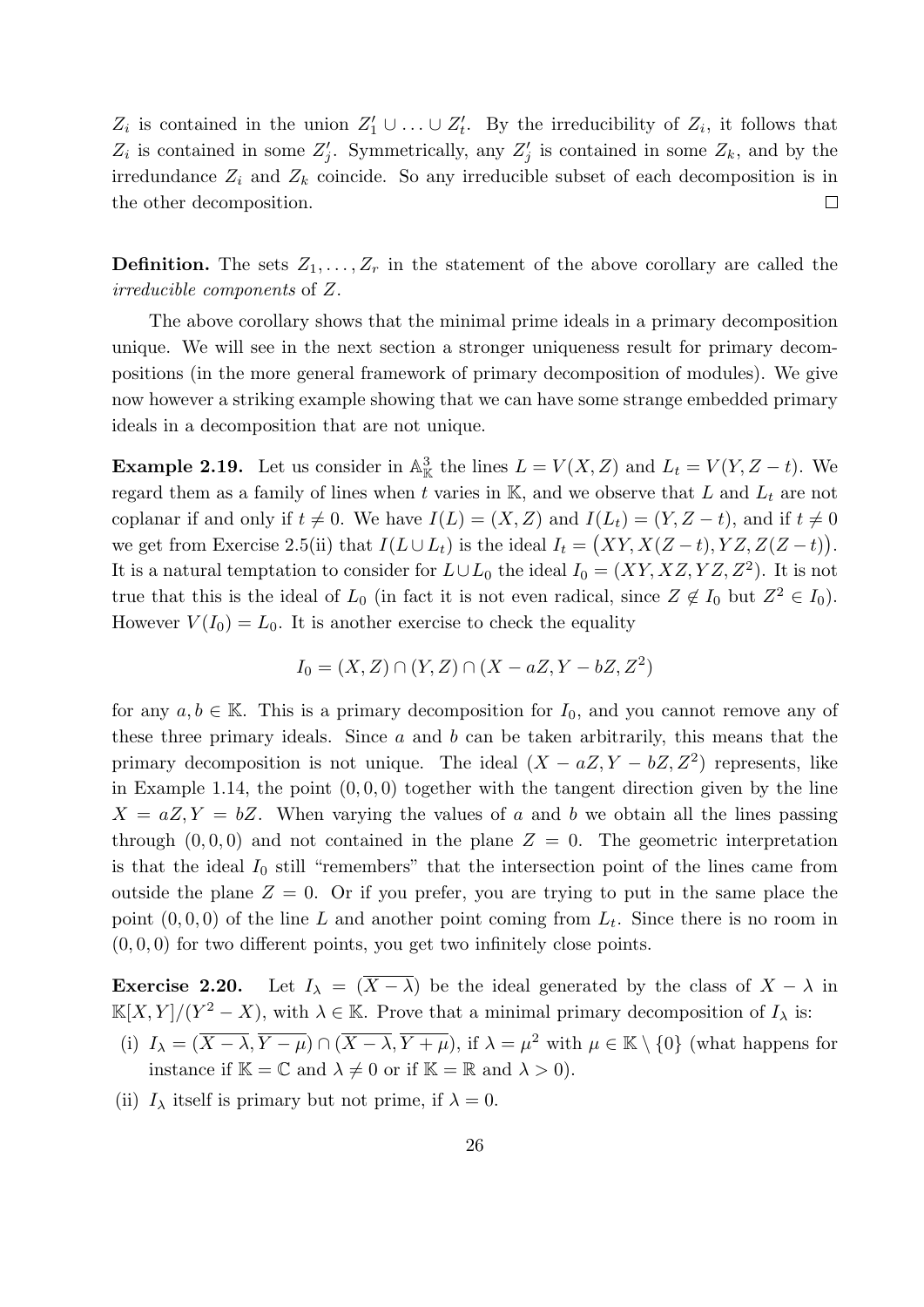$Z_i$  is contained in the union  $Z'_1 \cup \ldots \cup Z'_t$ . By the irreducibility of  $Z_i$ , it follows that  $Z_i$  is contained in some  $Z'_j$ . Symmetrically, any  $Z'_j$  is contained in some  $Z_k$ , and by the irredundance  $Z_i$  and  $Z_k$  coincide. So any irreducible subset of each decomposition is in  $\Box$ the other decomposition.

**Definition.** The sets  $Z_1, \ldots, Z_r$  in the statement of the above corollary are called the irreducible components of Z.

The above corollary shows that the minimal prime ideals in a primary decomposition unique. We will see in the next section a stronger uniqueness result for primary decompositions (in the more general framework of primary decomposition of modules). We give now however a striking example showing that we can have some strange embedded primary ideals in a decomposition that are not unique.

**Example 2.19.** Let us consider in  $\mathbb{A}_{\mathbb{K}}^3$  the lines  $L = V(X, Z)$  and  $L_t = V(Y, Z - t)$ . We regard them as a family of lines when t varies in  $K$ , and we observe that L and  $L_t$  are not coplanar if and only if  $t \neq 0$ . We have  $I(L) = (X, Z)$  and  $I(L_t) = (Y, Z - t)$ , and if  $t \neq 0$ we get from Exercise 2.5(ii) that  $I(L \cup L_t)$  is the ideal  $I_t = (XY, X(Z - t), YZ, Z(Z - t)).$ It is a natural temptation to consider for  $L \cup L_0$  the ideal  $I_0 = (XY, XZ, YZ, Z^2)$ . It is not true that this is the ideal of  $L_0$  (in fact it is not even radical, since  $Z \notin I_0$  but  $Z^2 \in I_0$ ). However  $V(I_0) = L_0$ . It is another exercise to check the equality

$$
I_0 = (X, Z) \cap (Y, Z) \cap (X - aZ, Y - bZ, Z^2)
$$

for any  $a, b \in \mathbb{K}$ . This is a primary decomposition for  $I_0$ , and you cannot remove any of these three primary ideals. Since a and b can be taken arbitrarily, this means that the primary decomposition is not unique. The ideal  $(X - aZ, Y - bZ, Z^2)$  represents, like in Example 1.14, the point  $(0, 0, 0)$  together with the tangent direction given by the line  $X = aZ, Y = bZ$ . When varying the values of a and b we obtain all the lines passing through  $(0, 0, 0)$  and not contained in the plane  $Z = 0$ . The geometric interpretation is that the ideal  $I_0$  still "remembers" that the intersection point of the lines came from outside the plane  $Z = 0$ . Or if you prefer, you are trying to put in the same place the point  $(0, 0, 0)$  of the line L and another point coming from  $L_t$ . Since there is no room in  $(0, 0, 0)$  for two different points, you get two infinitely close points.

**Exercise 2.20.** Let  $I_{\lambda} = (\overline{X - \lambda})$  be the ideal generated by the class of  $X - \lambda$  in  $\mathbb{K}[X,Y]/(Y^2-X)$ , with  $\lambda \in \mathbb{K}$ . Prove that a minimal primary decomposition of  $I_\lambda$  is:

- (i)  $I_{\lambda} = (\overline{X-\lambda}, \overline{Y-\mu}) \cap (\overline{X-\lambda}, \overline{Y+\mu})$ , if  $\lambda = \mu^2$  with  $\mu \in \mathbb{K} \setminus \{0\}$  (what happens for instance if  $\mathbb{K} = \mathbb{C}$  and  $\lambda \neq 0$  or if  $\mathbb{K} = \mathbb{R}$  and  $\lambda > 0$ .
- (ii)  $I_{\lambda}$  itself is primary but not prime, if  $\lambda = 0$ .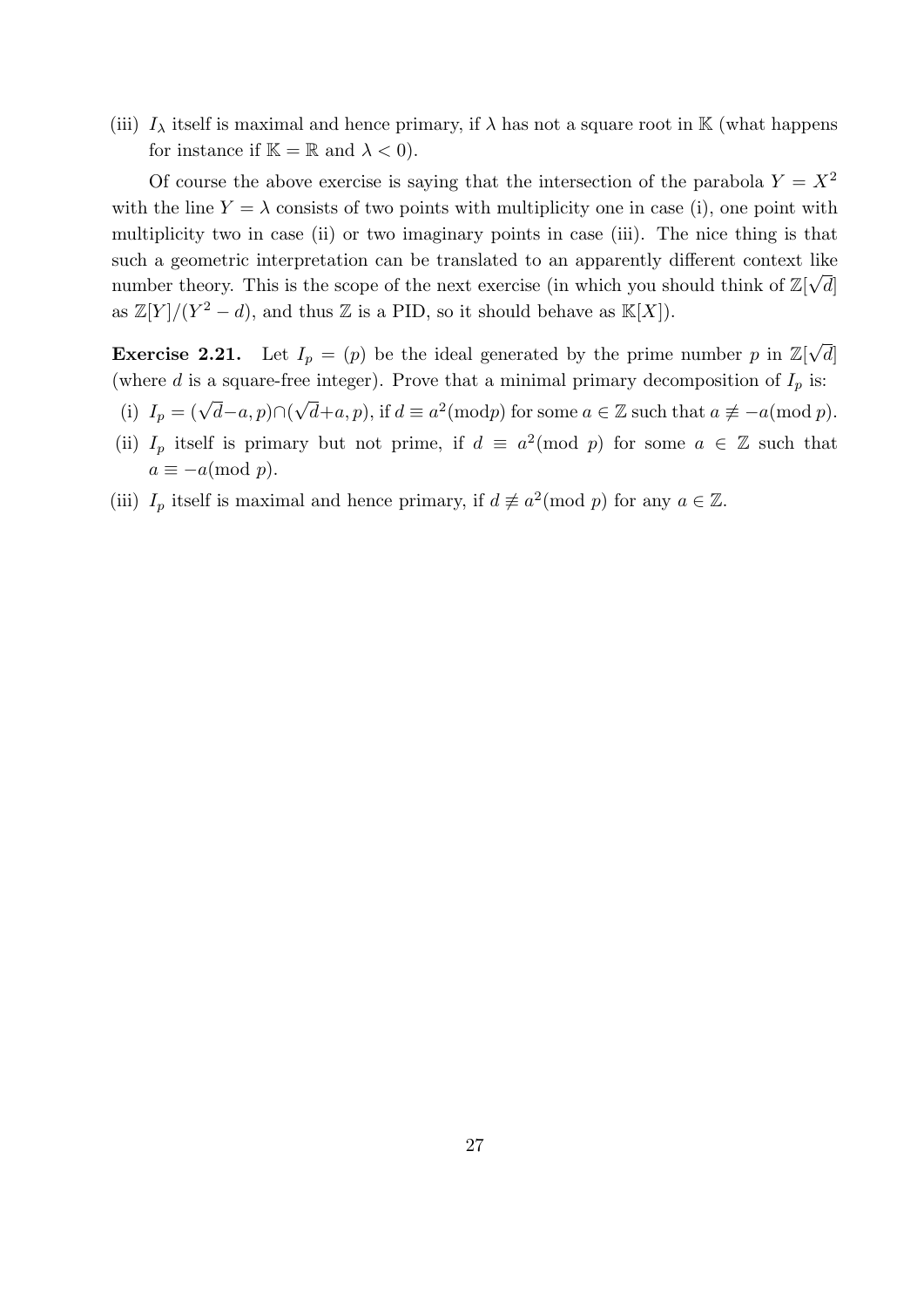(iii)  $I_{\lambda}$  itself is maximal and hence primary, if  $\lambda$  has not a square root in K (what happens for instance if  $\mathbb{K} = \mathbb{R}$  and  $\lambda < 0$ .

Of course the above exercise is saying that the intersection of the parabola  $Y = X^2$ with the line  $Y = \lambda$  consists of two points with multiplicity one in case (i), one point with multiplicity two in case (ii) or two imaginary points in case (iii). The nice thing is that such a geometric interpretation can be translated to an apparently different context like √ number theory. This is the scope of the next exercise (in which you should think of  $\mathbb{Z}[\sqrt{d}]$ as  $\mathbb{Z}[Y]/(Y^2-d)$ , and thus  $\mathbb Z$  is a PID, so it should behave as  $\mathbb{K}[X]$ .

**Exercise 2.21.** Let  $I_p = (p)$  be the ideal generated by the prime number p in  $\mathbb{Z}[\sqrt{p}]$  $[d]% \centering \includegraphics[width=0.47\textwidth]{images/TrDiM-Architecture.png} \caption{The figure shows the number of parameters in the left and right.}\label{TrDiM-Architecture}$ (where d is a square-free integer). Prove that a minimal primary decomposition of  $I_p$  is: √

- (i)  $I_p = (\sqrt{d} a, p) \cap ($  $\overline{d}+a, p$ , if  $d \equiv a^2 \pmod{p}$  for some  $a \in \mathbb{Z}$  such that  $a \not\equiv -a \pmod{p}$ .
- (ii)  $I_p$  itself is primary but not prime, if  $d \equiv a^2 \pmod{p}$  for some  $a \in \mathbb{Z}$  such that  $a \equiv -a \pmod{p}$ .
- (iii)  $I_p$  itself is maximal and hence primary, if  $d \not\equiv a^2 \pmod{p}$  for any  $a \in \mathbb{Z}$ .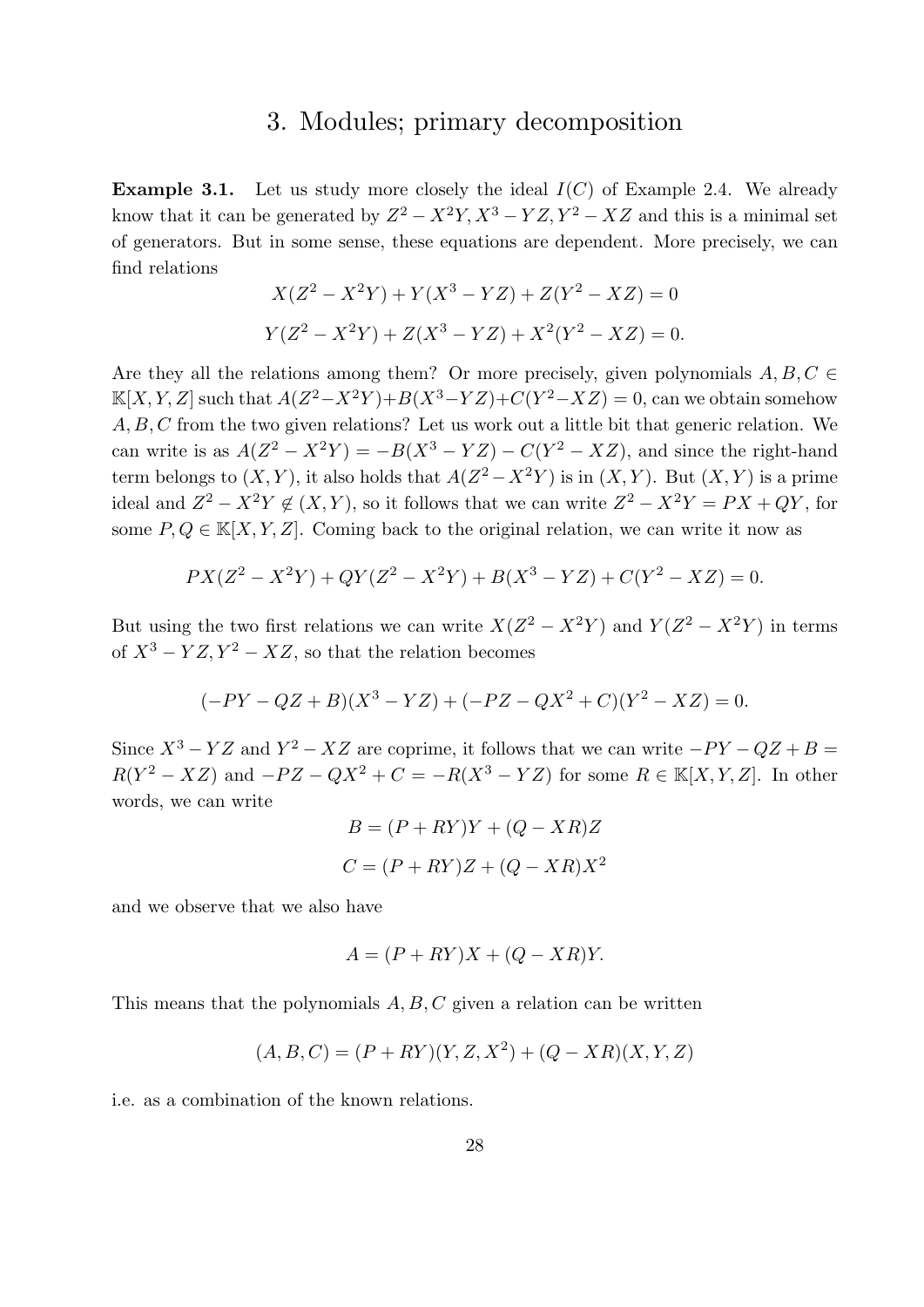### 3. Modules; primary decomposition

**Example 3.1.** Let us study more closely the ideal  $I(C)$  of Example 2.4. We already know that it can be generated by  $Z^2 - X^2Y, X^3 - YZ, Y^2 - XZ$  and this is a minimal set of generators. But in some sense, these equations are dependent. More precisely, we can find relations

$$
X(Z^{2} - X^{2}Y) + Y(X^{3} - YZ) + Z(Y^{2} - XZ) = 0
$$
  

$$
Y(Z^{2} - X^{2}Y) + Z(X^{3} - YZ) + X^{2}(Y^{2} - XZ) = 0.
$$

Are they all the relations among them? Or more precisely, given polynomials  $A, B, C \in$  $\mathbb{K}[X, Y, Z]$  such that  $A(Z^2 - X^2Y) + B(X^3 - YZ) + C(Y^2 - XZ) = 0$ , can we obtain somehow A, B, C from the two given relations? Let us work out a little bit that generic relation. We can write is as  $A(Z^2 - X^2Y) = -B(X^3 - YZ) - C(Y^2 - XZ)$ , and since the right-hand term belongs to  $(X, Y)$ , it also holds that  $A(Z^2 - X^2Y)$  is in  $(X, Y)$ . But  $(X, Y)$  is a prime ideal and  $Z^2 - X^2Y \notin (X, Y)$ , so it follows that we can write  $Z^2 - X^2Y = PX + QY$ , for some  $P, Q \in \mathbb{K}[X, Y, Z]$ . Coming back to the original relation, we can write it now as

$$
PX(Z^{2} - X^{2}Y) + QY(Z^{2} - X^{2}Y) + B(X^{3} - YZ) + C(Y^{2} - XZ) = 0.
$$

But using the two first relations we can write  $X(Z^2 - X^2Y)$  and  $Y(Z^2 - X^2Y)$  in terms of  $X^3 - YZ, Y^2 - XZ$ , so that the relation becomes

$$
(-PY - QZ + B)(X^3 - YZ) + (-PZ - QX^2 + C)(Y^2 - XZ) = 0.
$$

Since  $X^3 - YZ$  and  $Y^2 - XZ$  are coprime, it follows that we can write  $-PY - QZ + B =$  $R(Y^2 - XZ)$  and  $-PZ - QX^2 + C = -R(X^3 - YZ)$  for some  $R \in \mathbb{K}[X, Y, Z]$ . In other words, we can write

$$
B = (P + RY)Y + (Q - XR)Z
$$

$$
C = (P + RY)Z + (Q - XR)X2
$$

and we observe that we also have

$$
A = (P + RY)X + (Q - XR)Y.
$$

This means that the polynomials  $A, B, C$  given a relation can be written

$$
(A, B, C) = (P + RY)(Y, Z, X^2) + (Q - XR)(X, Y, Z)
$$

i.e. as a combination of the known relations.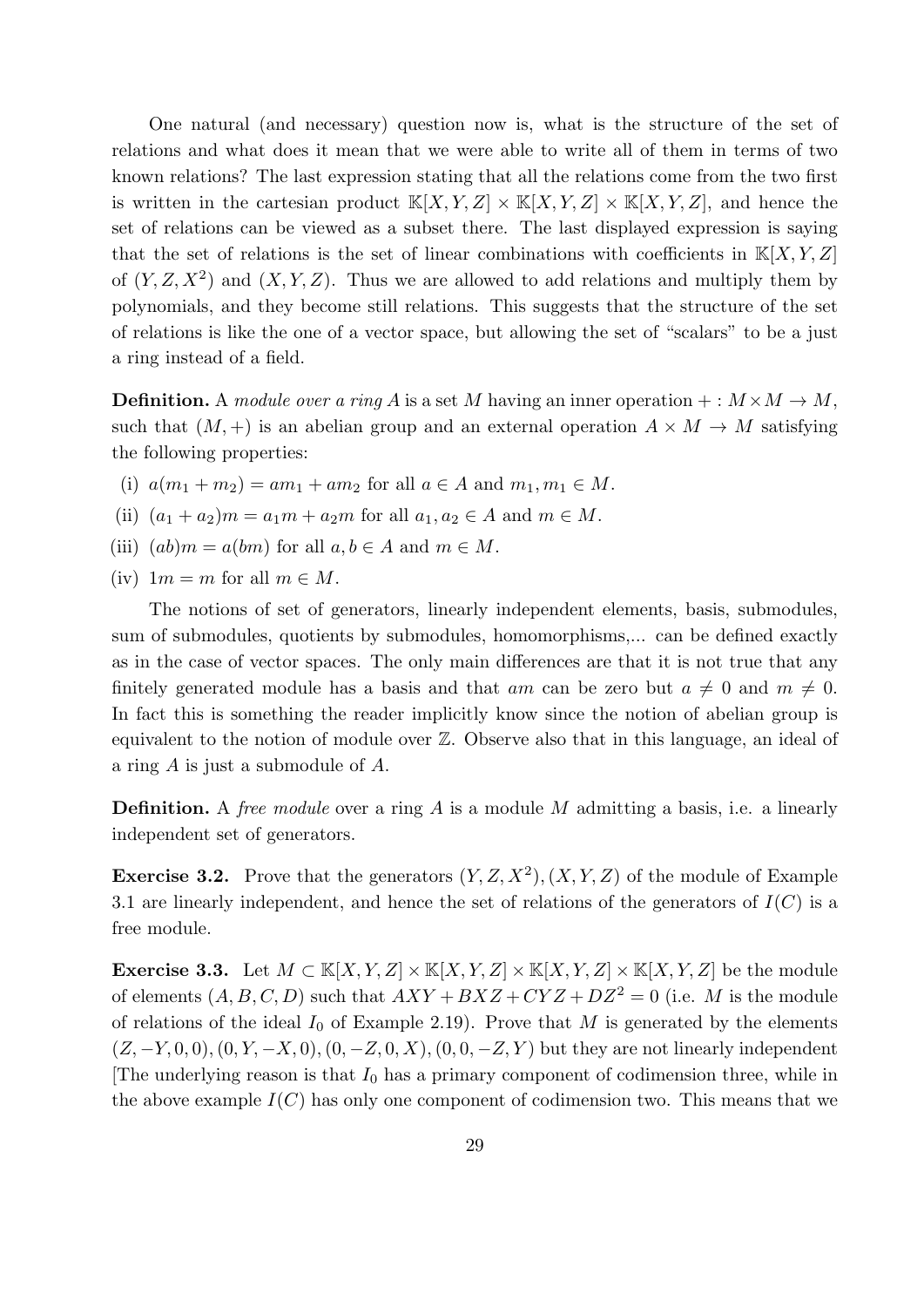One natural (and necessary) question now is, what is the structure of the set of relations and what does it mean that we were able to write all of them in terms of two known relations? The last expression stating that all the relations come from the two first is written in the cartesian product  $\mathbb{K}[X, Y, Z] \times \mathbb{K}[X, Y, Z] \times \mathbb{K}[X, Y, Z]$ , and hence the set of relations can be viewed as a subset there. The last displayed expression is saying that the set of relations is the set of linear combinations with coefficients in  $K[X, Y, Z]$ of  $(Y, Z, X^2)$  and  $(X, Y, Z)$ . Thus we are allowed to add relations and multiply them by polynomials, and they become still relations. This suggests that the structure of the set of relations is like the one of a vector space, but allowing the set of "scalars" to be a just a ring instead of a field.

**Definition.** A module over a ring A is a set M having an inner operation  $+: M \times M \rightarrow M$ , such that  $(M, +)$  is an abelian group and an external operation  $A \times M \rightarrow M$  satisfying the following properties:

- (i)  $a(m_1 + m_2) = am_1 + am_2$  for all  $a \in A$  and  $m_1, m_1 \in M$ .
- (ii)  $(a_1 + a_2)m = a_1m + a_2m$  for all  $a_1, a_2 \in A$  and  $m \in M$ .
- (iii)  $(ab)m = a(bm)$  for all  $a, b \in A$  and  $m \in M$ .
- (iv)  $1m = m$  for all  $m \in M$ .

The notions of set of generators, linearly independent elements, basis, submodules, sum of submodules, quotients by submodules, homomorphisms,... can be defined exactly as in the case of vector spaces. The only main differences are that it is not true that any finitely generated module has a basis and that am can be zero but  $a \neq 0$  and  $m \neq 0$ . In fact this is something the reader implicitly know since the notion of abelian group is equivalent to the notion of module over Z. Observe also that in this language, an ideal of a ring A is just a submodule of A.

**Definition.** A free module over a ring A is a module M admitting a basis, i.e. a linearly independent set of generators.

**Exercise 3.2.** Prove that the generators  $(Y, Z, X^2), (X, Y, Z)$  of the module of Example 3.1 are linearly independent, and hence the set of relations of the generators of  $I(C)$  is a free module.

Exercise 3.3. Let  $M \subset \mathbb{K}[X, Y, Z] \times \mathbb{K}[X, Y, Z] \times \mathbb{K}[X, Y, Z] \times \mathbb{K}[X, Y, Z]$  be the module of elements  $(A, B, C, D)$  such that  $AXY + BXZ + CYZ + DZ^2 = 0$  (i.e. M is the module of relations of the ideal  $I_0$  of Example 2.19). Prove that M is generated by the elements  $(Z, -Y, 0, 0), (0, Y, -X, 0), (0, -Z, 0, X), (0, 0, -Z, Y)$  but they are not linearly independent [The underlying reason is that  $I_0$  has a primary component of codimension three, while in the above example  $I(C)$  has only one component of codimension two. This means that we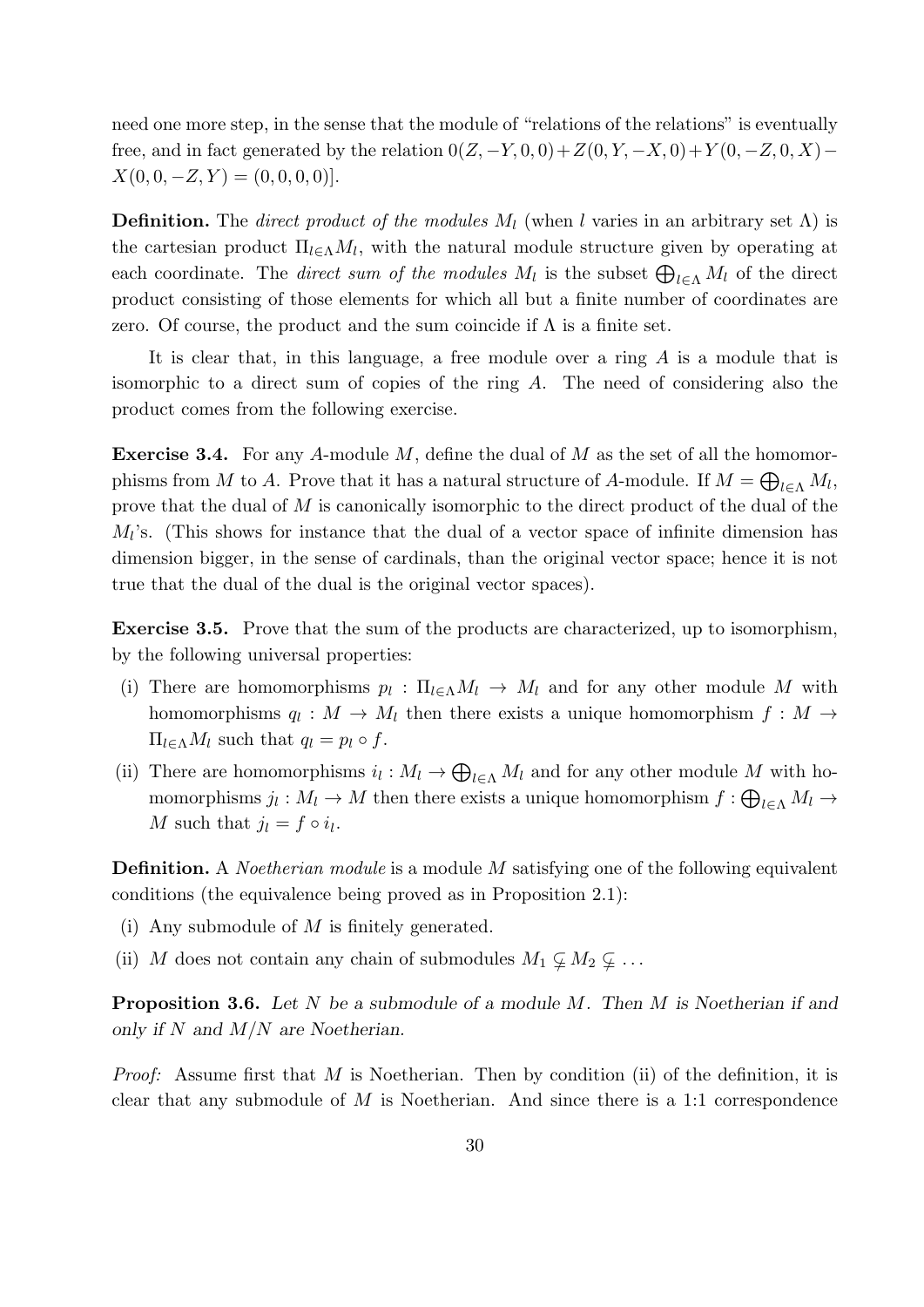need one more step, in the sense that the module of "relations of the relations" is eventually free, and in fact generated by the relation  $0(Z, -Y, 0, 0) + Z(0, Y, -X, 0) + Y(0, -Z, 0, X)$  –  $X(0, 0, -Z, Y) = (0, 0, 0, 0).$ 

**Definition.** The *direct product of the modules*  $M_l$  (when l varies in an arbitrary set  $\Lambda$ ) is the cartesian product  $\Pi_{l\in\Lambda}M_l$ , with the natural module structure given by operating at each coordinate. The *direct sum of the modules*  $M_l$  is the subset  $\bigoplus_{l\in\Lambda}M_l$  of the direct product consisting of those elements for which all but a finite number of coordinates are zero. Of course, the product and the sum coincide if  $\Lambda$  is a finite set.

It is clear that, in this language, a free module over a ring A is a module that is isomorphic to a direct sum of copies of the ring A. The need of considering also the product comes from the following exercise.

**Exercise 3.4.** For any A-module M, define the dual of M as the set of all the homomorphisms from M to A. Prove that it has a natural structure of A-module. If  $M = \bigoplus_{l \in \Lambda} M_l$ , prove that the dual of M is canonically isomorphic to the direct product of the dual of the  $M_l$ 's. (This shows for instance that the dual of a vector space of infinite dimension has dimension bigger, in the sense of cardinals, than the original vector space; hence it is not true that the dual of the dual is the original vector spaces).

Exercise 3.5. Prove that the sum of the products are characterized, up to isomorphism, by the following universal properties:

- (i) There are homomorphisms  $p_l : \Pi_{l \in \Lambda} M_l \to M_l$  and for any other module M with homomorphisms  $q_l: M \to M_l$  then there exists a unique homomorphism  $f: M \to M_l$  $\Pi_{l\in\Lambda}M_l$  such that  $q_l = p_l \circ f$ .
- (ii) There are homomorphisms  $i_l : M_l \to \bigoplus_{l \in \Lambda} M_l$  and for any other module M with homomorphisms  $j_l: M_l \to M$  then there exists a unique homomorphism  $f: \bigoplus_{l \in \Lambda} M_l \to$ M such that  $j_l = f \circ i_l$ .

Definition. A *Noetherian module* is a module M satisfying one of the following equivalent conditions (the equivalence being proved as in Proposition 2.1):

- (i) Any submodule of M is finitely generated.
- (ii) M does not contain any chain of submodules  $M_1 \nsubseteq M_2 \nsubseteq \ldots$

**Proposition 3.6.** Let N be a submodule of a module M. Then M is Noetherian if and only if  $N$  and  $M/N$  are Noetherian.

*Proof:* Assume first that M is Noetherian. Then by condition (ii) of the definition, it is clear that any submodule of M is Noetherian. And since there is a 1:1 correspondence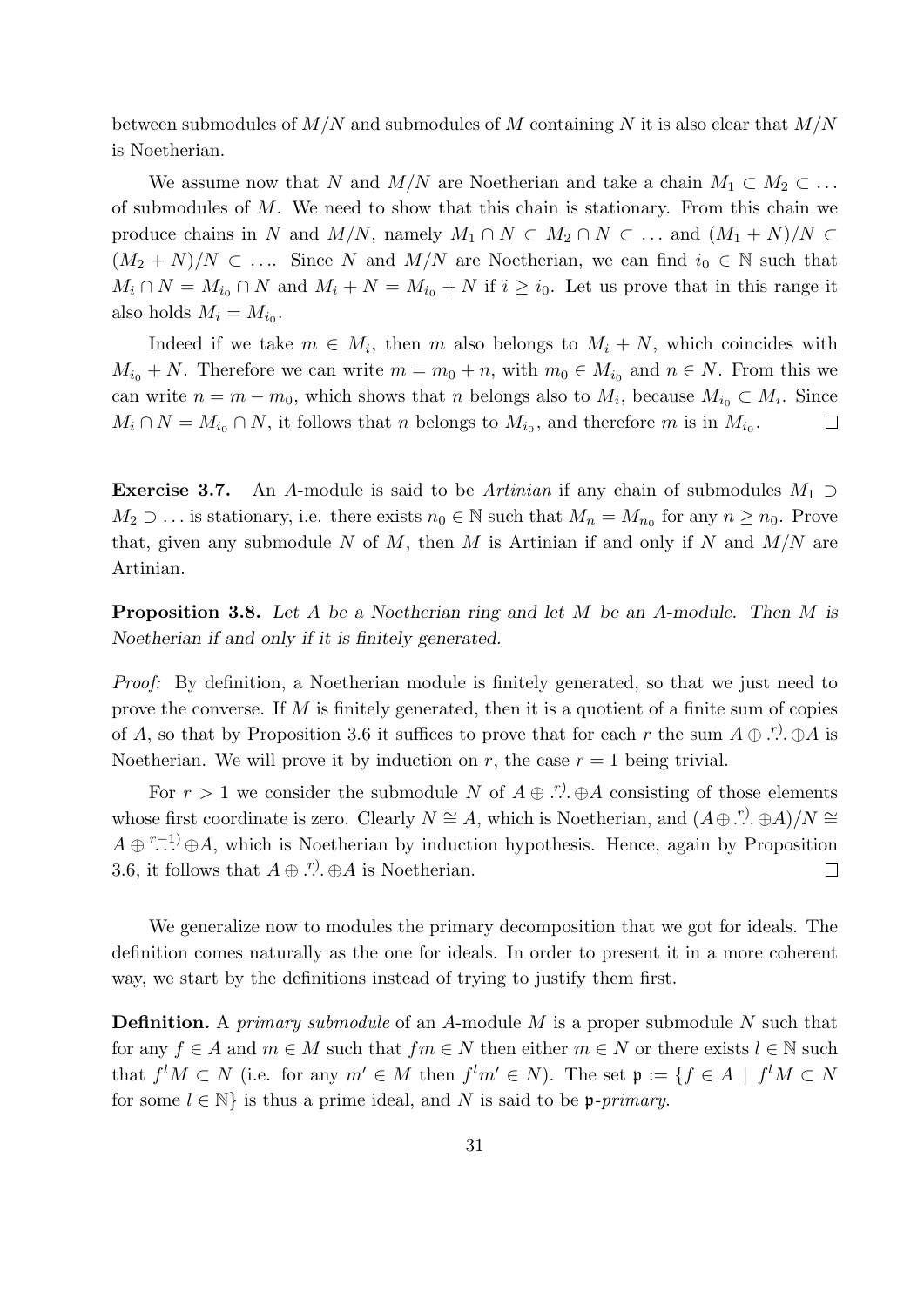between submodules of  $M/N$  and submodules of M containing N it is also clear that  $M/N$ is Noetherian.

We assume now that N and  $M/N$  are Noetherian and take a chain  $M_1 \subset M_2 \subset \ldots$ of submodules of  $M$ . We need to show that this chain is stationary. From this chain we produce chains in N and  $M/N$ , namely  $M_1 \cap N \subset M_2 \cap N \subset \ldots$  and  $(M_1 + N)/N \subset$  $(M_2 + N)/N \subset \ldots$  Since N and  $M/N$  are Noetherian, we can find  $i_0 \in \mathbb{N}$  such that  $M_i \cap N = M_{i_0} \cap N$  and  $M_i + N = M_{i_0} + N$  if  $i \geq i_0$ . Let us prove that in this range it also holds  $M_i = M_{i_0}$ .

Indeed if we take  $m \in M_i$ , then m also belongs to  $M_i + N$ , which coincides with  $M_{i_0} + N$ . Therefore we can write  $m = m_0 + n$ , with  $m_0 \in M_{i_0}$  and  $n \in N$ . From this we can write  $n = m - m_0$ , which shows that n belongs also to  $M_i$ , because  $M_{i_0} \subset M_i$ . Since  $M_i \cap N = M_{i_0} \cap N$ , it follows that n belongs to  $M_{i_0}$ , and therefore m is in  $M_{i_0}$ .  $\Box$ 

**Exercise 3.7.** An A-module is said to be Artinian if any chain of submodules  $M_1 \supset$  $M_2 \supset \dots$  is stationary, i.e. there exists  $n_0 \in \mathbb{N}$  such that  $M_n = M_{n_0}$  for any  $n \ge n_0$ . Prove that, given any submodule N of M, then M is Artinian if and only if N and  $M/N$  are Artinian.

**Proposition 3.8.** Let A be a Noetherian ring and let M be an A-module. Then M is Noetherian if and only if it is finitely generated.

Proof: By definition, a Noetherian module is finitely generated, so that we just need to prove the converse. If  $M$  is finitely generated, then it is a quotient of a finite sum of copies of A, so that by Proposition 3.6 it suffices to prove that for each r the sum  $A \oplus \ldots \oplus A$  is Noetherian. We will prove it by induction on r, the case  $r = 1$  being trivial.

For  $r > 1$  we consider the submodule N of  $A \oplus r$ .  $\oplus A$  consisting of those elements whose first coordinate is zero. Clearly  $N \cong A$ , which is Noetherian, and  $(A \oplus \ldots \oplus A)/N \cong A$  $A \oplus$ <sup>r-1)</sup>  $\oplus$  A, which is Noetherian by induction hypothesis. Hence, again by Proposition 3.6, it follows that  $A \oplus \ldots$   $A \oplus A$  is Noetherian.  $\Box$ 

We generalize now to modules the primary decomposition that we got for ideals. The definition comes naturally as the one for ideals. In order to present it in a more coherent way, we start by the definitions instead of trying to justify them first.

**Definition.** A primary submodule of an A-module M is a proper submodule N such that for any  $f \in A$  and  $m \in M$  such that  $fm \in N$  then either  $m \in N$  or there exists  $l \in \mathbb{N}$  such that  $f^lM\subset N$  (i.e. for any  $m'\in M$  then  $f^lm'\in N$ ). The set  $\mathfrak{p}:=\{f\in A\mid f^lM\subset N\}$ for some  $l \in \mathbb{N}$  is thus a prime ideal, and N is said to be p-primary.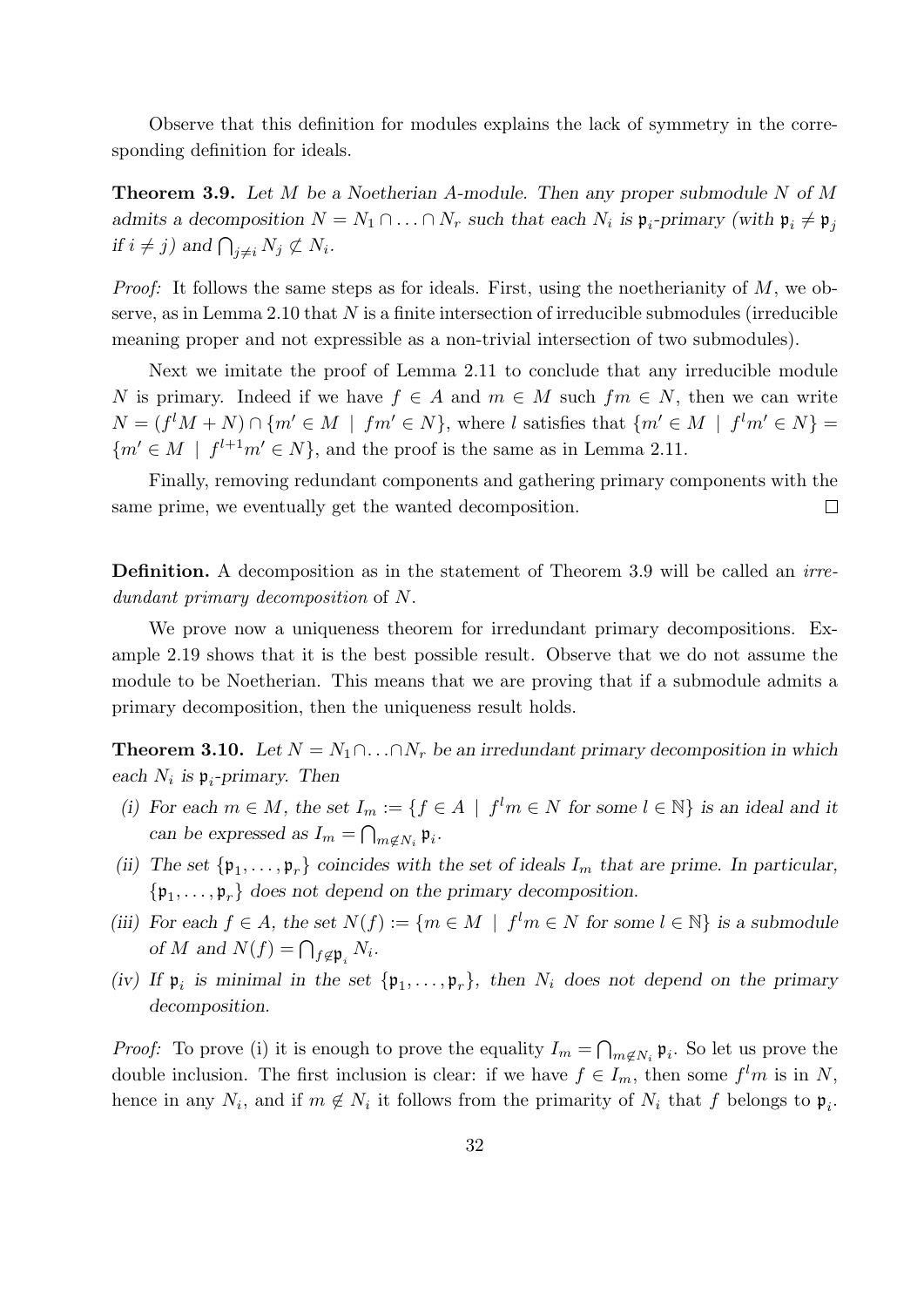Observe that this definition for modules explains the lack of symmetry in the corresponding definition for ideals.

**Theorem 3.9.** Let  $M$  be a Noetherian A-module. Then any proper submodule  $N$  of  $M$ admits a decomposition  $N = N_1 \cap ... \cap N_r$  such that each  $N_i$  is  $\mathfrak{p}_i$ -primary (with  $\mathfrak{p}_i \neq \mathfrak{p}_j$ if  $i \neq j$ ) and  $\bigcap_{j \neq i} N_j \not\subset N_i$ .

*Proof:* It follows the same steps as for ideals. First, using the noetherianity of  $M$ , we observe, as in Lemma 2.10 that  $N$  is a finite intersection of irreducible submodules (irreducible meaning proper and not expressible as a non-trivial intersection of two submodules).

Next we imitate the proof of Lemma 2.11 to conclude that any irreducible module N is primary. Indeed if we have  $f \in A$  and  $m \in M$  such  $fm \in N$ , then we can write  $N = (f^lM + N) \cap \{m' \in M \mid fm' \in N\}$ , where l satisfies that  $\{m' \in M \mid f^l m' \in N\}$  ${m' \in M \mid f^{l+1}m' \in N}$ , and the proof is the same as in Lemma 2.11.

Finally, removing redundant components and gathering primary components with the same prime, we eventually get the wanted decomposition.  $\Box$ 

Definition. A decomposition as in the statement of Theorem 3.9 will be called an irredundant primary decomposition of N.

We prove now a uniqueness theorem for irredundant primary decompositions. Example 2.19 shows that it is the best possible result. Observe that we do not assume the module to be Noetherian. This means that we are proving that if a submodule admits a primary decomposition, then the uniqueness result holds.

**Theorem 3.10.** Let  $N = N_1 \cap \ldots \cap N_r$  be an irredundant primary decomposition in which each  $N_i$  is  $\mathfrak{p}_i$ -primary. Then

- (i) For each  $m \in M$ , the set  $I_m := \{ f \in A \mid f^l m \in N \text{ for some } l \in \mathbb{N} \}$  is an ideal and it can be expressed as  $I_m = \bigcap_{m \notin N_i} \mathfrak{p}_i$ .
- (ii) The set  $\{\mathfrak{p}_1,\ldots,\mathfrak{p}_r\}$  coincides with the set of ideals  $I_m$  that are prime. In particular,  $\{\mathfrak{p}_1,\ldots,\mathfrak{p}_r\}$  does not depend on the primary decomposition.
- (iii) For each  $f \in A$ , the set  $N(f) := \{ m \in M \mid f^l m \in N \text{ for some } l \in \mathbb{N} \}$  is a submodule of M and  $N(f) = \bigcap_{f \notin \mathfrak{p}_i} N_i$ .
- (iv) If  $\mathfrak{p}_i$  is minimal in the set  $\{\mathfrak{p}_1,\ldots,\mathfrak{p}_r\}$ , then  $N_i$  does not depend on the primary decomposition.

*Proof:* To prove (i) it is enough to prove the equality  $I_m = \bigcap_{m \notin N_i} \mathfrak{p}_i$ . So let us prove the double inclusion. The first inclusion is clear: if we have  $f \in I_m$ , then some  $f^l m$  is in N, hence in any  $N_i$ , and if  $m \notin N_i$  it follows from the primarity of  $N_i$  that f belongs to  $\mathfrak{p}_i$ .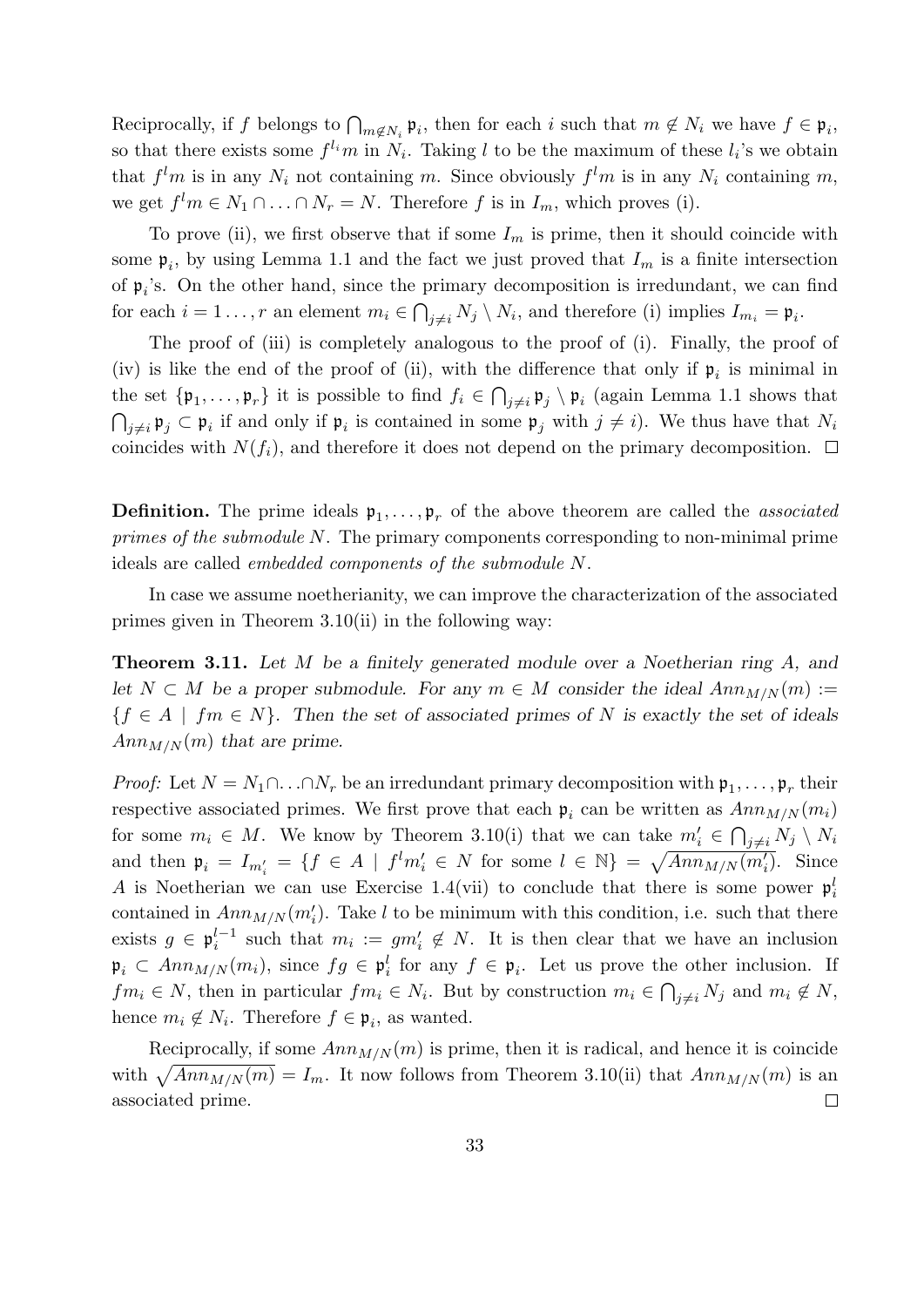Reciprocally, if f belongs to  $\bigcap_{m \notin N_i} \mathfrak{p}_i$ , then for each i such that  $m \notin N_i$  we have  $f \in \mathfrak{p}_i$ , so that there exists some  $f^{l_i}m$  in  $N_i$ . Taking l to be the maximum of these  $l_i$ 's we obtain that  $f^l m$  is in any  $N_i$  not containing m. Since obviously  $f^l m$  is in any  $N_i$  containing m, we get  $f^l m \in N_1 \cap \ldots \cap N_r = N$ . Therefore f is in  $I_m$ , which proves (i).

To prove (ii), we first observe that if some  $I_m$  is prime, then it should coincide with some  $\mathfrak{p}_i$ , by using Lemma 1.1 and the fact we just proved that  $I_m$  is a finite intersection of  $\mathfrak{p}_i$ 's. On the other hand, since the primary decomposition is irredundant, we can find for each  $i = 1 \ldots, r$  an element  $m_i \in \bigcap_{j \neq i} N_j \setminus N_i$ , and therefore (i) implies  $I_{m_i} = \mathfrak{p}_i$ .

The proof of (iii) is completely analogous to the proof of (i). Finally, the proof of (iv) is like the end of the proof of (ii), with the difference that only if  $\mathfrak{p}_i$  is minimal in the set  $\{\mathfrak{p}_1,\ldots,\mathfrak{p}_r\}$  it is possible to find  $f_i \in \bigcap_{j\neq i} \mathfrak{p}_j \setminus \mathfrak{p}_i$  (again Lemma 1.1 shows that  $\bigcap_{j\neq i} \mathfrak{p}_j \subset \mathfrak{p}_i$  if and only if  $\mathfrak{p}_i$  is contained in some  $\mathfrak{p}_j$  with  $j\neq i$ ). We thus have that  $N_i$ coincides with  $N(f_i)$ , and therefore it does not depend on the primary decomposition.  $\Box$ 

**Definition.** The prime ideals  $\mathfrak{p}_1, \ldots, \mathfrak{p}_r$  of the above theorem are called the *associated* primes of the submodule N. The primary components corresponding to non-minimal prime ideals are called embedded components of the submodule N.

In case we assume noetherianity, we can improve the characterization of the associated primes given in Theorem 3.10(ii) in the following way:

**Theorem 3.11.** Let M be a finitely generated module over a Noetherian ring A, and let  $N \subset M$  be a proper submodule. For any  $m \in M$  consider the ideal  $Ann_{M/N}(m) :=$  ${f \in A \mid fm \in N}$ . Then the set of associated primes of N is exactly the set of ideals  $Ann_{M/N}(m)$  that are prime.

*Proof:* Let  $N = N_1 \cap ... \cap N_r$  be an irredundant primary decomposition with  $\mathfrak{p}_1, ..., \mathfrak{p}_r$  their respective associated primes. We first prove that each  $p_i$  can be written as  $Ann_{M/N}(m_i)$ for some  $m_i \in M$ . We know by Theorem 3.10(i) that we can take  $m'_i \in \bigcap_{j \neq i} N_j \setminus N_i$ and then  $\mathfrak{p}_i = I_{m'_i} = \{f \in A \mid f^l m'_i \in N \text{ for some } l \in \mathbb{N}\} = \sqrt{Ann_{M/N}(m'_i)}$ . Since A is Noetherian we can use Exercise 1.4(vii) to conclude that there is some power  $\mathfrak{p}_i^l$ contained in  $Ann_{M/N}(m'_i)$ . Take l to be minimum with this condition, i.e. such that there exists  $g \in \mathfrak{p}_i^{l-1}$  $i_i^{l-1}$  such that  $m_i := gm'_i \notin N$ . It is then clear that we have an inclusion  $\mathfrak{p}_i \subset Ann_{M/N}(m_i)$ , since  $fg \in \mathfrak{p}_i^l$  for any  $f \in \mathfrak{p}_i$ . Let us prove the other inclusion. If  $fm_i \in N$ , then in particular  $fm_i \in N_i$ . But by construction  $m_i \in \bigcap_{j \neq i} N_j$  and  $m_i \notin N$ , hence  $m_i \notin N_i$ . Therefore  $f \in \mathfrak{p}_i$ , as wanted.

Reciprocally, if some  $Ann_{M/N}(m)$  is prime, then it is radical, and hence it is coincide with  $\sqrt{Ann_{M/N}(m)} = I_m$ . It now follows from Theorem 3.10(ii) that  $Ann_{M/N}(m)$  is an associated prime.  $\Box$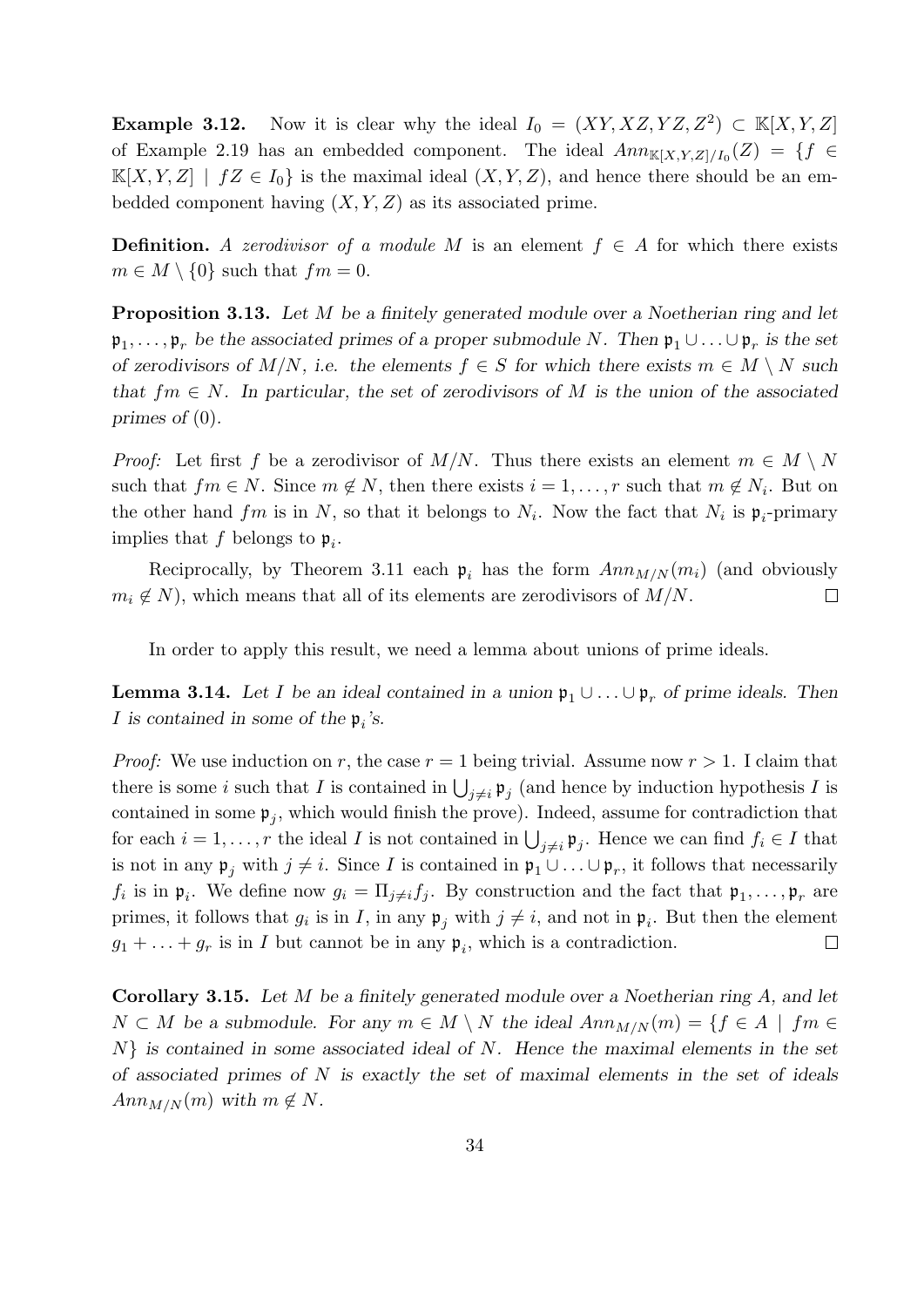**Example 3.12.** Now it is clear why the ideal  $I_0 = (XY, XZ, YZ, Z^2) \subset \mathbb{K}[X, Y, Z]$ of Example 2.19 has an embedded component. The ideal  $Ann_{\mathbb{K}[X,Y,Z]/I_0}(Z) = \{f \in$  $\mathbb{K}[X, Y, Z] \mid fZ \in I_0$  is the maximal ideal  $(X, Y, Z)$ , and hence there should be an embedded component having  $(X, Y, Z)$  as its associated prime.

**Definition.** A zerodivisor of a module M is an element  $f \in A$  for which there exists  $m \in M \setminus \{0\}$  such that  $fm = 0$ .

**Proposition 3.13.** Let M be a finitely generated module over a Noetherian ring and let  $\mathfrak{p}_1,\ldots,\mathfrak{p}_r$  be the associated primes of a proper submodule N. Then  $\mathfrak{p}_1\cup\ldots\cup\mathfrak{p}_r$  is the set of zerodivisors of  $M/N$ , i.e. the elements  $f \in S$  for which there exists  $m \in M \setminus N$  such that  $fm \in N$ . In particular, the set of zerodivisors of M is the union of the associated primes of (0).

*Proof:* Let first f be a zerodivisor of  $M/N$ . Thus there exists an element  $m \in M \setminus N$ such that  $fm \in N$ . Since  $m \notin N$ , then there exists  $i = 1, \ldots, r$  such that  $m \notin N_i$ . But on the other hand  $fm$  is in N, so that it belongs to  $N_i$ . Now the fact that  $N_i$  is  $\mathfrak{p}_i$ -primary implies that f belongs to  $\mathfrak{p}_i$ .

Reciprocally, by Theorem 3.11 each  $p_i$  has the form  $Ann_{M/N}(m_i)$  (and obviously  $m_i \notin N$ , which means that all of its elements are zerodivisors of  $M/N$ .  $\Box$ 

In order to apply this result, we need a lemma about unions of prime ideals.

**Lemma 3.14.** Let I be an ideal contained in a union  $\mathfrak{p}_1 \cup \ldots \cup \mathfrak{p}_r$  of prime ideals. Then *I* is contained in some of the  $\mathfrak{p}_i$ 's.

*Proof:* We use induction on r, the case  $r = 1$  being trivial. Assume now  $r > 1$ . I claim that there is some i such that I is contained in  $\bigcup_{j\neq i} \mathfrak{p}_j$  (and hence by induction hypothesis I is contained in some  $\mathfrak{p}_j$ , which would finish the prove). Indeed, assume for contradiction that for each  $i = 1, \ldots, r$  the ideal I is not contained in  $\bigcup_{j \neq i} \mathfrak{p}_j$ . Hence we can find  $f_i \in I$  that is not in any  $\mathfrak{p}_j$  with  $j \neq i$ . Since I is contained in  $\mathfrak{p}_1 \cup \ldots \cup \mathfrak{p}_r$ , it follows that necessarily  $f_i$  is in  $\mathfrak{p}_i$ . We define now  $g_i = \prod_{j \neq i} f_j$ . By construction and the fact that  $\mathfrak{p}_1, \ldots, \mathfrak{p}_r$  are primes, it follows that  $g_i$  is in I, in any  $\mathfrak{p}_j$  with  $j \neq i$ , and not in  $\mathfrak{p}_i$ . But then the element  $g_1 + \ldots + g_r$  is in I but cannot be in any  $\mathfrak{p}_i$ , which is a contradiction.  $\Box$ 

Corollary 3.15. Let M be a finitely generated module over a Noetherian ring A, and let  $N \subset M$  be a submodule. For any  $m \in M \setminus N$  the ideal  $Ann_{M/N}(m) = \{f \in A \mid fm \in N\}$  $N\}$  is contained in some associated ideal of N. Hence the maximal elements in the set of associated primes of  $N$  is exactly the set of maximal elements in the set of ideals  $Ann_{M/N}(m)$  with  $m \notin N$ .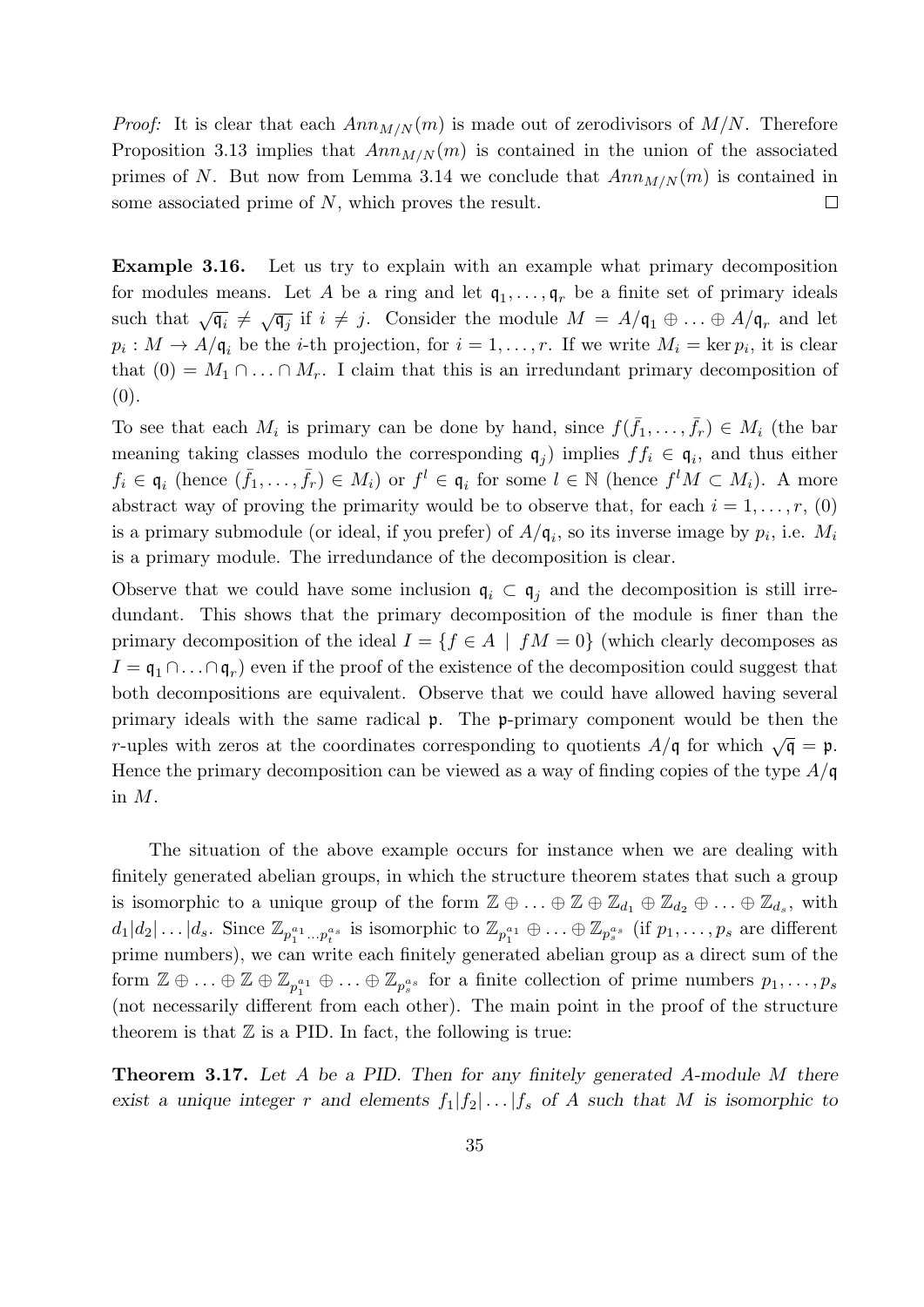*Proof:* It is clear that each  $Ann_{M/N}(m)$  is made out of zerodivisors of  $M/N$ . Therefore Proposition 3.13 implies that  $Ann_{M/N}(m)$  is contained in the union of the associated primes of N. But now from Lemma 3.14 we conclude that  $Ann_{M/N}(m)$  is contained in some associated prime of N, which proves the result.  $\Box$ 

Example 3.16. Let us try to explain with an example what primary decomposition for modules means. Let A be a ring and let  $q_1, \ldots, q_r$  be a finite set of primary ideals such that  $\sqrt{\mathfrak{q}_i} \neq \sqrt{\mathfrak{q}_j}$  if  $i \neq j$ . Consider the module  $M = A/\mathfrak{q}_1 \oplus \ldots \oplus A/\mathfrak{q}_r$  and let  $p_i: M \to A/\mathfrak{q}_i$  be the *i*-th projection, for  $i = 1, \ldots, r$ . If we write  $M_i = \ker p_i$ , it is clear that  $(0) = M_1 \cap ... \cap M_r$ . I claim that this is an irredundant primary decomposition of (0).

To see that each  $M_i$  is primary can be done by hand, since  $f(\bar{f}_1,\ldots,\bar{f}_r) \in M_i$  (the bar meaning taking classes modulo the corresponding  $q_j$  implies  $ff_i \in q_i$ , and thus either  $f_i \in \mathfrak{q}_i$  (hence  $(\bar{f}_1,\ldots,\bar{f}_r) \in M_i$ ) or  $f^l \in \mathfrak{q}_i$  for some  $l \in \mathbb{N}$  (hence  $f^l M \subset M_i$ ). A more abstract way of proving the primarity would be to observe that, for each  $i = 1, \ldots, r, (0)$ is a primary submodule (or ideal, if you prefer) of  $A/\mathfrak{q}_i$ , so its inverse image by  $p_i$ , i.e.  $M_i$ is a primary module. The irredundance of the decomposition is clear.

Observe that we could have some inclusion  $\mathfrak{q}_i \subset \mathfrak{q}_j$  and the decomposition is still irredundant. This shows that the primary decomposition of the module is finer than the primary decomposition of the ideal  $I = \{f \in A \mid fM = 0\}$  (which clearly decomposes as  $I = \mathfrak{q}_1 \cap \ldots \cap \mathfrak{q}_r$  even if the proof of the existence of the decomposition could suggest that both decompositions are equivalent. Observe that we could have allowed having several primary ideals with the same radical p. The p-primary component would be then the r-uples with zeros at the coordinates corresponding to quotients  $A/\mathfrak{q}$  for which  $\sqrt{\mathfrak{q}} = \mathfrak{p}$ . Hence the primary decomposition can be viewed as a way of finding copies of the type  $A/\mathfrak{q}$ in M.

The situation of the above example occurs for instance when we are dealing with finitely generated abelian groups, in which the structure theorem states that such a group is isomorphic to a unique group of the form  $\mathbb{Z} \oplus ... \oplus \mathbb{Z} \oplus \mathbb{Z}_{d_1} \oplus \mathbb{Z}_{d_2} \oplus ... \oplus \mathbb{Z}_{d_s}$ , with  $d_1|d_2|\ldots|d_s$ . Since  $\mathbb{Z}_{p_1^{a_1}\ldots p_t^{a_s}}$  is isomorphic to  $\mathbb{Z}_{p_1^{a_1}}\oplus\ldots\oplus\mathbb{Z}_{p_s^{a_s}}$  (if  $p_1,\ldots,p_s$  are different prime numbers), we can write each finitely generated abelian group as a direct sum of the form  $\mathbb{Z} \oplus \ldots \oplus \mathbb{Z} \oplus \mathbb{Z}_{p_1^{a_1}} \oplus \ldots \oplus \mathbb{Z}_{p_s^{a_s}}$  for a finite collection of prime numbers  $p_1, \ldots, p_s$ (not necessarily different from each other). The main point in the proof of the structure theorem is that  $\mathbb Z$  is a PID. In fact, the following is true:

**Theorem 3.17.** Let A be a PID. Then for any finitely generated A-module M there exist a unique integer r and elements  $f_1|f_2|...|f_s$  of A such that M is isomorphic to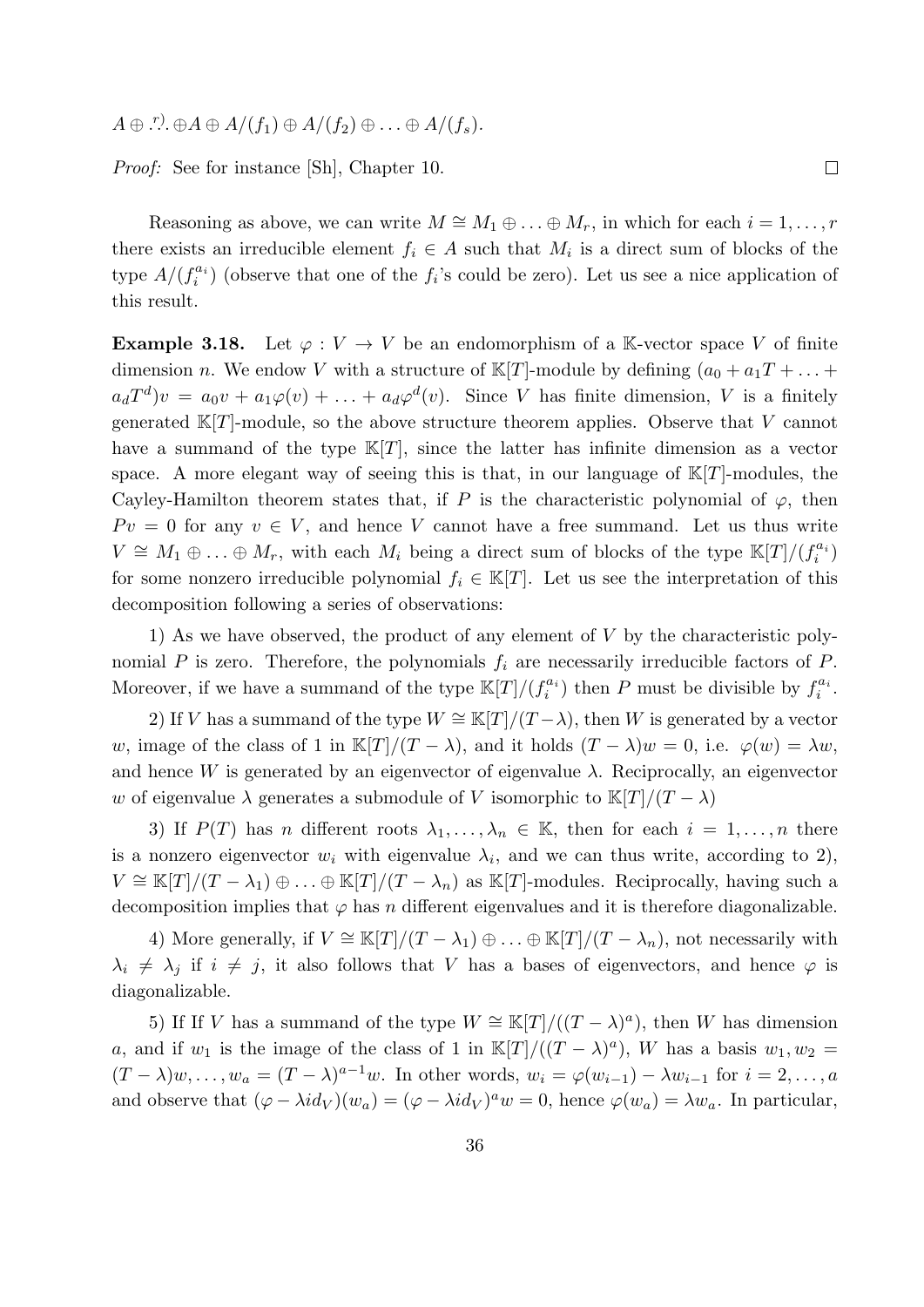$A \oplus \overset{r}{\ldots} \oplus A \oplus A/(f_1) \oplus A/(f_2) \oplus \ldots \oplus A/(f_s).$ 

Proof: See for instance [Sh], Chapter 10.

Reasoning as above, we can write  $M \cong M_1 \oplus \ldots \oplus M_r$ , in which for each  $i = 1, \ldots, r$ there exists an irreducible element  $f_i \in A$  such that  $M_i$  is a direct sum of blocks of the type  $A/(f_i^{a_i})$  (observe that one of the  $f_i$ 's could be zero). Let us see a nice application of this result.

 $\Box$ 

**Example 3.18.** Let  $\varphi: V \to V$  be an endomorphism of a K-vector space V of finite dimension n. We endow V with a structure of  $\mathbb{K}[T]$ -module by defining  $(a_0 + a_1T + ... +$  $a_dT^d$ ) $v = a_0v + a_1\varphi(v) + \ldots + a_d\varphi^d(v)$ . Since V has finite dimension, V is a finitely generated  $\mathbb{K}[T]$ -module, so the above structure theorem applies. Observe that V cannot have a summand of the type  $\mathbb{K}[T]$ , since the latter has infinite dimension as a vector space. A more elegant way of seeing this is that, in our language of  $K[T]$ -modules, the Cayley-Hamilton theorem states that, if P is the characteristic polynomial of  $\varphi$ , then  $P v = 0$  for any  $v \in V$ , and hence V cannot have a free summand. Let us thus write  $V \cong M_1 \oplus \ldots \oplus M_r$ , with each  $M_i$  being a direct sum of blocks of the type  $\mathbb{K}[T]/(f_i^{a_i})$ for some nonzero irreducible polynomial  $f_i \in \mathbb{K}[T]$ . Let us see the interpretation of this decomposition following a series of observations:

1) As we have observed, the product of any element of  $V$  by the characteristic polynomial P is zero. Therefore, the polynomials  $f_i$  are necessarily irreducible factors of P. Moreover, if we have a summand of the type  $\mathbb{K}[T]/(f_i^{a_i})$  then P must be divisible by  $f_i^{a_i}$ .

2) If V has a summand of the type  $W \cong \mathbb{K}[T]/(T-\lambda)$ , then W is generated by a vector w, image of the class of 1 in K[T]/(T –  $\lambda$ ), and it holds  $(T - \lambda)w = 0$ , i.e.  $\varphi(w) = \lambda w$ , and hence W is generated by an eigenvector of eigenvalue  $\lambda$ . Reciprocally, an eigenvector w of eigenvalue  $\lambda$  generates a submodule of V isomorphic to  $\mathbb{K}[T]/(T - \lambda)$ 

3) If  $P(T)$  has n different roots  $\lambda_1, \ldots, \lambda_n \in \mathbb{K}$ , then for each  $i = 1, \ldots, n$  there is a nonzero eigenvector  $w_i$  with eigenvalue  $\lambda_i$ , and we can thus write, according to 2),  $V \cong \mathbb{K}[T]/(T-\lambda_1) \oplus \ldots \oplus \mathbb{K}[T]/(T-\lambda_n)$  as  $\mathbb{K}[T]$ -modules. Reciprocally, having such a decomposition implies that  $\varphi$  has n different eigenvalues and it is therefore diagonalizable.

4) More generally, if  $V \cong \mathbb{K}[T]/(T-\lambda_1) \oplus \ldots \oplus \mathbb{K}[T]/(T-\lambda_n)$ , not necessarily with  $\lambda_i \neq \lambda_j$  if  $i \neq j$ , it also follows that V has a bases of eigenvectors, and hence  $\varphi$  is diagonalizable.

5) If If V has a summand of the type  $W \cong \mathbb{K}[T]/((T - \lambda)^a)$ , then W has dimension a, and if  $w_1$  is the image of the class of 1 in  $\mathbb{K}[T]/((T - \lambda)^a)$ , W has a basis  $w_1, w_2 =$  $(T - \lambda)w, \ldots, w_a = (T - \lambda)^{a-1}w$ . In other words,  $w_i = \varphi(w_{i-1}) - \lambda w_{i-1}$  for  $i = 2, \ldots, a$ and observe that  $(\varphi - \lambda i d_V)(w_a) = (\varphi - \lambda i d_V)^a w = 0$ , hence  $\varphi(w_a) = \lambda w_a$ . In particular,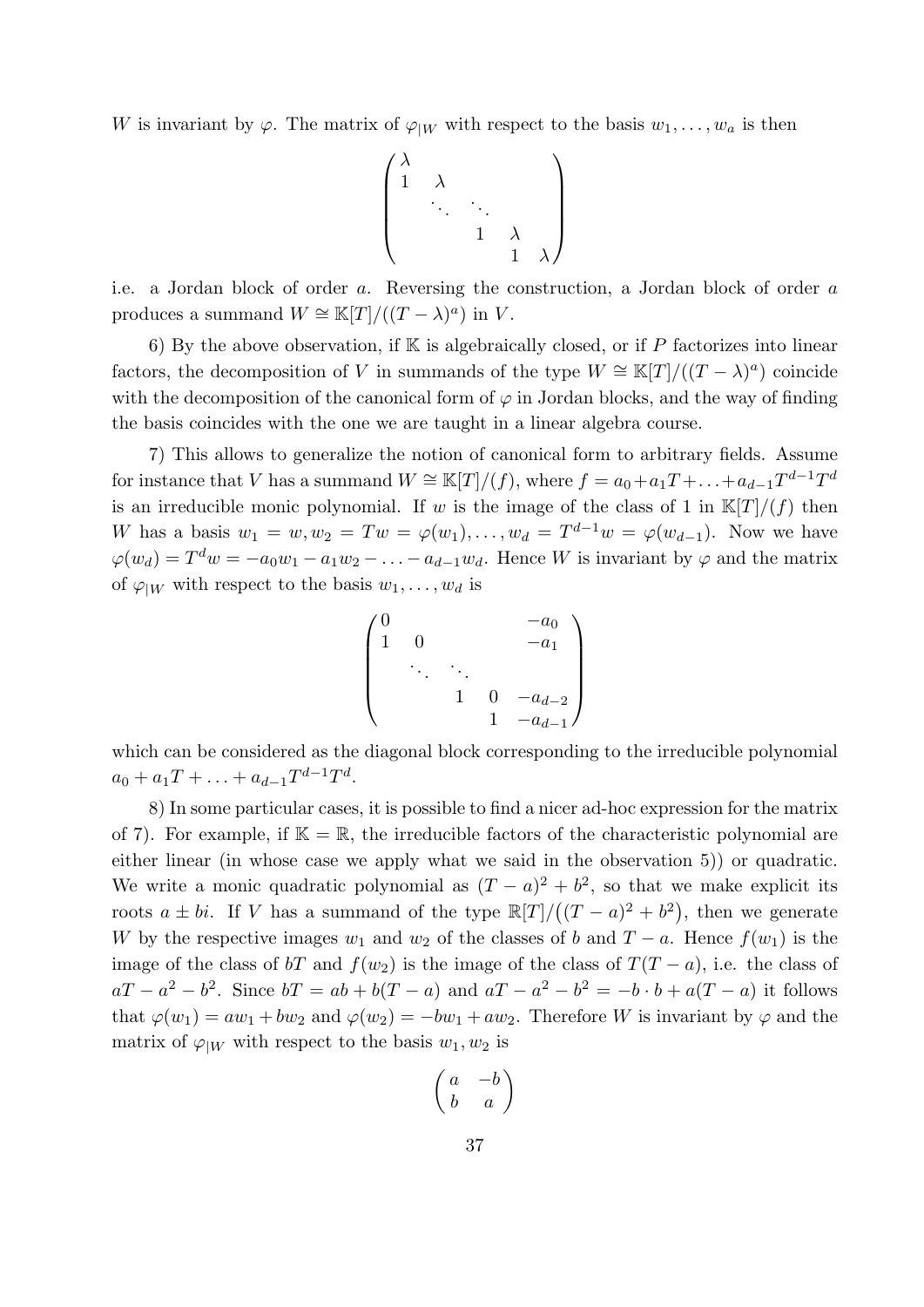W is invariant by  $\varphi$ . The matrix of  $\varphi_{|W}$  with respect to the basis  $w_1, \ldots, w_a$  is then

$$
\begin{pmatrix}\n\lambda & & & & \\
1 & \lambda & & & \\
& \ddots & \ddots & & \\
& & 1 & \lambda & \\
& & & 1 & \lambda\n\end{pmatrix}
$$

i.e. a Jordan block of order a. Reversing the construction, a Jordan block of order a produces a summand  $W \cong \mathbb{K}[T]/((T - \lambda)^a)$  in V.

6) By the above observation, if  $K$  is algebraically closed, or if P factorizes into linear factors, the decomposition of V in summands of the type  $W \cong \mathbb{K}[T]/((T - \lambda)^a)$  coincide with the decomposition of the canonical form of  $\varphi$  in Jordan blocks, and the way of finding the basis coincides with the one we are taught in a linear algebra course.

7) This allows to generalize the notion of canonical form to arbitrary fields. Assume for instance that V has a summand  $W \cong \mathbb{K}[T]/(f)$ , where  $f = a_0 + a_1T + \ldots + a_{d-1}T^{d-1}T^d$ is an irreducible monic polynomial. If w is the image of the class of 1 in  $\mathbb{K}[T]/(f)$  then W has a basis  $w_1 = w, w_2 = Tw = \varphi(w_1), \ldots, w_d = T^{d-1}w = \varphi(w_{d-1}).$  Now we have  $\varphi(w_d) = T^d w = -a_0 w_1 - a_1 w_2 - \ldots - a_{d-1} w_d$ . Hence W is invariant by  $\varphi$  and the matrix of  $\varphi_{|W}$  with respect to the basis  $w_1, \ldots, w_d$  is

$$
\begin{pmatrix} 0 & & & & & -a_0 \\ 1 & 0 & & & & & \\ & \ddots & \ddots & & & \\ & & 1 & 0 & -a_{d-2} \\ & & & 1 & -a_{d-1} \end{pmatrix}
$$

which can be considered as the diagonal block corresponding to the irreducible polynomial  $a_0 + a_1T + \ldots + a_{d-1}T^{d-1}T^d$ .

8) In some particular cases, it is possible to find a nicer ad-hoc expression for the matrix of 7). For example, if  $\mathbb{K} = \mathbb{R}$ , the irreducible factors of the characteristic polynomial are either linear (in whose case we apply what we said in the observation 5)) or quadratic. We write a monic quadratic polynomial as  $(T - a)^2 + b^2$ , so that we make explicit its roots  $a \pm bi$ . If V has a summand of the type  $\mathbb{R}[T]/((T-a)^2 + b^2)$ , then we generate W by the respective images  $w_1$  and  $w_2$  of the classes of b and  $T - a$ . Hence  $f(w_1)$  is the image of the class of bT and  $f(w_2)$  is the image of the class of  $T(T - a)$ , i.e. the class of  $aT - a^2 - b^2$ . Since  $bT = ab + b(T - a)$  and  $aT - a^2 - b^2 = -b \cdot b + a(T - a)$  it follows that  $\varphi(w_1) = aw_1 + bw_2$  and  $\varphi(w_2) = -bw_1 + aw_2$ . Therefore W is invariant by  $\varphi$  and the matrix of  $\varphi_{|W}$  with respect to the basis  $w_1, w_2$  is

$$
\left(\begin{matrix} a & -b \\ b & a \end{matrix}\right)
$$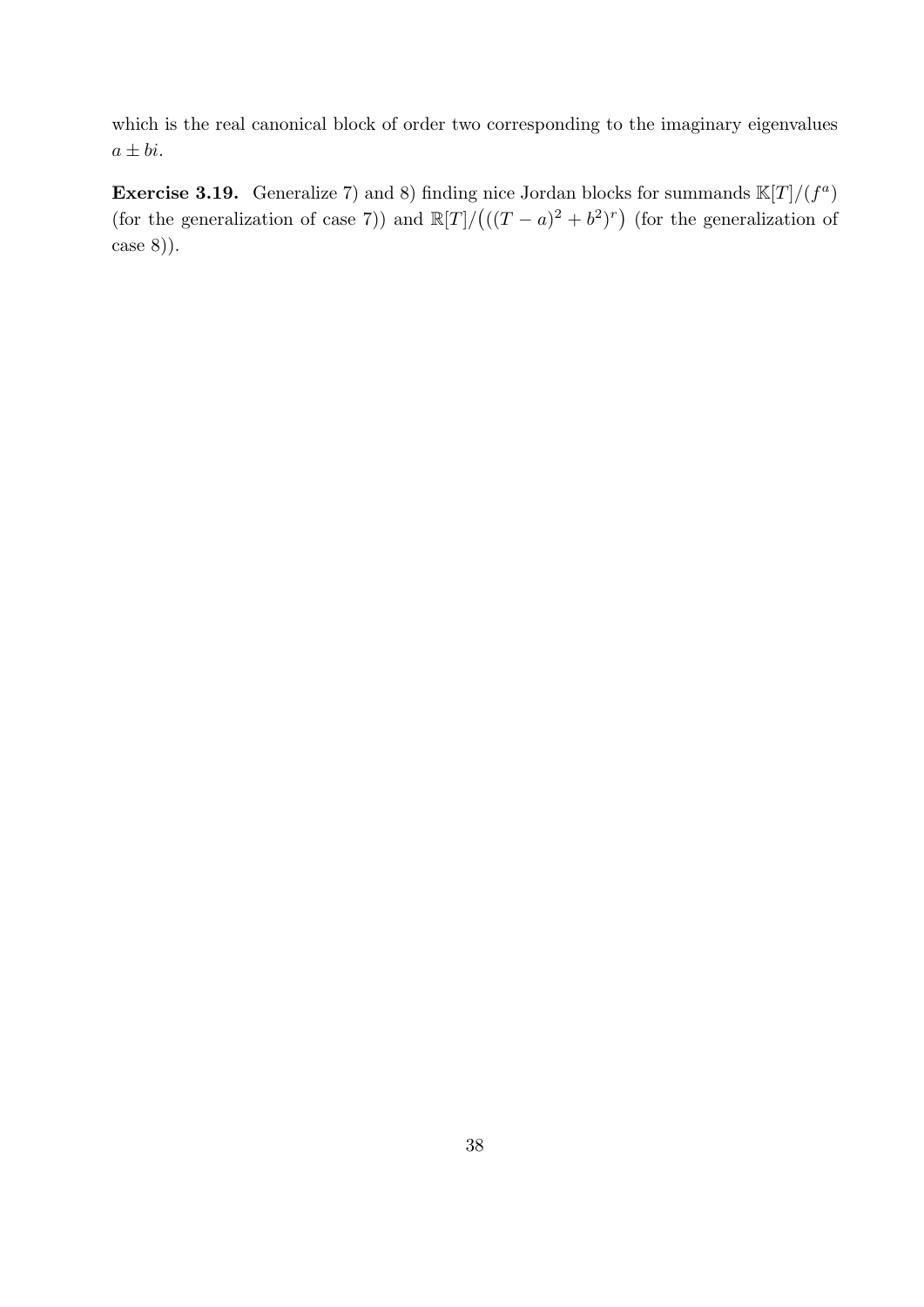which is the real canonical block of order two corresponding to the imaginary eigenvalues  $a \pm bi.$ 

**Exercise 3.19.** Generalize 7) and 8) finding nice Jordan blocks for summands  $\mathbb{K}[T]/(f^a)$ (for the generalization of case 7)) and  $\mathbb{R}[T]/((T-a)^2 + b^2)^r$  (for the generalization of case 8)).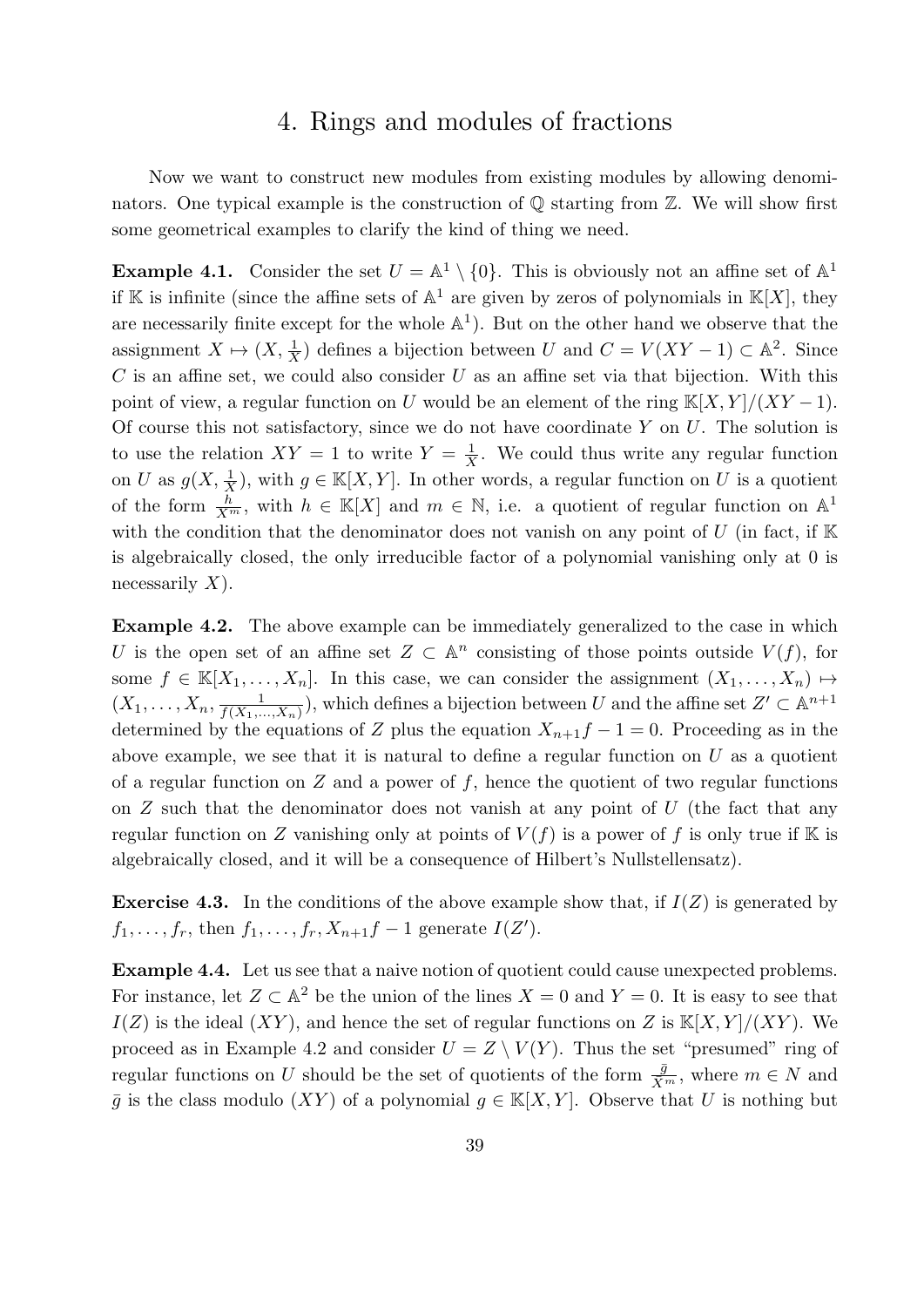# 4. Rings and modules of fractions

Now we want to construct new modules from existing modules by allowing denominators. One typical example is the construction of  $\mathbb Q$  starting from  $\mathbb Z$ . We will show first some geometrical examples to clarify the kind of thing we need.

**Example 4.1.** Consider the set  $U = \mathbb{A}^1 \setminus \{0\}$ . This is obviously not an affine set of  $\mathbb{A}^1$ if K is infinite (since the affine sets of  $\mathbb{A}^1$  are given by zeros of polynomials in  $\mathbb{K}[X]$ , they are necessarily finite except for the whole  $\mathbb{A}^1$ ). But on the other hand we observe that the assignment  $X \mapsto (X, \frac{1}{X})$  defines a bijection between U and  $C = V(XY - 1) \subset \mathbb{A}^2$ . Since  $C$  is an affine set, we could also consider  $U$  as an affine set via that bijection. With this point of view, a regular function on U would be an element of the ring  $K[X, Y]/(XY - 1)$ . Of course this not satisfactory, since we do not have coordinate  $Y$  on  $U$ . The solution is to use the relation  $XY = 1$  to write  $Y = \frac{1}{X}$  $\frac{1}{X}$ . We could thus write any regular function on U as  $g(X, \frac{1}{X})$ , with  $g \in \mathbb{K}[X, Y]$ . In other words, a regular function on U is a quotient of the form  $\frac{h}{X^m}$ , with  $h \in \mathbb{K}[X]$  and  $m \in \mathbb{N}$ , i.e. a quotient of regular function on  $\mathbb{A}^1$ with the condition that the denominator does not vanish on any point of  $U$  (in fact, if  $K$ is algebraically closed, the only irreducible factor of a polynomial vanishing only at 0 is necessarily  $X$ ).

Example 4.2. The above example can be immediately generalized to the case in which U is the open set of an affine set  $Z \subset \mathbb{A}^n$  consisting of those points outside  $V(f)$ , for some  $f \in \mathbb{K}[X_1,\ldots,X_n]$ . In this case, we can consider the assignment  $(X_1,\ldots,X_n) \mapsto$  $(X_1, \ldots, X_n, \frac{1}{f(X_1, \ldots, X_n)})$  $\frac{1}{f(X_1,...,X_n)}$ , which defines a bijection between U and the affine set  $Z' \subset \mathbb{A}^{n+1}$ determined by the equations of Z plus the equation  $X_{n+1}f - 1 = 0$ . Proceeding as in the above example, we see that it is natural to define a regular function on  $U$  as a quotient of a regular function on  $Z$  and a power of  $f$ , hence the quotient of two regular functions on  $Z$  such that the denominator does not vanish at any point of  $U$  (the fact that any regular function on Z vanishing only at points of  $V(f)$  is a power of f is only true if K is algebraically closed, and it will be a consequence of Hilbert's Nullstellensatz).

**Exercise 4.3.** In the conditions of the above example show that, if  $I(Z)$  is generated by  $f_1, \ldots, f_r$ , then  $f_1, \ldots, f_r, X_{n+1}f - 1$  generate  $I(Z')$ .

Example 4.4. Let us see that a naive notion of quotient could cause unexpected problems. For instance, let  $Z \subset \mathbb{A}^2$  be the union of the lines  $X = 0$  and  $Y = 0$ . It is easy to see that  $I(Z)$  is the ideal  $(XY)$ , and hence the set of regular functions on Z is  $\mathbb{K}[X,Y]/(XY)$ . We proceed as in Example 4.2 and consider  $U = Z \setminus V(Y)$ . Thus the set "presumed" ring of regular functions on U should be the set of quotients of the form  $\frac{\bar{g}}{\bar{X}^m}$ , where  $m \in N$  and  $\overline{q}$  is the class modulo  $(XY)$  of a polynomial  $q \in K[X, Y]$ . Observe that U is nothing but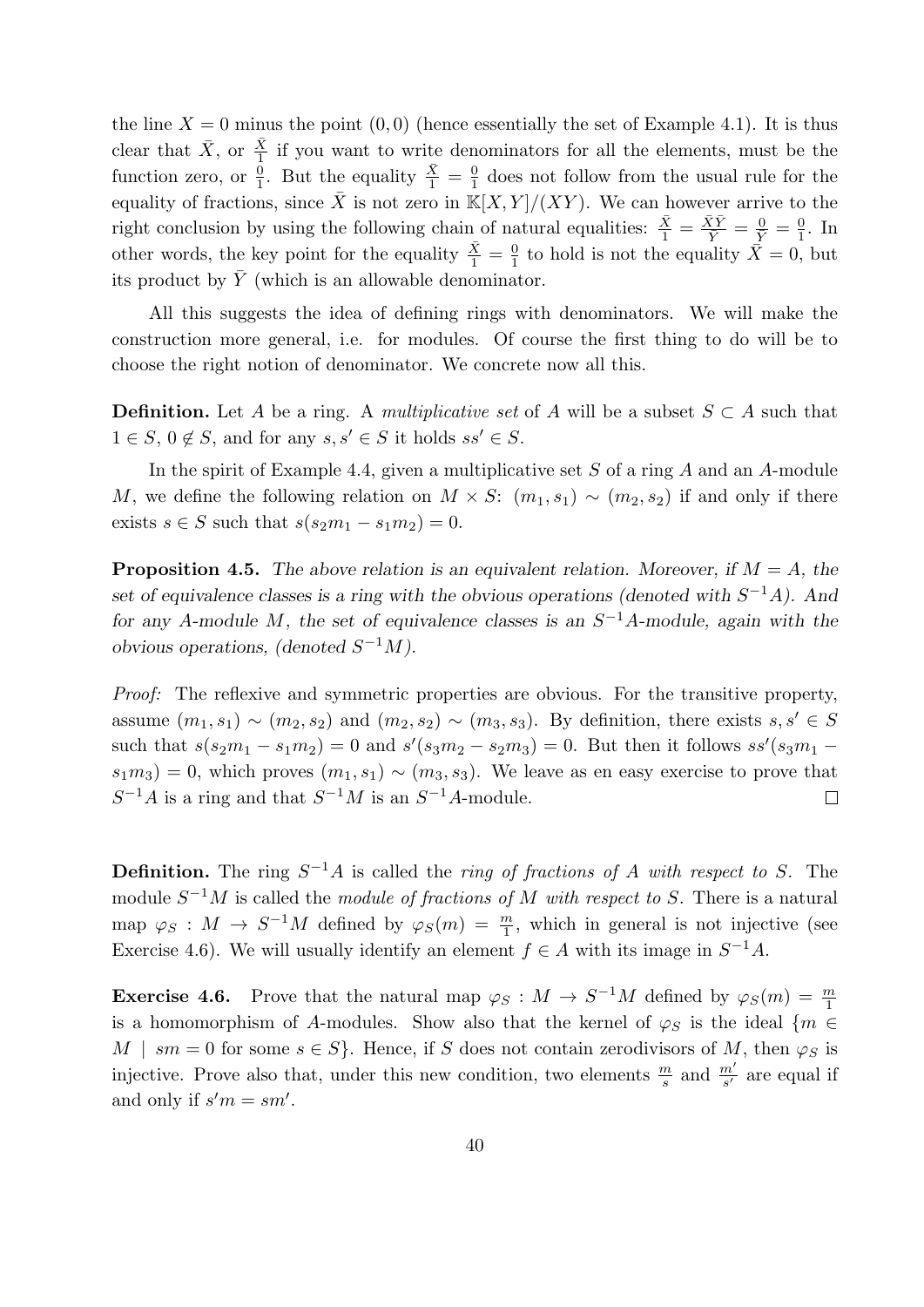the line  $X = 0$  minus the point  $(0, 0)$  (hence essentially the set of Example 4.1). It is thus clear that  $\bar{X}$ , or  $\frac{\bar{X}}{1}$  if you want to write denominators for all the elements, must be the function zero, or  $\frac{0}{1}$ . But the equality  $\frac{\bar{X}}{1} = \frac{0}{1}$  $\frac{0}{1}$  does not follow from the usual rule for the equality of fractions, since  $\overline{X}$  is not zero in  $\mathbb{K}[X, Y]/(XY)$ . We can however arrive to the right conclusion by using the following chain of natural equalities:  $\frac{\bar{X}}{1} = \frac{\bar{X}\bar{Y}}{\bar{Y}} = \frac{0}{\bar{Y}} = \frac{0}{1}$  $\frac{0}{1}$ . In other words, the key point for the equality  $\frac{\bar{X}}{1} = \frac{0}{1}$  $\frac{0}{1}$  to hold is not the equality  $\bar{X} = 0$ , but its product by  $\overline{Y}$  (which is an allowable denominator.

All this suggests the idea of defining rings with denominators. We will make the construction more general, i.e. for modules. Of course the first thing to do will be to choose the right notion of denominator. We concrete now all this.

**Definition.** Let A be a ring. A *multiplicative set* of A will be a subset  $S \subset A$  such that  $1 \in S, 0 \notin S$ , and for any  $s, s' \in S$  it holds  $ss' \in S$ .

In the spirit of Example 4.4, given a multiplicative set  $S$  of a ring  $A$  and an  $A$ -module M, we define the following relation on  $M \times S: (m_1, s_1) \sim (m_2, s_2)$  if and only if there exists  $s \in S$  such that  $s(s_2m_1 - s_1m_2) = 0$ .

**Proposition 4.5.** The above relation is an equivalent relation. Moreover, if  $M = A$ , the set of equivalence classes is a ring with the obvious operations (denoted with  $S^{-1}A$ ). And for any A-module M, the set of equivalence classes is an  $S^{-1}A$ -module, again with the obvious operations, (denoted  $S^{-1}M$ ).

Proof: The reflexive and symmetric properties are obvious. For the transitive property, assume  $(m_1, s_1) \sim (m_2, s_2)$  and  $(m_2, s_2) \sim (m_3, s_3)$ . By definition, there exists  $s, s' \in S$ such that  $s(s_2m_1 - s_1m_2) = 0$  and  $s'(s_3m_2 - s_2m_3) = 0$ . But then it follows  $ss'(s_3m_1 - s_1m_2)$  $s_1m_3$ ) = 0, which proves  $(m_1, s_1) \sim (m_3, s_3)$ . We leave as en easy exercise to prove that  $S^{-1}A$  is a ring and that  $S^{-1}M$  is an  $S^{-1}A$ -module.  $\Box$ 

**Definition.** The ring  $S^{-1}A$  is called the *ring of fractions of A with respect to S*. The module  $S^{-1}M$  is called the module of fractions of M with respect to S. There is a natural map  $\varphi_S : M \to S^{-1}M$  defined by  $\varphi_S(m) = \frac{m}{1}$ , which in general is not injective (see Exercise 4.6). We will usually identify an element  $f \in A$  with its image in  $S^{-1}A$ .

**Exercise 4.6.** Prove that the natural map  $\varphi_S : M \to S^{-1}M$  defined by  $\varphi_S(m) = \frac{m}{1}$ is a homomorphism of A-modules. Show also that the kernel of  $\varphi_S$  is the ideal {m ∈ M | sm = 0 for some  $s \in S$ . Hence, if S does not contain zerodivisors of M, then  $\varphi_S$  is injective. Prove also that, under this new condition, two elements  $\frac{m}{s}$  and  $\frac{m'}{s'}$  are equal if and only if  $s'm = sm'$ .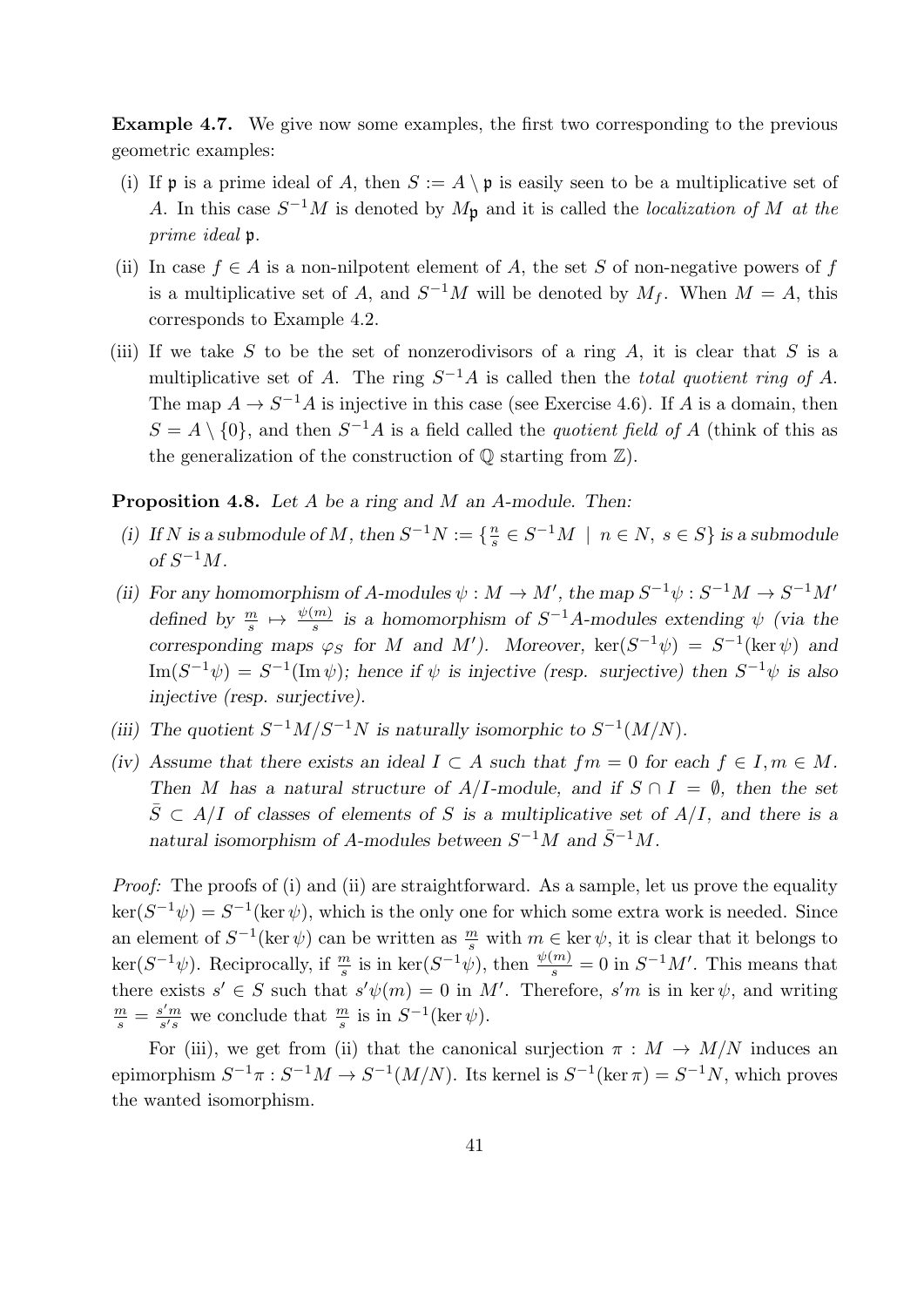Example 4.7. We give now some examples, the first two corresponding to the previous geometric examples:

- (i) If **p** is a prime ideal of A, then  $S := A \setminus \mathfrak{p}$  is easily seen to be a multiplicative set of A. In this case  $S^{-1}M$  is denoted by  $M_{\mathfrak{p}}$  and it is called the *localization of* M at the prime ideal p.
- (ii) In case  $f \in A$  is a non-nilpotent element of A, the set S of non-negative powers of f is a multiplicative set of A, and  $S^{-1}M$  will be denoted by  $M_f$ . When  $M = A$ , this corresponds to Example 4.2.
- (iii) If we take S to be the set of nonzerodivisors of a ring A, it is clear that S is a multiplicative set of A. The ring  $S^{-1}A$  is called then the *total quotient ring of A*. The map  $A \to S^{-1}A$  is injective in this case (see Exercise 4.6). If A is a domain, then  $S = A \setminus \{0\}$ , and then  $S^{-1}A$  is a field called the *quotient field of A* (think of this as the generalization of the construction of  $\mathbb Q$  starting from  $\mathbb Z$ ).

#### Proposition 4.8. Let A be a ring and M an A-module. Then:

- (i) If N is a submodule of M, then  $S^{-1}N := \{\frac{n}{s}\}$  $\frac{n}{s} \in S^{-1}M \mid n \in N, s \in S$  is a submodule of  $S^{-1}M$ .
- (ii) For any homomorphism of A-modules  $\psi : M \to M'$ , the map  $S^{-1}\psi : S^{-1}M \to S^{-1}M'$ defined by  $\frac{m}{s} \mapsto \frac{\psi(m)}{s}$  is a homomorphism of  $S^{-1}A$ -modules extending  $\psi$  (via the corresponding maps  $\varphi_S$  for M and M'). Moreover,  $\ker(S^{-1}\psi) = S^{-1}(\ker \psi)$  and  $\text{Im}(S^{-1}\psi) = S^{-1}(\text{Im }\psi)$ ; hence if  $\psi$  is injective (resp. surjective) then  $S^{-1}\psi$  is also injective (resp. surjective).
- (iii) The quotient  $S^{-1}M/S^{-1}N$  is naturally isomorphic to  $S^{-1}(M/N)$ .
- (iv) Assume that there exists an ideal  $I \subset A$  such that  $fm = 0$  for each  $f \in I, m \in M$ . Then M has a natural structure of  $A/I$ -module, and if  $S \cap I = \emptyset$ , then the set  $\overline{S} \subset A/I$  of classes of elements of S is a multiplicative set of  $A/I$ , and there is a natural isomorphism of A-modules between  $S^{-1}M$  and  $\bar{S}^{-1}M$ .

Proof: The proofs of (i) and (ii) are straightforward. As a sample, let us prove the equality  $\ker(S^{-1}\psi) = S^{-1}(\ker \psi)$ , which is the only one for which some extra work is needed. Since an element of  $S^{-1}(\ker \psi)$  can be written as  $\frac{m}{s}$  with  $m \in \ker \psi$ , it is clear that it belongs to  $\ker(S^{-1}\psi)$ . Reciprocally, if  $\frac{m}{s}$  is in  $\ker(S^{-1}\psi)$ , then  $\frac{\psi(m)}{s} = 0$  in  $S^{-1}M'$ . This means that there exists  $s' \in S$  such that  $s'\psi(m) = 0$  in M'. Therefore,  $s'm$  is in ker  $\psi$ , and writing m  $\frac{m}{s} = \frac{s'm}{s's}$  $\frac{s'm}{s's}$  we conclude that  $\frac{m}{s}$  is in  $S^{-1}(\ker \psi)$ .

For (iii), we get from (ii) that the canonical surjection  $\pi : M \to M/N$  induces an epimorphism  $S^{-1}\pi : S^{-1}M \to S^{-1}(M/N)$ . Its kernel is  $S^{-1}(\ker \pi) = S^{-1}N$ , which proves the wanted isomorphism.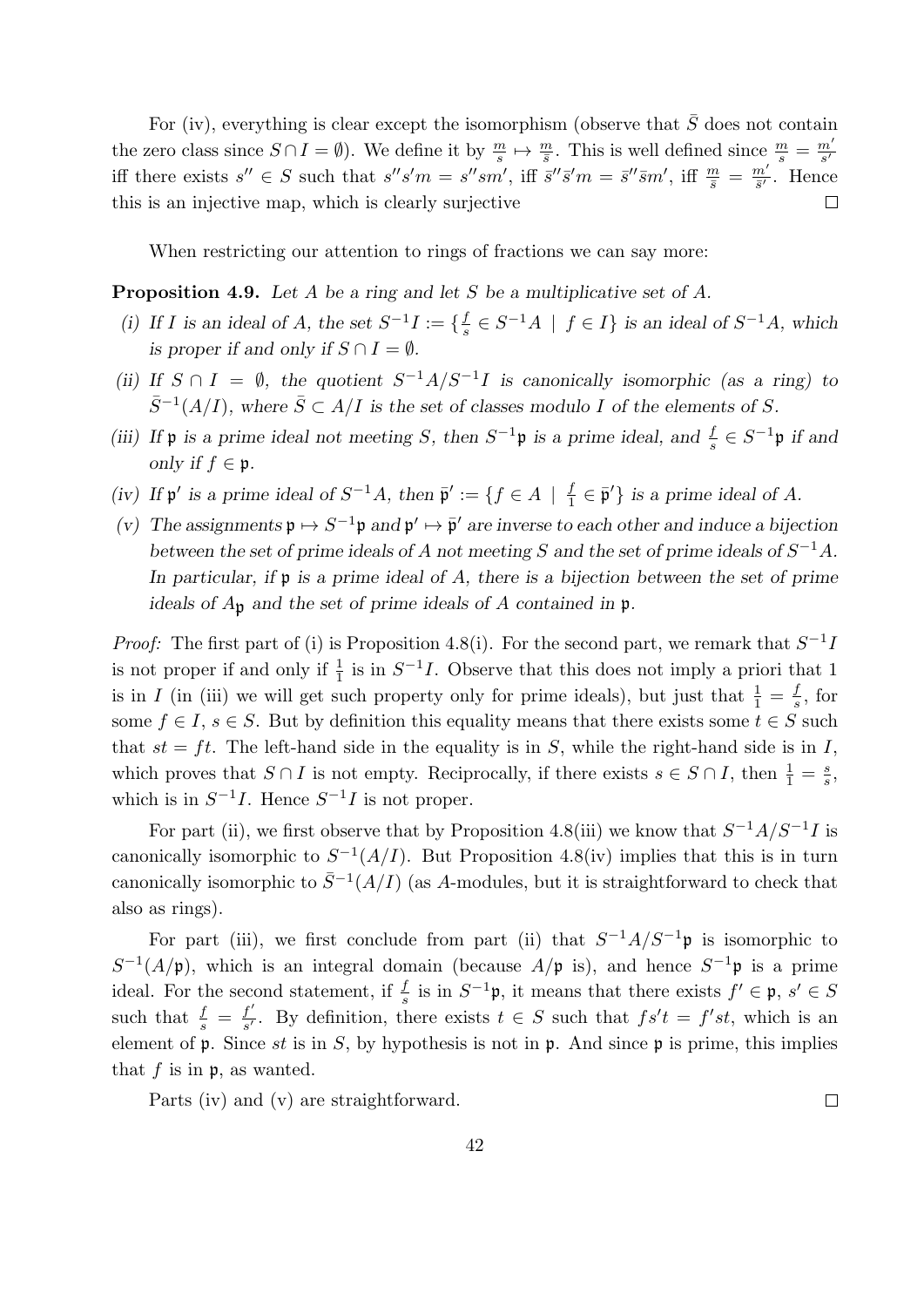For (iv), everything is clear except the isomorphism (observe that  $\overline{S}$  does not contain the zero class since  $S \cap I = \emptyset$ ). We define it by  $\frac{m}{s} \mapsto \frac{m}{s}$ . This is well defined since  $\frac{m}{s} = \frac{m'}{s'}$  $s'$ iff there exists  $s'' \in S$  such that  $s''s'm = s''sm'$ , iff  $\bar{s}''\bar{s}'m = \bar{s}''\bar{s}m'$ , iff  $\frac{m}{\bar{s}} = \frac{m'}{\bar{s}'}$  $\frac{m'}{\bar{s}'}$ . Hence this is an injective map, which is clearly surjective  $\Box$ 

When restricting our attention to rings of fractions we can say more:

**Proposition 4.9.** Let A be a ring and let S be a multiplicative set of A.

- (i) If I is an ideal of A, the set  $S^{-1}I := \{\frac{f}{s}\}$  $\frac{f}{s} \in S^{-1}A \mid f \in I$  is an ideal of  $S^{-1}A$ , which is proper if and only if  $S \cap I = \emptyset$ .
- (ii) If  $S \cap I = \emptyset$ , the quotient  $S^{-1}A/S^{-1}I$  is canonically isomorphic (as a ring) to  $\bar{S}^{-1}(A/I)$ , where  $\bar{S} \subset A/I$  is the set of classes modulo I of the elements of S.
- (iii) If  $\mathfrak p$  is a prime ideal not meeting S, then  $S^{-1}\mathfrak p$  is a prime ideal, and  $\frac{f}{s} \in S^{-1}\mathfrak p$  if and only if  $f \in \mathfrak{p}$ .
- (iv) If  $\mathfrak{p}'$  is a prime ideal of  $S^{-1}A$ , then  $\bar{\mathfrak{p}}' := \{ f \in A \mid \frac{f}{\eta} \}$  $\frac{f}{1} \in \bar{\mathfrak{p}}'$  is a prime ideal of A.
- (v) The assignments  $\mathfrak{p} \mapsto S^{-1} \mathfrak{p}$  and  $\mathfrak{p}' \mapsto \bar{\mathfrak{p}}'$  are inverse to each other and induce a bijection between the set of prime ideals of A not meeting S and the set of prime ideals of  $S^{-1}A$ . In particular, if  $\mathfrak p$  is a prime ideal of A, there is a bijection between the set of prime ideals of  $A_{\mathfrak{p}}$  and the set of prime ideals of A contained in  $\mathfrak{p}$ .

*Proof:* The first part of (i) is Proposition 4.8(i). For the second part, we remark that  $S^{-1}I$ is not proper if and only if  $\frac{1}{1}$  is in  $S^{-1}I$ . Observe that this does not imply a priori that 1 is in I (in (iii) we will get such property only for prime ideals), but just that  $\frac{1}{1} = \frac{f}{s}$  $\frac{f}{s}$ , for some  $f \in I$ ,  $s \in S$ . But by definition this equality means that there exists some  $t \in S$  such that  $st = ft$ . The left-hand side in the equality is in S, while the right-hand side is in I, which proves that  $S \cap I$  is not empty. Reciprocally, if there exists  $s \in S \cap I$ , then  $\frac{1}{1} = \frac{s}{s}$  $\frac{s}{s}$ , which is in  $S^{-1}I$ . Hence  $S^{-1}I$  is not proper.

For part (ii), we first observe that by Proposition 4.8(iii) we know that  $S^{-1}A/S^{-1}I$  is canonically isomorphic to  $S^{-1}(A/I)$ . But Proposition 4.8(iv) implies that this is in turn canonically isomorphic to  $\bar{S}^{-1}(A/I)$  (as A-modules, but it is straightforward to check that also as rings).

For part (iii), we first conclude from part (ii) that  $S^{-1}A/S^{-1}p$  is isomorphic to  $S^{-1}(A/\mathfrak{p})$ , which is an integral domain (because  $A/\mathfrak{p}$  is), and hence  $S^{-1}\mathfrak{p}$  is a prime ideal. For the second statement, if  $\frac{f}{s}$  is in  $S^{-1}\mathfrak{p}$ , it means that there exists  $f' \in \mathfrak{p}, s' \in S$ such that  $\frac{f}{s} = \frac{f'}{s'}$  $\frac{f'}{s'}$ . By definition, there exists  $t \in S$  such that  $fs't = f's't$ , which is an element of  $\mathfrak p$ . Since st is in S, by hypothesis is not in  $\mathfrak p$ . And since  $\mathfrak p$  is prime, this implies that  $f$  is in  $\mathfrak{p}$ , as wanted.

Parts (iv) and (v) are straightforward.

 $\Box$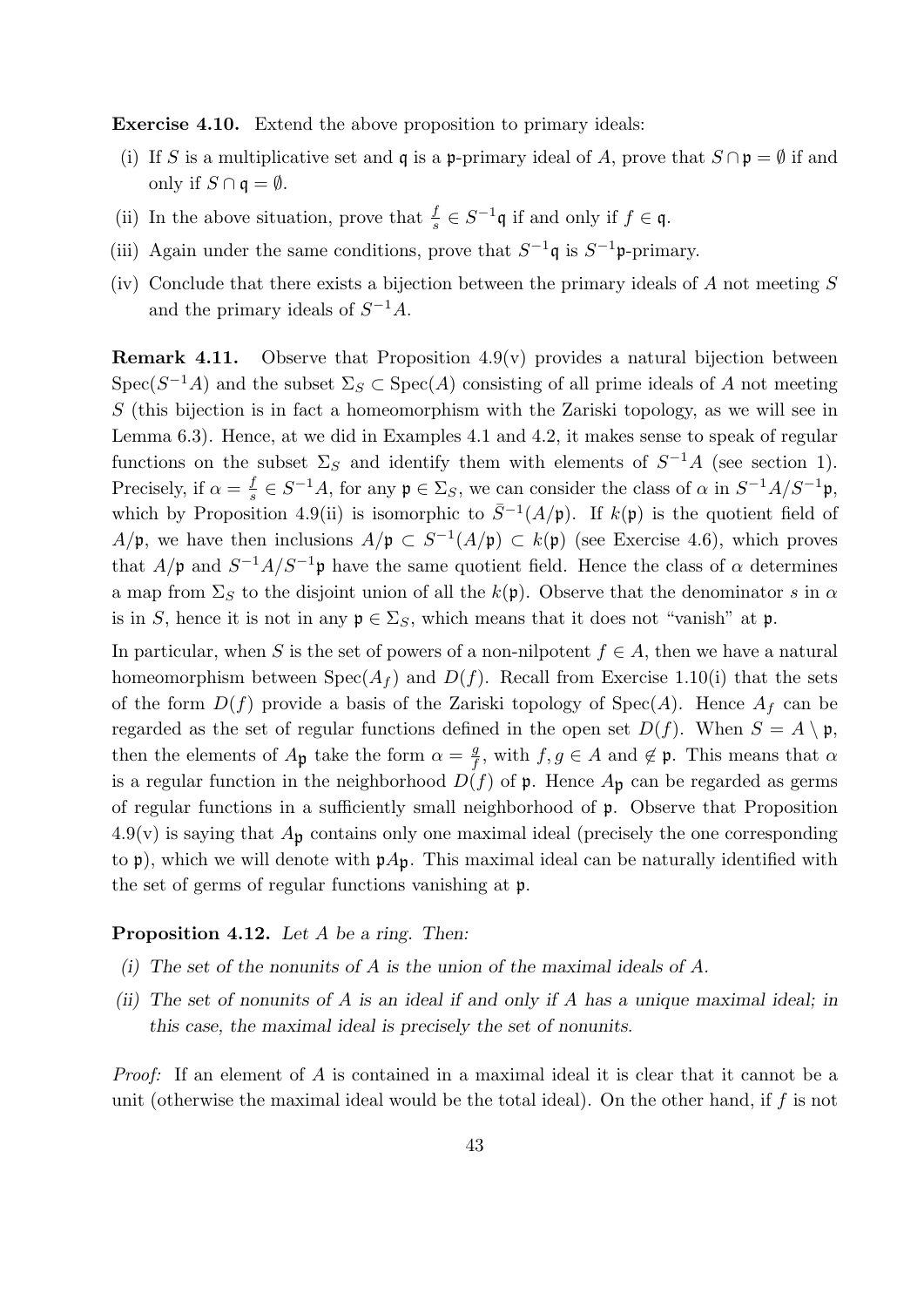Exercise 4.10. Extend the above proposition to primary ideals:

- (i) If S is a multiplicative set and q is a p-primary ideal of A, prove that  $S \cap \mathfrak{p} = \emptyset$  if and only if  $S \cap \mathfrak{q} = \emptyset$ .
- (ii) In the above situation, prove that  $\frac{f}{s} \in S^{-1}\mathfrak{q}$  if and only if  $f \in \mathfrak{q}$ .
- (iii) Again under the same conditions, prove that  $S^{-1}\mathfrak{q}$  is  $S^{-1}\mathfrak{p}$ -primary.
- (iv) Conclude that there exists a bijection between the primary ideals of A not meeting  $S$ and the primary ideals of  $S^{-1}A$ .

**Remark 4.11.** Observe that Proposition  $4.9(v)$  provides a natural bijection between Spec( $S^{-1}A$ ) and the subset  $\Sigma_S \subset \text{Spec}(A)$  consisting of all prime ideals of A not meeting S (this bijection is in fact a homeomorphism with the Zariski topology, as we will see in Lemma 6.3). Hence, at we did in Examples 4.1 and 4.2, it makes sense to speak of regular functions on the subset  $\Sigma_S$  and identify them with elements of  $S^{-1}A$  (see section 1). Precisely, if  $\alpha = \frac{f}{s}$  $\frac{f}{s} \in S^{-1}A$ , for any  $\mathfrak{p} \in \Sigma_S$ , we can consider the class of  $\alpha$  in  $S^{-1}A/S^{-1}\mathfrak{p}$ , which by Proposition 4.9(ii) is isomorphic to  $\bar{S}^{-1}(A/\mathfrak{p})$ . If  $k(\mathfrak{p})$  is the quotient field of  $A/\mathfrak{p}$ , we have then inclusions  $A/\mathfrak{p} \subset S^{-1}(A/\mathfrak{p}) \subset k(\mathfrak{p})$  (see Exercise 4.6), which proves that  $A/\mathfrak{p}$  and  $S^{-1}A/S^{-1}\mathfrak{p}$  have the same quotient field. Hence the class of  $\alpha$  determines a map from  $\Sigma_S$  to the disjoint union of all the  $k(\mathfrak{p})$ . Observe that the denominator s in  $\alpha$ is in S, hence it is not in any  $\mathfrak{p} \in \Sigma_S$ , which means that it does not "vanish" at p.

In particular, when S is the set of powers of a non-nilpotent  $f \in A$ , then we have a natural homeomorphism between  $Spec(A_f)$  and  $D(f)$ . Recall from Exercise 1.10(i) that the sets of the form  $D(f)$  provide a basis of the Zariski topology of Spec(A). Hence  $A_f$  can be regarded as the set of regular functions defined in the open set  $D(f)$ . When  $S = A \setminus \mathfrak{p}$ , then the elements of  $A_{\mathfrak{p}}$  take the form  $\alpha = \frac{g}{f}$  $\frac{g}{f}$ , with  $f, g \in A$  and  $\notin \mathfrak{p}$ . This means that  $\alpha$ is a regular function in the neighborhood  $D(f)$  of p. Hence  $A_{\mathfrak{p}}$  can be regarded as germs of regular functions in a sufficiently small neighborhood of p. Observe that Proposition  $4.9(v)$  is saying that  $A_{\mathfrak{p}}$  contains only one maximal ideal (precisely the one corresponding to p), which we will denote with  $pA_p$ . This maximal ideal can be naturally identified with the set of germs of regular functions vanishing at p.

### Proposition 4.12. Let A be a ring. Then:

- (i) The set of the nonunits of A is the union of the maximal ideals of A.
- (ii) The set of nonunits of A is an ideal if and only if A has a unique maximal ideal; in this case, the maximal ideal is precisely the set of nonunits.

Proof: If an element of A is contained in a maximal ideal it is clear that it cannot be a unit (otherwise the maximal ideal would be the total ideal). On the other hand, if  $f$  is not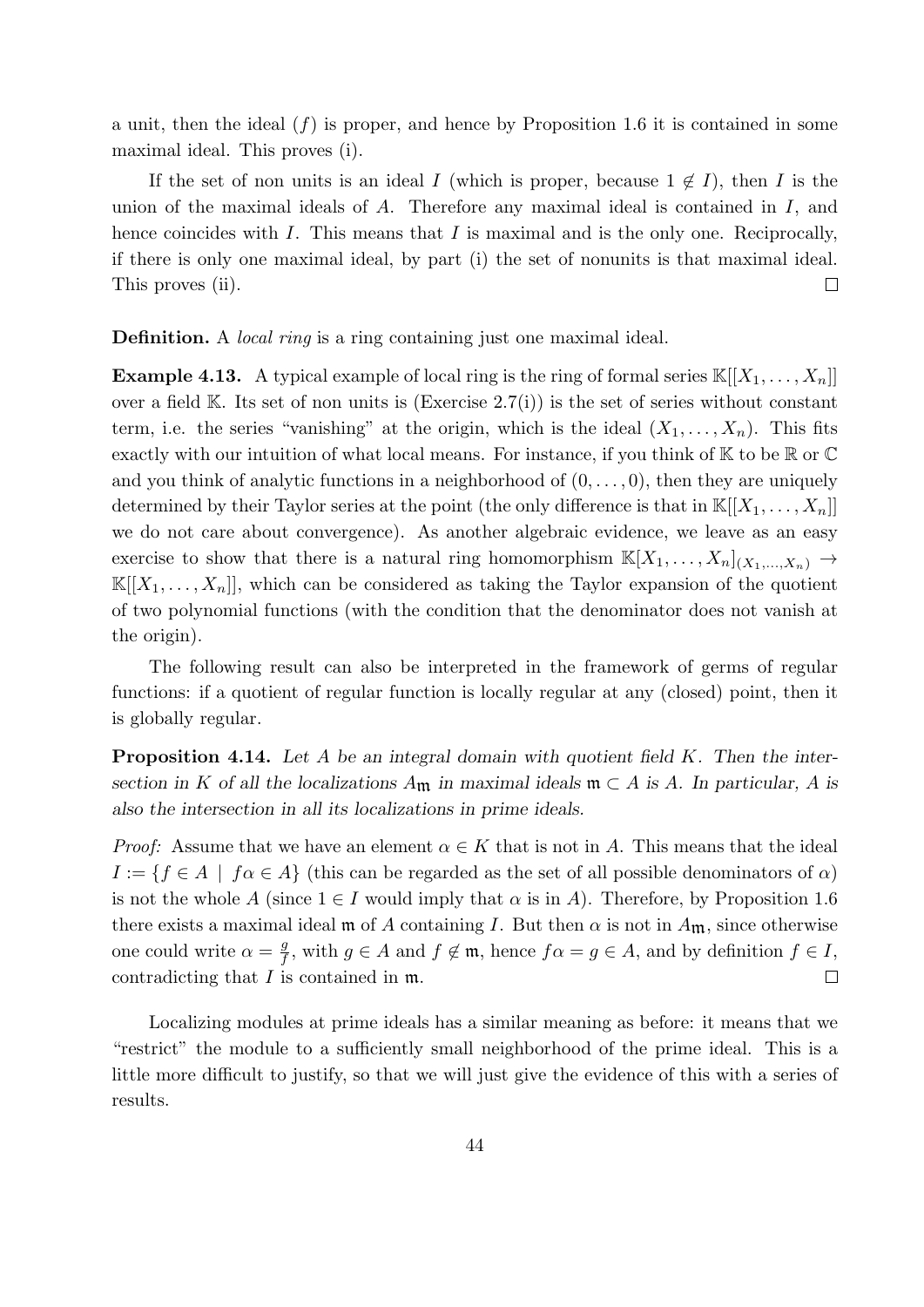a unit, then the ideal  $(f)$  is proper, and hence by Proposition 1.6 it is contained in some maximal ideal. This proves (i).

If the set of non units is an ideal I (which is proper, because  $1 \notin I$ ), then I is the union of the maximal ideals of A. Therefore any maximal ideal is contained in I, and hence coincides with  $I$ . This means that  $I$  is maximal and is the only one. Reciprocally, if there is only one maximal ideal, by part (i) the set of nonunits is that maximal ideal. This proves (ii).  $\Box$ 

**Definition.** A *local ring* is a ring containing just one maximal ideal.

**Example 4.13.** A typical example of local ring is the ring of formal series  $\mathbb{K}[[X_1, \ldots, X_n]]$ over a field  $\mathbb{K}$ . Its set of non units is (Exercise 2.7(i)) is the set of series without constant term, i.e. the series "vanishing" at the origin, which is the ideal  $(X_1, \ldots, X_n)$ . This fits exactly with our intuition of what local means. For instance, if you think of  $K$  to be  $\mathbb R$  or  $\mathbb C$ and you think of analytic functions in a neighborhood of  $(0, \ldots, 0)$ , then they are uniquely determined by their Taylor series at the point (the only difference is that in  $\mathbb{K}[[X_1,\ldots,X_n]]$ we do not care about convergence). As another algebraic evidence, we leave as an easy exercise to show that there is a natural ring homomorphism  $\mathbb{K}[X_1, \ldots, X_n]_{(X_1, \ldots, X_n)} \to$  $\mathbb{K}[[X_1,\ldots,X_n]]$ , which can be considered as taking the Taylor expansion of the quotient of two polynomial functions (with the condition that the denominator does not vanish at the origin).

The following result can also be interpreted in the framework of germs of regular functions: if a quotient of regular function is locally regular at any (closed) point, then it is globally regular.

**Proposition 4.14.** Let A be an integral domain with quotient field  $K$ . Then the intersection in K of all the localizations  $A_{\mathfrak{m}}$  in maximal ideals  $\mathfrak{m} \subset A$  is A. In particular, A is also the intersection in all its localizations in prime ideals.

*Proof:* Assume that we have an element  $\alpha \in K$  that is not in A. This means that the ideal  $I := \{f \in A \mid f \alpha \in A\}$  (this can be regarded as the set of all possible denominators of  $\alpha$ ) is not the whole A (since  $1 \in I$  would imply that  $\alpha$  is in A). Therefore, by Proposition 1.6 there exists a maximal ideal m of A containing I. But then  $\alpha$  is not in  $A_{\mathfrak{m}}$ , since otherwise one could write  $\alpha = \frac{g}{f}$  $\frac{g}{f}$ , with  $g \in A$  and  $f \notin \mathfrak{m}$ , hence  $f \alpha = g \in A$ , and by definition  $f \in I$ ,  $\Box$ contradicting that I is contained in m.

Localizing modules at prime ideals has a similar meaning as before: it means that we "restrict" the module to a sufficiently small neighborhood of the prime ideal. This is a little more difficult to justify, so that we will just give the evidence of this with a series of results.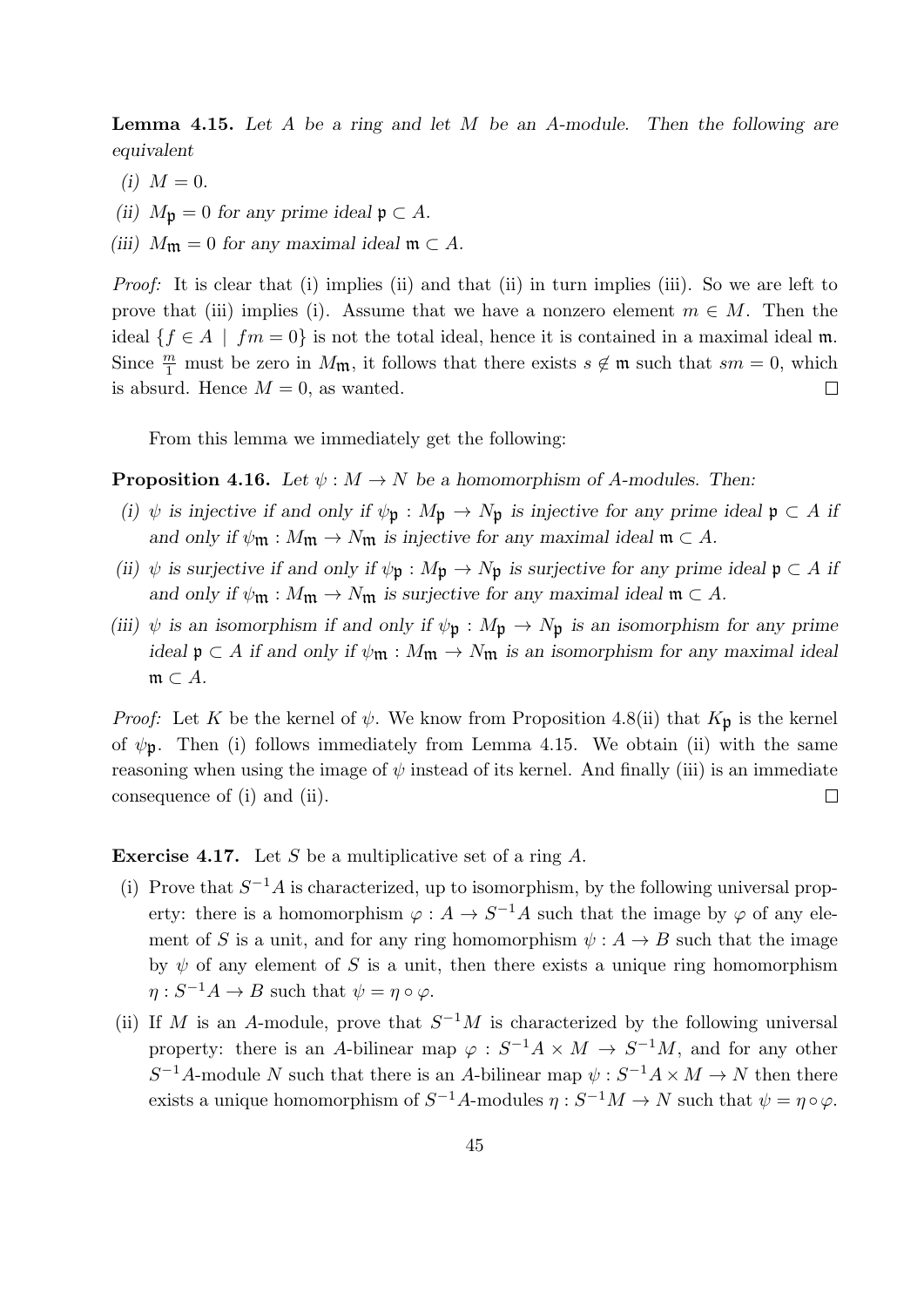**Lemma 4.15.** Let A be a ring and let M be an A-module. Then the following are equivalent

- (i)  $M = 0$ .
- (ii)  $M_{\mathfrak{p}} = 0$  for any prime ideal  $\mathfrak{p} \subset A$ .
- (iii)  $M_{\mathfrak{m}} = 0$  for any maximal ideal  $\mathfrak{m} \subset A$ .

Proof: It is clear that (i) implies (ii) and that (ii) in turn implies (iii). So we are left to prove that (iii) implies (i). Assume that we have a nonzero element  $m \in M$ . Then the ideal  $\{f \in A \mid fm = 0\}$  is not the total ideal, hence it is contained in a maximal ideal m. Since  $\frac{m}{1}$  must be zero in  $M_{\mathfrak{m}}$ , it follows that there exists  $s \notin \mathfrak{m}$  such that  $sm = 0$ , which is absurd. Hence  $M = 0$ , as wanted.  $\Box$ 

From this lemma we immediately get the following:

**Proposition 4.16.** Let  $\psi : M \to N$  be a homomorphism of A-modules. Then:

- (i)  $\psi$  is injective if and only if  $\psi_p : M_p \to N_p$  is injective for any prime ideal  $p \subset A$  if and only if  $\psi_{\mathfrak{m}} : M_{\mathfrak{m}} \to N_{\mathfrak{m}}$  is injective for any maximal ideal  $\mathfrak{m} \subset A$ .
- (ii)  $\psi$  is surjective if and only if  $\psi_{\mathfrak{p}} : M_{\mathfrak{p}} \to N_{\mathfrak{p}}$  is surjective for any prime ideal  $\mathfrak{p} \subset A$  if and only if  $\psi$ m :  $M$ m  $\rightarrow$   $N$ m is surjective for any maximal ideal  $\mathfrak{m} \subset A$ .
- (iii)  $\psi$  is an isomorphism if and only if  $\psi_{\mathfrak{p}} : M_{\mathfrak{p}} \to N_{\mathfrak{p}}$  is an isomorphism for any prime ideal  $\mathfrak{p} \subset A$  if and only if  $\psi_{\mathfrak{m}} : M_{\mathfrak{m}} \to N_{\mathfrak{m}}$  is an isomorphism for any maximal ideal  $\mathfrak{m} \subset A$ .

*Proof:* Let K be the kernel of  $\psi$ . We know from Proposition 4.8(ii) that  $K_{\mathfrak{p}}$  is the kernel of  $\psi_{\mathbf{p}}$ . Then (i) follows immediately from Lemma 4.15. We obtain (ii) with the same reasoning when using the image of  $\psi$  instead of its kernel. And finally (iii) is an immediate consequence of (i) and (ii).  $\Box$ 

**Exercise 4.17.** Let S be a multiplicative set of a ring  $A$ .

- (i) Prove that  $S^{-1}A$  is characterized, up to isomorphism, by the following universal property: there is a homomorphism  $\varphi: A \to S^{-1}A$  such that the image by  $\varphi$  of any element of S is a unit, and for any ring homomorphism  $\psi : A \to B$  such that the image by  $\psi$  of any element of S is a unit, then there exists a unique ring homomorphism  $\eta: S^{-1}A \to B$  such that  $\psi = \eta \circ \varphi$ .
- (ii) If M is an A-module, prove that  $S^{-1}M$  is characterized by the following universal property: there is an A-bilinear map  $\varphi : S^{-1}A \times M \to S^{-1}M$ , and for any other  $S^{-1}A$ -module N such that there is an A-bilinear map  $\psi : S^{-1}A \times M \to N$  then there exists a unique homomorphism of  $S^{-1}A$ -modules  $\eta: S^{-1}M \to N$  such that  $\psi = \eta \circ \varphi$ .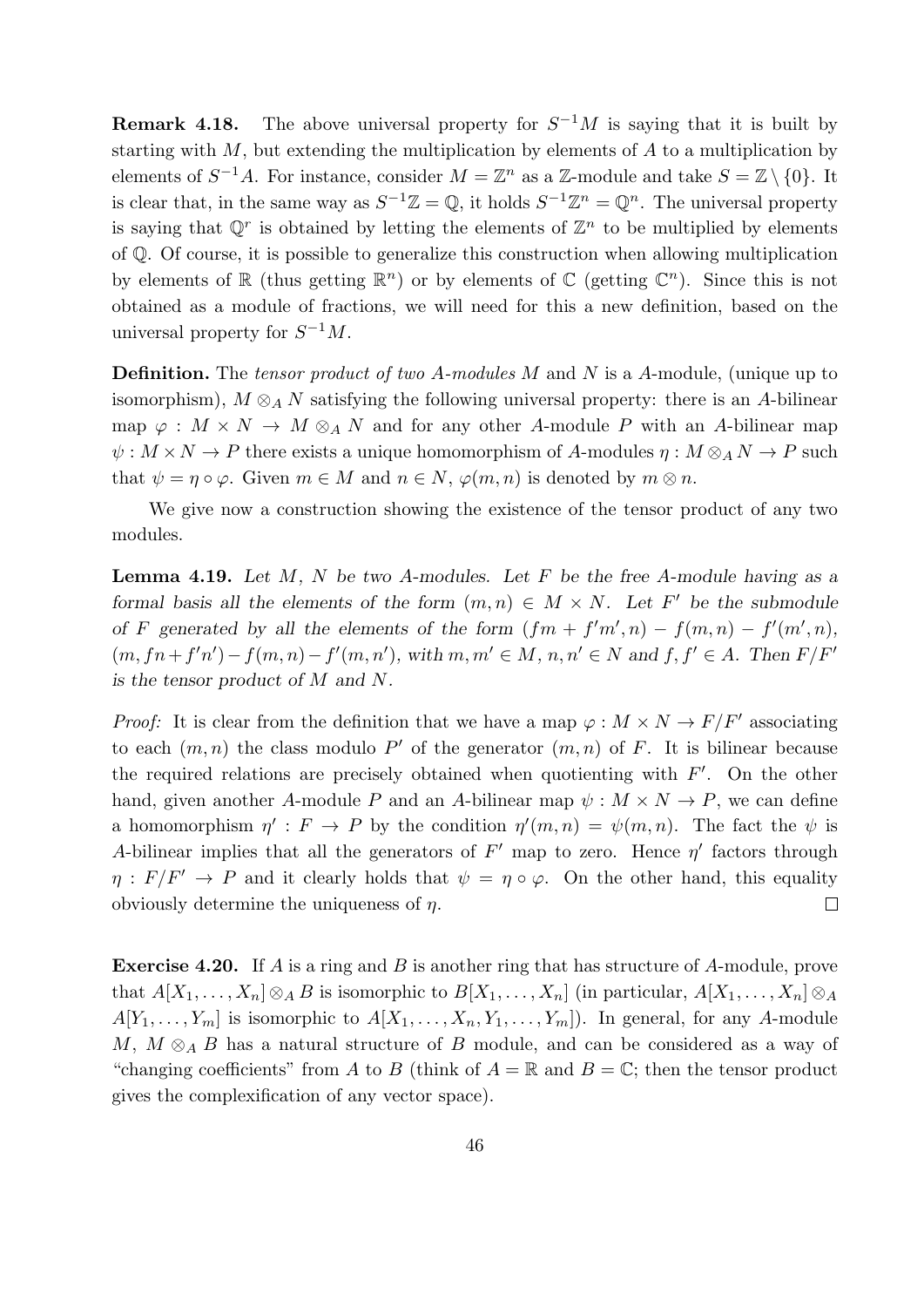**Remark 4.18.** The above universal property for  $S^{-1}M$  is saying that it is built by starting with  $M$ , but extending the multiplication by elements of  $A$  to a multiplication by elements of  $S^{-1}A$ . For instance, consider  $M = \mathbb{Z}^n$  as a  $\mathbb{Z}$ -module and take  $S = \mathbb{Z} \setminus \{0\}$ . It is clear that, in the same way as  $S^{-1}\mathbb{Z} = \mathbb{Q}$ , it holds  $S^{-1}\mathbb{Z}^n = \mathbb{Q}^n$ . The universal property is saying that  $\mathbb{Q}^r$  is obtained by letting the elements of  $\mathbb{Z}^n$  to be multiplied by elements of Q. Of course, it is possible to generalize this construction when allowing multiplication by elements of  $\mathbb R$  (thus getting  $\mathbb R^n$ ) or by elements of  $\mathbb C$  (getting  $\mathbb C^n$ ). Since this is not obtained as a module of fractions, we will need for this a new definition, based on the universal property for  $S^{-1}M$ .

**Definition.** The *tensor product of two A-modules M* and N is a A-module, (unique up to isomorphism),  $M \otimes_A N$  satisfying the following universal property: there is an A-bilinear map  $\varphi : M \times N \to M \otimes_A N$  and for any other A-module P with an A-bilinear map  $\psi: M \times N \to P$  there exists a unique homomorphism of A-modules  $\eta: M \otimes_A N \to P$  such that  $\psi = \eta \circ \varphi$ . Given  $m \in M$  and  $n \in N$ ,  $\varphi(m, n)$  is denoted by  $m \otimes n$ .

We give now a construction showing the existence of the tensor product of any two modules.

**Lemma 4.19.** Let  $M$ ,  $N$  be two A-modules. Let  $F$  be the free A-module having as a formal basis all the elements of the form  $(m, n) \in M \times N$ . Let F' be the submodule of F generated by all the elements of the form  $(fm + f'm', n) - f(m, n) - f'(m', n)$ ,  $(m, fn+f'n')-f(m, n)-f'(m, n')$ , with  $m, m' \in M$ ,  $n, n' \in N$  and  $f, f' \in A$ . Then  $F/F'$ is the tensor product of M and N.

*Proof:* It is clear from the definition that we have a map  $\varphi : M \times N \to F/F'$  associating to each  $(m, n)$  the class modulo P' of the generator  $(m, n)$  of F. It is bilinear because the required relations are precisely obtained when quotienting with  $F'$ . On the other hand, given another A-module P and an A-bilinear map  $\psi : M \times N \to P$ , we can define a homomorphism  $\eta' : F \to P$  by the condition  $\eta'(m, n) = \psi(m, n)$ . The fact the  $\psi$  is A-bilinear implies that all the generators of  $F'$  map to zero. Hence  $\eta'$  factors through  $\eta : F/F' \to P$  and it clearly holds that  $\psi = \eta \circ \varphi$ . On the other hand, this equality obviously determine the uniqueness of  $\eta$ .  $\Box$ 

Exercise 4.20. If A is a ring and B is another ring that has structure of A-module, prove that  $A[X_1, \ldots, X_n] \otimes_A B$  is isomorphic to  $B[X_1, \ldots, X_n]$  (in particular,  $A[X_1, \ldots, X_n] \otimes_A B$  $A[Y_1, \ldots, Y_m]$  is isomorphic to  $A[X_1, \ldots, X_n, Y_1, \ldots, Y_m]$ . In general, for any A-module M,  $M \otimes_A B$  has a natural structure of B module, and can be considered as a way of "changing coefficients" from A to B (think of  $A = \mathbb{R}$  and  $B = \mathbb{C}$ ; then the tensor product gives the complexification of any vector space).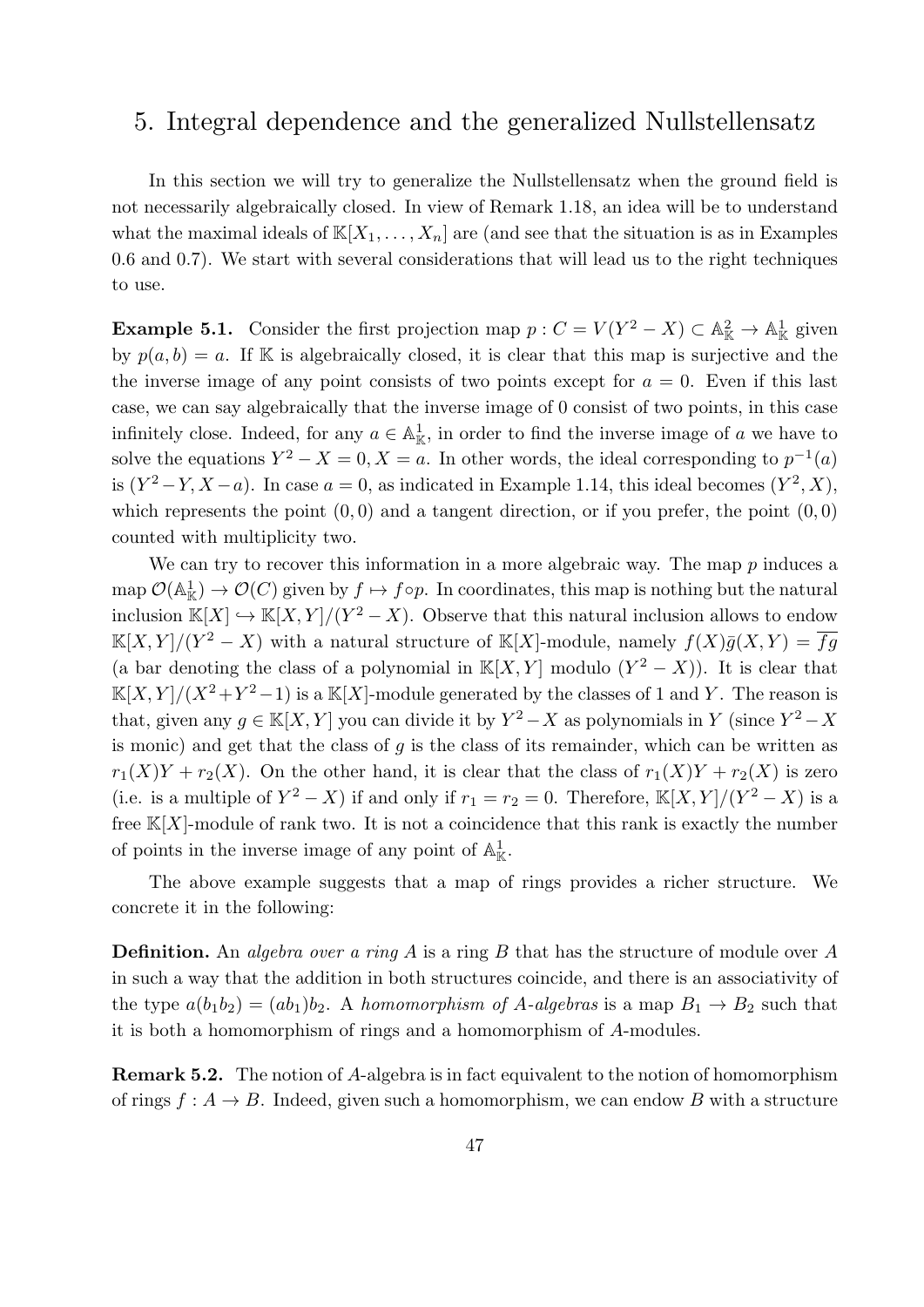### 5. Integral dependence and the generalized Nullstellensatz

In this section we will try to generalize the Nullstellensatz when the ground field is not necessarily algebraically closed. In view of Remark 1.18, an idea will be to understand what the maximal ideals of  $\mathbb{K}[X_1,\ldots,X_n]$  are (and see that the situation is as in Examples 0.6 and 0.7). We start with several considerations that will lead us to the right techniques to use.

**Example 5.1.** Consider the first projection map  $p: C = V(Y^2 - X) \subset \mathbb{A}_{\mathbb{K}}^2 \to \mathbb{A}_{\mathbb{K}}^1$  given by  $p(a, b) = a$ . If K is algebraically closed, it is clear that this map is surjective and the the inverse image of any point consists of two points except for  $a = 0$ . Even if this last case, we can say algebraically that the inverse image of 0 consist of two points, in this case infinitely close. Indeed, for any  $a \in \mathbb{A}^1_{\mathbb{K}}$ , in order to find the inverse image of a we have to solve the equations  $Y^2 - X = 0, X = a$ . In other words, the ideal corresponding to  $p^{-1}(a)$ is  $(Y^2 - Y, X - a)$ . In case  $a = 0$ , as indicated in Example 1.14, this ideal becomes  $(Y^2, X)$ , which represents the point  $(0, 0)$  and a tangent direction, or if you prefer, the point  $(0, 0)$ counted with multiplicity two.

We can try to recover this information in a more algebraic way. The map  $p$  induces a map  $\mathcal{O}(\mathbb{A}_{\mathbb{K}}^1) \to \mathcal{O}(C)$  given by  $f \mapsto f \circ p$ . In coordinates, this map is nothing but the natural inclusion  $\mathbb{K}[X] \hookrightarrow \mathbb{K}[X, Y]/(Y^2 - X)$ . Observe that this natural inclusion allows to endow  $\mathbb{K}[X,Y]/(Y^2-X)$  with a natural structure of  $\mathbb{K}[X]$ -module, namely  $f(X)\overline{g}(X,Y)=\overline{fg}$ (a bar denoting the class of a polynomial in  $\mathbb{K}[X, Y]$  modulo  $(Y^2 - X)$ ). It is clear that  $\mathbb{K}[X,Y]/(X^2+Y^2-1)$  is a  $\mathbb{K}[X]$ -module generated by the classes of 1 and Y. The reason is that, given any  $g \in K[X, Y]$  you can divide it by  $Y^2 - X$  as polynomials in Y (since  $Y^2 - X$ is monic) and get that the class of  $g$  is the class of its remainder, which can be written as  $r_1(X)Y + r_2(X)$ . On the other hand, it is clear that the class of  $r_1(X)Y + r_2(X)$  is zero (i.e. is a multiple of  $Y^2 - X$ ) if and only if  $r_1 = r_2 = 0$ . Therefore,  $\mathbb{K}[X, Y]/(Y^2 - X)$  is a free  $K[X]$ -module of rank two. It is not a coincidence that this rank is exactly the number of points in the inverse image of any point of  $\mathbb{A}^1_{\mathbb{K}}$ .

The above example suggests that a map of rings provides a richer structure. We concrete it in the following:

**Definition.** An *algebra over a ring*  $A$  is a ring  $B$  that has the structure of module over  $A$ in such a way that the addition in both structures coincide, and there is an associativity of the type  $a(b_1b_2) = (ab_1)b_2$ . A homomorphism of A-algebras is a map  $B_1 \rightarrow B_2$  such that it is both a homomorphism of rings and a homomorphism of A-modules.

Remark 5.2. The notion of A-algebra is in fact equivalent to the notion of homomorphism of rings  $f : A \to B$ . Indeed, given such a homomorphism, we can endow B with a structure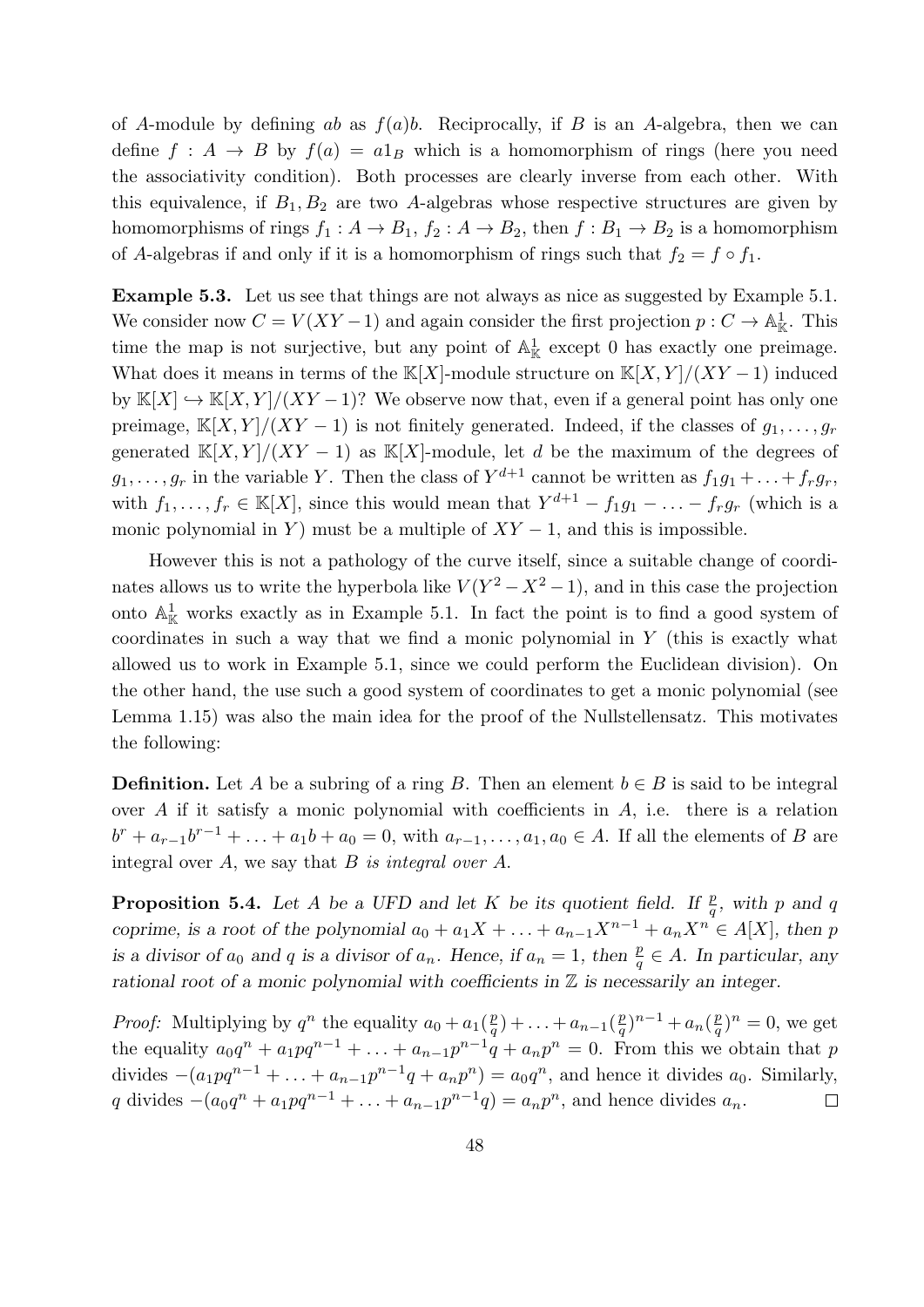of A-module by defining ab as  $f(a)b$ . Reciprocally, if B is an A-algebra, then we can define  $f : A \rightarrow B$  by  $f(a) = a1_B$  which is a homomorphism of rings (here you need the associativity condition). Both processes are clearly inverse from each other. With this equivalence, if  $B_1, B_2$  are two A-algebras whose respective structures are given by homomorphisms of rings  $f_1 : A \to B_1$ ,  $f_2 : A \to B_2$ , then  $f : B_1 \to B_2$  is a homomorphism of A-algebras if and only if it is a homomorphism of rings such that  $f_2 = f \circ f_1$ .

Example 5.3. Let us see that things are not always as nice as suggested by Example 5.1. We consider now  $C = V(XY - 1)$  and again consider the first projection  $p: C \to \mathbb{A}^1_{\mathbb{K}}$ . This time the map is not surjective, but any point of  $\mathbb{A}^1_{\mathbb{K}}$  except 0 has exactly one preimage. What does it means in terms of the K[X]-module structure on  $K[X, Y]/(XY - 1)$  induced by  $\mathbb{K}[X] \hookrightarrow \mathbb{K}[X, Y]/(XY-1)$ ? We observe now that, even if a general point has only one preimage, K[X, Y]/(XY – 1) is not finitely generated. Indeed, if the classes of  $g_1, \ldots, g_r$ generated K[X, Y]/(XY − 1) as K[X]-module, let d be the maximum of the degrees of  $g_1, \ldots, g_r$  in the variable Y. Then the class of  $Y^{d+1}$  cannot be written as  $f_1g_1 + \ldots + f_rg_r$ , with  $f_1, \ldots, f_r \in \mathbb{K}[X]$ , since this would mean that  $Y^{d+1} - f_1g_1 - \ldots - f_rg_r$  (which is a monic polynomial in Y) must be a multiple of  $XY - 1$ , and this is impossible.

However this is not a pathology of the curve itself, since a suitable change of coordinates allows us to write the hyperbola like  $V(Y^2 - X^2 - 1)$ , and in this case the projection onto  $\mathbb{A}^1_{\mathbb{K}}$  works exactly as in Example 5.1. In fact the point is to find a good system of coordinates in such a way that we find a monic polynomial in  $Y$  (this is exactly what allowed us to work in Example 5.1, since we could perform the Euclidean division). On the other hand, the use such a good system of coordinates to get a monic polynomial (see Lemma 1.15) was also the main idea for the proof of the Nullstellensatz. This motivates the following:

**Definition.** Let A be a subring of a ring B. Then an element  $b \in B$  is said to be integral over A if it satisfy a monic polynomial with coefficients in A, i.e. there is a relation  $b^{r} + a_{r-1}b^{r-1} + ... + a_{1}b + a_{0} = 0$ , with  $a_{r-1},...,a_{1},a_{0} \in A$ . If all the elements of B are integral over  $A$ , we say that  $B$  is integral over  $A$ .

**Proposition 5.4.** Let A be a UFD and let K be its quotient field. If  $\frac{p}{q}$ , with p and q coprime, is a root of the polynomial  $a_0 + a_1X + \ldots + a_{n-1}X^{n-1} + a_nX^n \in A[X]$ , then p is a divisor of  $a_0$  and q is a divisor of  $a_n$ . Hence, if  $a_n = 1$ , then  $\frac{p}{q} \in A$ . In particular, any rational root of a monic polynomial with coefficients in  $\mathbb Z$  is necessarily an integer.

*Proof:* Multiplying by  $q^n$  the equality  $a_0 + a_1(\frac{p}{q})$  $\frac{p}{q}) + \ldots + a_{n-1}(\frac{p}{q})$  $\frac{p}{q}$ <sup>n-1</sup> + a<sub>n</sub>( $\frac{p}{q}$  $(\frac{p}{q})^n = 0$ , we get the equality  $a_0q^n + a_1pq^{n-1} + \ldots + a_{n-1}p^{n-1}q + a_np^n = 0$ . From this we obtain that p divides  $-(a_1pq^{n-1} + ... + a_{n-1}p^{n-1}q + a_np^n) = a_0q^n$ , and hence it divides  $a_0$ . Similarly, q divides  $-(a_0q^n + a_1pq^{n-1} + ... + a_{n-1}p^{n-1}q) = a_np^n$ , and hence divides  $a_n$ .  $\Box$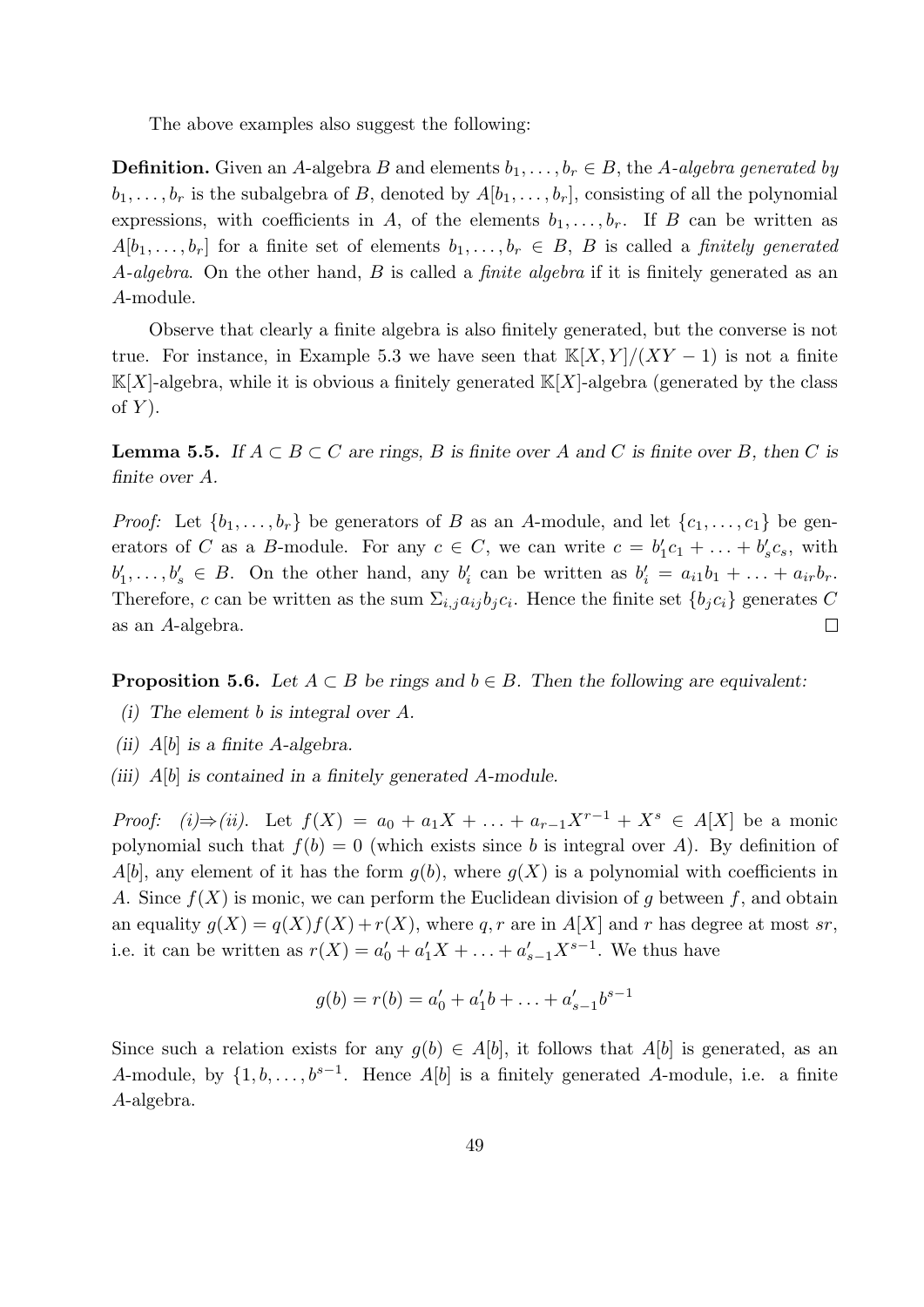The above examples also suggest the following:

**Definition.** Given an A-algebra B and elements  $b_1, \ldots, b_r \in B$ , the A-algebra generated by  $b_1, \ldots, b_r$  is the subalgebra of B, denoted by  $A[b_1, \ldots, b_r]$ , consisting of all the polynomial expressions, with coefficients in A, of the elements  $b_1, \ldots, b_r$ . If B can be written as  $A[b_1,\ldots,b_r]$  for a finite set of elements  $b_1,\ldots,b_r \in B$ , B is called a finitely generated A-algebra. On the other hand, B is called a *finite algebra* if it is finitely generated as an A-module.

Observe that clearly a finite algebra is also finitely generated, but the converse is not true. For instance, in Example 5.3 we have seen that  $\mathbb{K}[X, Y]/(XY - 1)$  is not a finite  $\mathbb{K}[X]$ -algebra, while it is obvious a finitely generated  $\mathbb{K}[X]$ -algebra (generated by the class of  $Y$ ).

**Lemma 5.5.** If  $A \subset B \subset C$  are rings, B is finite over A and C is finite over B, then C is finite over A.

*Proof:* Let  $\{b_1, \ldots, b_r\}$  be generators of B as an A-module, and let  $\{c_1, \ldots, c_1\}$  be generators of C as a B-module. For any  $c \in C$ , we can write  $c = b'_1 c_1 + \ldots + b'_s c_s$ , with  $b'_1, \ldots, b'_s \in B$ . On the other hand, any  $b'_i$  can be written as  $b'_i = a_{i1}b_1 + \ldots + a_{ir}b_r$ . Therefore, c can be written as the sum  $\Sigma_{i,j} a_{ij} b_j c_i$ . Hence the finite set  $\{b_j c_i\}$  generates C  $\Box$ as an A-algebra.

**Proposition 5.6.** Let  $A \subset B$  be rings and  $b \in B$ . Then the following are equivalent:

- (i) The element b is integral over A.
- (ii)  $A[b]$  is a finite A-algebra.
- (iii)  $A[b]$  is contained in a finitely generated A-module.

*Proof:* (i)⇒(ii). Let  $f(X) = a_0 + a_1X + ... + a_{r-1}X^{r-1} + X^s \in A[X]$  be a monic polynomial such that  $f(b) = 0$  (which exists since b is integral over A). By definition of  $A[b]$ , any element of it has the form  $g(b)$ , where  $g(X)$  is a polynomial with coefficients in A. Since  $f(X)$  is monic, we can perform the Euclidean division of q between f, and obtain an equality  $g(X) = g(X)f(X) + r(X)$ , where q, r are in  $A[X]$  and r has degree at most sr, i.e. it can be written as  $r(X) = a'_0 + a'_1 X + ... + a'_{s-1} X^{s-1}$ . We thus have

$$
g(b) = r(b) = a'_0 + a'_1b + \ldots + a'_{s-1}b^{s-1}
$$

Since such a relation exists for any  $g(b) \in A[b]$ , it follows that  $A[b]$  is generated, as an A-module, by  $\{1, b, \ldots, b^{s-1}\}$ . Hence  $A[b]$  is a finitely generated A-module, i.e. a finite A-algebra.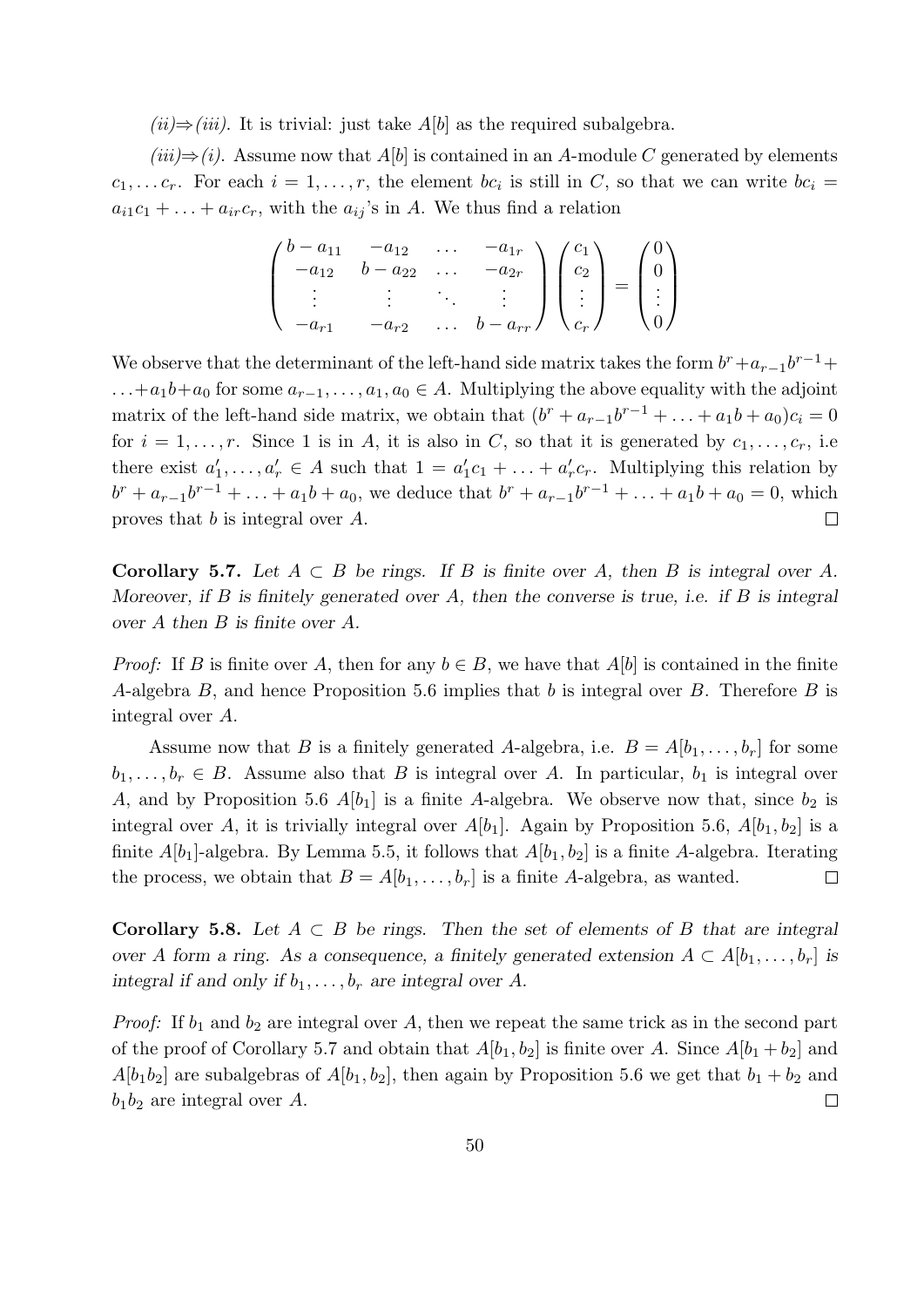$(ii) \Rightarrow (iii)$ . It is trivial: just take  $A[b]$  as the required subalgebra.

 $(iii) \Rightarrow (i)$ . Assume now that  $A[b]$  is contained in an A-module C generated by elements  $c_1, \ldots c_r$ . For each  $i = 1, \ldots, r$ , the element  $bc_i$  is still in C, so that we can write  $bc_i =$  $a_{i1}c_1 + \ldots + a_{ir}c_r$ , with the  $a_{ij}$ 's in A. We thus find a relation

$$
\begin{pmatrix} b - a_{11} & -a_{12} & \dots & -a_{1r} \\ -a_{12} & b - a_{22} & \dots & -a_{2r} \\ \vdots & \vdots & \ddots & \vdots \\ -a_{r1} & -a_{r2} & \dots & b - a_{rr} \end{pmatrix} \begin{pmatrix} c_1 \\ c_2 \\ \vdots \\ c_r \end{pmatrix} = \begin{pmatrix} 0 \\ 0 \\ \vdots \\ 0 \end{pmatrix}
$$

We observe that the determinant of the left-hand side matrix takes the form  $b^r + a_{r-1}b^{r-1}$ +  $\dots + a_1b + a_0$  for some  $a_{r-1}, \dots, a_1, a_0 \in A$ . Multiplying the above equality with the adjoint matrix of the left-hand side matrix, we obtain that  $(b^r + a_{r-1}b^{r-1} + ... + a_1b + a_0)c_i = 0$ for  $i = 1, \ldots, r$ . Since 1 is in A, it is also in C, so that it is generated by  $c_1, \ldots, c_r$ , i.e. there exist  $a'_1, \ldots, a'_r \in A$  such that  $1 = a'_1 c_1 + \ldots + a'_r c_r$ . Multiplying this relation by  $b^r + a_{r-1}b^{r-1} + \ldots + a_1b + a_0$ , we deduce that  $b^r + a_{r-1}b^{r-1} + \ldots + a_1b + a_0 = 0$ , which proves that b is integral over A.  $\Box$ 

Corollary 5.7. Let  $A \subset B$  be rings. If B is finite over A, then B is integral over A. Moreover, if B is finitely generated over A, then the converse is true, i.e. if B is integral over A then B is finite over A.

*Proof:* If B is finite over A, then for any  $b \in B$ , we have that A[b] is contained in the finite A-algebra B, and hence Proposition 5.6 implies that b is integral over B. Therefore B is integral over A.

Assume now that B is a finitely generated A-algebra, i.e.  $B = A[b_1, \ldots, b_r]$  for some  $b_1, \ldots, b_r \in B$ . Assume also that B is integral over A. In particular,  $b_1$  is integral over A, and by Proposition 5.6  $A[b_1]$  is a finite A-algebra. We observe now that, since  $b_2$  is integral over A, it is trivially integral over  $A[b_1]$ . Again by Proposition 5.6,  $A[b_1, b_2]$  is a finite  $A[b_1]$ -algebra. By Lemma 5.5, it follows that  $A[b_1, b_2]$  is a finite A-algebra. Iterating the process, we obtain that  $B = A[b_1, \ldots, b_r]$  is a finite A-algebra, as wanted.  $\Box$ 

Corollary 5.8. Let  $A \subset B$  be rings. Then the set of elements of B that are integral over A form a ring. As a consequence, a finitely generated extension  $A \subset A[b_1, \ldots, b_r]$  is integral if and only if  $b_1, \ldots, b_r$  are integral over A.

*Proof:* If  $b_1$  and  $b_2$  are integral over A, then we repeat the same trick as in the second part of the proof of Corollary 5.7 and obtain that  $A[b_1, b_2]$  is finite over A. Since  $A[b_1 + b_2]$  and  $A[b_1b_2]$  are subalgebras of  $A[b_1, b_2]$ , then again by Proposition 5.6 we get that  $b_1 + b_2$  and  $b_1b_2$  are integral over A.  $\Box$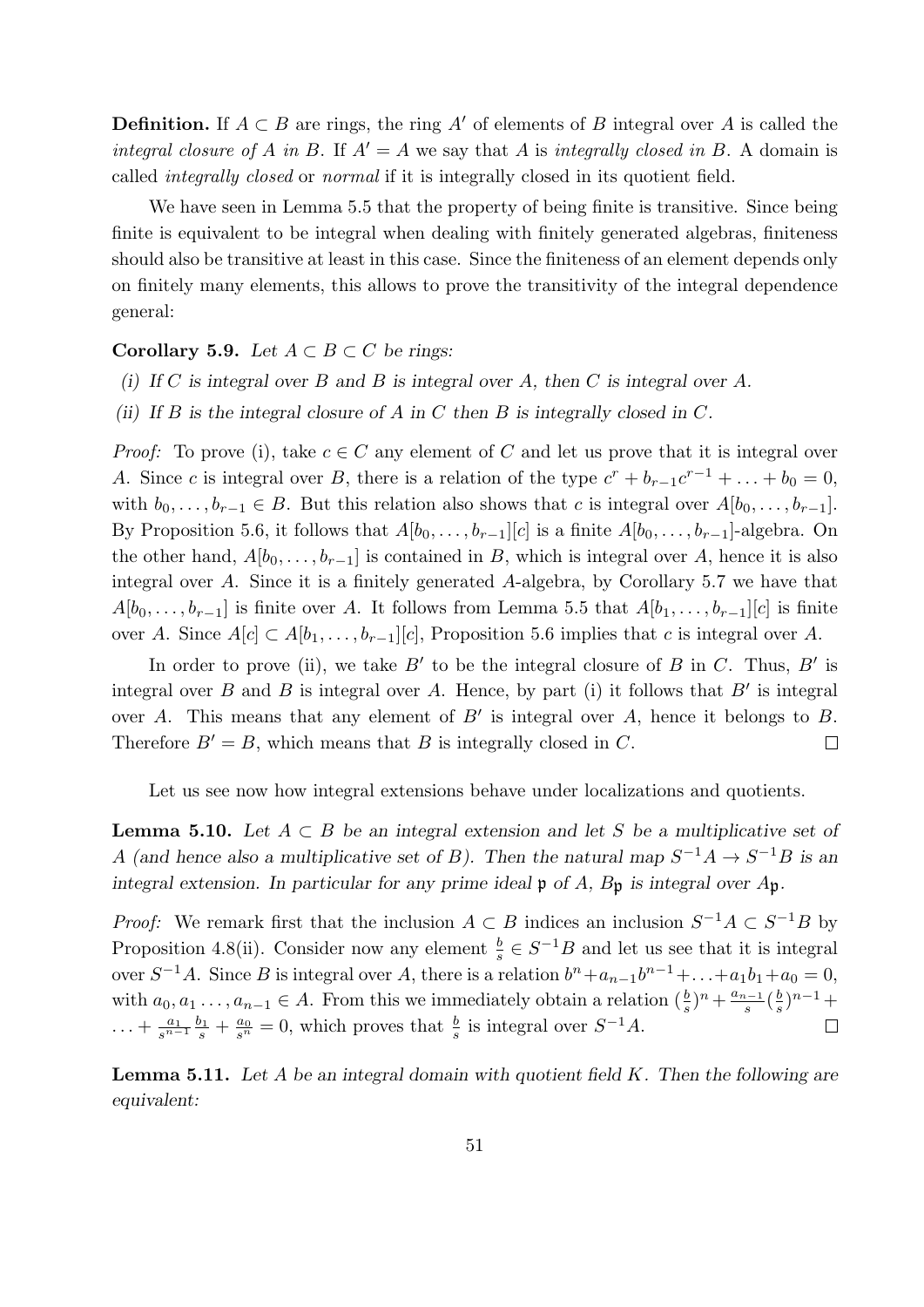**Definition.** If  $A \subset B$  are rings, the ring A' of elements of B integral over A is called the integral closure of A in B. If  $A' = A$  we say that A is integrally closed in B. A domain is called integrally closed or normal if it is integrally closed in its quotient field.

We have seen in Lemma 5.5 that the property of being finite is transitive. Since being finite is equivalent to be integral when dealing with finitely generated algebras, finiteness should also be transitive at least in this case. Since the finiteness of an element depends only on finitely many elements, this allows to prove the transitivity of the integral dependence general:

### Corollary 5.9. Let  $A \subset B \subset C$  be rings:

- (i) If C is integral over B and B is integral over A, then C is integral over A.
- (ii) If B is the integral closure of A in C then B is integrally closed in C.

*Proof:* To prove (i), take  $c \in C$  any element of C and let us prove that it is integral over A. Since c is integral over B, there is a relation of the type  $c^r + b_{r-1}c^{r-1} + \ldots + b_0 = 0$ , with  $b_0, \ldots, b_{r-1} \in B$ . But this relation also shows that c is integral over  $A[b_0, \ldots, b_{r-1}]$ . By Proposition 5.6, it follows that  $A[b_0, \ldots, b_{r-1}][c]$  is a finite  $A[b_0, \ldots, b_{r-1}]$ -algebra. On the other hand,  $A[b_0, \ldots, b_{r-1}]$  is contained in B, which is integral over A, hence it is also integral over A. Since it is a finitely generated A-algebra, by Corollary 5.7 we have that  $A[b_0, \ldots, b_{r-1}]$  is finite over A. It follows from Lemma 5.5 that  $A[b_1, \ldots, b_{r-1}][c]$  is finite over A. Since  $A[c] \subset A[b_1,\ldots,b_{r-1}][c]$ , Proposition 5.6 implies that c is integral over A.

In order to prove (ii), we take  $B'$  to be the integral closure of B in C. Thus, B' is integral over B and B is integral over A. Hence, by part (i) it follows that  $B'$  is integral over A. This means that any element of  $B'$  is integral over A, hence it belongs to B. Therefore  $B' = B$ , which means that B is integrally closed in C.  $\Box$ 

Let us see now how integral extensions behave under localizations and quotients.

**Lemma 5.10.** Let  $A \subset B$  be an integral extension and let S be a multiplicative set of A (and hence also a multiplicative set of B). Then the natural map  $S^{-1}A \rightarrow S^{-1}B$  is an integral extension. In particular for any prime ideal  $\mathfrak p$  of A,  $B_{\mathfrak p}$  is integral over  $A_{\mathfrak p}$ .

*Proof:* We remark first that the inclusion  $A \subset B$  indices an inclusion  $S^{-1}A \subset S^{-1}B$  by Proposition 4.8(ii). Consider now any element  $\frac{b}{s} \in S^{-1}B$  and let us see that it is integral over  $S^{-1}A$ . Since B is integral over A, there is a relation  $b^{n}+a_{n-1}b^{n-1}+\ldots+a_1b_1+a_0=0$ , with  $a_0, a_1, \ldots, a_{n-1} \in A$ . From this we immediately obtain a relation  $(\frac{b}{s})^n + \frac{a_{n-1}}{s}$  $rac{a-1}{s}$  $\left(\frac{b}{s}\right)$  $\frac{b}{s}$ <sup>n-1</sup>+  $\ldots + \frac{a_1}{s^{n-1}}$  $rac{a_1}{s^{n-1}}\frac{b_1}{s}$  $\frac{b_1}{s} + \frac{a_0}{s^n}$  $\frac{a_0}{s^n} = 0$ , which proves that  $\frac{b}{s}$  is integral over  $S^{-1}A$ .  $\Box$ 

**Lemma 5.11.** Let A be an integral domain with quotient field  $K$ . Then the following are equivalent: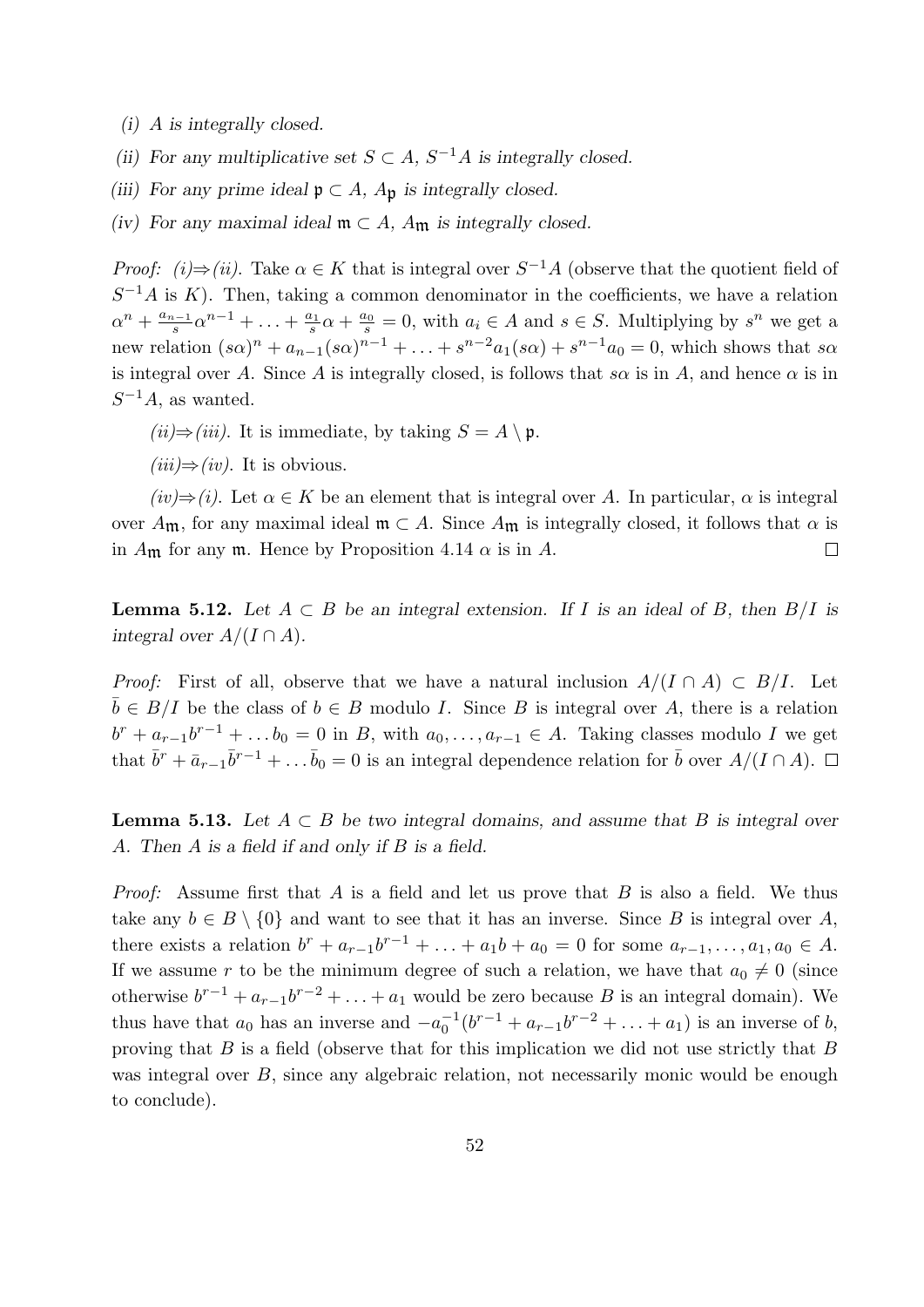- (i) A is integrally closed.
- (ii) For any multiplicative set  $S \subset A$ ,  $S^{-1}A$  is integrally closed.
- (iii) For any prime ideal  $\mathfrak{p} \subset A$ ,  $A_{\mathfrak{p}}$  is integrally closed.
- (iv) For any maximal ideal  $\mathfrak{m} \subset A$ ,  $A_{\mathfrak{m}}$  is integrally closed.

*Proof:* (i)  $\Rightarrow$  (ii). Take  $\alpha \in K$  that is integral over  $S^{-1}A$  (observe that the quotient field of  $S^{-1}A$  is K). Then, taking a common denominator in the coefficients, we have a relation  $\alpha^n + \frac{a_{n-1}}{s}$  $\frac{a_{n-1}}{s} \alpha^{n-1} + \ldots + \frac{a_1}{s}$  $\frac{a_1}{s}\alpha + \frac{a_0}{s}$  $\frac{a_0}{s} = 0$ , with  $a_i \in A$  and  $s \in S$ . Multiplying by  $s^n$  we get a new relation  $(s\alpha)^n + a_{n-1}(s\alpha)^{n-1} + \ldots + s^{n-2}a_1(s\alpha) + s^{n-1}a_0 = 0$ , which shows that so is integral over A. Since A is integrally closed, is follows that s $\alpha$  is in A, and hence  $\alpha$  is in  $S^{-1}A$ , as wanted.

 $(ii) \Rightarrow (iii)$ . It is immediate, by taking  $S = A \setminus \mathfrak{p}$ .

 $(iii) \Rightarrow (iv)$ . It is obvious.

 $(iv) \Rightarrow (i)$ . Let  $\alpha \in K$  be an element that is integral over A. In particular,  $\alpha$  is integral over  $A_{\mathfrak{m}}$ , for any maximal ideal  $\mathfrak{m} \subset A$ . Since  $A_{\mathfrak{m}}$  is integrally closed, it follows that  $\alpha$  is in  $A_{\mathfrak{m}}$  for any  $\mathfrak{m}$ . Hence by Proposition 4.14  $\alpha$  is in A.  $\Box$ 

**Lemma 5.12.** Let  $A \subset B$  be an integral extension. If I is an ideal of B, then  $B/I$  is integral over  $A/(I \cap A)$ .

*Proof:* First of all, observe that we have a natural inclusion  $A/(I \cap A) \subset B/I$ . Let  $\bar{b} \in B/I$  be the class of  $b \in B$  modulo I. Since B is integral over A, there is a relation  $b^r + a_{r-1}b^{r-1} + \ldots b_0 = 0$  in B, with  $a_0, \ldots, a_{r-1} \in A$ . Taking classes modulo I we get that  $\bar{b}^r + \bar{a}_{r-1}\bar{b}^{r-1} + \ldots \bar{b}_0 = 0$  is an integral dependence relation for  $\bar{b}$  over  $A/(I \cap A)$ .

**Lemma 5.13.** Let  $A \subset B$  be two integral domains, and assume that B is integral over A. Then A is a field if and only if B is a field.

*Proof:* Assume first that A is a field and let us prove that B is also a field. We thus take any  $b \in B \setminus \{0\}$  and want to see that it has an inverse. Since B is integral over A, there exists a relation  $b^{r} + a_{r-1}b^{r-1} + ... + a_1b + a_0 = 0$  for some  $a_{r-1},...,a_1, a_0 \in A$ . If we assume r to be the minimum degree of such a relation, we have that  $a_0 \neq 0$  (since otherwise  $b^{r-1} + a_{r-1}b^{r-2} + \ldots + a_1$  would be zero because B is an integral domain). We thus have that  $a_0$  has an inverse and  $-a_0^{-1}$  $_{0}^{-1}(b^{r-1} + a_{r-1}b^{r-2} + \ldots + a_1)$  is an inverse of b, proving that  $B$  is a field (observe that for this implication we did not use strictly that  $B$ was integral over B, since any algebraic relation, not necessarily monic would be enough to conclude).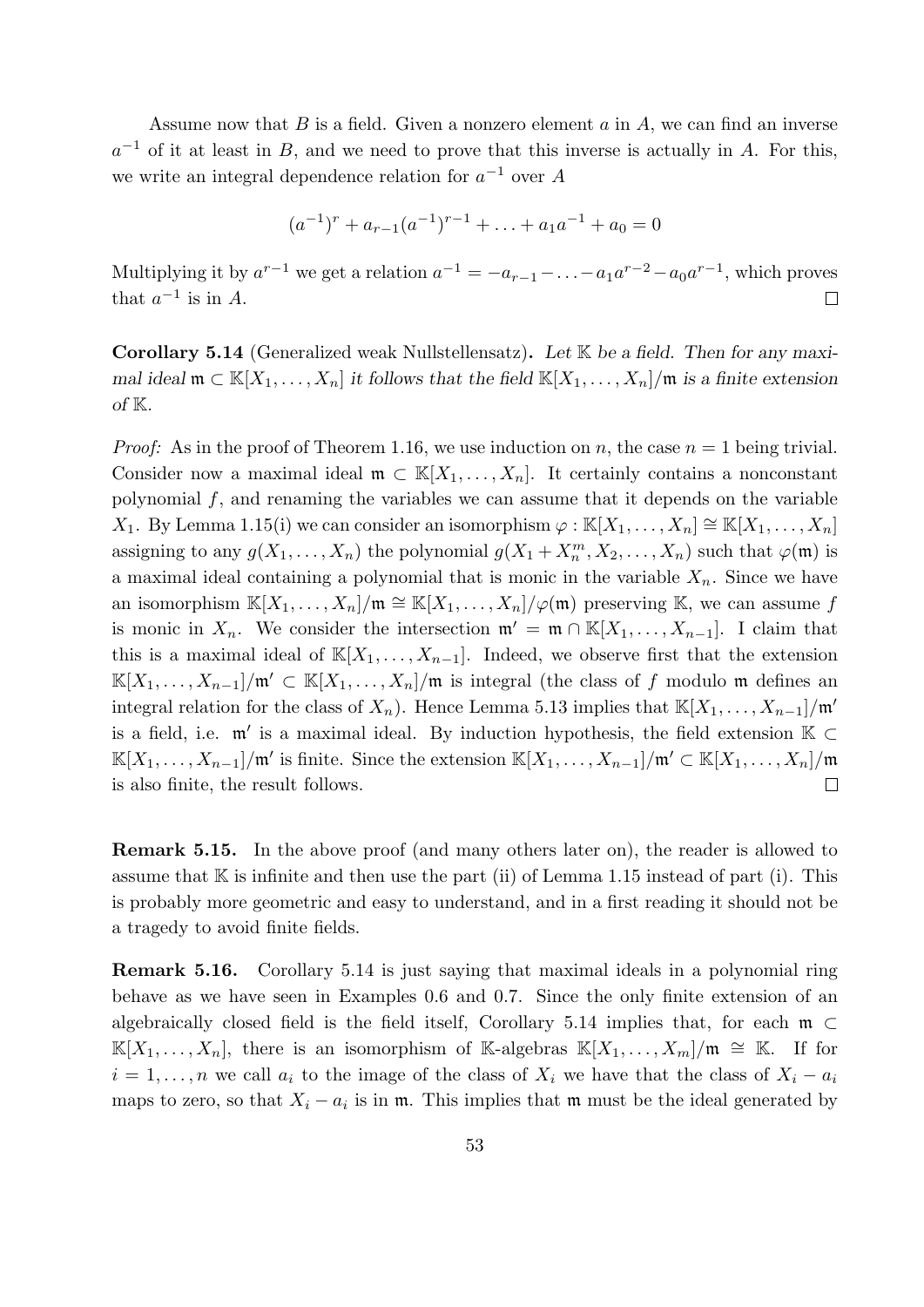Assume now that  $B$  is a field. Given a nonzero element  $a$  in  $A$ , we can find an inverse  $a^{-1}$  of it at least in B, and we need to prove that this inverse is actually in A. For this, we write an integral dependence relation for  $a^{-1}$  over A

$$
(a^{-1})^r + a_{r-1}(a^{-1})^{r-1} + \ldots + a_1 a^{-1} + a_0 = 0
$$

Multiplying it by  $a^{r-1}$  we get a relation  $a^{-1} = -a_{r-1} - \ldots - a_1 a^{r-2} - a_0 a^{r-1}$ , which proves that  $a^{-1}$  is in A.  $\Box$ 

**Corollary 5.14** (Generalized weak Nullstellensatz). Let  $K$  be a field. Then for any maximal ideal  $\mathfrak{m} \subset \mathbb{K}[X_1,\ldots,X_n]$  it follows that the field  $\mathbb{K}[X_1,\ldots,X_n]/\mathfrak{m}$  is a finite extension of  $K$ .

*Proof:* As in the proof of Theorem 1.16, we use induction on n, the case  $n = 1$  being trivial. Consider now a maximal ideal  $\mathfrak{m} \subset \mathbb{K}[X_1,\ldots,X_n]$ . It certainly contains a nonconstant polynomial  $f$ , and renaming the variables we can assume that it depends on the variable X<sub>1</sub>. By Lemma 1.15(i) we can consider an isomorphism  $\varphi : \mathbb{K}[X_1,\ldots,X_n] \cong \mathbb{K}[X_1,\ldots,X_n]$ assigning to any  $g(X_1, \ldots, X_n)$  the polynomial  $g(X_1 + X_n^m, X_2, \ldots, X_n)$  such that  $\varphi(\mathfrak{m})$  is a maximal ideal containing a polynomial that is monic in the variable  $X_n$ . Since we have an isomorphism  $\mathbb{K}[X_1,\ldots,X_n]/\mathfrak{m} \cong \mathbb{K}[X_1,\ldots,X_n]/\varphi(\mathfrak{m})$  preserving K, we can assume f is monic in  $X_n$ . We consider the intersection  $\mathfrak{m}' = \mathfrak{m} \cap \mathbb{K}[X_1, \ldots, X_{n-1}]$ . I claim that this is a maximal ideal of  $\mathbb{K}[X_1,\ldots,X_{n-1}]$ . Indeed, we observe first that the extension  $\mathbb{K}[X_1,\ldots,X_{n-1}]/\mathfrak{m}'\subset \mathbb{K}[X_1,\ldots,X_n]/\mathfrak{m}$  is integral (the class of f modulo m defines an integral relation for the class of  $X_n$ ). Hence Lemma 5.13 implies that  $\mathbb{K}[X_1, \ldots, X_{n-1}]/\mathfrak{m}'$ is a field, i.e.  $\mathfrak{m}'$  is a maximal ideal. By induction hypothesis, the field extension  $\mathbb{K} \subset$  $\mathbb{K}[X_1,\ldots,X_{n-1}]/\mathfrak{m}'$  is finite. Since the extension  $\mathbb{K}[X_1,\ldots,X_{n-1}]/\mathfrak{m}' \subset \mathbb{K}[X_1,\ldots,X_n]/\mathfrak{m}$ is also finite, the result follows.  $\Box$ 

Remark 5.15. In the above proof (and many others later on), the reader is allowed to assume that  $\mathbb K$  is infinite and then use the part (ii) of Lemma 1.15 instead of part (i). This is probably more geometric and easy to understand, and in a first reading it should not be a tragedy to avoid finite fields.

Remark 5.16. Corollary 5.14 is just saying that maximal ideals in a polynomial ring behave as we have seen in Examples 0.6 and 0.7. Since the only finite extension of an algebraically closed field is the field itself, Corollary 5.14 implies that, for each  $m \subset$  $\mathbb{K}[X_1,\ldots,X_n],$  there is an isomorphism of K-algebras  $\mathbb{K}[X_1,\ldots,X_m]/m \cong \mathbb{K}$ . If for  $i = 1, \ldots, n$  we call  $a_i$  to the image of the class of  $X_i$  we have that the class of  $X_i - a_i$ maps to zero, so that  $X_i - a_i$  is in  $\mathfrak{m}$ . This implies that  $\mathfrak{m}$  must be the ideal generated by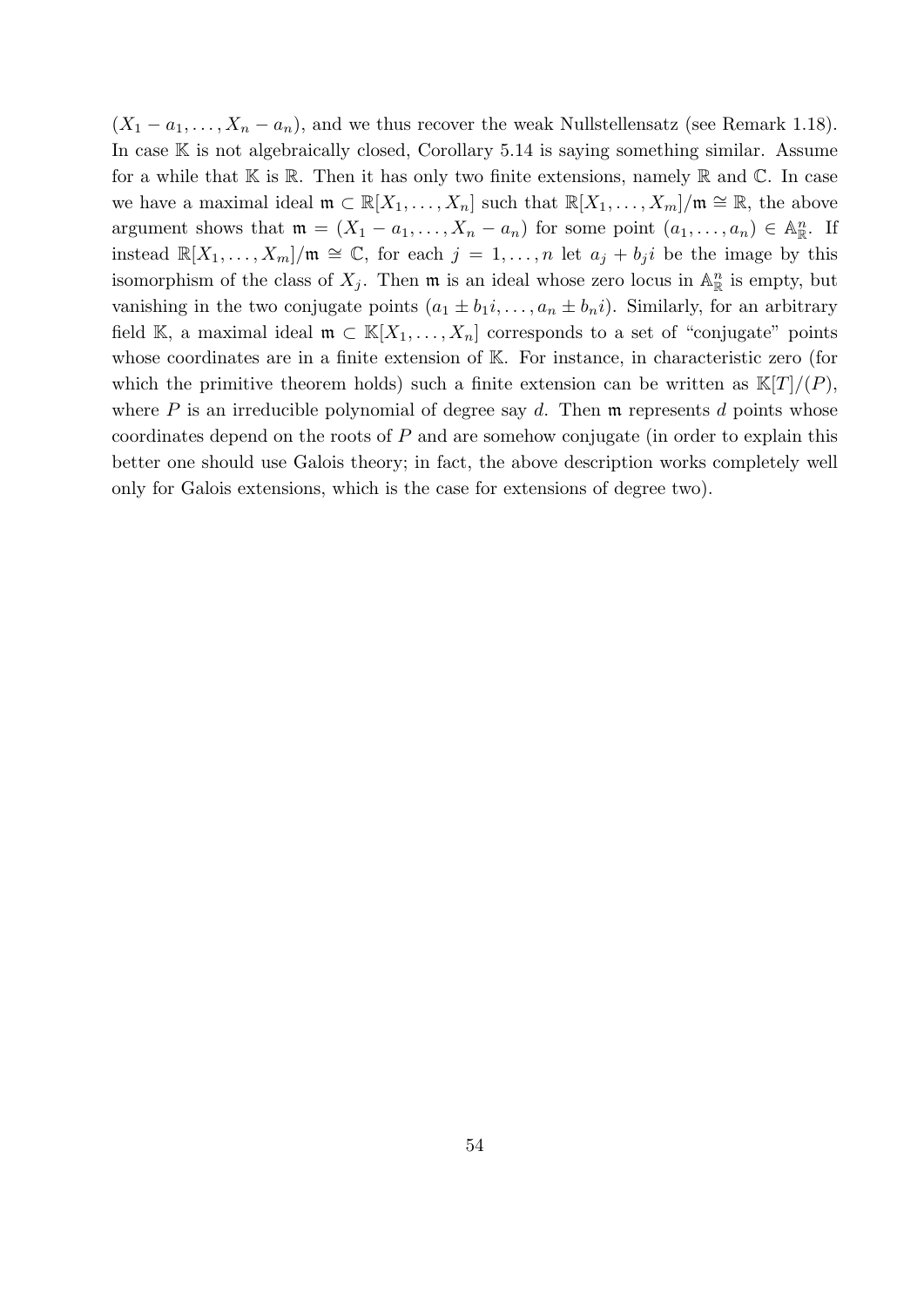$(X_1 - a_1, \ldots, X_n - a_n)$ , and we thus recover the weak Nullstellensatz (see Remark 1.18). In case  $\mathbb K$  is not algebraically closed, Corollary 5.14 is saying something similar. Assume for a while that  $\mathbb K$  is  $\mathbb R$ . Then it has only two finite extensions, namely  $\mathbb R$  and  $\mathbb C$ . In case we have a maximal ideal  $\mathfrak{m} \subset \mathbb{R}[X_1,\ldots,X_n]$  such that  $\mathbb{R}[X_1,\ldots,X_m]/\mathfrak{m} \cong \mathbb{R}$ , the above argument shows that  $\mathfrak{m} = (X_1 - a_1, \ldots, X_n - a_n)$  for some point  $(a_1, \ldots, a_n) \in \mathbb{A}_{\mathbb{R}}^n$ . If instead  $\mathbb{R}[X_1,\ldots,X_m]/\mathfrak{m} \cong \mathbb{C}$ , for each  $j=1,\ldots,n$  let  $a_j+b_ji$  be the image by this isomorphism of the class of  $X_j$ . Then  $\mathfrak m$  is an ideal whose zero locus in  $\mathbb{A}^n_{\mathbb{R}}$  is empty, but vanishing in the two conjugate points  $(a_1 \pm b_1 i, \ldots, a_n \pm b_n i)$ . Similarly, for an arbitrary field K, a maximal ideal  $\mathfrak{m} \subset \mathbb{K}[X_1,\ldots,X_n]$  corresponds to a set of "conjugate" points whose coordinates are in a finite extension of K. For instance, in characteristic zero (for which the primitive theorem holds) such a finite extension can be written as  $\mathbb{K}[T]/(P)$ , where  $P$  is an irreducible polynomial of degree say  $d$ . Then  $\mathfrak m$  represents  $d$  points whose coordinates depend on the roots of  $P$  and are somehow conjugate (in order to explain this better one should use Galois theory; in fact, the above description works completely well only for Galois extensions, which is the case for extensions of degree two).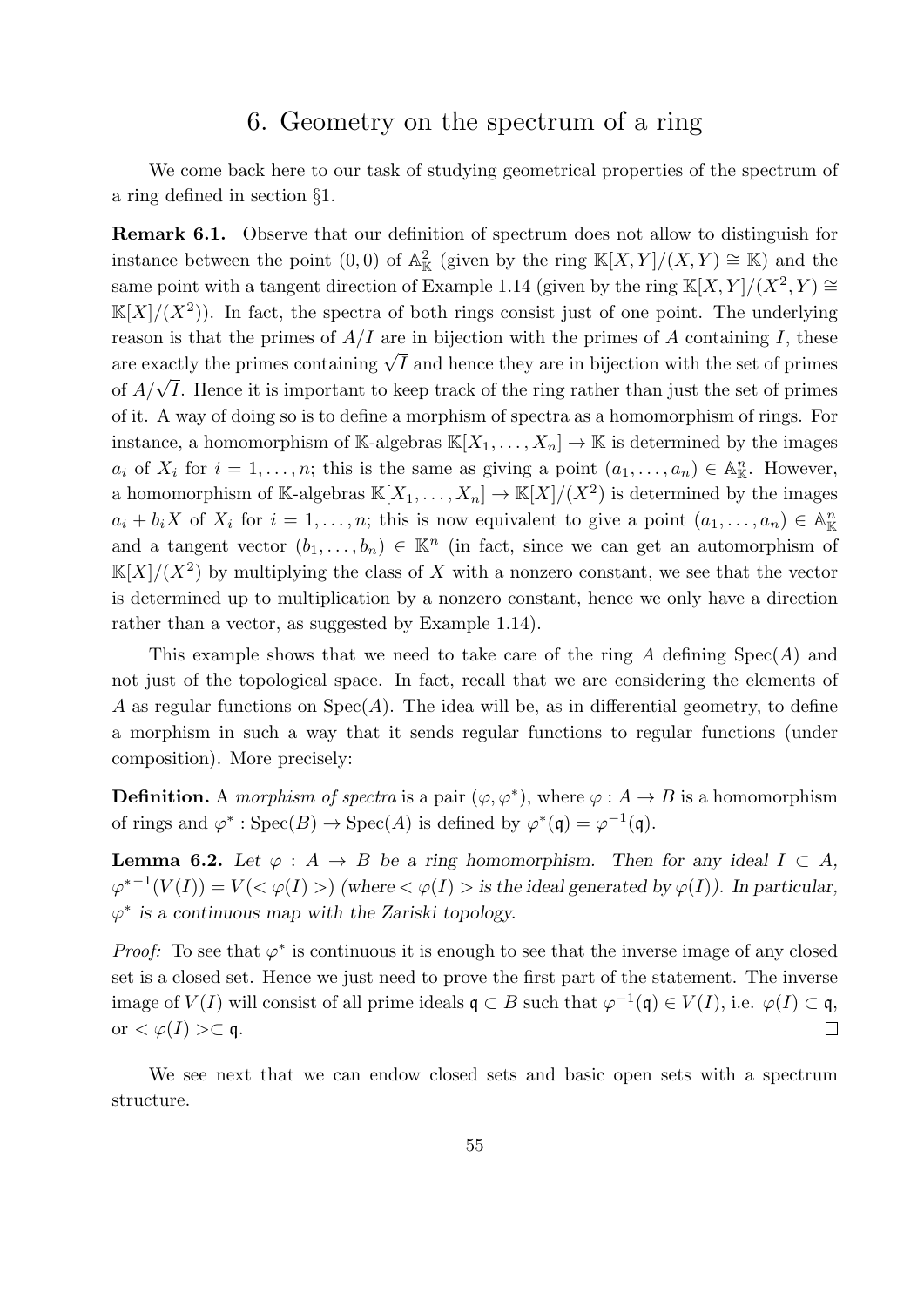## 6. Geometry on the spectrum of a ring

We come back here to our task of studying geometrical properties of the spectrum of a ring defined in section §1.

Remark 6.1. Observe that our definition of spectrum does not allow to distinguish for instance between the point  $(0,0)$  of  $\mathbb{A}^2_{\mathbb{K}}$  (given by the ring  $\mathbb{K}[X,Y]/(X,Y) \cong \mathbb{K}$ ) and the same point with a tangent direction of Example 1.14 (given by the ring  $\mathbb{K}[X, Y]/(X^2, Y) \cong$  $\mathbb{K}[X]/(X^2)$ ). In fact, the spectra of both rings consist just of one point. The underlying reason is that the primes of  $A/I$  are in bijection with the primes of A containing I, these reason is that the primes of  $A/I$  are in bijection with the primes of A containing 1, these<br>are exactly the primes containing  $\sqrt{I}$  and hence they are in bijection with the set of primes of  $A/\sqrt{I}$ . Hence it is important to keep track of the ring rather than just the set of primes of  $A/\sqrt{I}$ . of it. A way of doing so is to define a morphism of spectra as a homomorphism of rings. For instance, a homomorphism of K-algebras  $\mathbb{K}[X_1,\ldots,X_n] \to \mathbb{K}$  is determined by the images  $a_i$  of  $X_i$  for  $i = 1, \ldots, n$ ; this is the same as giving a point  $(a_1, \ldots, a_n) \in \mathbb{A}_{\mathbb{K}}^n$ . However, a homomorphism of K-algebras  $\mathbb{K}[X_1,\ldots,X_n] \to \mathbb{K}[X]/(X^2)$  is determined by the images  $a_i + b_i X$  of  $X_i$  for  $i = 1, \ldots, n$ ; this is now equivalent to give a point  $(a_1, \ldots, a_n) \in A_{\mathbb{K}}^n$ and a tangent vector  $(b_1, \ldots, b_n) \in \mathbb{K}^n$  (in fact, since we can get an automorphism of  $\mathbb{K}[X]/(X^2)$  by multiplying the class of X with a nonzero constant, we see that the vector is determined up to multiplication by a nonzero constant, hence we only have a direction rather than a vector, as suggested by Example 1.14).

This example shows that we need to take care of the ring A defining  $Spec(A)$  and not just of the topological space. In fact, recall that we are considering the elements of A as regular functions on  $Spec(A)$ . The idea will be, as in differential geometry, to define a morphism in such a way that it sends regular functions to regular functions (under composition). More precisely:

**Definition.** A morphism of spectra is a pair  $(\varphi, \varphi^*)$ , where  $\varphi : A \to B$  is a homomorphism of rings and  $\varphi^* : \text{Spec}(B) \to \text{Spec}(A)$  is defined by  $\varphi^*(\mathfrak{q}) = \varphi^{-1}(\mathfrak{q})$ .

**Lemma 6.2.** Let  $\varphi : A \to B$  be a ring homomorphism. Then for any ideal  $I \subset A$ ,  $\varphi^{*-1}(V(I)) = V(<\varphi(I)>)$  (where  $<\varphi(I)$ ) is the ideal generated by  $\varphi(I)$ ). In particular,  $\varphi^*$  is a continuous map with the Zariski topology.

*Proof:* To see that  $\varphi^*$  is continuous it is enough to see that the inverse image of any closed set is a closed set. Hence we just need to prove the first part of the statement. The inverse image of  $V(I)$  will consist of all prime ideals  $\mathfrak{q} \subset B$  such that  $\varphi^{-1}(\mathfrak{q}) \in V(I)$ , i.e.  $\varphi(I) \subset \mathfrak{q}$ , or  $<\varphi(I)>\subset \mathfrak{q}$ .  $\Box$ 

We see next that we can endow closed sets and basic open sets with a spectrum structure.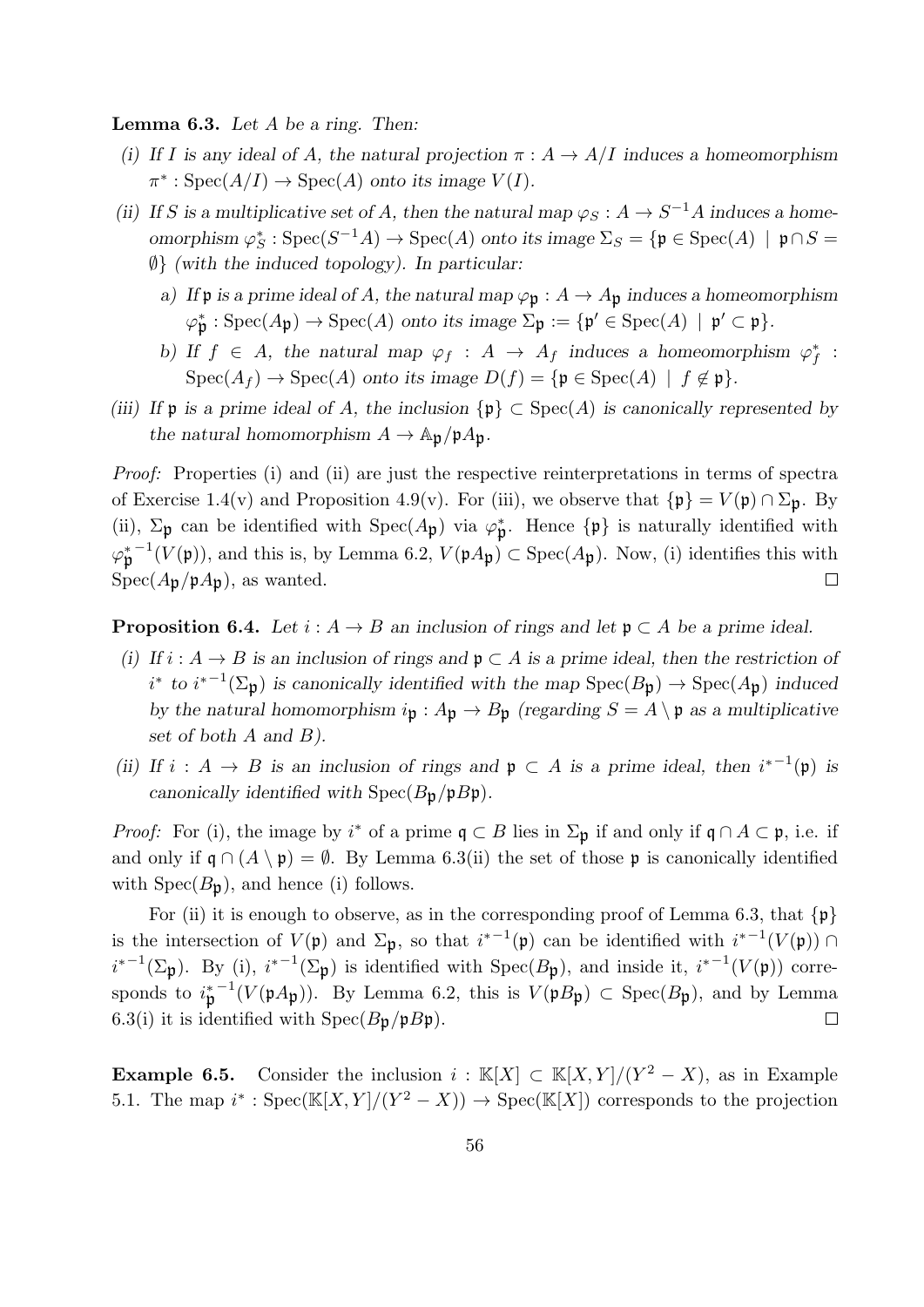**Lemma 6.3.** Let  $A$  be a ring. Then:

- (i) If I is any ideal of A, the natural projection  $\pi : A \to A/I$  induces a homeomorphism  $\pi^* : \text{Spec}(A/I) \to \text{Spec}(A)$  onto its image  $V(I)$ .
- (ii) If S is a multiplicative set of A, then the natural map  $\varphi_S : A \to S^{-1}A$  induces a homeomorphism  $\varphi_S^*$ : Spec(S<sup>-1</sup>A) → Spec(A) onto its image  $\Sigma_S = \{ \mathfrak{p} \in \text{Spec}(A) \mid \mathfrak{p} \cap S =$  $\emptyset$ } (with the induced topology). In particular:
	- a) If p is a prime ideal of A, the natural map  $\varphi_p : A \to A_p$  induces a homeomorphism
		- $\varphi_{\mathfrak{p}}^* : \operatorname{Spec}(A_{\mathfrak{p}}) \to \operatorname{Spec}(A)$  onto its image  $\Sigma_{\mathfrak{p}} := \{ \mathfrak{p}' \in \operatorname{Spec}(A) \mid \mathfrak{p}' \subset \mathfrak{p} \}.$
	- b) If  $f \in A$ , the natural map  $\varphi_f : A \to A_f$  induces a homeomorphism  $\varphi_f^*$ :  $Spec(A_f) \to Spec(A)$  onto its image  $D(f) = {\mathfrak{p}} \in Spec(A) \mid f \notin \mathfrak{p}$ .
- (iii) If  $\mathfrak p$  is a prime ideal of A, the inclusion  $\{\mathfrak p\} \subset \operatorname{Spec}(A)$  is canonically represented by the natural homomorphism  $A \to \mathbb{A}_{p}/pA_{p}$ .

Proof: Properties (i) and (ii) are just the respective reinterpretations in terms of spectra of Exercise 1.4(v) and Proposition 4.9(v). For (iii), we observe that  $\{\mathfrak{p}\}=V(\mathfrak{p})\cap \Sigma_{\mathfrak{p}}$ . By (ii),  $\Sigma_p$  can be identified with  $Spec(A_p)$  via  $\varphi_p^*$ . Hence  $\{p\}$  is naturally identified with  $\varphi_{\mathfrak{p}}^{*-1}(V(\mathfrak{p})),$  and this is, by Lemma 6.2,  $V(\mathfrak{p} A_{\mathfrak{p}}) \subset \text{Spec}(A_{\mathfrak{p}})$ . Now, (i) identifies this with  $Spec(A_{\mathfrak{p}}/\mathfrak{p}A_{\mathfrak{p}}),$  as wanted.  $\Box$ 

**Proposition 6.4.** Let  $i : A \rightarrow B$  an inclusion of rings and let  $\mathfrak{p} \subset A$  be a prime ideal.

- (i) If  $i : A \to B$  is an inclusion of rings and  $\mathfrak{p} \subset A$  is a prime ideal, then the restriction of  $i^*$  to  $i^{*-1}(\Sigma_{\mathfrak{p}})$  is canonically identified with the map  $Spec(B_{\mathfrak{p}}) \to Spec(A_{\mathfrak{p}})$  induced by the natural homomorphism  $i_{\mathfrak{p}}: A_{\mathfrak{p}} \to B_{\mathfrak{p}}$  (regarding  $S = A \setminus \mathfrak{p}$  as a multiplicative set of both  $A$  and  $B$ ).
- (ii) If  $i : A \rightarrow B$  is an inclusion of rings and  $\mathfrak{p} \subset A$  is a prime ideal, then  $i^{*-1}(\mathfrak{p})$  is canonically identified with  $Spec(B_p/pB_p)$ .

*Proof:* For (i), the image by  $i^*$  of a prime  $\mathfrak{q} \subset B$  lies in  $\Sigma_{\mathfrak{p}}$  if and only if  $\mathfrak{q} \cap A \subset \mathfrak{p}$ , i.e. if and only if  $\mathfrak{q} \cap (A \setminus \mathfrak{p}) = \emptyset$ . By Lemma 6.3(ii) the set of those p is canonically identified with  $Spec(B_p)$ , and hence (i) follows.

For (ii) it is enough to observe, as in the corresponding proof of Lemma 6.3, that  $\{p\}$ is the intersection of  $V(\mathfrak{p})$  and  $\Sigma_{\mathfrak{p}}$ , so that  $i^{*-1}(\mathfrak{p})$  can be identified with  $i^{*-1}(V(\mathfrak{p})) \cap$  $i^{*-1}(\Sigma_{\mathfrak{p}})$ . By (i),  $i^{*-1}(\Sigma_{\mathfrak{p}})$  is identified with  $Spec(B_{\mathfrak{p}})$ , and inside it,  $i^{*-1}(V(\mathfrak{p}))$  corresponds to  $i_p^{*-1}(V(pA_p))$ . By Lemma 6.2, this is  $V(pB_p) \subset \text{Spec}(B_p)$ , and by Lemma 6.3(i) it is identified with  $Spec(B_{\mathfrak{p}}/pB_{\mathfrak{p}})$ .  $\Box$ 

**Example 6.5.** Consider the inclusion  $i : \mathbb{K}[X] \subset \mathbb{K}[X, Y]/(Y^2 - X)$ , as in Example 5.1. The map  $i^*$ : Spec( $\mathbb{K}[X, Y]/(Y^2 - X)$ )  $\rightarrow$  Spec( $\mathbb{K}[X]$ ) corresponds to the projection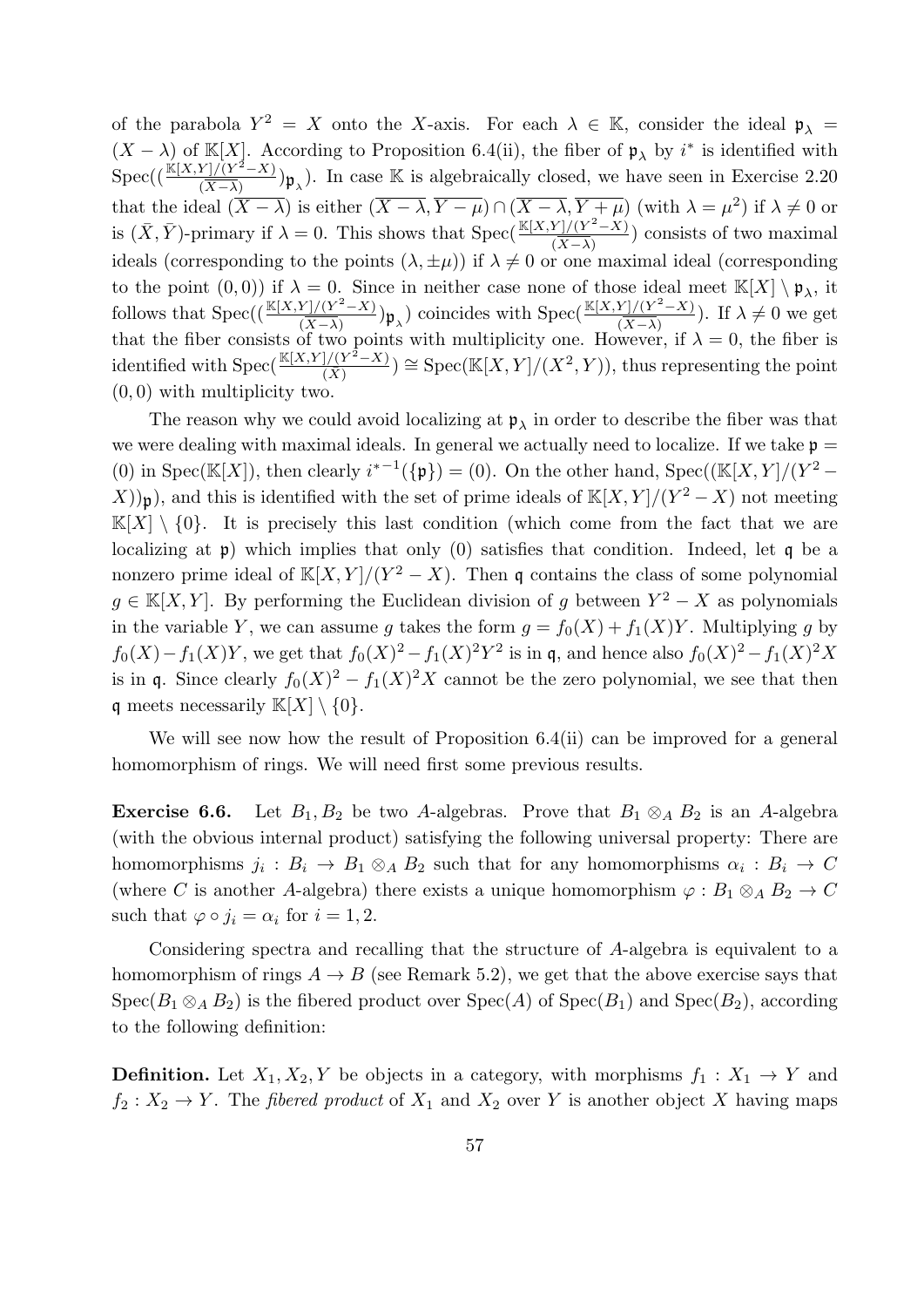of the parabola  $Y^2 = X$  onto the X-axis. For each  $\lambda \in \mathbb{K}$ , consider the ideal  $\mathfrak{p}_{\lambda} =$  $(X - \lambda)$  of K[X]. According to Proposition 6.4(ii), the fiber of  $\mathfrak{p}_{\lambda}$  by  $i^*$  is identified with  $\mathrm{Spec}((\frac{\mathbb{K}[X,Y]/(Y^2-X)}{\sqrt{Y}+X)})$  $\frac{Y}{(X-\lambda)}(Y^2-X)$   $\mathfrak{p}_{\lambda}$ ). In case K is algebraically closed, we have seen in Exercise 2.20 that the ideal  $(\overline{X-\lambda})$  is either  $(\overline{X-\lambda}, \overline{Y-\mu}) \cap (\overline{X-\lambda}, \overline{Y+\mu})$  (with  $\lambda = \mu^2$ ) if  $\lambda \neq 0$  or is  $(\bar{X}, \bar{Y})$ -primary if  $\lambda = 0$ . This shows that Spec $\left(\frac{\mathbb{K}[X, Y]/(Y^2 - X)}{\sqrt{Y - X}}\right)$  $\frac{\Gamma f/(Y-X)}{(X-X)}$  consists of two maximal ideals (corresponding to the points  $(\lambda, \pm \mu)$ ) if  $\lambda \neq 0$  or one maximal ideal (corresponding to the point  $(0,0)$  if  $\lambda = 0$ . Since in neither case none of those ideal meet  $\mathbb{K}[X] \setminus \mathfrak{p}_{\lambda}$ , it follows that  $Spec((\frac{\mathbb{K}[X,Y]/(Y^2-X)}{\sqrt{Y}-X)})$  $\frac{Y|/(Y^2-X)}{(\overline{X}-\overline{\lambda})}$   $\mathfrak{p}_{\lambda}$ ) coincides with  $\mathrm{Spec}(\frac{\mathbb{K}[X,Y]/(Y^2-X)}{(\overline{X}-\overline{\lambda})})$  $\frac{\Gamma f/(X^2 - \lambda)}{(X - \lambda)}$ . If  $\lambda \neq 0$  we get that the fiber consists of two points with multiplicity one. However, if  $\lambda = 0$ , the fiber is identified with  $Spec(\frac{\mathbb{K}[X,Y]/(Y^2-X)}{\sqrt{Y}})$  $\frac{1/(Y^2-X)}{(\bar{X})}$   $\cong$  Spec(K[X, Y]/(X<sup>2</sup>, Y)), thus representing the point (0, 0) with multiplicity two.

The reason why we could avoid localizing at  $\mathfrak{p}_{\lambda}$  in order to describe the fiber was that we were dealing with maximal ideals. In general we actually need to localize. If we take  $p =$ (0) in Spec(K[X]), then clearly  $i^{*-1}(\{\mathfrak{p}\}) = (0)$ . On the other hand, Spec((K[X, Y]/(Y<sup>2</sup> –  $(X)$ ) $\mathfrak{p}$ ), and this is identified with the set of prime ideals of  $\mathbb{K}[X, Y]/(Y^2 - X)$  not meeting  $\mathbb{K}[X] \setminus \{0\}$ . It is precisely this last condition (which come from the fact that we are localizing at p) which implies that only (0) satisfies that condition. Indeed, let q be a nonzero prime ideal of  $\mathbb{K}[X, Y]/(Y^2 - X)$ . Then q contains the class of some polynomial  $g \in K[X, Y]$ . By performing the Euclidean division of g between  $Y^2 - X$  as polynomials in the variable Y, we can assume g takes the form  $g = f_0(X) + f_1(X)Y$ . Multiplying g by  $f_0(X) - f_1(X)Y$ , we get that  $f_0(X)^2 - f_1(X)^2Y^2$  is in q, and hence also  $f_0(X)^2 - f_1(X)^2X$ is in q. Since clearly  $f_0(X)^2 - f_1(X)^2 X$  cannot be the zero polynomial, we see that then q meets necessarily  $\mathbb{K}[X] \setminus \{0\}.$ 

We will see now how the result of Proposition 6.4(ii) can be improved for a general homomorphism of rings. We will need first some previous results.

**Exercise 6.6.** Let  $B_1, B_2$  be two A-algebras. Prove that  $B_1 \otimes_A B_2$  is an A-algebra (with the obvious internal product) satisfying the following universal property: There are homomorphisms  $j_i: B_i \to B_1 \otimes_A B_2$  such that for any homomorphisms  $\alpha_i: B_i \to C$ (where C is another A-algebra) there exists a unique homomorphism  $\varphi : B_1 \otimes_A B_2 \to C$ such that  $\varphi \circ j_i = \alpha_i$  for  $i = 1, 2$ .

Considering spectra and recalling that the structure of A-algebra is equivalent to a homomorphism of rings  $A \to B$  (see Remark 5.2), we get that the above exercise says that  $Spec(B_1 \otimes_A B_2)$  is the fibered product over  $Spec(A)$  of  $Spec(B_1)$  and  $Spec(B_2)$ , according to the following definition:

**Definition.** Let  $X_1, X_2, Y$  be objects in a category, with morphisms  $f_1 : X_1 \to Y$  and  $f_2: X_2 \to Y$ . The *fibered product* of  $X_1$  and  $X_2$  over Y is another object X having maps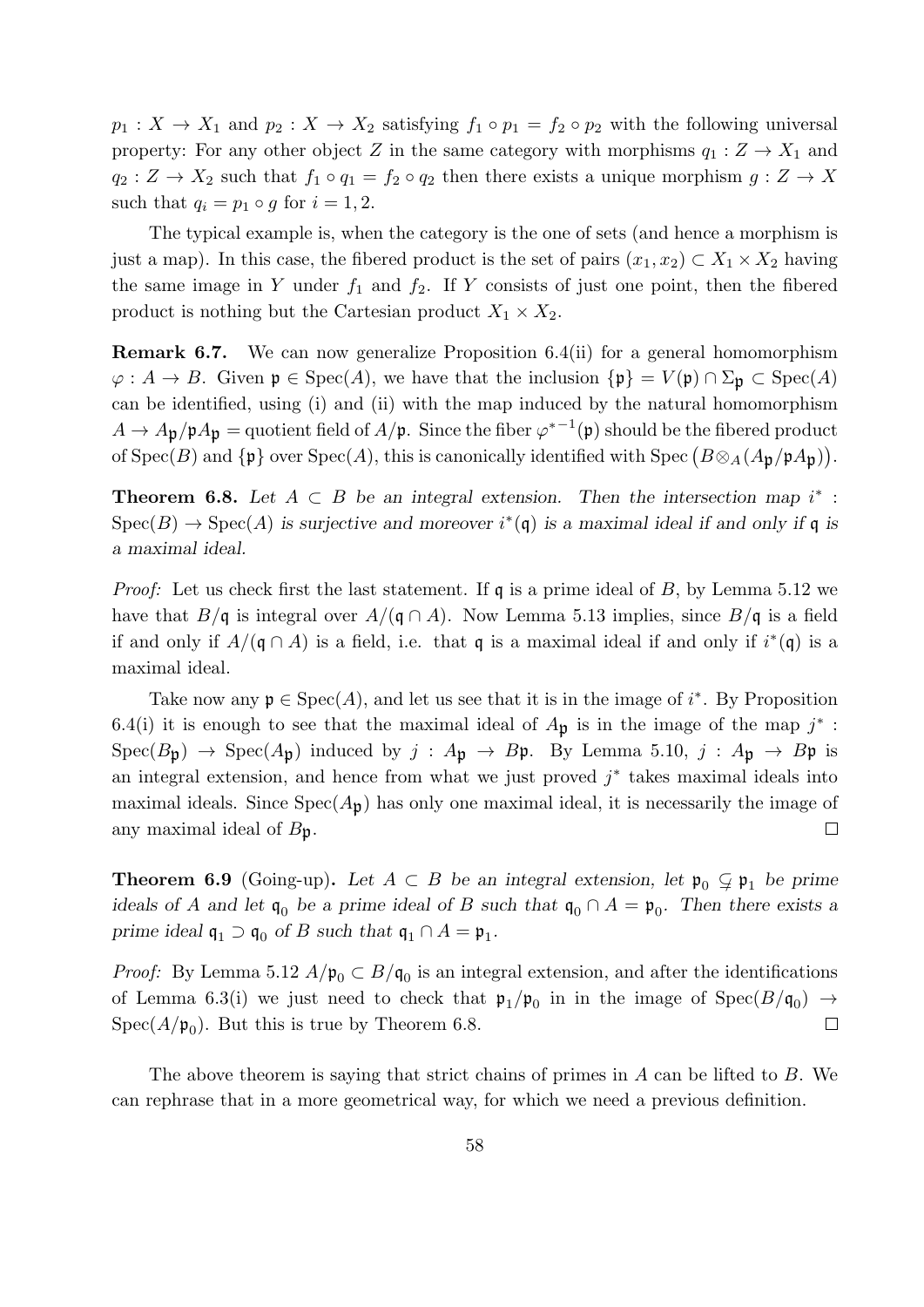$p_1: X \to X_1$  and  $p_2: X \to X_2$  satisfying  $f_1 \circ p_1 = f_2 \circ p_2$  with the following universal property: For any other object Z in the same category with morphisms  $q_1 : Z \to X_1$  and  $q_2: Z \to X_2$  such that  $f_1 \circ q_1 = f_2 \circ q_2$  then there exists a unique morphism  $g: Z \to X$ such that  $q_i = p_1 \circ g$  for  $i = 1, 2$ .

The typical example is, when the category is the one of sets (and hence a morphism is just a map). In this case, the fibered product is the set of pairs  $(x_1, x_2) \subset X_1 \times X_2$  having the same image in Y under  $f_1$  and  $f_2$ . If Y consists of just one point, then the fibered product is nothing but the Cartesian product  $X_1 \times X_2$ .

Remark 6.7. We can now generalize Proposition 6.4(ii) for a general homomorphism  $\varphi: A \to B$ . Given  $\mathfrak{p} \in \text{Spec}(A)$ , we have that the inclusion  ${\{\mathfrak{p}\}} = V(\mathfrak{p}) \cap \Sigma_{\mathfrak{p}} \subset \text{Spec}(A)$ can be identified, using (i) and (ii) with the map induced by the natural homomorphism  $A \to A_{\mathfrak{p}}/\mathfrak{p}A_{\mathfrak{p}} =$  quotient field of  $A/\mathfrak{p}$ . Since the fiber  $\varphi^{*-1}(\mathfrak{p})$  should be the fibered product of  $Spec(B)$  and  $\{\mathfrak{p}\}$  over  $Spec(A)$ , this is canonically identified with  $Spec(B\otimes_A(A_{\mathfrak{p}}/\mathfrak{p}A_{\mathfrak{p}})).$ 

**Theorem 6.8.** Let  $A \subset B$  be an integral extension. Then the intersection map  $i^*$ :  $Spec(B) \to Spec(A)$  is surjective and moreover  $i^*(\mathfrak{q})$  is a maximal ideal if and only if  $\mathfrak{q}$  is a maximal ideal.

*Proof:* Let us check first the last statement. If  $\mathfrak{q}$  is a prime ideal of B, by Lemma 5.12 we have that  $B/\mathfrak{q}$  is integral over  $A/(\mathfrak{q} \cap A)$ . Now Lemma 5.13 implies, since  $B/\mathfrak{q}$  is a field if and only if  $A/(\mathfrak{q} \cap A)$  is a field, i.e. that q is a maximal ideal if and only if  $i^*(\mathfrak{q})$  is a maximal ideal.

Take now any  $\mathfrak{p} \in \text{Spec}(A)$ , and let us see that it is in the image of  $i^*$ . By Proposition 6.4(i) it is enough to see that the maximal ideal of  $A_{\mathfrak{p}}$  is in the image of the map  $j^*$ :  $Spec(B_{\mathfrak{p}}) \rightarrow Spec(A_{\mathfrak{p}})$  induced by  $j : A_{\mathfrak{p}} \rightarrow B_{\mathfrak{p}}$ . By Lemma 5.10,  $j : A_{\mathfrak{p}} \rightarrow B_{\mathfrak{p}}$  is an integral extension, and hence from what we just proved  $j^*$  takes maximal ideals into maximal ideals. Since  $Spec(A_{p})$  has only one maximal ideal, it is necessarily the image of any maximal ideal of  $B_p$ .  $\Box$ 

**Theorem 6.9** (Going-up). Let  $A \subset B$  be an integral extension, let  $\mathfrak{p}_0 \subsetneq \mathfrak{p}_1$  be prime ideals of A and let  $\mathfrak{q}_0$  be a prime ideal of B such that  $\mathfrak{q}_0 \cap A = \mathfrak{p}_0$ . Then there exists a prime ideal  $\mathfrak{q}_1 \supset \mathfrak{q}_0$  of B such that  $\mathfrak{q}_1 \cap A = \mathfrak{p}_1$ .

*Proof:* By Lemma 5.12  $A/\mathfrak{p}_0 \subset B/\mathfrak{q}_0$  is an integral extension, and after the identifications of Lemma 6.3(i) we just need to check that  $\mathfrak{p}_1/\mathfrak{p}_0$  in in the image of  $Spec(B/\mathfrak{q}_0) \rightarrow$  $Spec(A/\mathfrak{p}_0)$ . But this is true by Theorem 6.8.  $\Box$ 

The above theorem is saying that strict chains of primes in A can be lifted to B. We can rephrase that in a more geometrical way, for which we need a previous definition.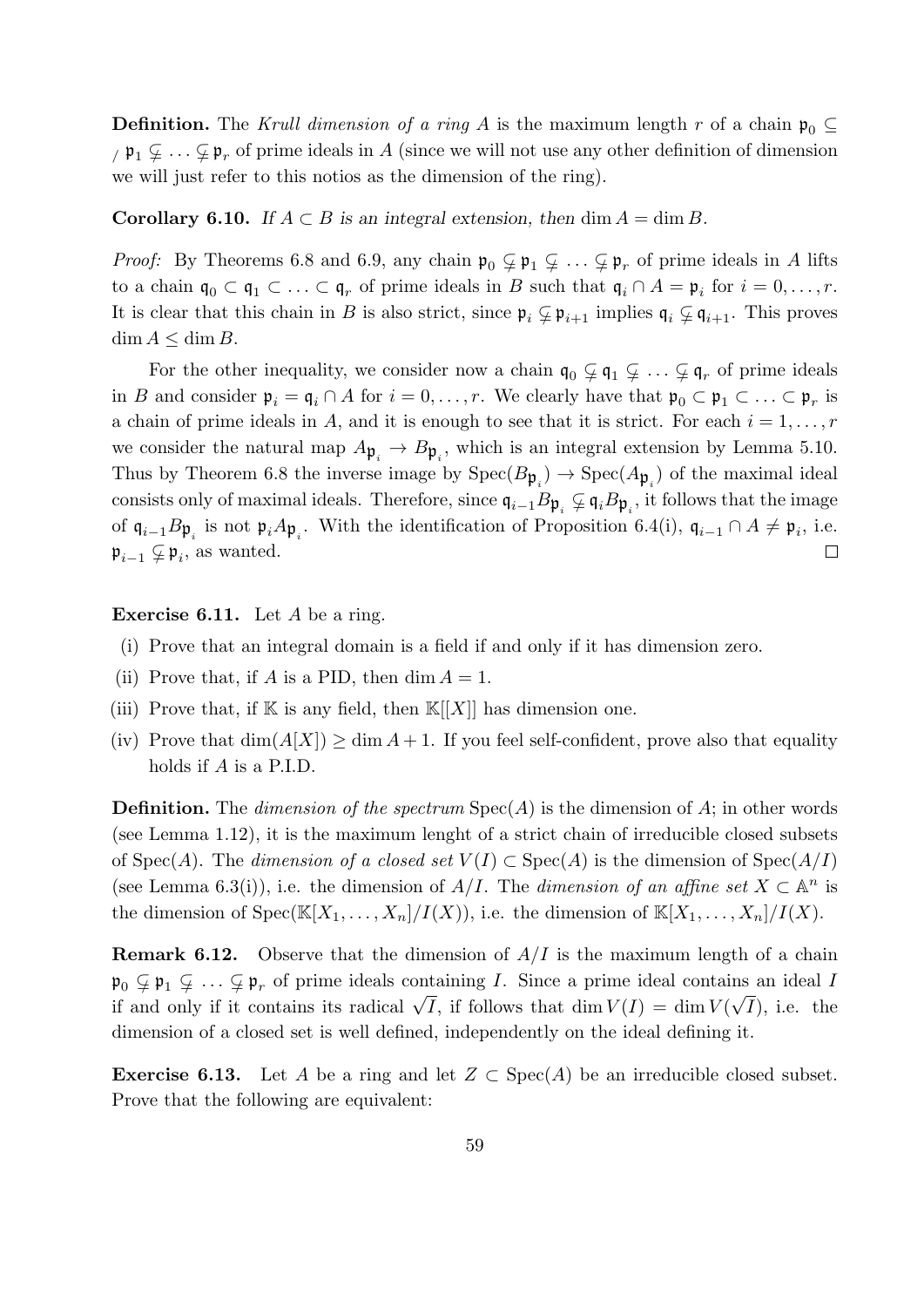**Definition.** The Krull dimension of a ring A is the maximum length r of a chain  $\mathfrak{p}_0 \subseteq$  $\gamma$   $\mathfrak{p}_1 \subsetneq \ldots \subsetneq \mathfrak{p}_r$  of prime ideals in A (since we will not use any other definition of dimension we will just refer to this notios as the dimension of the ring).

#### **Corollary 6.10.** If  $A \subset B$  is an integral extension, then dim  $A = \dim B$ .

*Proof:* By Theorems 6.8 and 6.9, any chain  $\mathfrak{p}_0 \subsetneq \mathfrak{p}_1 \subsetneq \ldots \subsetneq \mathfrak{p}_r$  of prime ideals in A lifts to a chain  $\mathfrak{q}_0 \subset \mathfrak{q}_1 \subset \ldots \subset \mathfrak{q}_r$  of prime ideals in B such that  $\mathfrak{q}_i \cap A = \mathfrak{p}_i$  for  $i = 0, \ldots, r$ . It is clear that this chain in B is also strict, since  $\mathfrak{p}_i \subsetneq \mathfrak{p}_{i+1}$  implies  $\mathfrak{q}_i \subsetneq \mathfrak{q}_{i+1}$ . This proves  $\dim A \leq \dim B$ .

For the other inequality, we consider now a chain  $\mathfrak{q}_0 \subsetneq \mathfrak{q}_1 \subsetneq \ldots \subsetneq \mathfrak{q}_r$  of prime ideals in B and consider  $\mathfrak{p}_i = \mathfrak{q}_i \cap A$  for  $i = 0, \ldots, r$ . We clearly have that  $\mathfrak{p}_0 \subset \mathfrak{p}_1 \subset \ldots \subset \mathfrak{p}_r$  is a chain of prime ideals in A, and it is enough to see that it is strict. For each  $i = 1, \ldots, r$ we consider the natural map  $A_{\mathfrak{p}_i} \to B_{\mathfrak{p}_i}$ , which is an integral extension by Lemma 5.10. Thus by Theorem 6.8 the inverse image by  $Spec(B_{\mathfrak{p}_i}) \to Spec(A_{\mathfrak{p}_i})$  of the maximal ideal consists only of maximal ideals. Therefore, since  $\mathfrak{q}_{i-1}B\mathfrak{p}_i \subsetneq \mathfrak{q}_iB\mathfrak{p}_i$ , it follows that the image of  $\mathfrak{q}_{i-1}B\mathfrak{p}_i$  is not  $\mathfrak{p}_i A\mathfrak{p}_i$ . With the identification of Proposition 6.4(i),  $\mathfrak{q}_{i-1} \cap A \neq \mathfrak{p}_i$ , i.e.  $\mathfrak{p}_{i-1} \subsetneq \mathfrak{p}_i$ , as wanted.  $\Box$ 

**Exercise 6.11.** Let  $A$  be a ring.

- (i) Prove that an integral domain is a field if and only if it has dimension zero.
- (ii) Prove that, if A is a PID, then  $\dim A = 1$ .
- (iii) Prove that, if  $K$  is any field, then  $K[[X]]$  has dimension one.
- (iv) Prove that  $\dim(A[X]) \geq \dim A + 1$ . If you feel self-confident, prove also that equality holds if A is a P.I.D.

**Definition.** The dimension of the spectrum  $Spec(A)$  is the dimension of A; in other words (see Lemma 1.12), it is the maximum lenght of a strict chain of irreducible closed subsets of Spec(A). The dimension of a closed set  $V(I) \subset \text{Spec}(A)$  is the dimension of  $\text{Spec}(A/I)$ (see Lemma 6.3(i)), i.e. the dimension of  $A/I$ . The dimension of an affine set  $X \subset \mathbb{A}^n$  is the dimension of  $Spec(\mathbb{K}[X_1,\ldots,X_n]/I(X))$ , i.e. the dimension of  $\mathbb{K}[X_1,\ldots,X_n]/I(X)$ .

**Remark 6.12.** Observe that the dimension of  $A/I$  is the maximum length of a chain  $\mathfrak{p}_0 \subsetneq \mathfrak{p}_1 \subsetneq \ldots \subsetneq \mathfrak{p}_r$  of prime ideals containing *I*. Since a prime ideal contains an ideal *I*  $\mathcal{F}_0 \neq \mathcal{F}_1 \neq \cdots \neq \mathcal{F}_r$  or prime ideas containing *1*. Since a prime ideal contains an ideal *I* if and only if it contains its radical  $\sqrt{I}$ , if follows that dim  $V(I) = \dim V(\sqrt{I})$ , i.e. the dimension of a closed set is well defined, independently on the ideal defining it.

**Exercise 6.13.** Let A be a ring and let  $Z \subset \text{Spec}(A)$  be an irreducible closed subset. Prove that the following are equivalent: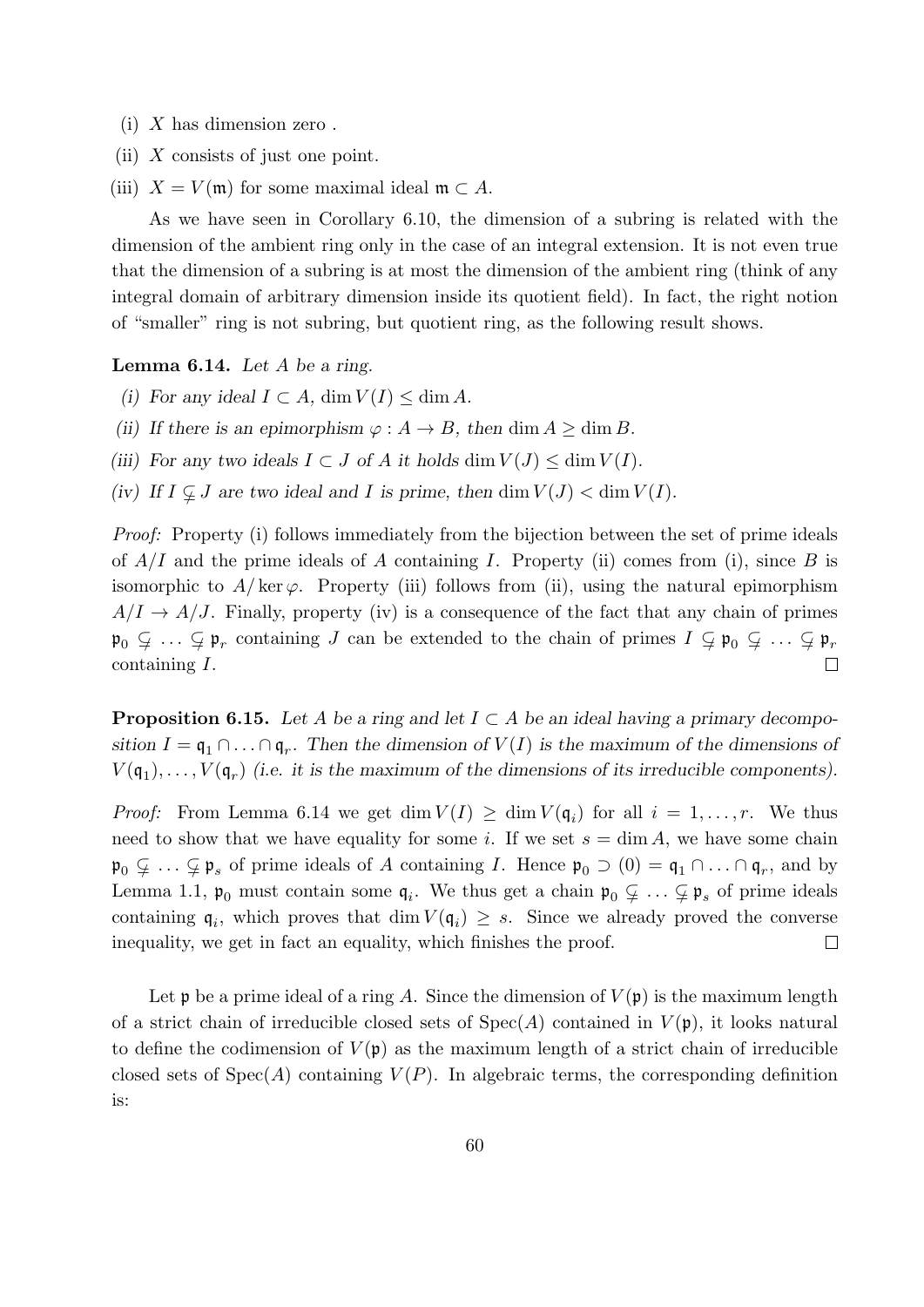- $(i)$  X has dimension zero.
- (ii)  $X$  consists of just one point.
- (iii)  $X = V(\mathfrak{m})$  for some maximal ideal  $\mathfrak{m} \subset A$ .

As we have seen in Corollary 6.10, the dimension of a subring is related with the dimension of the ambient ring only in the case of an integral extension. It is not even true that the dimension of a subring is at most the dimension of the ambient ring (think of any integral domain of arbitrary dimension inside its quotient field). In fact, the right notion of "smaller" ring is not subring, but quotient ring, as the following result shows.

**Lemma 6.14.** Let  $A$  be a ring.

- (i) For any ideal  $I \subset A$ , dim  $V(I) \leq \dim A$ .
- (ii) If there is an epimorphism  $\varphi : A \to B$ , then dim  $A \geq \dim B$ .
- (iii) For any two ideals  $I \subset J$  of A it holds  $\dim V(J) \leq \dim V(I)$ .
- (iv) If  $I \nsubseteq J$  are two ideal and I is prime, then  $\dim V(J) < \dim V(I)$ .

Proof: Property (i) follows immediately from the bijection between the set of prime ideals of  $A/I$  and the prime ideals of A containing I. Property (ii) comes from (i), since B is isomorphic to  $A/\text{ker }\varphi$ . Property (iii) follows from (ii), using the natural epimorphism  $A/I \rightarrow A/J$ . Finally, property (iv) is a consequence of the fact that any chain of primes  $\mathfrak{p}_0 \subsetneq \ldots \subsetneq \mathfrak{p}_r$  containing J can be extended to the chain of primes  $I \subsetneq \mathfrak{p}_0 \subsetneq \ldots \subsetneq \mathfrak{p}_r$ containing I.  $\Box$ 

**Proposition 6.15.** Let A be a ring and let  $I \subset A$  be an ideal having a primary decomposition  $I = \mathfrak{q}_1 \cap \ldots \cap \mathfrak{q}_r$ . Then the dimension of  $V(I)$  is the maximum of the dimensions of  $V(\mathfrak{q}_1), \ldots, V(\mathfrak{q}_r)$  (i.e. it is the maximum of the dimensions of its irreducible components).

*Proof:* From Lemma 6.14 we get  $\dim V(I) \geq \dim V(\mathfrak{q}_i)$  for all  $i = 1, \ldots, r$ . We thus need to show that we have equality for some i. If we set  $s = \dim A$ , we have some chain  $\mathfrak{p}_0 \subsetneq \ldots \subsetneq \mathfrak{p}_s$  of prime ideals of A containing I. Hence  $\mathfrak{p}_0 \supset (0) = \mathfrak{q}_1 \cap \ldots \cap \mathfrak{q}_r$ , and by Lemma 1.1,  $\mathfrak{p}_0$  must contain some  $\mathfrak{q}_i$ . We thus get a chain  $\mathfrak{p}_0 \subsetneq \ldots \subsetneq \mathfrak{p}_s$  of prime ideals containing  $\mathfrak{q}_i$ , which proves that  $\dim V(\mathfrak{q}_i) \geq s$ . Since we already proved the converse inequality, we get in fact an equality, which finishes the proof.  $\Box$ 

Let p be a prime ideal of a ring A. Since the dimension of  $V(\mathfrak{p})$  is the maximum length of a strict chain of irreducible closed sets of  $Spec(A)$  contained in  $V(\mathfrak{p})$ , it looks natural to define the codimension of  $V(\mathfrak{p})$  as the maximum length of a strict chain of irreducible closed sets of  $Spec(A)$  containing  $V(P)$ . In algebraic terms, the corresponding definition is: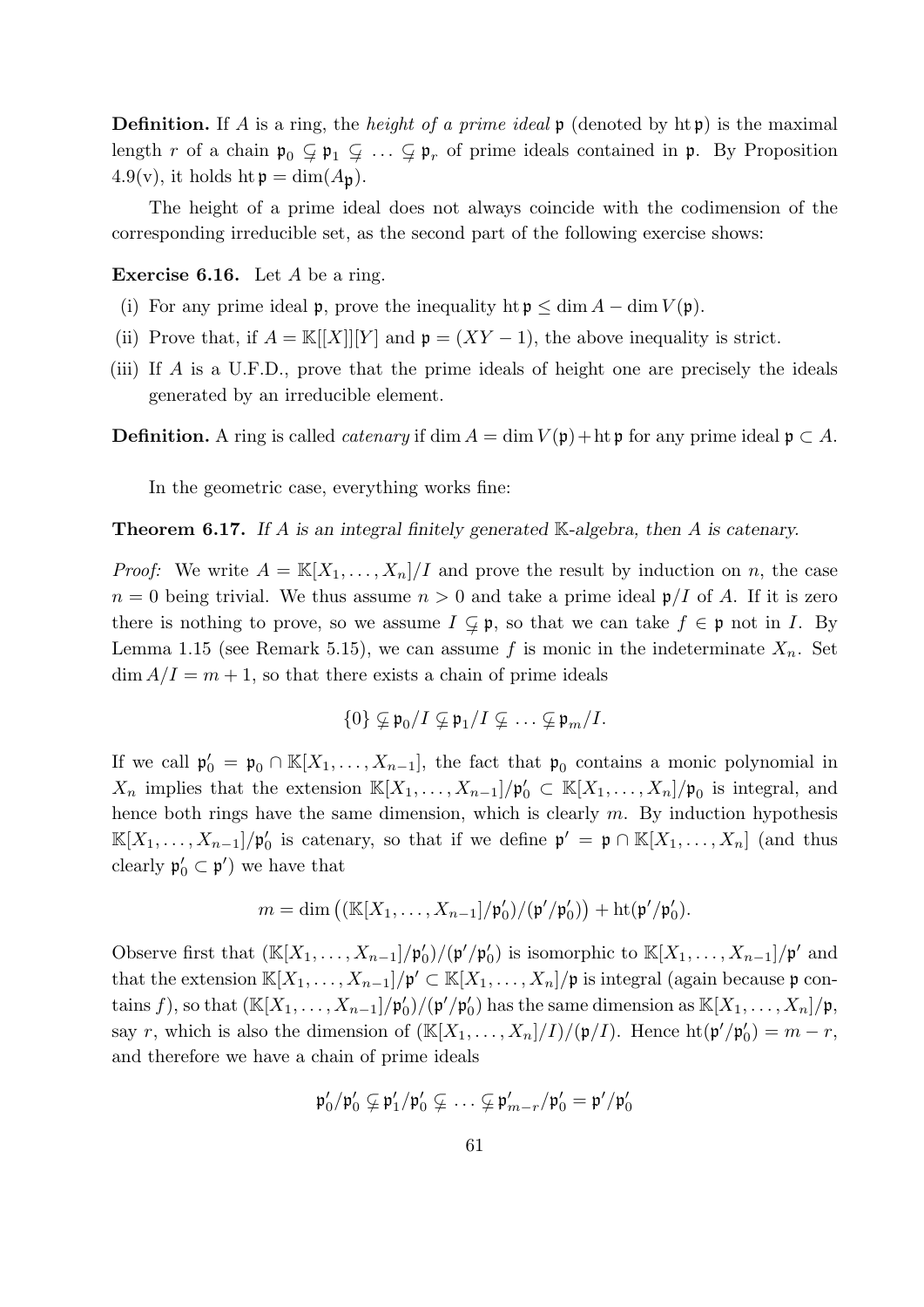**Definition.** If A is a ring, the *height of a prime ideal*  $\mathfrak{p}$  (denoted by  $\operatorname{ht} \mathfrak{p}$ ) is the maximal length r of a chain  $\mathfrak{p}_0 \subsetneq \mathfrak{p}_1 \subsetneq \ldots \subsetneq \mathfrak{p}_r$  of prime ideals contained in  $\mathfrak{p}$ . By Proposition  $4.9(v)$ , it holds ht  $p = \dim(A_p)$ .

The height of a prime ideal does not always coincide with the codimension of the corresponding irreducible set, as the second part of the following exercise shows:

**Exercise 6.16.** Let  $A$  be a ring.

- (i) For any prime ideal p, prove the inequality ht  $p \leq \dim A \dim V(p)$ .
- (ii) Prove that, if  $A = \mathbb{K}[[X]][Y]$  and  $\mathfrak{p} = (XY 1)$ , the above inequality is strict.
- (iii) If A is a U.F.D., prove that the prime ideals of height one are precisely the ideals generated by an irreducible element.

**Definition.** A ring is called *catenary* if dim  $A = \dim V(\mathfrak{p}) + \dim \mathfrak{p}$  for any prime ideal  $\mathfrak{p} \subset A$ .

In the geometric case, everything works fine:

**Theorem 6.17.** If A is an integral finitely generated K-algebra, then A is catenary.

*Proof:* We write  $A = \mathbb{K}[X_1, \ldots, X_n]/I$  and prove the result by induction on n, the case  $n = 0$  being trivial. We thus assume  $n > 0$  and take a prime ideal  $\mathfrak{p}/I$  of A. If it is zero there is nothing to prove, so we assume  $I \subsetneq \mathfrak{p}$ , so that we can take  $f \in \mathfrak{p}$  not in I. By Lemma 1.15 (see Remark 5.15), we can assume f is monic in the indeterminate  $X_n$ . Set  $\dim A/I = m + 1$ , so that there exists a chain of prime ideals

$$
\{0\} \varsubsetneq \mathfrak{p}_0/I \varsubsetneq \mathfrak{p}_1/I \varsubsetneq \ldots \varsubsetneq \mathfrak{p}_m/I.
$$

If we call  $\mathfrak{p}'_0 = \mathfrak{p}_0 \cap \mathbb{K}[X_1,\ldots,X_{n-1}],$  the fact that  $\mathfrak{p}_0$  contains a monic polynomial in  $X_n$  implies that the extension  $\mathbb{K}[X_1,\ldots,X_{n-1}]/\mathfrak{p}'_0 \subset \mathbb{K}[X_1,\ldots,X_n]/\mathfrak{p}_0$  is integral, and hence both rings have the same dimension, which is clearly  $m$ . By induction hypothesis  $\mathbb{K}[X_1,\ldots,X_{n-1}]/\mathfrak{p}'_0$  is catenary, so that if we define  $\mathfrak{p}' = \mathfrak{p} \cap \mathbb{K}[X_1,\ldots,X_n]$  (and thus clearly  $\mathfrak{p}'_0 \subset \mathfrak{p}'$  we have that

$$
m = \dim \left( \frac{\left( \mathbb{K}[X_1,\ldots,X_{n-1}]/\mathfrak{p}'_0}{\left/ \left( \mathfrak{p}'/\mathfrak{p}'_0 \right) \right)} + \mathrm{ht}(\mathfrak{p}'/\mathfrak{p}'_0).
$$

Observe first that  $(\mathbb{K}[X_1,\ldots,X_{n-1}]/\mathfrak{p}'_0)/(\mathfrak{p}'/\mathfrak{p}'_0)$  is isomorphic to  $\mathbb{K}[X_1,\ldots,X_{n-1}]/\mathfrak{p}'$  and that the extension  $\mathbb{K}[X_1,\ldots,X_{n-1}]/\mathfrak{p}' \subset \mathbb{K}[X_1,\ldots,X_n]/\mathfrak{p}$  is integral (again because  $\mathfrak{p}$  contains f), so that  $(\mathbb{K}[X_1,\ldots,X_{n-1}]/\mathfrak{p}'_0)/(\mathfrak{p}'/\mathfrak{p}'_0)$  has the same dimension as  $\mathbb{K}[X_1,\ldots,X_n]/\mathfrak{p}$ , say r, which is also the dimension of  $(\mathbb{K}[X_1,\ldots,X_n]/I)/(\mathfrak{p}/I)$ . Hence  $\mathrm{ht}(\mathfrak{p}'/\mathfrak{p}'_0) = m-r$ , and therefore we have a chain of prime ideals

$$
\mathfrak{p}'_0/\mathfrak{p}'_0\subsetneq \mathfrak{p}'_1/\mathfrak{p}'_0\subsetneq\ldots\subsetneq \mathfrak{p}'_{m-r}/\mathfrak{p}'_0=\mathfrak{p}'/\mathfrak{p}'_0
$$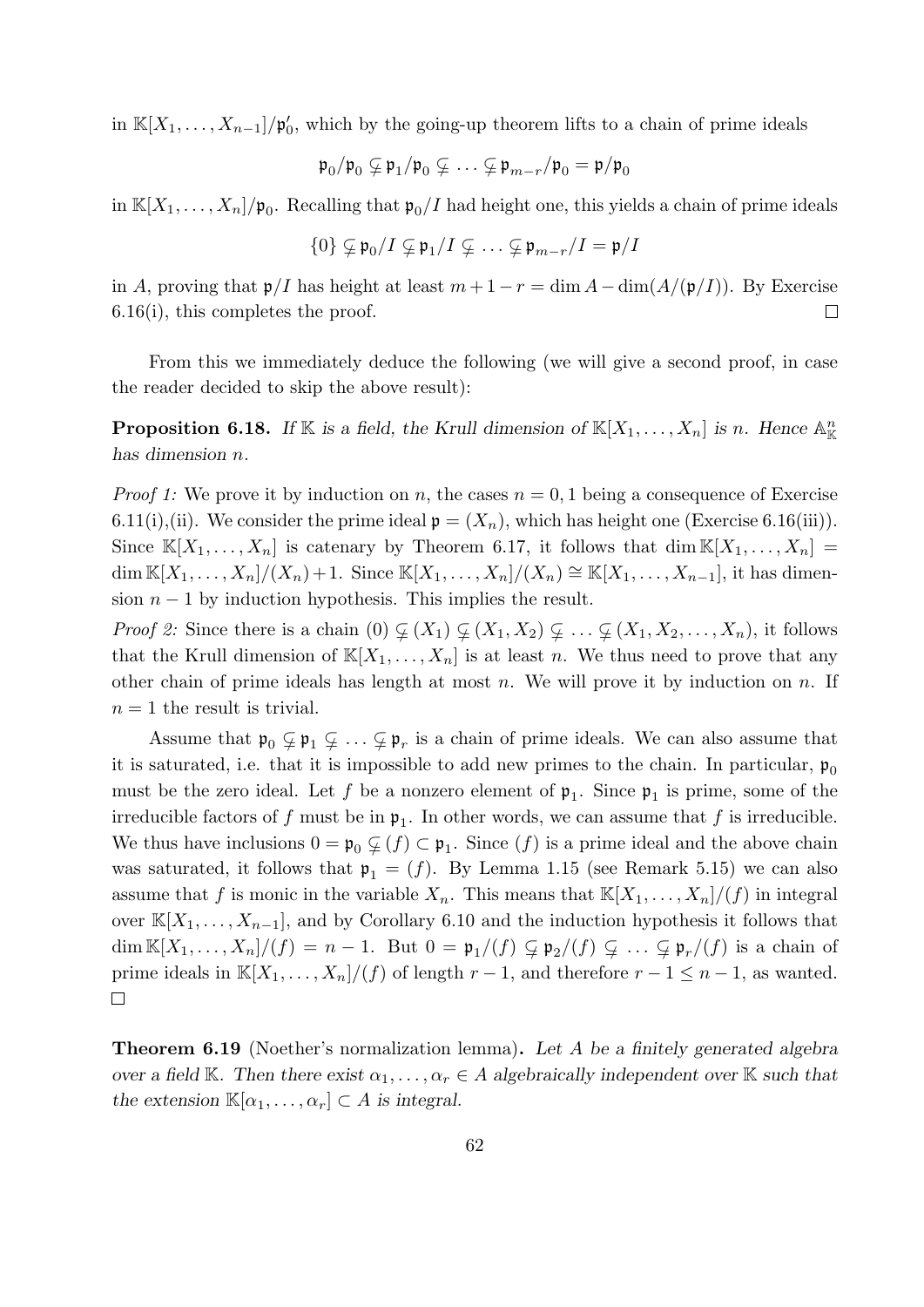in  $\mathbb{K}[X_1,\ldots,X_{n-1}]/\mathfrak{p}'_0$ , which by the going-up theorem lifts to a chain of prime ideals

$$
\mathfrak{p}_0/\mathfrak{p}_0 \subsetneq \mathfrak{p}_1/\mathfrak{p}_0 \subsetneq \ldots \subsetneq \mathfrak{p}_{m-r}/\mathfrak{p}_0 = \mathfrak{p}/\mathfrak{p}_0
$$

in  $\mathbb{K}[X_1,\ldots,X_n]/\mathfrak{p}_0$ . Recalling that  $\mathfrak{p}_0/I$  had height one, this yields a chain of prime ideals

$$
\{0\} \varsubsetneq \mathfrak{p}_0/I \varsubsetneq \mathfrak{p}_1/I \varsubsetneq \ldots \varsubsetneq \mathfrak{p}_{m-r}/I = \mathfrak{p}/I
$$

in A, proving that  $\mathfrak{p}/I$  has height at least  $m + 1 - r = \dim A - \dim(A/(\mathfrak{p}/I))$ . By Exercise 6.16(i), this completes the proof.  $\Box$ 

From this we immediately deduce the following (we will give a second proof, in case the reader decided to skip the above result):

**Proposition 6.18.** If K is a field, the Krull dimension of  $\mathbb{K}[X_1, \ldots, X_n]$  is n. Hence  $\mathbb{A}_{\mathbb{K}}^n$ has dimension n.

*Proof 1:* We prove it by induction on n, the cases  $n = 0, 1$  being a consequence of Exercise 6.11(i),(ii). We consider the prime ideal  $\mathfrak{p} = (X_n)$ , which has height one (Exercise 6.16(iii)). Since  $\mathbb{K}[X_1,\ldots,X_n]$  is catenary by Theorem 6.17, it follows that dim  $\mathbb{K}[X_1,\ldots,X_n]$  = dim  $\mathbb{K}[X_1, \ldots, X_n]/(X_n) + 1$ . Since  $\mathbb{K}[X_1, \ldots, X_n]/(X_n) \cong \mathbb{K}[X_1, \ldots, X_{n-1}],$  it has dimension  $n-1$  by induction hypothesis. This implies the result.

*Proof 2:* Since there is a chain  $(0) \varsubsetneq (X_1) \varsubsetneq (X_1, X_2) \varsubsetneq \ldots \varsubsetneq (X_1, X_2, \ldots, X_n)$ , it follows that the Krull dimension of  $\mathbb{K}[X_1,\ldots,X_n]$  is at least n. We thus need to prove that any other chain of prime ideals has length at most n. We will prove it by induction on n. If  $n = 1$  the result is trivial.

Assume that  $\mathfrak{p}_0 \subsetneq \mathfrak{p}_1 \subsetneq \ldots \subsetneq \mathfrak{p}_r$  is a chain of prime ideals. We can also assume that it is saturated, i.e. that it is impossible to add new primes to the chain. In particular,  $\mathfrak{p}_0$ must be the zero ideal. Let f be a nonzero element of  $\mathfrak{p}_1$ . Since  $\mathfrak{p}_1$  is prime, some of the irreducible factors of f must be in  $\mathfrak{p}_1$ . In other words, we can assume that f is irreducible. We thus have inclusions  $0 = \mathfrak{p}_0 \subsetneq (f) \subset \mathfrak{p}_1$ . Since  $(f)$  is a prime ideal and the above chain was saturated, it follows that  $\mathfrak{p}_1 = (f)$ . By Lemma 1.15 (see Remark 5.15) we can also assume that f is monic in the variable  $X_n$ . This means that  $\mathbb{K}[X_1,\ldots,X_n]/(f)$  in integral over  $\mathbb{K}[X_1,\ldots,X_{n-1}]$ , and by Corollary 6.10 and the induction hypothesis it follows that dim  $\mathbb{K}[X_1,\ldots,X_n]/(f) = n-1$ . But  $0 = \mathfrak{p}_1/(f) \subsetneq \mathfrak{p}_2/(f) \subsetneq \ldots \subsetneq \mathfrak{p}_r/(f)$  is a chain of prime ideals in  $\mathbb{K}[X_1,\ldots,X_n]/(f)$  of length  $r-1$ , and therefore  $r-1 \leq n-1$ , as wanted.  $\Box$ 

**Theorem 6.19** (Noether's normalization lemma). Let A be a finitely generated algebra over a field K. Then there exist  $\alpha_1, \ldots, \alpha_r \in A$  algebraically independent over K such that the extension  $\mathbb{K}[\alpha_1,\ldots,\alpha_r] \subset A$  is integral.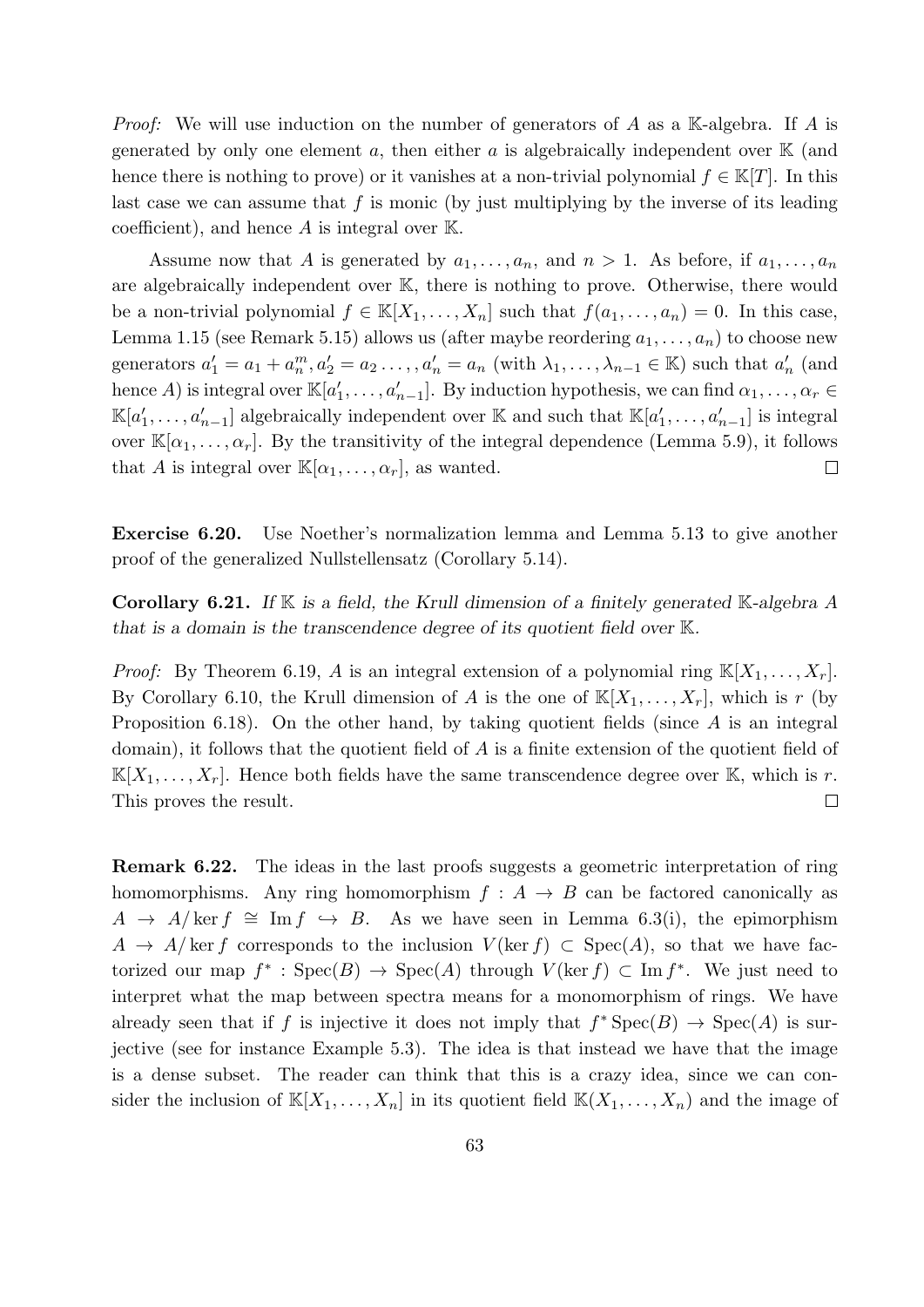*Proof:* We will use induction on the number of generators of A as a K-algebra. If A is generated by only one element a, then either a is algebraically independent over  $\mathbb K$  (and hence there is nothing to prove) or it vanishes at a non-trivial polynomial  $f \in \mathbb{K}[T]$ . In this last case we can assume that  $f$  is monic (by just multiplying by the inverse of its leading coefficient), and hence  $A$  is integral over  $\mathbb{K}$ .

Assume now that A is generated by  $a_1, \ldots, a_n$ , and  $n > 1$ . As before, if  $a_1, \ldots, a_n$ are algebraically independent over K, there is nothing to prove. Otherwise, there would be a non-trivial polynomial  $f \in K[X_1, \ldots, X_n]$  such that  $f(a_1, \ldots, a_n) = 0$ . In this case, Lemma 1.15 (see Remark 5.15) allows us (after maybe reordering  $a_1, \ldots, a_n$ ) to choose new generators  $a'_1 = a_1 + a_n^m, a'_2 = a_2 \dots, a'_n = a_n$  (with  $\lambda_1, \dots, \lambda_{n-1} \in \mathbb{K}$ ) such that  $a'_n$  (and hence A) is integral over  $\mathbb{K}[a'_1,\ldots,a'_{n-1}]$ . By induction hypothesis, we can find  $\alpha_1,\ldots,\alpha_r \in$  $\mathbb{K}[a'_1,\ldots,a'_{n-1}]$  algebraically independent over K and such that  $\mathbb{K}[a'_1,\ldots,a'_{n-1}]$  is integral over  $\mathbb{K}[\alpha_1,\ldots,\alpha_r]$ . By the transitivity of the integral dependence (Lemma 5.9), it follows that A is integral over  $\mathbb{K}[\alpha_1,\ldots,\alpha_r]$ , as wanted.  $\Box$ 

Exercise 6.20. Use Noether's normalization lemma and Lemma 5.13 to give another proof of the generalized Nullstellensatz (Corollary 5.14).

Corollary 6.21. If  $K$  is a field, the Krull dimension of a finitely generated  $K$ -algebra  $A$ that is a domain is the transcendence degree of its quotient field over K.

*Proof:* By Theorem 6.19, A is an integral extension of a polynomial ring  $\mathbb{K}[X_1, \ldots, X_r]$ . By Corollary 6.10, the Krull dimension of A is the one of  $\mathbb{K}[X_1, \ldots, X_r]$ , which is r (by Proposition 6.18). On the other hand, by taking quotient fields (since  $A$  is an integral domain), it follows that the quotient field of A is a finite extension of the quotient field of  $\mathbb{K}[X_1,\ldots,X_r]$ . Hence both fields have the same transcendence degree over K, which is r. This proves the result.  $\Box$ 

Remark 6.22. The ideas in the last proofs suggests a geometric interpretation of ring homomorphisms. Any ring homomorphism  $f : A \rightarrow B$  can be factored canonically as  $A \rightarrow A/\ker f \cong \text{Im } f \hookrightarrow B$ . As we have seen in Lemma 6.3(i), the epimorphism A  $\rightarrow$  A/ker f corresponds to the inclusion  $V(\ker f) \subset \text{Spec}(A)$ , so that we have factorized our map  $f^*$ : Spec $(B) \to \text{Spec}(A)$  through  $V(\ker f) \subset \text{Im } f^*$ . We just need to interpret what the map between spectra means for a monomorphism of rings. We have already seen that if f is injective it does not imply that  $f^*Spec(B) \to Spec(A)$  is surjective (see for instance Example 5.3). The idea is that instead we have that the image is a dense subset. The reader can think that this is a crazy idea, since we can consider the inclusion of  $\mathbb{K}[X_1,\ldots,X_n]$  in its quotient field  $\mathbb{K}(X_1,\ldots,X_n)$  and the image of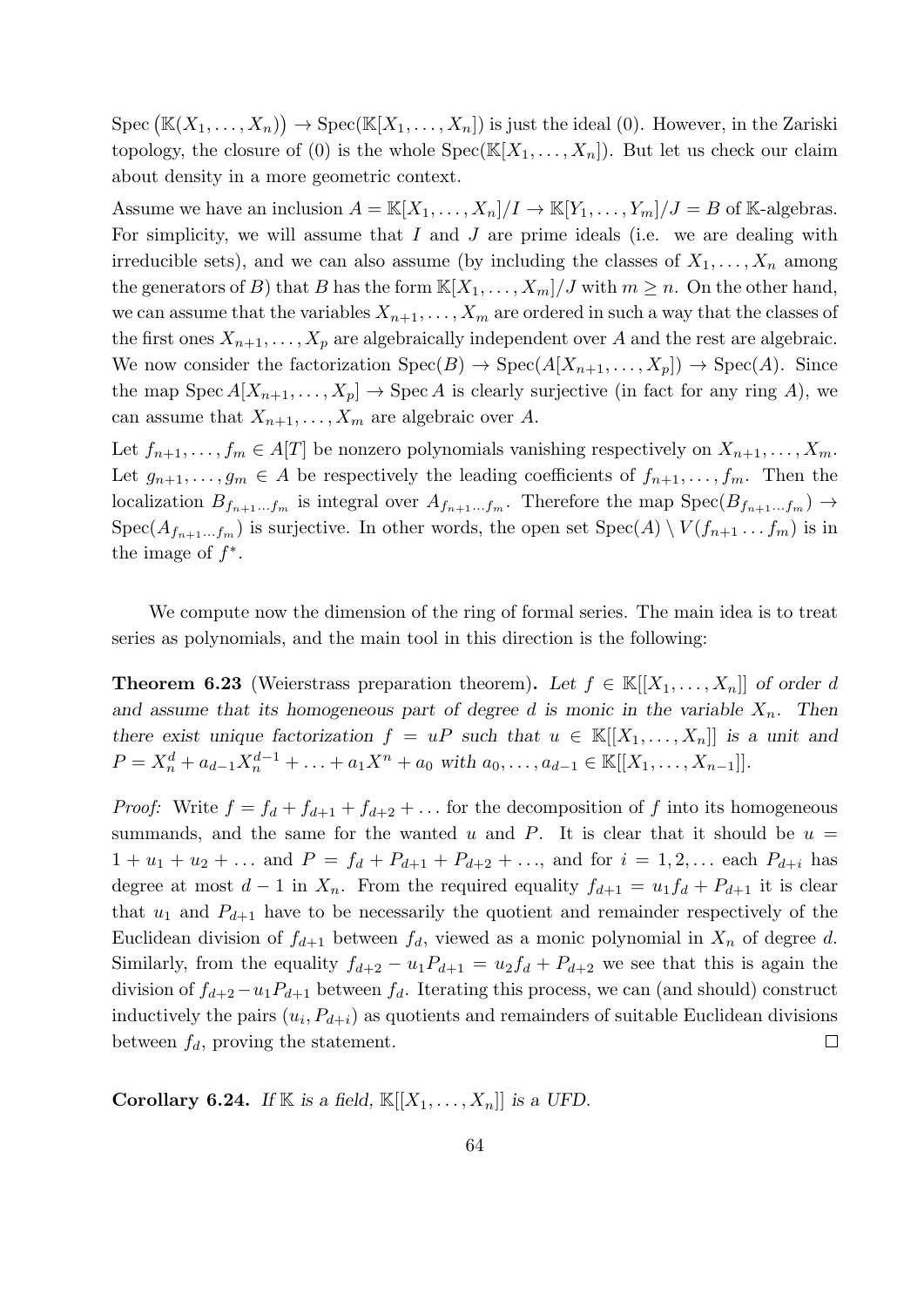Spec  $(\mathbb{K}(X_1,\ldots,X_n)) \to \text{Spec}(\mathbb{K}[X_1,\ldots,X_n])$  is just the ideal (0). However, in the Zariski topology, the closure of (0) is the whole  $Spec(\mathbb{K}[X_1,\ldots,X_n])$ . But let us check our claim about density in a more geometric context.

Assume we have an inclusion  $A = \mathbb{K}[X_1, \ldots, X_n]/I \to \mathbb{K}[Y_1, \ldots, Y_m]/J = B$  of K-algebras. For simplicity, we will assume that  $I$  and  $J$  are prime ideals (i.e. we are dealing with irreducible sets), and we can also assume (by including the classes of  $X_1, \ldots, X_n$  among the generators of B) that B has the form  $\mathbb{K}[X_1,\ldots,X_m]/J$  with  $m\geq n$ . On the other hand, we can assume that the variables  $X_{n+1}, \ldots, X_m$  are ordered in such a way that the classes of the first ones  $X_{n+1}, \ldots, X_p$  are algebraically independent over A and the rest are algebraic. We now consider the factorization  $Spec(B) \to Spec(A[X_{n+1}, \ldots, X_p]) \to Spec(A)$ . Since the map Spec  $A[X_{n+1},...,X_p] \to \text{Spec } A$  is clearly surjective (in fact for any ring A), we can assume that  $X_{n+1}, \ldots, X_m$  are algebraic over A.

Let  $f_{n+1}, \ldots, f_m \in A[T]$  be nonzero polynomials vanishing respectively on  $X_{n+1}, \ldots, X_m$ . Let  $g_{n+1}, \ldots, g_m \in A$  be respectively the leading coefficients of  $f_{n+1}, \ldots, f_m$ . Then the localization  $B_{f_{n+1}...f_m}$  is integral over  $A_{f_{n+1}...f_m}$ . Therefore the map  $Spec(B_{f_{n+1}...f_m}) \rightarrow$  $Spec(A_{f_{n+1}...f_m})$  is surjective. In other words, the open set  $Spec(A) \setminus V(f_{n+1}...f_m)$  is in the image of  $f^*$ .

We compute now the dimension of the ring of formal series. The main idea is to treat series as polynomials, and the main tool in this direction is the following:

**Theorem 6.23** (Weierstrass preparation theorem). Let  $f \in \mathbb{K}[[X_1,\ldots,X_n]]$  of order d and assume that its homogeneous part of degree d is monic in the variable  $X_n$ . Then there exist unique factorization  $f = uP$  such that  $u \in \mathbb{K}[[X_1,\ldots,X_n]]$  is a unit and  $P = X_n^d + a_{d-1}X_n^{d-1} + \ldots + a_1X^n + a_0$  with  $a_0, \ldots, a_{d-1} \in \mathbb{K}[[X_1, \ldots, X_{n-1}]]$ .

*Proof:* Write  $f = f_d + f_{d+1} + f_{d+2} + \dots$  for the decomposition of f into its homogeneous summands, and the same for the wanted u and P. It is clear that it should be  $u =$  $1 + u_1 + u_2 + \dots$  and  $P = f_d + P_{d+1} + P_{d+2} + \dots$ , and for  $i = 1, 2, \dots$  each  $P_{d+i}$  has degree at most  $d-1$  in  $X_n$ . From the required equality  $f_{d+1} = u_1 f_d + P_{d+1}$  it is clear that  $u_1$  and  $P_{d+1}$  have to be necessarily the quotient and remainder respectively of the Euclidean division of  $f_{d+1}$  between  $f_d$ , viewed as a monic polynomial in  $X_n$  of degree d. Similarly, from the equality  $f_{d+2} - u_1 P_{d+1} = u_2 f_d + P_{d+2}$  we see that this is again the division of  $f_{d+2}-u_1P_{d+1}$  between  $f_d$ . Iterating this process, we can (and should) construct inductively the pairs  $(u_i, P_{d+i})$  as quotients and remainders of suitable Euclidean divisions between  $f_d$ , proving the statement.  $\Box$ 

Corollary 6.24. If K is a field,  $\mathbb{K}[[X_1,\ldots,X_n]]$  is a UFD.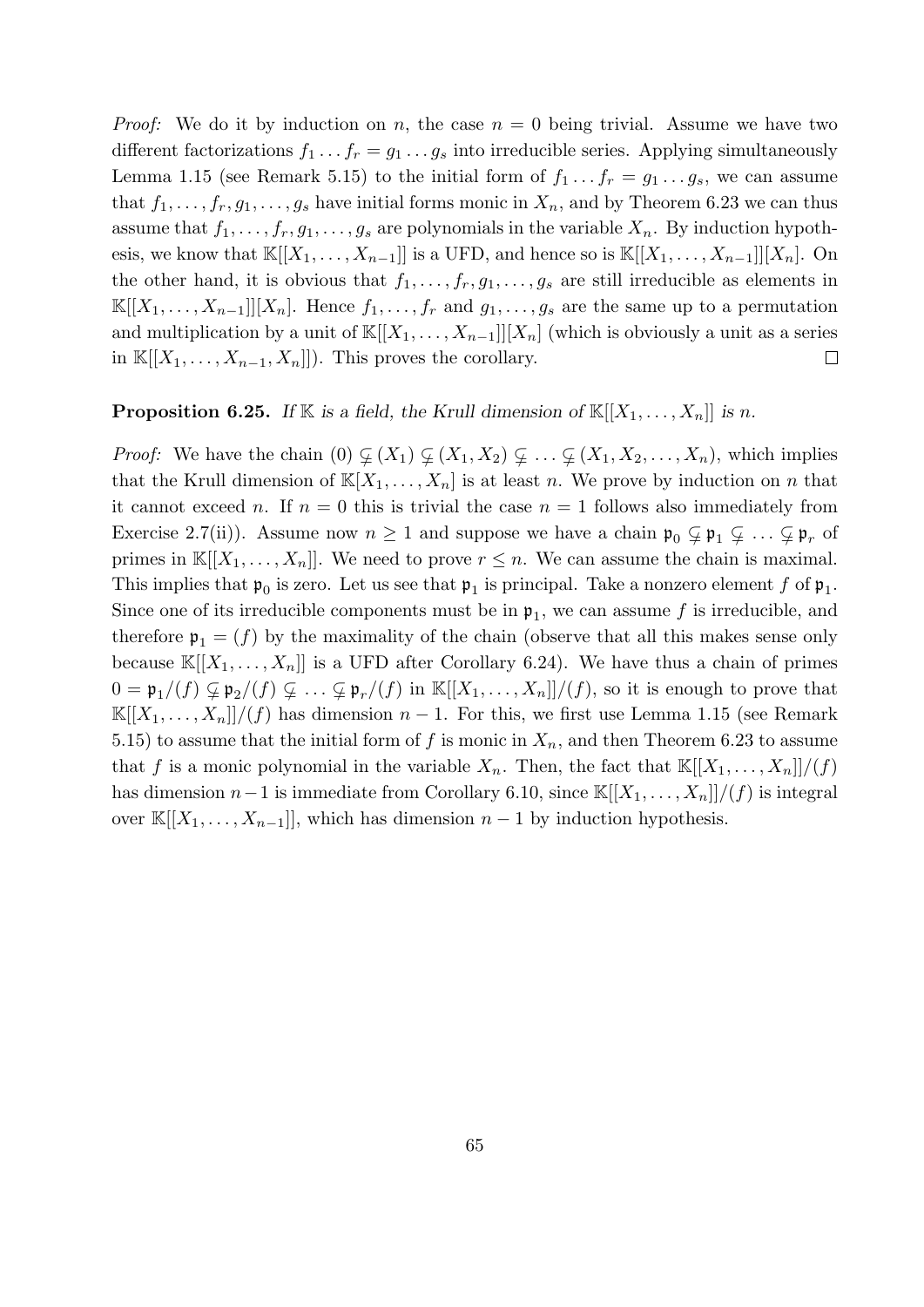*Proof:* We do it by induction on n, the case  $n = 0$  being trivial. Assume we have two different factorizations  $f_1 \tcdot f_r = g_1 \tcdot g_s$  into irreducible series. Applying simultaneously Lemma 1.15 (see Remark 5.15) to the initial form of  $f_1 \tldots f_r = g_1 \tldots g_s$ , we can assume that  $f_1, \ldots, f_r, g_1, \ldots, g_s$  have initial forms monic in  $X_n$ , and by Theorem 6.23 we can thus assume that  $f_1, \ldots, f_r, g_1, \ldots, g_s$  are polynomials in the variable  $X_n$ . By induction hypothesis, we know that  $\mathbb{K}[[X_1,\ldots,X_{n-1}]]$  is a UFD, and hence so is  $\mathbb{K}[[X_1,\ldots,X_{n-1}]][X_n]$ . On the other hand, it is obvious that  $f_1, \ldots, f_r, g_1, \ldots, g_s$  are still irreducible as elements in  $\mathbb{K}[[X_1,\ldots,X_{n-1}]][X_n]$ . Hence  $f_1,\ldots,f_r$  and  $g_1,\ldots,g_s$  are the same up to a permutation and multiplication by a unit of  $\mathbb{K}[[X_1,\ldots,X_{n-1}]][X_n]$  (which is obviously a unit as a series in  $\mathbb{K}[[X_1,\ldots,X_{n-1},X_n]]$ ). This proves the corollary.  $\Box$ 

### **Proposition 6.25.** If K is a field, the Krull dimension of  $\mathbb{K}[[X_1, \ldots, X_n]]$  is n.

*Proof:* We have the chain  $(0) \varsubsetneq (X_1) \varsubsetneq (X_1, X_2) \varsubsetneq \ldots \varsubsetneq (X_1, X_2, \ldots, X_n)$ , which implies that the Krull dimension of  $\mathbb{K}[X_1,\ldots,X_n]$  is at least n. We prove by induction on n that it cannot exceed n. If  $n = 0$  this is trivial the case  $n = 1$  follows also immediately from Exercise 2.7(ii)). Assume now  $n \geq 1$  and suppose we have a chain  $\mathfrak{p}_0 \subsetneq \mathfrak{p}_1 \subsetneq \ldots \subsetneq \mathfrak{p}_r$  of primes in  $\mathbb{K}[[X_1,\ldots,X_n]]$ . We need to prove  $r \leq n$ . We can assume the chain is maximal. This implies that  $\mathfrak{p}_0$  is zero. Let us see that  $\mathfrak{p}_1$  is principal. Take a nonzero element f of  $\mathfrak{p}_1$ . Since one of its irreducible components must be in  $\mathfrak{p}_1$ , we can assume f is irreducible, and therefore  $\mathfrak{p}_1 = (f)$  by the maximality of the chain (observe that all this makes sense only because  $\mathbb{K}[[X_1,\ldots,X_n]]$  is a UFD after Corollary 6.24). We have thus a chain of primes  $0 = \mathfrak{p}_1/(f) \varsubsetneq \mathfrak{p}_2/(f) \varsubsetneq \ldots \varsubsetneq \mathfrak{p}_r/(f)$  in  $\mathbb{K}[[X_1,\ldots,X_n]]/(f)$ , so it is enough to prove that  $\mathbb{K}[[X_1,\ldots,X_n]]/(f)$  has dimension  $n-1$ . For this, we first use Lemma 1.15 (see Remark 5.15) to assume that the initial form of f is monic in  $X_n$ , and then Theorem 6.23 to assume that f is a monic polynomial in the variable  $X_n$ . Then, the fact that  $\mathbb{K}[[X_1,\ldots,X_n]]/(f)$ has dimension  $n-1$  is immediate from Corollary 6.10, since K[[ $X_1, \ldots, X_n$ ]]/(f) is integral over  $\mathbb{K}[[X_1,\ldots,X_{n-1}]]$ , which has dimension  $n-1$  by induction hypothesis.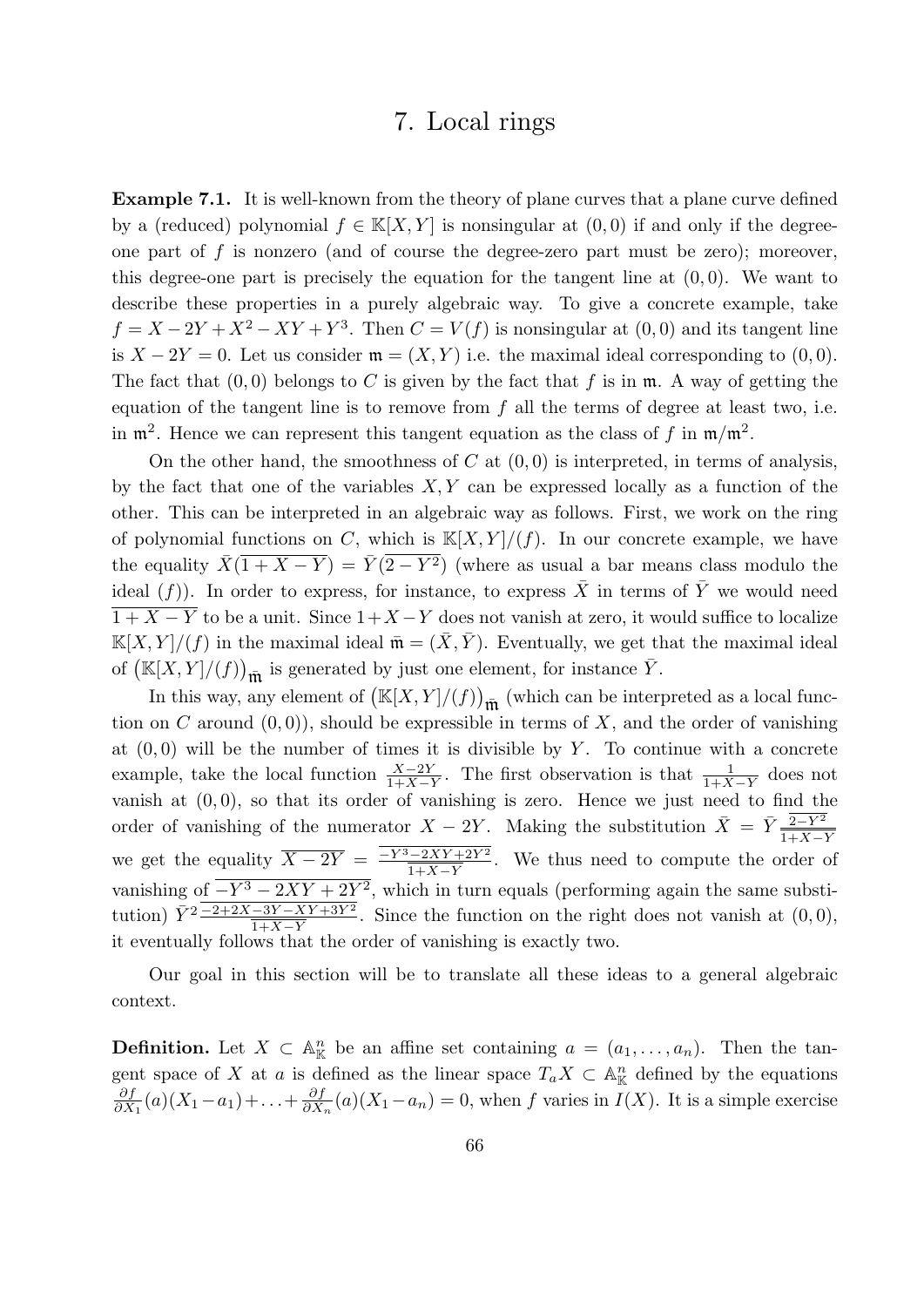## 7. Local rings

**Example 7.1.** It is well-known from the theory of plane curves that a plane curve defined by a (reduced) polynomial  $f \in K[X, Y]$  is nonsingular at  $(0, 0)$  if and only if the degreeone part of f is nonzero (and of course the degree-zero part must be zero); moreover, this degree-one part is precisely the equation for the tangent line at  $(0, 0)$ . We want to describe these properties in a purely algebraic way. To give a concrete example, take  $f = X - 2Y + X^2 - XY + Y^3$ . Then  $C = V(f)$  is nonsingular at  $(0,0)$  and its tangent line is  $X - 2Y = 0$ . Let us consider  $\mathfrak{m} = (X, Y)$  i.e. the maximal ideal corresponding to  $(0, 0)$ . The fact that  $(0, 0)$  belongs to C is given by the fact that f is in  $\mathfrak{m}$ . A way of getting the equation of the tangent line is to remove from  $f$  all the terms of degree at least two, i.e. in  $\mathfrak{m}^2$ . Hence we can represent this tangent equation as the class of f in  $\mathfrak{m}/\mathfrak{m}^2$ .

On the other hand, the smoothness of C at  $(0,0)$  is interpreted, in terms of analysis, by the fact that one of the variables  $X, Y$  can be expressed locally as a function of the other. This can be interpreted in an algebraic way as follows. First, we work on the ring of polynomial functions on C, which is  $\mathbb{K}[X, Y]/(f)$ . In our concrete example, we have the equality  $\bar{X}(1 + X - Y) = \bar{Y}(2 - Y^2)$  (where as usual a bar means class modulo the ideal  $(f)$ ). In order to express, for instance, to express  $\overline{X}$  in terms of  $\overline{Y}$  we would need  $\overline{1+X-Y}$  to be a unit. Since  $1+X-Y$  does not vanish at zero, it would suffice to localize  $\mathbb{K}[X, Y]/(f)$  in the maximal ideal  $\bar{\mathfrak{m}} = (\bar{X}, \bar{Y})$ . Eventually, we get that the maximal ideal of  $(\mathbb{K}[X,Y]/(f))_{\overline{\mathfrak{m}}}$  is generated by just one element, for instance  $\overline{Y}$ .

In this way, any element of  $(\mathbb{K}[X, Y]/(f))_{\overline{\mathfrak{m}}}$  (which can be interpreted as a local function on C around  $(0, 0)$ , should be expressible in terms of X, and the order of vanishing at  $(0, 0)$  will be the number of times it is divisible by Y. To continue with a concrete example, take the local function  $\frac{X-2Y}{1+X-Y}$ . The first observation is that  $\frac{1}{1+X-Y}$  does not vanish at  $(0, 0)$ , so that its order of vanishing is zero. Hence we just need to find the order of vanishing of the numerator  $X - 2Y$ . Making the substitution  $\bar{X} = \bar{Y} \frac{\bar{Z} - Y^2}{1 + X - Y}$ we get the equality  $\overline{X-2Y} = \frac{-Y^3-2XY+2Y^2}{\overline{X}+Y+Y^2}$  $\frac{1-2XY+2Y^2}{1+X-Y}$ . We thus need to compute the order of vanishing of  $-Y^3 - 2XY + 2Y^2$ , which in turn equals (performing again the same substitution)  $\bar{Y}^2 \frac{-2+2X-3Y-XY+3Y^2}{1+X-Y}$ . Since the function on the right does not vanish at  $(0,0)$ , it eventually follows that the order of vanishing is exactly two.

Our goal in this section will be to translate all these ideas to a general algebraic context.

**Definition.** Let  $X \subset \mathbb{A}_{\mathbb{K}}^n$  be an affine set containing  $a = (a_1, \ldots, a_n)$ . Then the tangent space of X at a is defined as the linear space  $T_a X \subset \mathbb{A}_{\mathbb{K}}^n$  defined by the equations ∂f  $\frac{\partial f}{\partial X_1}(a)(X_1-a_1)+\ldots+\frac{\partial f}{\partial X}$  $\frac{\partial f}{\partial X_n}(a)(X_1-a_n)=0$ , when f varies in  $I(X)$ . It is a simple exercise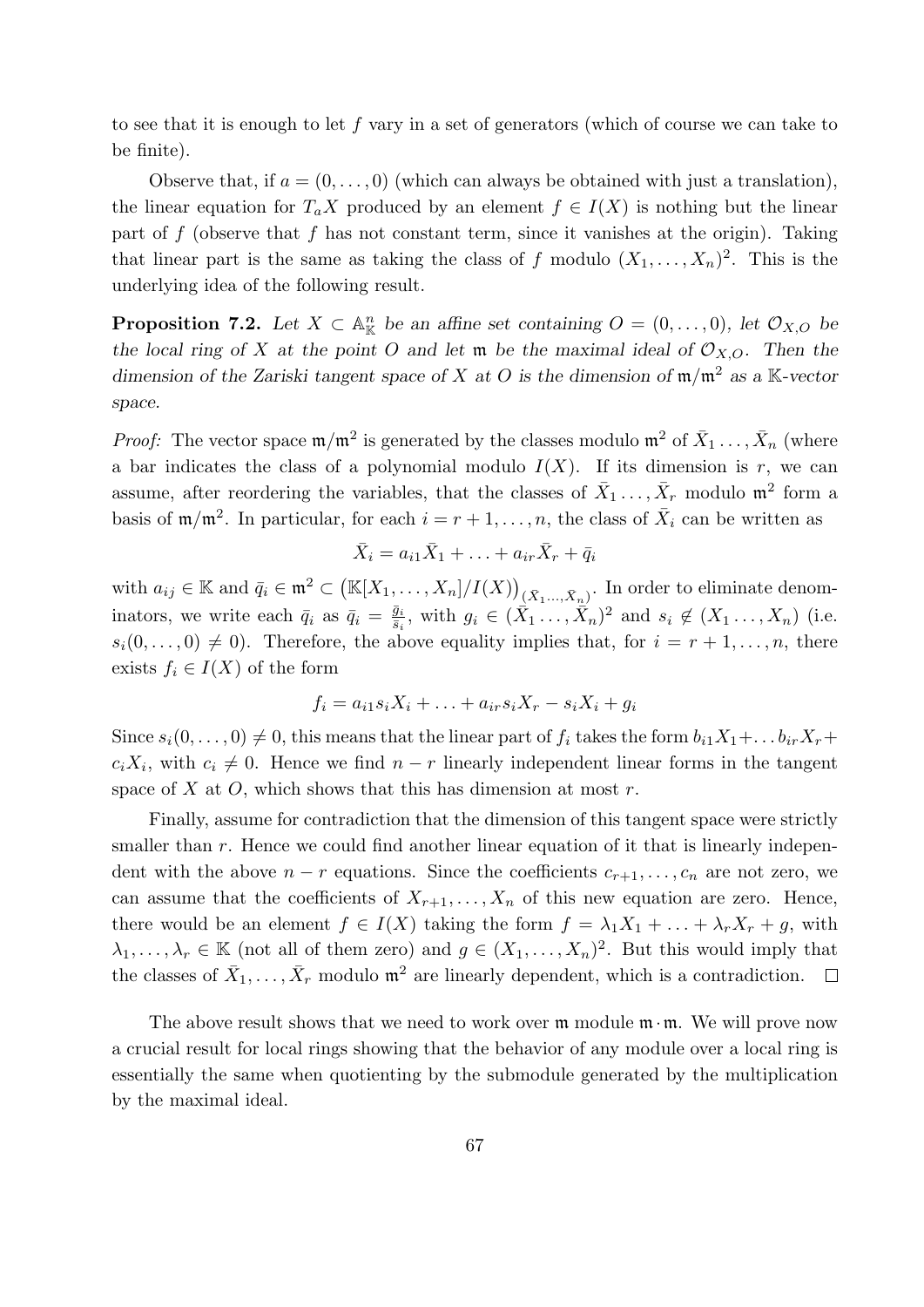to see that it is enough to let f vary in a set of generators (which of course we can take to be finite).

Observe that, if  $a = (0, \ldots, 0)$  (which can always be obtained with just a translation), the linear equation for  $T_a X$  produced by an element  $f \in I(X)$  is nothing but the linear part of  $f$  (observe that  $f$  has not constant term, since it vanishes at the origin). Taking that linear part is the same as taking the class of f modulo  $(X_1, \ldots, X_n)^2$ . This is the underlying idea of the following result.

**Proposition 7.2.** Let  $X \subset \mathbb{A}_{\mathbb{K}}^n$  be an affine set containing  $O = (0, \ldots, 0)$ , let  $\mathcal{O}_{X,O}$  be the local ring of X at the point O and let  $\mathfrak{m}$  be the maximal ideal of  $\mathcal{O}_{X,O}$ . Then the dimension of the Zariski tangent space of X at O is the dimension of  $\mathfrak{m}/\mathfrak{m}^2$  as a K-vector space.

*Proof:* The vector space  $\mathfrak{m}/\mathfrak{m}^2$  is generated by the classes modulo  $\mathfrak{m}^2$  of  $\bar{X}_1 \ldots, \bar{X}_n$  (where a bar indicates the class of a polynomial modulo  $I(X)$ . If its dimension is r, we can assume, after reordering the variables, that the classes of  $\bar{X}_1 \ldots, \bar{X}_r$  modulo  $\mathfrak{m}^2$  form a basis of  $m/m^2$ . In particular, for each  $i = r + 1, \ldots, n$ , the class of  $\overline{X}_i$  can be written as

$$
\bar{X}_i = a_{i1}\bar{X}_1 + \ldots + a_{ir}\bar{X}_r + \bar{q}_i
$$

with  $a_{ij} \in \mathbb{K}$  and  $\bar{q}_i \in \mathfrak{m}^2 \subset (\mathbb{K}[X_1,\ldots,X_n]/I(X))_{(\bar{X}_1,\ldots,\bar{X}_n)}$ . In order to eliminate denominators, we write each  $\bar{q}_i$  as  $\bar{q}_i = \frac{\bar{g}_i}{\bar{s}_i}$  $\frac{\bar{g}_i}{\bar{s}_i}$ , with  $g_i \in (\bar{X}_1, \ldots, \bar{X}_n)^2$  and  $s_i \notin (X_1, \ldots, X_n)$  (i.e.  $s_i(0,\ldots,0) \neq 0$ . Therefore, the above equality implies that, for  $i = r + 1,\ldots,n$ , there exists  $f_i \in I(X)$  of the form

$$
f_i = a_{i1} s_i X_i + \ldots + a_{ir} s_i X_r - s_i X_i + g_i
$$

Since  $s_i(0, \ldots, 0) \neq 0$ , this means that the linear part of  $f_i$  takes the form  $b_{i1}X_1 + \ldots b_{ir}X_r +$  $c_i X_i$ , with  $c_i \neq 0$ . Hence we find  $n - r$  linearly independent linear forms in the tangent space of X at O, which shows that this has dimension at most  $r$ .

Finally, assume for contradiction that the dimension of this tangent space were strictly smaller than  $r$ . Hence we could find another linear equation of it that is linearly independent with the above  $n - r$  equations. Since the coefficients  $c_{r+1}, \ldots, c_n$  are not zero, we can assume that the coefficients of  $X_{r+1}, \ldots, X_n$  of this new equation are zero. Hence, there would be an element  $f \in I(X)$  taking the form  $f = \lambda_1 X_1 + \ldots + \lambda_r X_r + g$ , with  $\lambda_1, \ldots, \lambda_r \in \mathbb{K}$  (not all of them zero) and  $g \in (X_1, \ldots, X_n)^2$ . But this would imply that the classes of  $\bar{X}_1, \ldots, \bar{X}_r$  modulo  $\mathfrak{m}^2$  are linearly dependent, which is a contradiction.  $\Box$ 

The above result shows that we need to work over  $\mathfrak m$  module  $\mathfrak m \cdot \mathfrak m$ . We will prove now a crucial result for local rings showing that the behavior of any module over a local ring is essentially the same when quotienting by the submodule generated by the multiplication by the maximal ideal.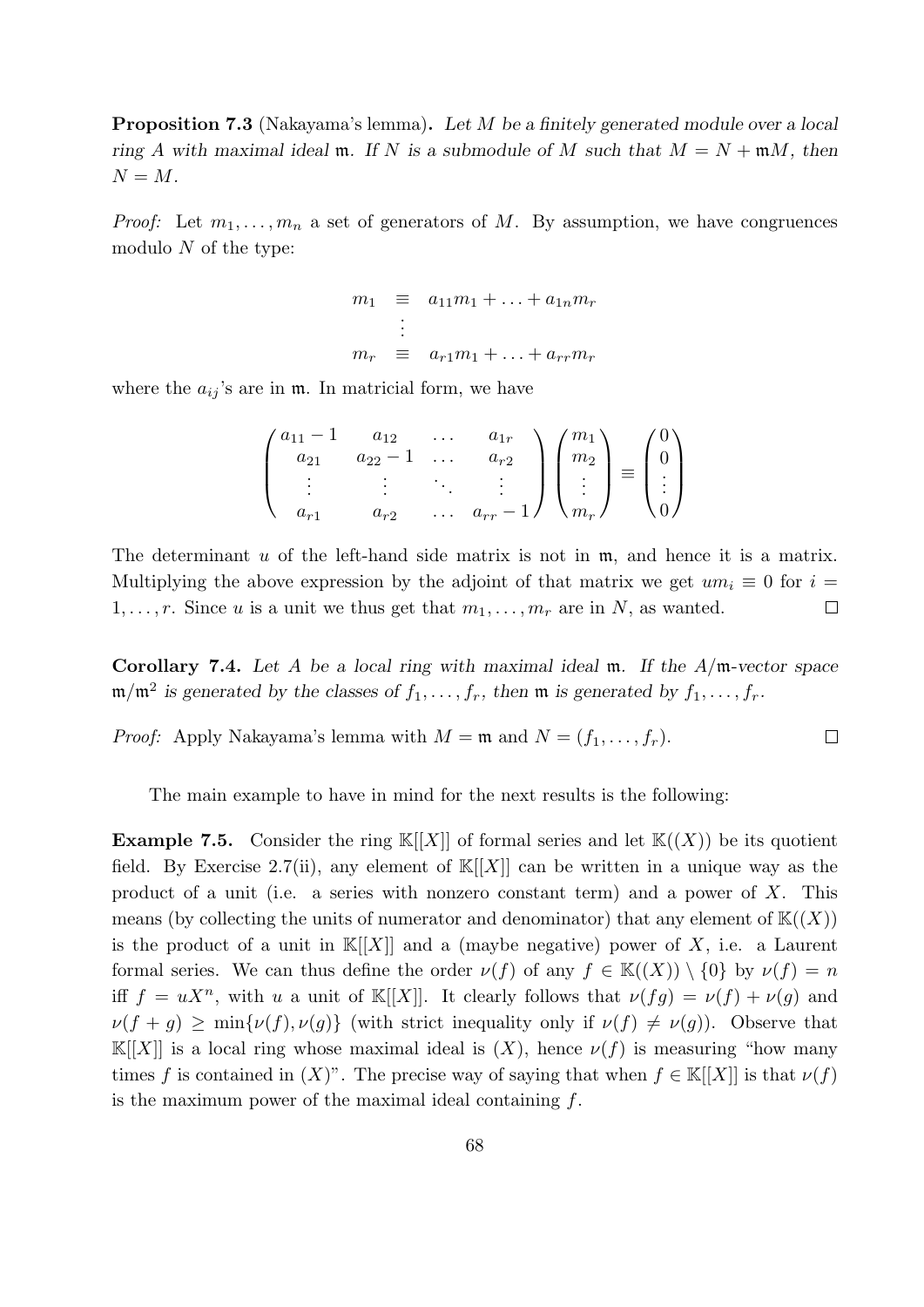Proposition 7.3 (Nakayama's lemma). Let M be a finitely generated module over a local ring A with maximal ideal m. If N is a submodule of M such that  $M = N + \mathfrak{m}M$ , then  $N = M$ .

*Proof:* Let  $m_1, \ldots, m_n$  a set of generators of M. By assumption, we have congruences modulo  $N$  of the type:

$$
m_1 \equiv a_{11}m_1 + \ldots + a_{1n}m_r
$$
  
\n
$$
\vdots
$$
  
\n
$$
m_r \equiv a_{r1}m_1 + \ldots + a_{rr}m_r
$$

where the  $a_{ij}$ 's are in  $\mathfrak{m}$ . In matricial form, we have

$$
\begin{pmatrix} a_{11} - 1 & a_{12} & \dots & a_{1r} \\ a_{21} & a_{22} - 1 & \dots & a_{r2} \\ \vdots & \vdots & \ddots & \vdots \\ a_{r1} & a_{r2} & \dots & a_{rr} - 1 \end{pmatrix} \begin{pmatrix} m_1 \\ m_2 \\ \vdots \\ m_r \end{pmatrix} \equiv \begin{pmatrix} 0 \\ 0 \\ \vdots \\ 0 \end{pmatrix}
$$

The determinant  $u$  of the left-hand side matrix is not in  $m$ , and hence it is a matrix. Multiplying the above expression by the adjoint of that matrix we get  $um_i \equiv 0$  for  $i =$  $1, \ldots, r$ . Since u is a unit we thus get that  $m_1, \ldots, m_r$  are in N, as wanted.  $\Box$ 

Corollary 7.4. Let A be a local ring with maximal ideal  $m$ . If the  $A/m$ -vector space  $\mathfrak{m}/\mathfrak{m}^2$  is generated by the classes of  $f_1, \ldots, f_r$ , then  $\mathfrak{m}$  is generated by  $f_1, \ldots, f_r$ .

*Proof:* Apply Nakayama's lemma with  $M = \mathfrak{m}$  and  $N = (f_1, \ldots, f_r)$ .  $\Box$ 

The main example to have in mind for the next results is the following:

**Example 7.5.** Consider the ring  $\mathbb{K}[[X]]$  of formal series and let  $\mathbb{K}((X))$  be its quotient field. By Exercise 2.7(ii), any element of  $\mathbb{K}[[X]]$  can be written in a unique way as the product of a unit (i.e. a series with nonzero constant term) and a power of  $X$ . This means (by collecting the units of numerator and denominator) that any element of  $K((X))$ is the product of a unit in  $\mathbb{K}[[X]]$  and a (maybe negative) power of X, i.e. a Laurent formal series. We can thus define the order  $\nu(f)$  of any  $f \in \mathbb{K}((X)) \setminus \{0\}$  by  $\nu(f) = n$ iff  $f = uX^n$ , with u a unit of K[[X]]. It clearly follows that  $\nu(fg) = \nu(f) + \nu(g)$  and  $\nu(f + g) \ge \min{\nu(f), \nu(g)}$  (with strict inequality only if  $\nu(f) \ne \nu(g)$ ). Observe that  $\mathbb{K}[[X]]$  is a local ring whose maximal ideal is  $(X)$ , hence  $\nu(f)$  is measuring "how many times f is contained in  $(X)$ ". The precise way of saying that when  $f \in K[[X]]$  is that  $\nu(f)$ is the maximum power of the maximal ideal containing  $f$ .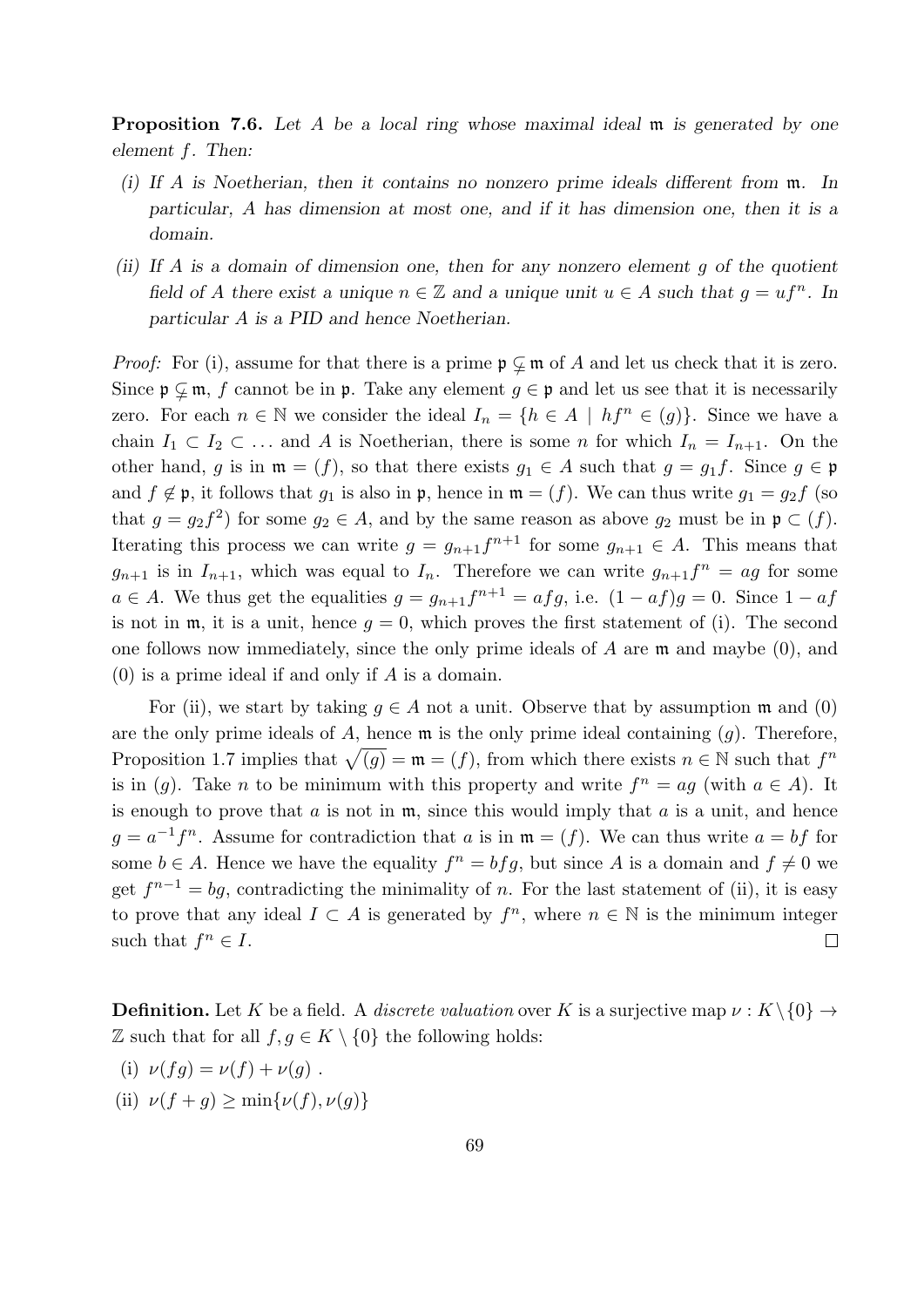**Proposition 7.6.** Let A be a local ring whose maximal ideal m is generated by one element f. Then:

- (i) If A is Noetherian, then it contains no nonzero prime ideals different from m. In particular, A has dimension at most one, and if it has dimension one, then it is a domain.
- (ii) If A is a domain of dimension one, then for any nonzero element  $g$  of the quotient field of A there exist a unique  $n \in \mathbb{Z}$  and a unique unit  $u \in A$  such that  $g = uf^n$ . In particular A is a PID and hence Noetherian.

*Proof:* For (i), assume for that there is a prime  $\mathfrak{p} \subsetneq \mathfrak{m}$  of A and let us check that it is zero. Since  $\mathfrak{p} \subsetneq \mathfrak{m}$ , f cannot be in  $\mathfrak{p}$ . Take any element  $g \in \mathfrak{p}$  and let us see that it is necessarily zero. For each  $n \in \mathbb{N}$  we consider the ideal  $I_n = \{h \in A \mid hf^n \in (g)\}\$ . Since we have a chain  $I_1 \subset I_2 \subset \ldots$  and A is Noetherian, there is some n for which  $I_n = I_{n+1}$ . On the other hand, g is in  $\mathfrak{m} = (f)$ , so that there exists  $g_1 \in A$  such that  $g = g_1 f$ . Since  $g \in \mathfrak{p}$ and  $f \notin \mathfrak{p}$ , it follows that  $g_1$  is also in  $\mathfrak{p}$ , hence in  $\mathfrak{m} = (f)$ . We can thus write  $g_1 = g_2 f$  (so that  $g = g_2 f^2$  for some  $g_2 \in A$ , and by the same reason as above  $g_2$  must be in  $\mathfrak{p} \subset (f)$ . Iterating this process we can write  $g = g_{n+1} f^{n+1}$  for some  $g_{n+1} \in A$ . This means that  $g_{n+1}$  is in  $I_{n+1}$ , which was equal to  $I_n$ . Therefore we can write  $g_{n+1}f^n = ag$  for some  $a \in A$ . We thus get the equalities  $g = g_{n+1}f^{n+1} = afg$ , i.e.  $(1 - af)g = 0$ . Since  $1 - af$ is not in  $\mathfrak{m}$ , it is a unit, hence  $q = 0$ , which proves the first statement of (i). The second one follows now immediately, since the only prime ideals of A are m and maybe (0), and  $(0)$  is a prime ideal if and only if A is a domain.

For (ii), we start by taking  $g \in A$  not a unit. Observe that by assumption m and (0) are the only prime ideals of A, hence  $\mathfrak m$  is the only prime ideal containing  $(g)$ . Therefore, Proposition 1.7 implies that  $\sqrt{(g)} = \mathfrak{m} = (f)$ , from which there exists  $n \in \mathbb{N}$  such that  $f^n$ is in (g). Take *n* to be minimum with this property and write  $f^n = ag$  (with  $a \in A$ ). It is enough to prove that  $a$  is not in  $m$ , since this would imply that  $a$  is a unit, and hence  $g = a^{-1}f^n$ . Assume for contradiction that a is in  $\mathfrak{m} = (f)$ . We can thus write  $a = bf$  for some  $b \in A$ . Hence we have the equality  $f^n = bfg$ , but since A is a domain and  $f \neq 0$  we get  $f^{n-1} = bg$ , contradicting the minimality of n. For the last statement of (ii), it is easy to prove that any ideal  $I \subset A$  is generated by  $f^n$ , where  $n \in \mathbb{N}$  is the minimum integer such that  $f^n \in I$ .  $\Box$ 

**Definition.** Let K be a field. A *discrete valuation* over K is a surjective map  $\nu : K \setminus \{0\} \rightarrow$ Z such that for all  $f, g \in K \setminus \{0\}$  the following holds:

- (i)  $\nu(fq) = \nu(f) + \nu(q)$ .
- (ii)  $\nu(f+q) > \min\{\nu(f), \nu(q)\}\$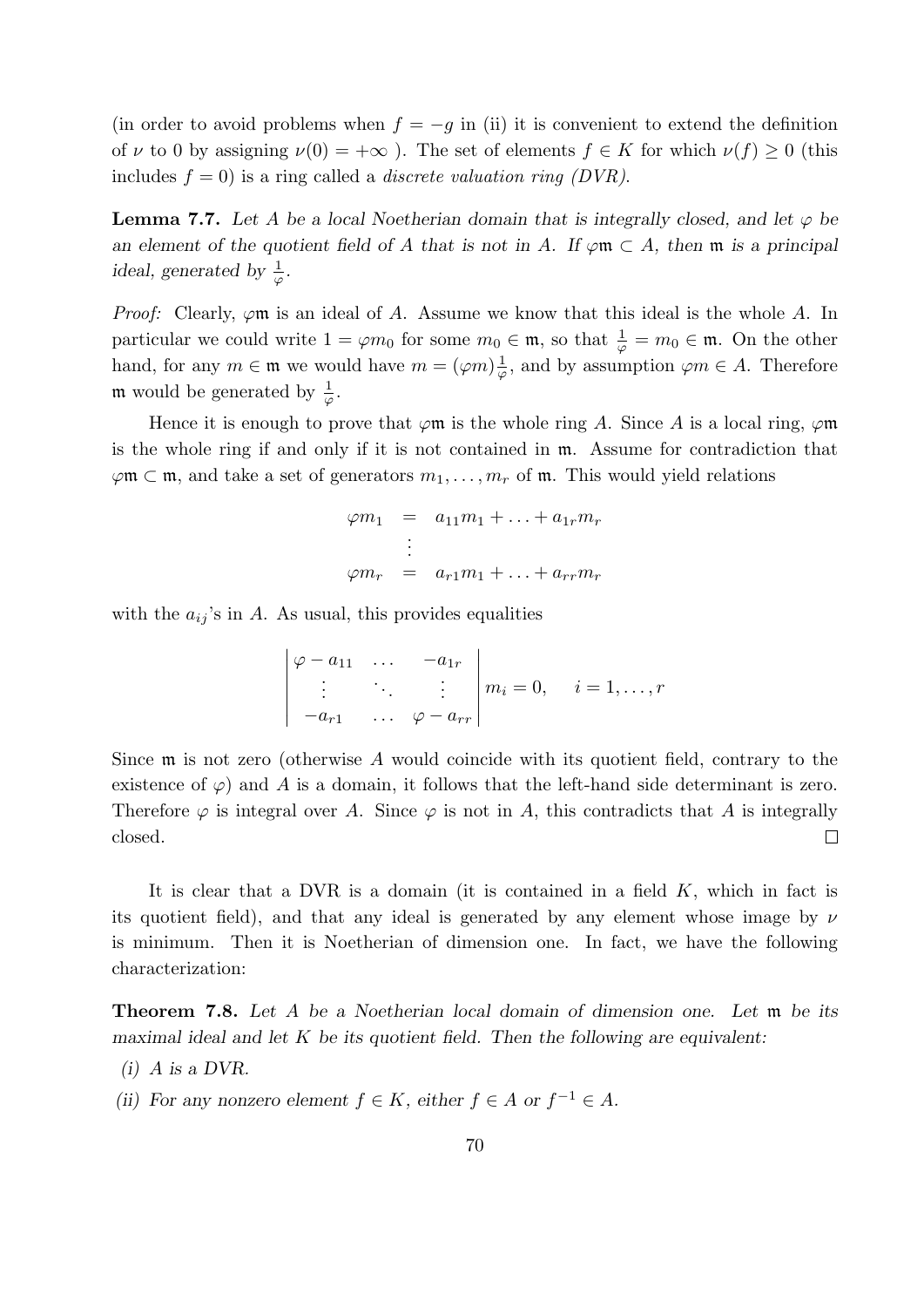(in order to avoid problems when  $f = -g$  in (ii) it is convenient to extend the definition of  $\nu$  to 0 by assigning  $\nu(0) = +\infty$ ). The set of elements  $f \in K$  for which  $\nu(f) \ge 0$  (this includes  $f = 0$ ) is a ring called a *discrete valuation ring (DVR)*.

**Lemma 7.7.** Let A be a local Noetherian domain that is integrally closed, and let  $\varphi$  be an element of the quotient field of A that is not in A. If  $\varphi \mathfrak{m} \subset A$ , then  $\mathfrak{m}$  is a principal ideal, generated by  $\frac{1}{\varphi}$ .

*Proof:* Clearly,  $\varphi$ m is an ideal of A. Assume we know that this ideal is the whole A. In particular we could write  $1 = \varphi m_0$  for some  $m_0 \in \mathfrak{m}$ , so that  $\frac{1}{\varphi} = m_0 \in \mathfrak{m}$ . On the other hand, for any  $m \in \mathfrak{m}$  we would have  $m = (\varphi m)^{\frac{1}{\varphi}}$  $\frac{1}{\varphi}$ , and by assumption  $\varphi m \in A$ . Therefore **m** would be generated by  $\frac{1}{\varphi}$ .

Hence it is enough to prove that  $\varphi$ m is the whole ring A. Since A is a local ring,  $\varphi$ m is the whole ring if and only if it is not contained in m. Assume for contradiction that  $\varphi$ m  $\subset$  m, and take a set of generators  $m_1, \ldots, m_r$  of m. This would yield relations

$$
\varphi m_1 = a_{11}m_1 + \dots + a_{1r}m_r
$$
  
\n
$$
\vdots
$$
  
\n
$$
\varphi m_r = a_{r1}m_1 + \dots + a_{rr}m_r
$$

with the  $a_{ij}$ 's in A. As usual, this provides equalities

$$
\begin{vmatrix} \varphi - a_{11} & \dots & -a_{1r} \\ \vdots & \ddots & \vdots \\ -a_{r1} & \dots & \varphi - a_{rr} \end{vmatrix} m_i = 0, \quad i = 1, \dots, r
$$

Since  $\mathfrak m$  is not zero (otherwise A would coincide with its quotient field, contrary to the existence of  $\varphi$ ) and A is a domain, it follows that the left-hand side determinant is zero. Therefore  $\varphi$  is integral over A. Since  $\varphi$  is not in A, this contradicts that A is integrally closed.  $\Box$ 

It is clear that a DVR is a domain (it is contained in a field  $K$ , which in fact is its quotient field), and that any ideal is generated by any element whose image by  $\nu$ is minimum. Then it is Noetherian of dimension one. In fact, we have the following characterization:

Theorem 7.8. Let A be a Noetherian local domain of dimension one. Let m be its maximal ideal and let  $K$  be its quotient field. Then the following are equivalent:

- $(i)$  A is a DVR.
- (ii) For any nonzero element  $f \in K$ , either  $f \in A$  or  $f^{-1} \in A$ .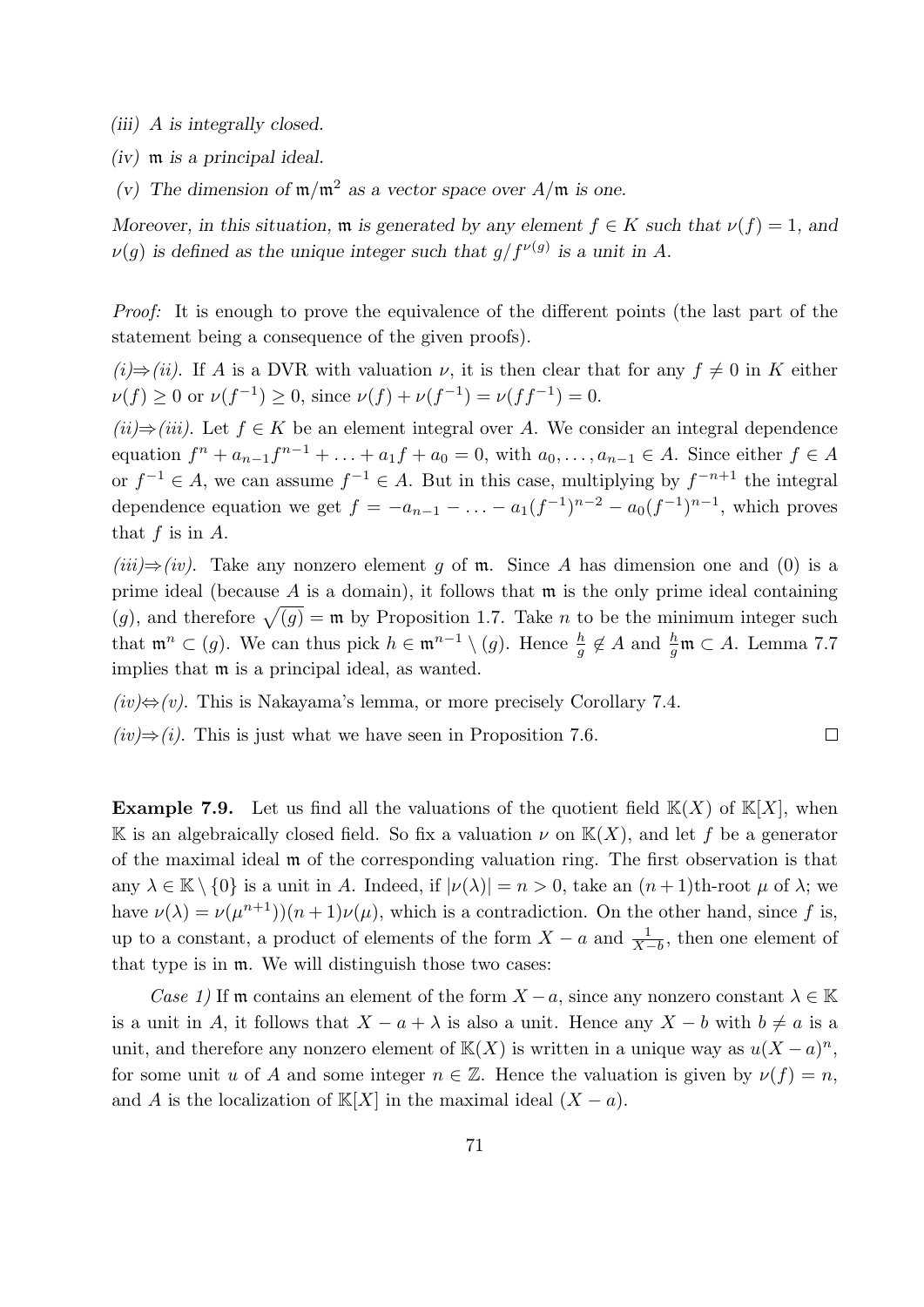(iii) A is integrally closed.

(iv) m is a principal ideal.

(v) The dimension of  $m/m^2$  as a vector space over  $A/m$  is one.

Moreover, in this situation,  $\mathfrak m$  is generated by any element  $f \in K$  such that  $\nu(f) = 1$ , and  $\nu(g)$  is defined as the unique integer such that  $g/f^{\nu(g)}$  is a unit in A.

Proof: It is enough to prove the equivalence of the different points (the last part of the statement being a consequence of the given proofs).

(i)⇒(ii). If A is a DVR with valuation  $\nu$ , it is then clear that for any  $f \neq 0$  in K either  $\nu(f) \geq 0$  or  $\nu(f^{-1}) \geq 0$ , since  $\nu(f) + \nu(f^{-1}) = \nu(f f^{-1}) = 0$ .

 $(ii) \Rightarrow (iii)$ . Let  $f \in K$  be an element integral over A. We consider an integral dependence equation  $f^{n} + a_{n-1}f^{n-1} + \ldots + a_1f + a_0 = 0$ , with  $a_0, \ldots, a_{n-1} \in A$ . Since either  $f \in A$ or  $f^{-1} \in A$ , we can assume  $f^{-1} \in A$ . But in this case, multiplying by  $f^{-n+1}$  the integral dependence equation we get  $f = -a_{n-1} - \ldots - a_1(f^{-1})^{n-2} - a_0(f^{-1})^{n-1}$ , which proves that  $f$  is in  $A$ .

 $(iii) \Rightarrow (iv)$ . Take any nonzero element g of m. Since A has dimension one and (0) is a prime ideal (because  $A$  is a domain), it follows that  $m$  is the only prime ideal containing (g), and therefore  $\sqrt{(g)} = \mathfrak{m}$  by Proposition 1.7. Take n to be the minimum integer such that  $\mathfrak{m}^n \subset (g)$ . We can thus pick  $h \in \mathfrak{m}^{n-1} \setminus (g)$ . Hence  $\frac{h}{g} \notin A$  and  $\frac{h}{g} \mathfrak{m} \subset A$ . Lemma 7.7 implies that m is a principal ideal, as wanted.

 $\Box$ 

 $(iv) \Leftrightarrow (v)$ . This is Nakayama's lemma, or more precisely Corollary 7.4.

 $(iv) \Rightarrow (i)$ . This is just what we have seen in Proposition 7.6.

**Example 7.9.** Let us find all the valuations of the quotient field  $K(X)$  of  $K[X]$ , when K is an algebraically closed field. So fix a valuation  $\nu$  on  $K(X)$ , and let f be a generator of the maximal ideal m of the corresponding valuation ring. The first observation is that any  $\lambda \in \mathbb{K} \setminus \{0\}$  is a unit in A. Indeed, if  $|\nu(\lambda)| = n > 0$ , take an  $(n+1)$ th-root  $\mu$  of  $\lambda$ ; we have  $\nu(\lambda) = \nu(\mu^{n+1})((n+1)\nu(\mu))$ , which is a contradiction. On the other hand, since f is, up to a constant, a product of elements of the form  $X - a$  and  $\frac{1}{X-b}$ , then one element of that type is in m. We will distinguish those two cases:

Case 1) If m contains an element of the form  $X - a$ , since any nonzero constant  $\lambda \in \mathbb{K}$ is a unit in A, it follows that  $X - a + \lambda$  is also a unit. Hence any  $X - b$  with  $b \neq a$  is a unit, and therefore any nonzero element of  $\mathbb{K}(X)$  is written in a unique way as  $u(X - a)^n$ , for some unit u of A and some integer  $n \in \mathbb{Z}$ . Hence the valuation is given by  $\nu(f) = n$ , and A is the localization of K[X] in the maximal ideal  $(X - a)$ .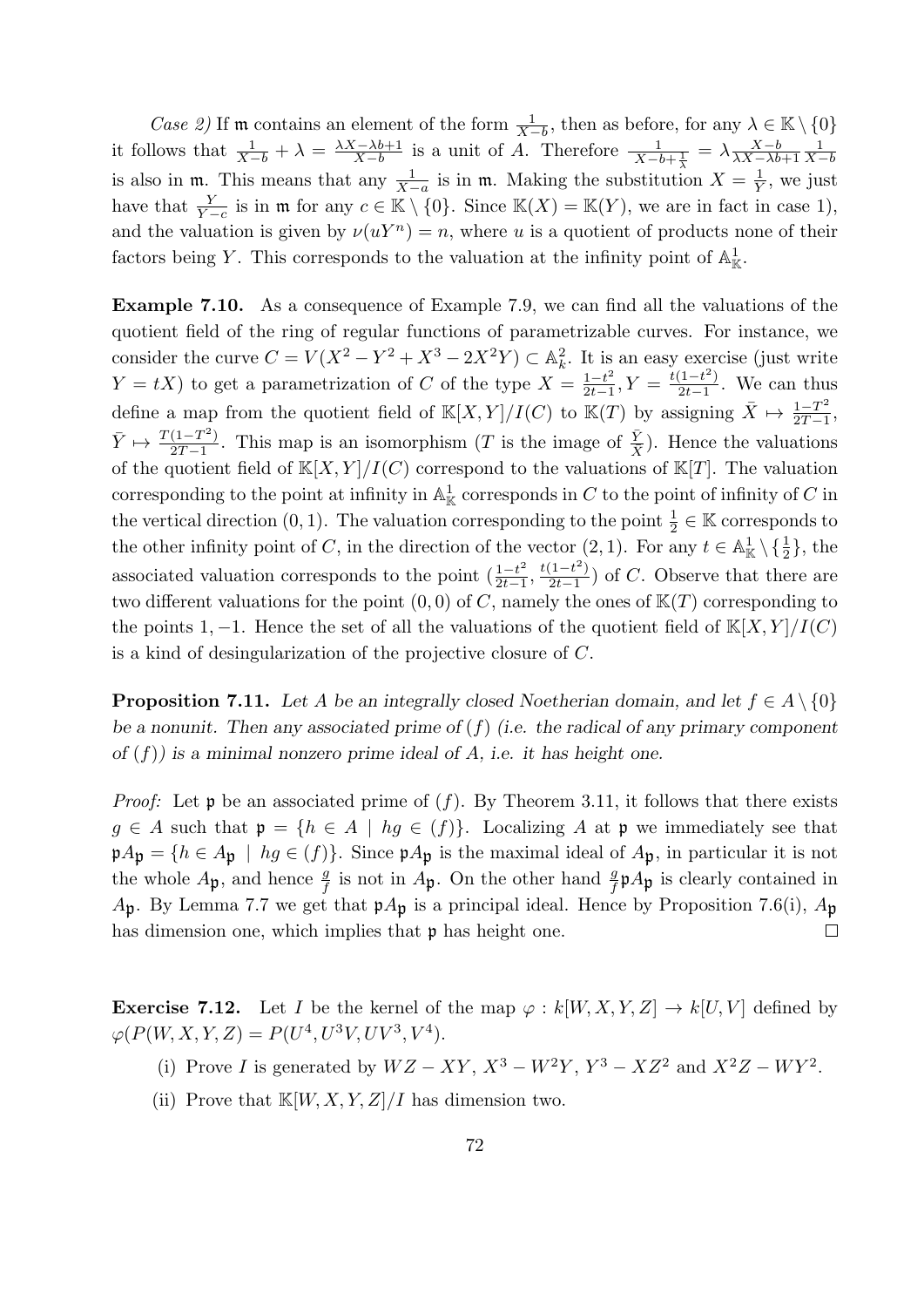*Case 2*) If **m** contains an element of the form  $\frac{1}{X-b}$ , then as before, for any  $\lambda \in \mathbb{K} \setminus \{0\}$ it follows that  $\frac{1}{X-b} + \lambda = \frac{\lambda X - \lambda b + 1}{X-b}$  $\frac{X-\lambda b+1}{X-b}$  is a unit of A. Therefore  $\frac{1}{X-b+\frac{1}{\lambda}} = \lambda \frac{X-b}{\lambda X-\lambda b}$  $\lambda X-\lambda b+1$ 1  $X-b$ is also in  $\mathfrak{m}$ . This means that any  $\frac{1}{X-a}$  is in  $\mathfrak{m}$ . Making the substitution  $X = \frac{1}{Y}$  $\frac{1}{Y}$ , we just have that  $\frac{Y}{Y-c}$  is in  $\mathfrak{m}$  for any  $c \in \mathbb{K} \setminus \{0\}$ . Since  $\mathbb{K}(X) = \mathbb{K}(Y)$ , we are in fact in case 1), and the valuation is given by  $\nu(uY^n) = n$ , where u is a quotient of products none of their factors being Y. This corresponds to the valuation at the infinity point of  $\mathbb{A}^1_{\mathbb{K}}$ .

Example 7.10. As a consequence of Example 7.9, we can find all the valuations of the quotient field of the ring of regular functions of parametrizable curves. For instance, we consider the curve  $C = V(X^2 - Y^2 + X^3 - 2X^2Y) \subset \mathbb{A}_k^2$ . It is an easy exercise (just write  $Y = tX$ ) to get a parametrization of C of the type  $X = \frac{1-t^2}{2t-1}$  $\frac{1-t^2}{2t-1}, Y = \frac{t(1-t^2)}{2t-1}$  $\frac{(1-t)}{2t-1}$ . We can thus define a map from the quotient field of  $\mathbb{K}[X, Y]/I(C)$  to  $\mathbb{K}(T)$  by assigning  $\bar{X} \mapsto \frac{1-T^2}{2T-1}$  $\frac{1-T^2}{2T-1},$  $\bar{Y} \mapsto \frac{T(1-T^2)}{2T-1}$  $\frac{(1-T^2)}{2T-1}$ . This map is an isomorphism (T is the image of  $\frac{\bar{Y}}{\bar{X}}$ ). Hence the valuations of the quotient field of  $\mathbb{K}[X, Y]/I(C)$  correspond to the valuations of  $\mathbb{K}[T]$ . The valuation corresponding to the point at infinity in  $\mathbb{A}^1_{\mathbb{K}}$  corresponds in C to the point of infinity of C in the vertical direction  $(0, 1)$ . The valuation corresponding to the point  $\frac{1}{2} \in \mathbb{K}$  corresponds to the other infinity point of C, in the direction of the vector  $(2, 1)$ . For any  $t \in \mathbb{A}_{\mathbb{K}}^1 \setminus {\{\frac{1}{2}\}}$ , the associated valuation corresponds to the point  $\left(\frac{1-t^2}{2t-1}\right)$  $\frac{1-t^2}{2t-1}, \frac{t(1-t^2)}{2t-1}$  $\frac{(1-t)}{2t-1}$  of C. Observe that there are two different valuations for the point  $(0, 0)$  of C, namely the ones of  $K(T)$  corresponding to the points 1, -1. Hence the set of all the valuations of the quotient field of  $K[X, Y]/I(C)$ is a kind of desingularization of the projective closure of C.

**Proposition 7.11.** Let A be an integrally closed Noetherian domain, and let  $f \in A \setminus \{0\}$ be a nonunit. Then any associated prime of  $(f)$  (i.e. the radical of any primary component of  $(f)$ ) is a minimal nonzero prime ideal of A, i.e. it has height one.

*Proof:* Let  $\mathfrak p$  be an associated prime of  $(f)$ . By Theorem 3.11, it follows that there exists  $g \in A$  such that  $\mathfrak{p} = \{h \in A \mid hg \in (f)\}\$ . Localizing A at  $\mathfrak{p}$  we immediately see that  $\mathfrak{p}A_{\mathfrak{p}} = \{h \in A_{\mathfrak{p}} \mid hg \in (f)\}\.$  Since  $\mathfrak{p}A_{\mathfrak{p}}$  is the maximal ideal of  $A_{\mathfrak{p}}$ , in particular it is not the whole  $A_{\mathfrak{p}}$ , and hence  $\frac{g}{f}$  is not in  $A_{\mathfrak{p}}$ . On the other hand  $\frac{g}{f} \mathfrak{p} A_{\mathfrak{p}}$  is clearly contained in  $A_{\mathfrak{p}}$ . By Lemma 7.7 we get that  $\mathfrak{p}A_{\mathfrak{p}}$  is a principal ideal. Hence by Proposition 7.6(i),  $A_{\mathfrak{p}}$  $\Box$ has dimension one, which implies that **p** has height one.

**Exercise 7.12.** Let I be the kernel of the map  $\varphi : k[W, X, Y, Z] \to k[U, V]$  defined by  $\varphi(P(W, X, Y, Z) = P(U^4, U^3 V, UV^3, V^4).$ 

- (i) Prove I is generated by  $WZ XY$ ,  $X^3 W^2Y$ ,  $Y^3 XZ^2$  and  $X^2Z WY^2$ .
- (ii) Prove that  $\mathbb{K}[W, X, Y, Z]/I$  has dimension two.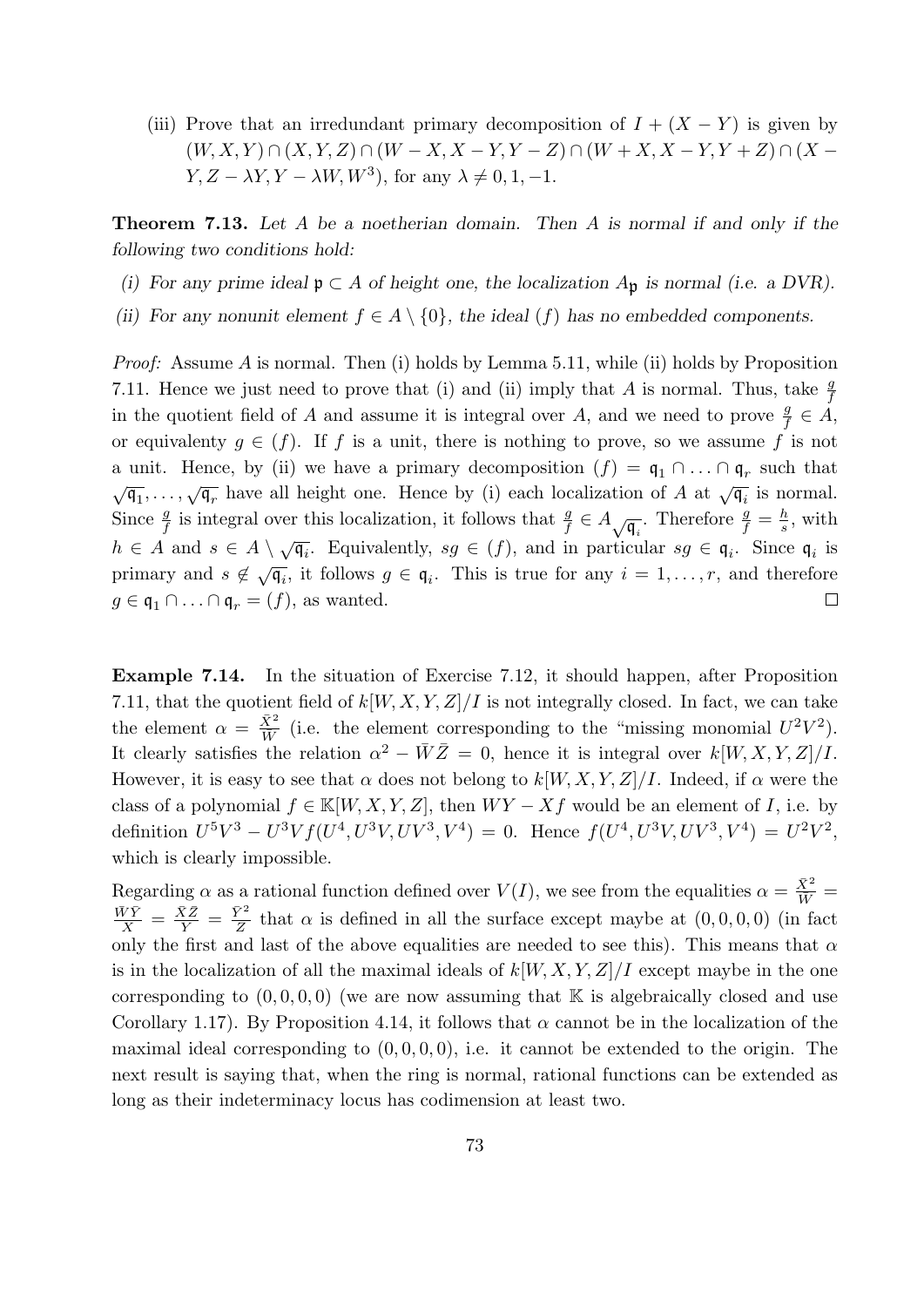(iii) Prove that an irredundant primary decomposition of  $I + (X - Y)$  is given by  $(W, X, Y) \cap (X, Y, Z) \cap (W - X, X - Y, Y - Z) \cap (W + X, X - Y, Y + Z) \cap (X - Y, Y - Z)$  $Y, Z - \lambda Y, Y - \lambda W, W^3$ , for any  $\lambda \neq 0, 1, -1$ .

**Theorem 7.13.** Let A be a noetherian domain. Then A is normal if and only if the following two conditions hold:

- (i) For any prime ideal  $\mathfrak{p} \subset A$  of height one, the localization  $A_{\mathfrak{p}}$  is normal (i.e. a DVR).
- (ii) For any nonunit element  $f \in A \setminus \{0\}$ , the ideal  $(f)$  has no embedded components.

Proof: Assume A is normal. Then (i) holds by Lemma 5.11, while (ii) holds by Proposition 7.11. Hence we just need to prove that (i) and (ii) imply that A is normal. Thus, take  $\frac{g}{f}$ in the quotient field of A and assume it is integral over A, and we need to prove  $\frac{g}{f} \in \dot{A}$ , or equivalenty  $g \in (f)$ . If f is a unit, there is nothing to prove, so we assume f is not a unit. Hence, by (ii) we have a primary decomposition  $(f) = \mathfrak{q}_1 \cap \ldots \cap \mathfrak{q}_r$  such that  $\sqrt{\mathfrak{q}_1}, \ldots, \sqrt{\mathfrak{q}_r}$  have all height one. Hence by (i) each localization of A at  $\sqrt{\mathfrak{q}_i}$  is normal. Since  $\frac{g}{f}$  is integral over this localization, it follows that  $\frac{g}{f} \in A_{\sqrt{\mathfrak{q}_i}}$ . Therefore  $\frac{g}{f} = \frac{h}{s}$  $\frac{h}{s}$ , with  $h \in A$  and  $s \in A \setminus \sqrt{\mathfrak{q}_i}$ . Equivalently,  $sg \in (f)$ , and in particular  $sg \in \mathfrak{q}_i$ . Since  $\mathfrak{q}_i$  is primary and  $s \notin \sqrt{\mathfrak{q}_i}$ , it follows  $g \in \mathfrak{q}_i$ . This is true for any  $i = 1, ..., r$ , and therefore  $g \in \mathfrak{q}_1 \cap \ldots \cap \mathfrak{q}_r = (f)$ , as wanted.  $\Box$ 

Example 7.14. In the situation of Exercise 7.12, it should happen, after Proposition 7.11, that the quotient field of  $k[W, X, Y, Z]/I$  is not integrally closed. In fact, we can take the element  $\alpha = \frac{\bar{X}^2}{\bar{W}}$  $\frac{X^2}{W}$  (i.e. the element corresponding to the "missing monomial  $U^2V^2$ ). It clearly satisfies the relation  $\alpha^2 - \bar{W}\bar{Z} = 0$ , hence it is integral over  $k[W, X, Y, Z]/I$ . However, it is easy to see that  $\alpha$  does not belong to  $k[W, X, Y, Z]/I$ . Indeed, if  $\alpha$  were the class of a polynomial  $f \in K[W, X, Y, Z]$ , then  $WY - Xf$  would be an element of I, i.e. by definition  $U^5V^3 - U^3Vf(U^4, U^3V, UV^3, V^4) = 0$ . Hence  $f(U^4, U^3V, UV^3, V^4) = U^2V^2$ , which is clearly impossible.

Regarding  $\alpha$  as a rational function defined over  $V(I)$ , we see from the equalities  $\alpha = \frac{\bar{X}^2}{\bar{W}}$  $\frac{\bar{W}\bar{Y}}{\bar{X}} = \frac{\bar{X}\bar{Z}}{\bar{Y}} = \frac{\bar{Y}^2}{\bar{Z}}$  $\frac{\gamma^2}{\overline{Z}}$  that  $\alpha$  is defined in all the surface except maybe at  $(0,0,0,0)$  (in fact only the first and last of the above equalities are needed to see this). This means that  $\alpha$ is in the localization of all the maximal ideals of  $k[W, X, Y, Z]/I$  except maybe in the one corresponding to  $(0, 0, 0, 0)$  (we are now assuming that K is algebraically closed and use Corollary 1.17). By Proposition 4.14, it follows that  $\alpha$  cannot be in the localization of the maximal ideal corresponding to  $(0, 0, 0, 0)$ , i.e. it cannot be extended to the origin. The next result is saying that, when the ring is normal, rational functions can be extended as long as their indeterminacy locus has codimension at least two.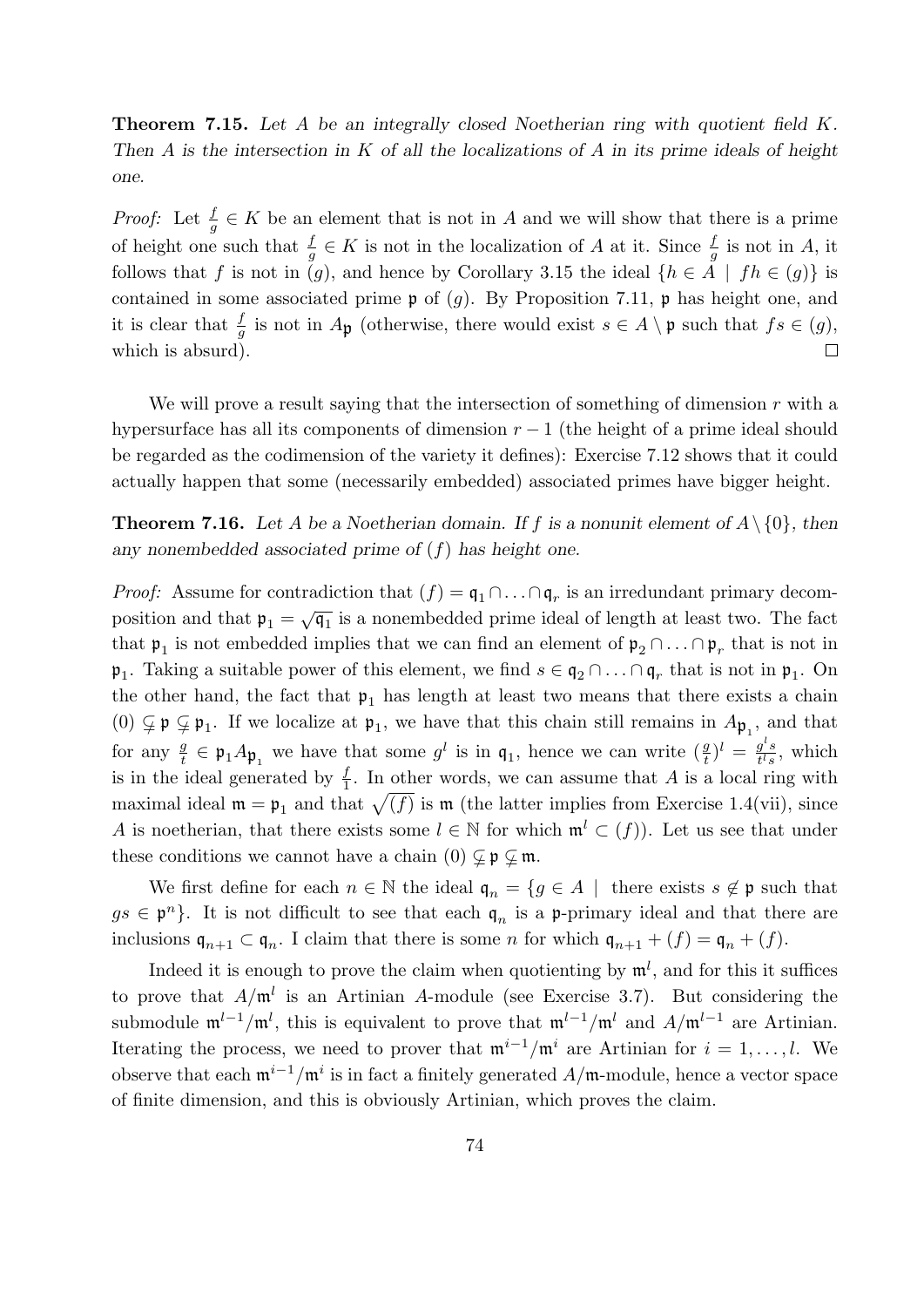**Theorem 7.15.** Let A be an integrally closed Noetherian ring with quotient field  $K$ . Then A is the intersection in K of all the localizations of A in its prime ideals of height one.

*Proof:* Let  $\frac{f}{g} \in K$  be an element that is not in A and we will show that there is a prime of height one such that  $\frac{f}{g} \in K$  is not in the localization of A at it. Since  $\frac{f}{g}$  is not in A, it follows that f is not in (g), and hence by Corollary 3.15 the ideal  $\{h \in A \mid fh \in (g)\}\$ is contained in some associated prime  $\mathfrak p$  of (g). By Proposition 7.11,  $\mathfrak p$  has height one, and it is clear that  $\frac{f}{g}$  is not in  $A_{\mathfrak{p}}$  (otherwise, there would exist  $s \in A \setminus \mathfrak{p}$  such that  $fs \in (g)$ , which is absurd).  $\Box$ 

We will prove a result saying that the intersection of something of dimension  $r$  with a hypersurface has all its components of dimension  $r - 1$  (the height of a prime ideal should be regarded as the codimension of the variety it defines): Exercise 7.12 shows that it could actually happen that some (necessarily embedded) associated primes have bigger height.

**Theorem 7.16.** Let A be a Noetherian domain. If f is a nonunit element of  $A \setminus \{0\}$ , then any nonembedded associated prime of  $(f)$  has height one.

*Proof:* Assume for contradiction that  $(f) = \mathfrak{q}_1 \cap \ldots \cap \mathfrak{q}_r$  is an irredundant primary decomposition and that  $\mathfrak{p}_1 = \sqrt{\mathfrak{q}_1}$  is a nonembedded prime ideal of length at least two. The fact that  $\mathfrak{p}_1$  is not embedded implies that we can find an element of  $\mathfrak{p}_2 \cap \ldots \cap \mathfrak{p}_r$  that is not in  $\mathfrak{p}_1$ . Taking a suitable power of this element, we find  $s \in \mathfrak{q}_2 \cap \ldots \cap \mathfrak{q}_r$  that is not in  $\mathfrak{p}_1$ . On the other hand, the fact that  $\mathfrak{p}_1$  has length at least two means that there exists a chain (0)  $\varphi \neq \varphi_1$ . If we localize at  $\varphi_1$ , we have that this chain still remains in  $A_{\varphi_1}$ , and that for any  $\frac{g}{t} \in \mathfrak{p}_1 A \mathfrak{p}_1$  we have that some  $g^l$  is in  $\mathfrak{q}_1$ , hence we can write  $(\frac{g}{t})^l = \frac{g^l s}{t^l s}$  $\frac{g^s}{t^l s}$ , which is in the ideal generated by  $\frac{f}{1}$ . In other words, we can assume that A is a local ring with maximal ideal  $\mathfrak{m} = \mathfrak{p}_1$  and that  $\sqrt{(f)}$  is  $\mathfrak{m}$  (the latter implies from Exercise 1.4(vii), since A is noetherian, that there exists some  $l \in \mathbb{N}$  for which  $\mathfrak{m}^l \subset (f)$ ). Let us see that under these conditions we cannot have a chain  $(0) \varsubsetneq \mathfrak{p} \varsubsetneq \mathfrak{m}$ .

We first define for each  $n \in \mathbb{N}$  the ideal  $\mathfrak{q}_n = \{g \in A \mid \text{ there exists } s \notin \mathfrak{p} \text{ such that } \exists g \in A \mid \text{ } g \in A \}$  $gs \in \mathfrak{p}^n$ . It is not difficult to see that each  $\mathfrak{q}_n$  is a p-primary ideal and that there are inclusions  $\mathfrak{q}_{n+1} \subset \mathfrak{q}_n$ . I claim that there is some n for which  $\mathfrak{q}_{n+1} + (f) = \mathfrak{q}_n + (f)$ .

Indeed it is enough to prove the claim when quotienting by  $\mathfrak{m}^l$ , and for this it suffices to prove that  $A/\mathfrak{m}^l$  is an Artinian A-module (see Exercise 3.7). But considering the submodule  $\mathfrak{m}^{l-1}/\mathfrak{m}^l$ , this is equivalent to prove that  $\mathfrak{m}^{l-1}/\mathfrak{m}^l$  and  $A/\mathfrak{m}^{l-1}$  are Artinian. Iterating the process, we need to prover that  $\mathfrak{m}^{i-1}/\mathfrak{m}^i$  are Artinian for  $i = 1, \ldots, l$ . We observe that each  $\mathfrak{m}^{i-1}/\mathfrak{m}^i$  is in fact a finitely generated  $A/\mathfrak{m}$ -module, hence a vector space of finite dimension, and this is obviously Artinian, which proves the claim.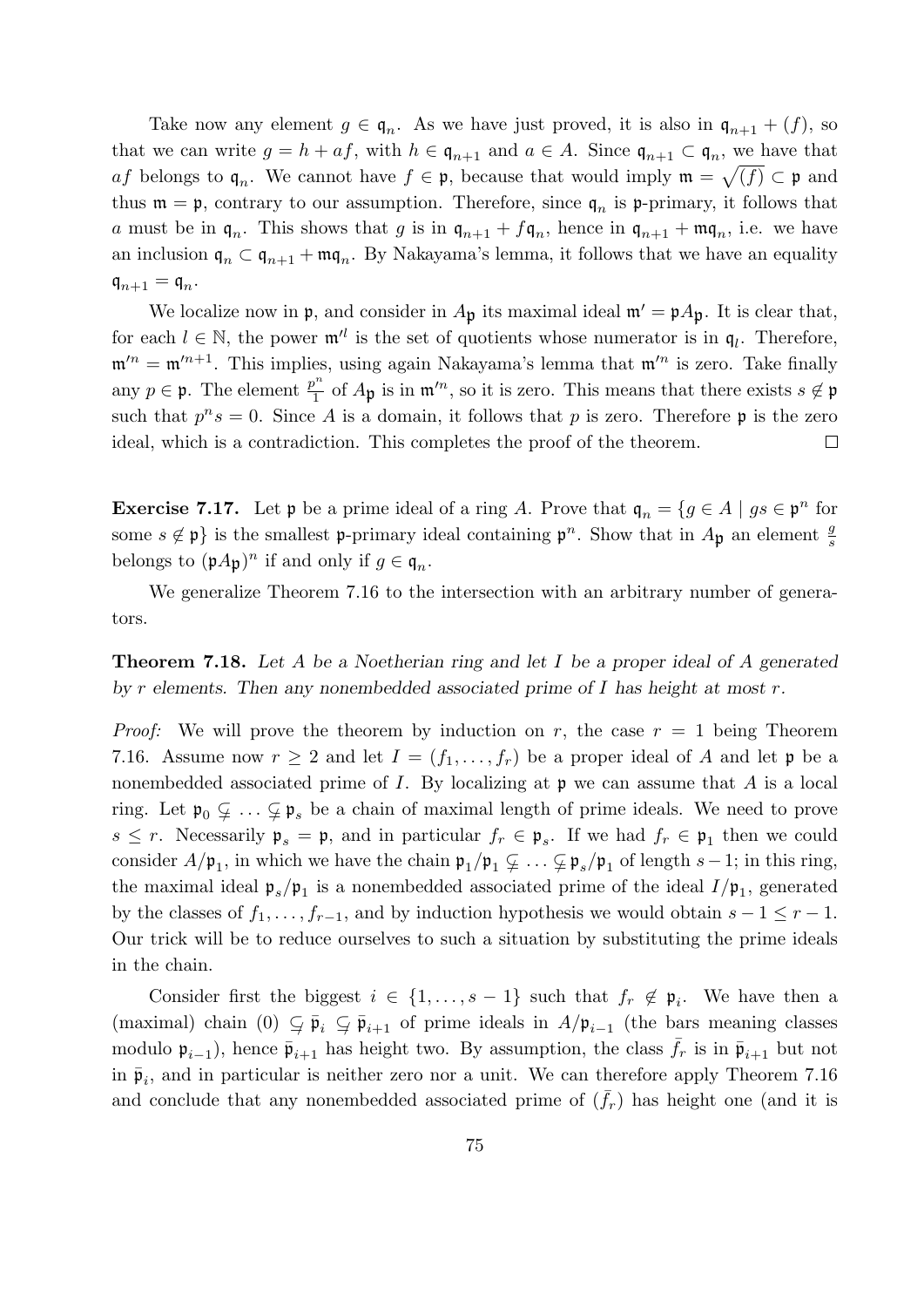Take now any element  $g \in \mathfrak{q}_n$ . As we have just proved, it is also in  $\mathfrak{q}_{n+1} + (f)$ , so that we can write  $g = h + af$ , with  $h \in \mathfrak{q}_{n+1}$  and  $a \in A$ . Since  $\mathfrak{q}_{n+1} \subset \mathfrak{q}_n$ , we have that af belongs to  $\mathfrak{q}_n$ . We cannot have  $f \in \mathfrak{p}$ , because that would imply  $\mathfrak{m} = \sqrt{(f)} \subset \mathfrak{p}$  and thus  $\mathfrak{m} = \mathfrak{p}$ , contrary to our assumption. Therefore, since  $\mathfrak{q}_n$  is  $\mathfrak{p}$ -primary, it follows that a must be in  $\mathfrak{q}_n$ . This shows that g is in  $\mathfrak{q}_{n+1} + f\mathfrak{q}_n$ , hence in  $\mathfrak{q}_{n+1} + \mathfrak{mq}_n$ , i.e. we have an inclusion  $\mathfrak{q}_n \subset \mathfrak{q}_{n+1} + \mathfrak{mq}_n$ . By Nakayama's lemma, it follows that we have an equality  $\mathfrak{q}_{n+1} = \mathfrak{q}_n.$ 

We localize now in  $\mathfrak{p}$ , and consider in  $A_{\mathfrak{p}}$  its maximal ideal  $\mathfrak{m}' = \mathfrak{p}A_{\mathfrak{p}}$ . It is clear that, for each  $l \in \mathbb{N}$ , the power  $\mathfrak{m}^{\prime l}$  is the set of quotients whose numerator is in  $\mathfrak{q}_l$ . Therefore,  $\mathfrak{m}^{\prime n} = \mathfrak{m}^{\prime n+1}$ . This implies, using again Nakayama's lemma that  $\mathfrak{m}^{\prime n}$  is zero. Take finally any  $p \in \mathfrak{p}$ . The element  $\frac{p^n}{1}$  $\frac{\partial^n}{\partial t}$  of  $A_{\mathfrak{p}}$  is in  $\mathfrak{m}^n$ , so it is zero. This means that there exists  $s \notin \mathfrak{p}$ such that  $p^n s = 0$ . Since A is a domain, it follows that p is zero. Therefore p is the zero ideal, which is a contradiction. This completes the proof of the theorem.  $\Box$ 

**Exercise 7.17.** Let  $\mathfrak{p}$  be a prime ideal of a ring A. Prove that  $\mathfrak{q}_n = \{g \in A \mid gs \in \mathfrak{p}^n \text{ for }$ some  $s \notin \mathfrak{p}$  is the smallest p-primary ideal containing  $\mathfrak{p}^n$ . Show that in  $A_{\mathfrak{p}}$  an element  $\frac{g}{s}$ belongs to  $(\mathfrak{p}_A \mathfrak{p})^n$  if and only if  $g \in \mathfrak{q}_n$ .

We generalize Theorem 7.16 to the intersection with an arbitrary number of generators.

Theorem 7.18. Let A be a Noetherian ring and let I be a proper ideal of A generated by r elements. Then any nonembedded associated prime of  $I$  has height at most  $r$ .

*Proof:* We will prove the theorem by induction on r, the case  $r = 1$  being Theorem 7.16. Assume now  $r \geq 2$  and let  $I = (f_1, \ldots, f_r)$  be a proper ideal of A and let p be a nonembedded associated prime of  $I$ . By localizing at  $\mathfrak p$  we can assume that  $A$  is a local ring. Let  $\mathfrak{p}_0 \subsetneq \ldots \subsetneq \mathfrak{p}_s$  be a chain of maximal length of prime ideals. We need to prove  $s \leq r$ . Necessarily  $\mathfrak{p}_s = \mathfrak{p}$ , and in particular  $f_r \in \mathfrak{p}_s$ . If we had  $f_r \in \mathfrak{p}_1$  then we could consider  $A/\mathfrak{p}_1$ , in which we have the chain  $\mathfrak{p}_1/\mathfrak{p}_1 \subsetneq \ldots \subsetneq \mathfrak{p}_s/\mathfrak{p}_1$  of length  $s-1$ ; in this ring, the maximal ideal  $\mathfrak{p}_s/\mathfrak{p}_1$  is a nonembedded associated prime of the ideal  $I/\mathfrak{p}_1$ , generated by the classes of  $f_1, \ldots, f_{r-1}$ , and by induction hypothesis we would obtain  $s - 1 \leq r - 1$ . Our trick will be to reduce ourselves to such a situation by substituting the prime ideals in the chain.

Consider first the biggest  $i \in \{1, \ldots, s-1\}$  such that  $f_r \notin \mathfrak{p}_i$ . We have then a (maximal) chain (0)  $\subseteq \bar{\mathfrak{p}}_i \subseteq \bar{\mathfrak{p}}_{i+1}$  of prime ideals in  $A/\mathfrak{p}_{i-1}$  (the bars meaning classes modulo  $\mathfrak{p}_{i-1}$ ), hence  $\bar{\mathfrak{p}}_{i+1}$  has height two. By assumption, the class  $\bar{f}_r$  is in  $\bar{\mathfrak{p}}_{i+1}$  but not in  $\bar{\mathfrak{p}}_i$ , and in particular is neither zero nor a unit. We can therefore apply Theorem 7.16 and conclude that any nonembedded associated prime of  $(\bar{f}_r)$  has height one (and it is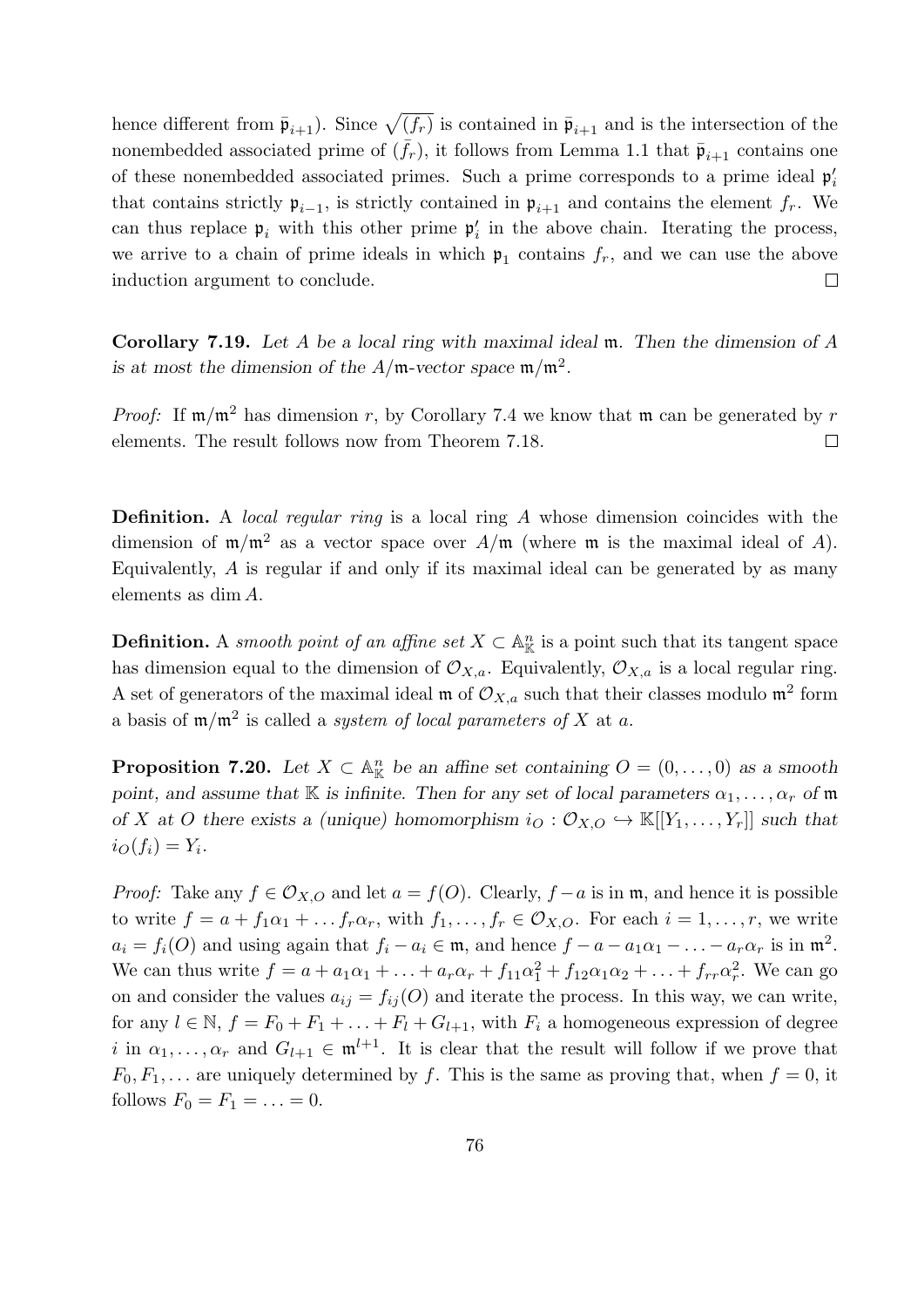hence different from  $\bar{\mathfrak{p}}_{i+1}$ ). Since  $\sqrt{(\bar{f}_r)}$  is contained in  $\bar{\mathfrak{p}}_{i+1}$  and is the intersection of the nonembedded associated prime of  $(\bar{f}_r)$ , it follows from Lemma 1.1 that  $\bar{\mathfrak{p}}_{i+1}$  contains one of these nonembedded associated primes. Such a prime corresponds to a prime ideal  $\mathfrak{p}'_i$ that contains strictly  $\mathfrak{p}_{i-1}$ , is strictly contained in  $\mathfrak{p}_{i+1}$  and contains the element  $f_r$ . We can thus replace  $\mathfrak{p}_i$  with this other prime  $\mathfrak{p}'_i$  in the above chain. Iterating the process, we arrive to a chain of prime ideals in which  $\mathfrak{p}_1$  contains  $f_r$ , and we can use the above induction argument to conclude.  $\Box$ 

Corollary 7.19. Let A be a local ring with maximal ideal m. Then the dimension of A is at most the dimension of the  $A/\mathfrak{m}$ -vector space  $\mathfrak{m}/\mathfrak{m}^2$ .

*Proof:* If  $m/m^2$  has dimension r, by Corollary 7.4 we know that m can be generated by r elements. The result follows now from Theorem 7.18.  $\Box$ 

Definition. A *local regular ring* is a local ring A whose dimension coincides with the dimension of  $m/m^2$  as a vector space over  $A/m$  (where m is the maximal ideal of A). Equivalently, A is regular if and only if its maximal ideal can be generated by as many elements as dim A.

**Definition.** A smooth point of an affine set  $X \subset \mathbb{A}_{\mathbb{K}}^n$  is a point such that its tangent space has dimension equal to the dimension of  $\mathcal{O}_{X,a}$ . Equivalently,  $\mathcal{O}_{X,a}$  is a local regular ring. A set of generators of the maximal ideal  $\mathfrak{m}$  of  $\mathcal{O}_{X,a}$  such that their classes modulo  $\mathfrak{m}^2$  form a basis of  $m/m^2$  is called a *system of local parameters of* X at a.

**Proposition 7.20.** Let  $X \subset \mathbb{A}_{\mathbb{K}}^n$  be an affine set containing  $O = (0, \ldots, 0)$  as a smooth point, and assume that K is infinite. Then for any set of local parameters  $\alpha_1, \ldots, \alpha_r$  of m of X at O there exists a (unique) homomorphism  $i_O: \mathcal{O}_{X,O} \hookrightarrow \mathbb{K}[[Y_1,\ldots,Y_r]]$  such that  $i_O(f_i) = Y_i.$ 

*Proof:* Take any  $f \in \mathcal{O}_{X,O}$  and let  $a = f(O)$ . Clearly,  $f - a$  is in m, and hence it is possible to write  $f = a + f_1 \alpha_1 + \ldots + f_r \alpha_r$ , with  $f_1, \ldots, f_r \in \mathcal{O}_{X,O}$ . For each  $i = 1, \ldots, r$ , we write  $a_i = f_i(O)$  and using again that  $f_i - a_i \in \mathfrak{m}$ , and hence  $f - a - a_1 \alpha_1 - \ldots - a_r \alpha_r$  is in  $\mathfrak{m}^2$ . We can thus write  $f = a + a_1\alpha_1 + \ldots + a_r\alpha_r + f_{11}\alpha_1^2 + f_{12}\alpha_1\alpha_2 + \ldots + f_{rr}\alpha_r^2$ . We can go on and consider the values  $a_{ij} = f_{ij}(O)$  and iterate the process. In this way, we can write, for any  $l \in \mathbb{N}$ ,  $f = F_0 + F_1 + \ldots + F_l + G_{l+1}$ , with  $F_i$  a homogeneous expression of degree i in  $\alpha_1, \ldots, \alpha_r$  and  $G_{l+1} \in \mathfrak{m}^{l+1}$ . It is clear that the result will follow if we prove that  $F_0, F_1, \ldots$  are uniquely determined by f. This is the same as proving that, when  $f = 0$ , it follows  $F_0 = F_1 = ... = 0$ .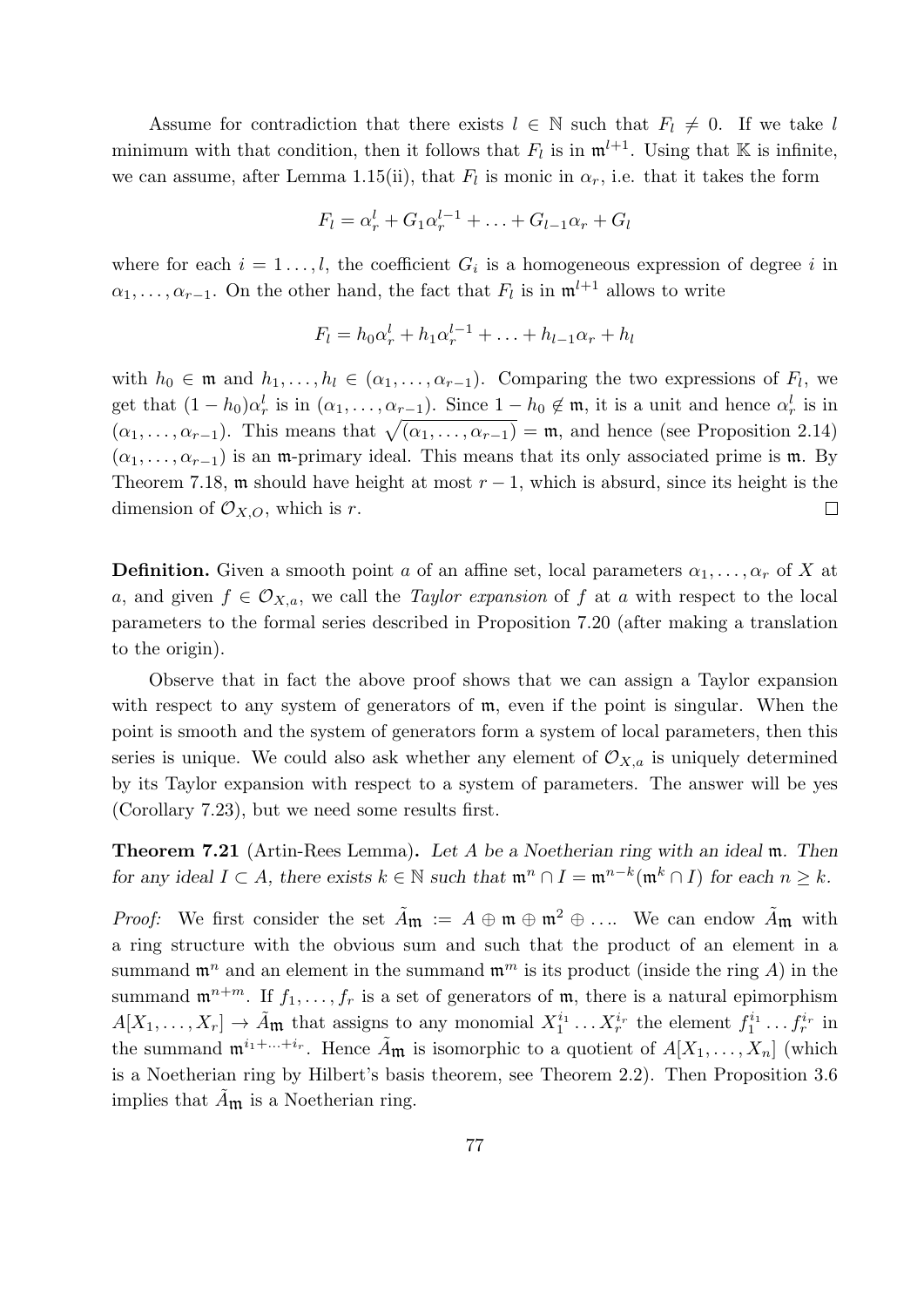Assume for contradiction that there exists  $l \in \mathbb{N}$  such that  $F_l \neq 0$ . If we take l minimum with that condition, then it follows that  $F_l$  is in  $\mathfrak{m}^{l+1}$ . Using that K is infinite, we can assume, after Lemma 1.15(ii), that  $F_l$  is monic in  $\alpha_r$ , i.e. that it takes the form

$$
F_l = \alpha_r^l + G_1 \alpha_r^{l-1} + \ldots + G_{l-1} \alpha_r + G_l
$$

where for each  $i = 1 \ldots, l$ , the coefficient  $G_i$  is a homogeneous expression of degree i in  $\alpha_1, \ldots, \alpha_{r-1}$ . On the other hand, the fact that  $F_l$  is in  $\mathfrak{m}^{l+1}$  allows to write

$$
F_l = h_0 \alpha_r^l + h_1 \alpha_r^{l-1} + \ldots + h_{l-1} \alpha_r + h_l
$$

with  $h_0 \in \mathfrak{m}$  and  $h_1, \ldots, h_l \in (\alpha_1, \ldots, \alpha_{r-1})$ . Comparing the two expressions of  $F_l$ , we get that  $(1-h_0)\alpha_r^l$  is in  $(\alpha_1,\ldots,\alpha_{r-1})$ . Since  $1-h_0 \notin \mathfrak{m}$ , it is a unit and hence  $\alpha_r^l$  is in  $(\alpha_1, \ldots, \alpha_{r-1})$ . This means that  $\sqrt{(\alpha_1, \ldots, \alpha_{r-1})} = \mathfrak{m}$ , and hence (see Proposition 2.14)  $(\alpha_1, \ldots, \alpha_{r-1})$  is an m-primary ideal. This means that its only associated prime is m. By Theorem 7.18, m should have height at most  $r - 1$ , which is absurd, since its height is the dimension of  $\mathcal{O}_{X,O}$ , which is r.  $\Box$ 

**Definition.** Given a smooth point a of an affine set, local parameters  $\alpha_1, \ldots, \alpha_r$  of X at a, and given  $f \in \mathcal{O}_{X,a}$ , we call the *Taylor expansion* of f at a with respect to the local parameters to the formal series described in Proposition 7.20 (after making a translation to the origin).

Observe that in fact the above proof shows that we can assign a Taylor expansion with respect to any system of generators of  $m$ , even if the point is singular. When the point is smooth and the system of generators form a system of local parameters, then this series is unique. We could also ask whether any element of  $\mathcal{O}_{X,a}$  is uniquely determined by its Taylor expansion with respect to a system of parameters. The answer will be yes (Corollary 7.23), but we need some results first.

Theorem 7.21 (Artin-Rees Lemma). Let A be a Noetherian ring with an ideal m. Then for any ideal  $I \subset A$ , there exists  $k \in \mathbb{N}$  such that  $\mathfrak{m}^n \cap I = \mathfrak{m}^{n-k}(\mathfrak{m}^k \cap I)$  for each  $n \geq k$ .

*Proof:* We first consider the set  $\tilde{A}_{\mathfrak{m}} := A \oplus \mathfrak{m} \oplus \mathfrak{m}^2 \oplus \ldots$  We can endow  $\tilde{A}_{\mathfrak{m}}$  with a ring structure with the obvious sum and such that the product of an element in a summand  $\mathfrak{m}^n$  and an element in the summand  $\mathfrak{m}^m$  is its product (inside the ring A) in the summand  $\mathfrak{m}^{n+m}$ . If  $f_1, \ldots, f_r$  is a set of generators of  $\mathfrak{m}$ , there is a natural epimorphism  $A[X_1,\ldots,X_r] \to \tilde{A}_{\mathfrak{m}}$  that assigns to any monomial  $X_1^{i_1} \ldots X_r^{i_r}$  the element  $f_1^{i_1} \ldots f_r^{i_r}$  in the summand  $\mathfrak{m}^{i_1+\ldots+i_r}$ . Hence  $\tilde{A}_{\mathfrak{m}}$  is isomorphic to a quotient of  $A[X_1,\ldots,X_n]$  (which is a Noetherian ring by Hilbert's basis theorem, see Theorem 2.2). Then Proposition 3.6 implies that  $\ddot{A}_{\mathfrak{m}}$  is a Noetherian ring.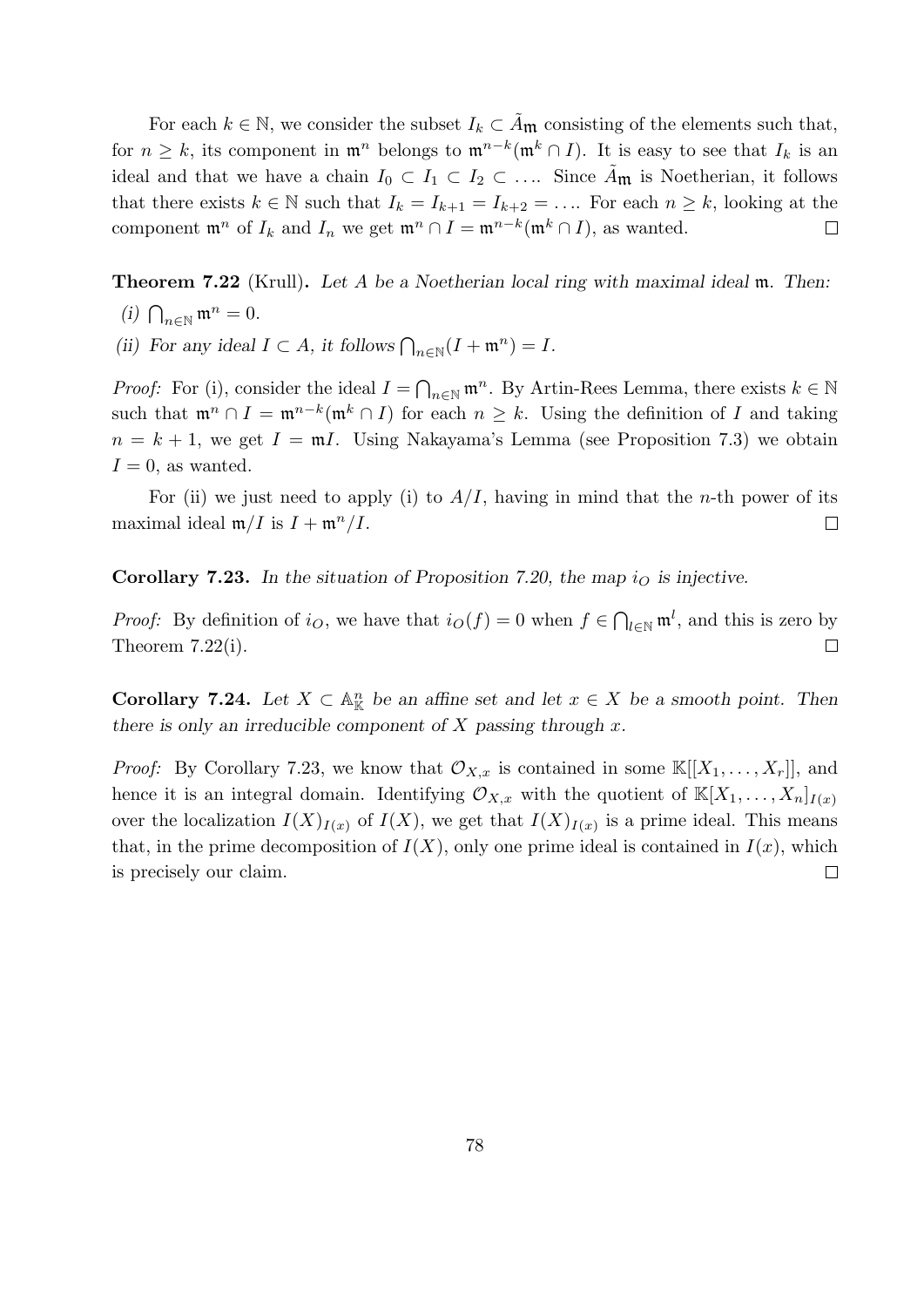For each  $k \in \mathbb{N}$ , we consider the subset  $I_k \subset \mathcal{A}_{\mathfrak{m}}$  consisting of the elements such that, for  $n \geq k$ , its component in  $\mathfrak{m}^n$  belongs to  $\mathfrak{m}^{n-k}(\mathfrak{m}^k \cap I)$ . It is easy to see that  $I_k$  is an ideal and that we have a chain  $I_0 \subset I_1 \subset I_2 \subset \ldots$  Since  $A_{\mathfrak{m}}$  is Noetherian, it follows that there exists  $k \in \mathbb{N}$  such that  $I_k = I_{k+1} = I_{k+2} = \ldots$  For each  $n \geq k$ , looking at the component  $\mathfrak{m}^n$  of  $I_k$  and  $I_n$  we get  $\mathfrak{m}^n \cap I = \mathfrak{m}^{n-k}(\mathfrak{m}^k \cap I)$ , as wanted.  $\Box$ 

**Theorem 7.22** (Krull). Let A be a Noetherian local ring with maximal ideal  $m$ . Then:

- (i)  $\bigcap_{n\in\mathbb{N}}\mathfrak{m}^n=0.$
- (ii) For any ideal  $I \subset A$ , it follows  $\bigcap_{n \in \mathbb{N}} (I + \mathfrak{m}^n) = I$ .

*Proof:* For (i), consider the ideal  $I = \bigcap_{n \in \mathbb{N}} \mathfrak{m}^n$ . By Artin-Rees Lemma, there exists  $k \in \mathbb{N}$ such that  $\mathfrak{m}^n \cap I = \mathfrak{m}^{n-k}(\mathfrak{m}^k \cap I)$  for each  $n \geq k$ . Using the definition of I and taking  $n = k + 1$ , we get  $I = mI$ . Using Nakayama's Lemma (see Proposition 7.3) we obtain  $I = 0$ , as wanted.

For (ii) we just need to apply (i) to  $A/I$ , having in mind that the *n*-th power of its maximal ideal  $\mathfrak{m}/I$  is  $I + \mathfrak{m}^n/I$ .  $\Box$ 

**Corollary 7.23.** In the situation of Proposition 7.20, the map  $i_{\Omega}$  is injective.

*Proof:* By definition of  $i_O$ , we have that  $i_O(f) = 0$  when  $f \in \bigcap_{l \in \mathbb{N}} \mathfrak{m}^l$ , and this is zero by Theorem 7.22(i).  $\Box$ 

**Corollary 7.24.** Let  $X \subset \mathbb{A}_{\mathbb{K}}^n$  be an affine set and let  $x \in X$  be a smooth point. Then there is only an irreducible component of  $X$  passing through  $x$ .

*Proof:* By Corollary 7.23, we know that  $\mathcal{O}_{X,x}$  is contained in some  $\mathbb{K}[[X_1,\ldots,X_r]],$  and hence it is an integral domain. Identifying  $\mathcal{O}_{X,x}$  with the quotient of  $\mathbb{K}[X_1,\ldots,X_n]_{I(x)}$ over the localization  $I(X)_{I(x)}$  of  $I(X)$ , we get that  $I(X)_{I(x)}$  is a prime ideal. This means that, in the prime decomposition of  $I(X)$ , only one prime ideal is contained in  $I(x)$ , which  $\Box$ is precisely our claim.